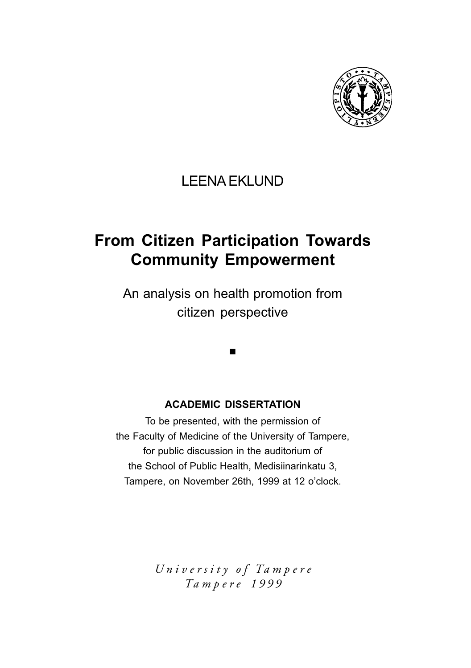

### LEENA EKLUND

### **From Citizen Participation Towards Community Empowerment**

An analysis on health promotion from citizen perspective

 $\blacksquare$ 

#### **ACADEMIC DISSERTATION**

To be presented, with the permission of the Faculty of Medicine of the University of Tampere, for public discussion in the auditorium of the School of Public Health, Medisiinarinkatu 3, Tampere, on November 26th, 1999 at 12 o'clock.

> *Un i v e r s i t y o f Ta m p e r e Ta m p e re 1999*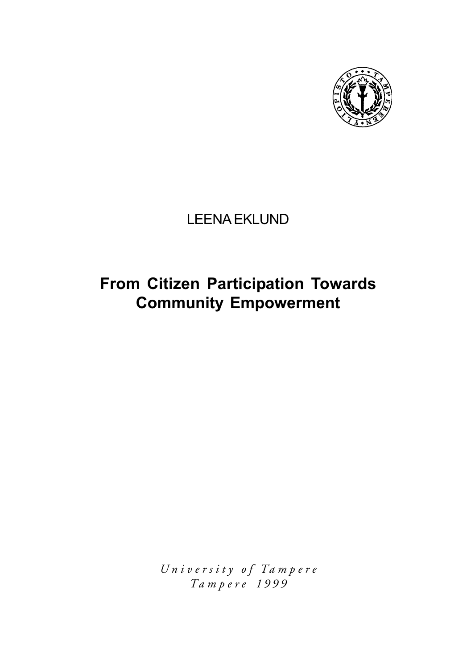

### LEENA EKLUND

# **From Citizen Participation Towards Community Empowerment**

*Un i v e r s i t y o f Ta m p e re Ta m p e re 1999*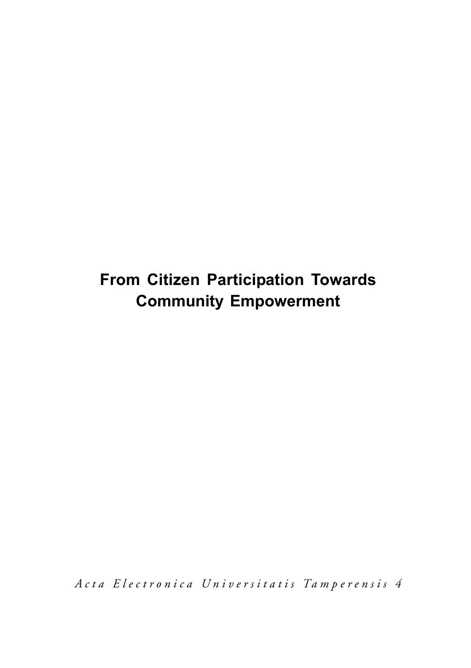# **From Citizen Participation Towards Community Empowerment**

*A c t a E l e c t r o n i c a U n i v e r s i t a t i s Ta m p e r e n s i s 4*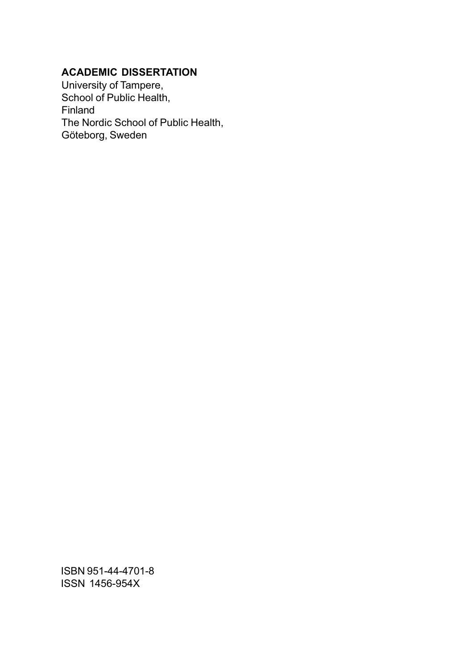### **ACADEMIC DISSERTATION**

University of Tampere, School of Public Health, Finland The Nordic School of Public Health, Göteborg, Sweden

ISBN 951-44-4701-8 ISSN 1456-954X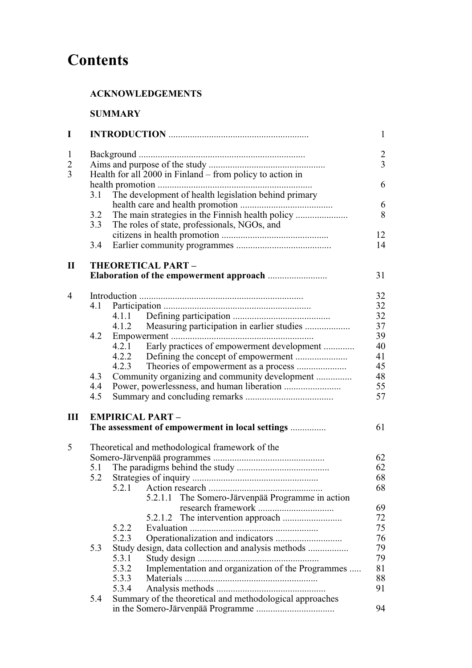# **Contents**

### **ACKNOWLEDGEMENTS**

### **SUMMARY**

| I                                                |                                                 |                                                            | $\mathbf{1}$                     |  |  |  |  |  |
|--------------------------------------------------|-------------------------------------------------|------------------------------------------------------------|----------------------------------|--|--|--|--|--|
| $\mathbf{1}$<br>$\overline{c}$<br>$\overline{3}$ |                                                 | Health for all 2000 in Finland – from policy to action in  | $\overline{c}$<br>$\overline{3}$ |  |  |  |  |  |
|                                                  | 3.1                                             | The development of health legislation behind primary       | 6                                |  |  |  |  |  |
|                                                  | 3.2<br>3.3                                      | The roles of state, professionals, NGOs, and               | 6<br>8                           |  |  |  |  |  |
|                                                  | 3.4                                             |                                                            | 12<br>14                         |  |  |  |  |  |
| $\mathbf{I}$                                     |                                                 | THEORETICAL PART-                                          |                                  |  |  |  |  |  |
|                                                  |                                                 |                                                            | 31                               |  |  |  |  |  |
| $\overline{4}$                                   |                                                 |                                                            | 32                               |  |  |  |  |  |
|                                                  | 4.1                                             |                                                            | 32                               |  |  |  |  |  |
|                                                  |                                                 |                                                            | 32                               |  |  |  |  |  |
|                                                  |                                                 | 4.1.2 Measuring participation in earlier studies           | 37                               |  |  |  |  |  |
|                                                  | 4.2                                             |                                                            | 39                               |  |  |  |  |  |
|                                                  |                                                 | 4.2.1 Early practices of empowerment development           | 40                               |  |  |  |  |  |
|                                                  |                                                 |                                                            | 41                               |  |  |  |  |  |
|                                                  |                                                 | 4.2.3                                                      | 45                               |  |  |  |  |  |
|                                                  | 4.3                                             | Community organizing and community development             | 48                               |  |  |  |  |  |
|                                                  | 4.4                                             |                                                            | 55                               |  |  |  |  |  |
|                                                  | 4.5                                             |                                                            | 57                               |  |  |  |  |  |
| III                                              |                                                 | <b>EMPIRICAL PART -</b>                                    |                                  |  |  |  |  |  |
|                                                  |                                                 | The assessment of empowerment in local settings            | 61                               |  |  |  |  |  |
| 5                                                | Theoretical and methodological framework of the |                                                            |                                  |  |  |  |  |  |
|                                                  |                                                 |                                                            | 62                               |  |  |  |  |  |
|                                                  | 5.1                                             |                                                            | 62                               |  |  |  |  |  |
|                                                  | 5.2                                             |                                                            | 68                               |  |  |  |  |  |
|                                                  |                                                 | 5.2.1                                                      | 68                               |  |  |  |  |  |
|                                                  |                                                 | The Somero-Järvenpää Programme in action<br>5.2.1.1        |                                  |  |  |  |  |  |
|                                                  |                                                 |                                                            | 69                               |  |  |  |  |  |
|                                                  |                                                 | 5.2.1.2                                                    | 72                               |  |  |  |  |  |
|                                                  |                                                 | 5.2.2<br>Evaluation                                        | 75                               |  |  |  |  |  |
|                                                  |                                                 | 5.2.3                                                      | 76                               |  |  |  |  |  |
|                                                  | 5.3                                             | Study design, data collection and analysis methods         | 79                               |  |  |  |  |  |
|                                                  |                                                 | 5.3.1                                                      | 79                               |  |  |  |  |  |
|                                                  |                                                 | Implementation and organization of the Programmes<br>5.3.2 | 81                               |  |  |  |  |  |
|                                                  |                                                 | 5.3.3                                                      | 88                               |  |  |  |  |  |
|                                                  |                                                 | 5.3.4                                                      | 91                               |  |  |  |  |  |
|                                                  | 5.4                                             | Summary of the theoretical and methodological approaches   |                                  |  |  |  |  |  |
|                                                  |                                                 |                                                            | 94                               |  |  |  |  |  |
|                                                  |                                                 |                                                            |                                  |  |  |  |  |  |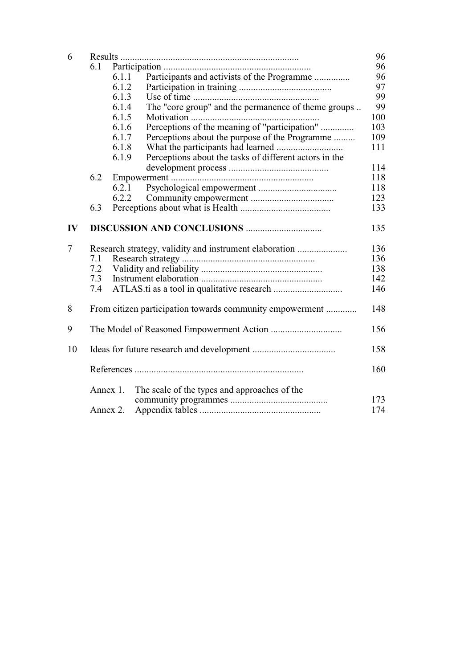| 6             |     |          |                                                          |     |  |  |  |
|---------------|-----|----------|----------------------------------------------------------|-----|--|--|--|
|               | 6.1 |          |                                                          |     |  |  |  |
|               |     | 6.1.1    | Participants and activists of the Programme              | 96  |  |  |  |
|               |     | 6.1.2    |                                                          | 97  |  |  |  |
|               |     | 6.1.3    |                                                          | 99  |  |  |  |
|               |     | 6.1.4    | The "core group" and the permanence of theme groups      | 99  |  |  |  |
|               |     | 6.1.5    |                                                          | 100 |  |  |  |
|               |     | 6.1.6    | Perceptions of the meaning of "participation"            | 103 |  |  |  |
|               |     | 6.1.7    | Perceptions about the purpose of the Programme           | 109 |  |  |  |
|               |     | 6.1.8    |                                                          | 111 |  |  |  |
|               |     | 6.1.9    | Perceptions about the tasks of different actors in the   |     |  |  |  |
|               |     |          |                                                          | 114 |  |  |  |
|               | 6.2 |          |                                                          | 118 |  |  |  |
|               |     | 6.2.1    |                                                          | 118 |  |  |  |
|               |     | 6.2.2    |                                                          | 123 |  |  |  |
|               | 6.3 |          |                                                          | 133 |  |  |  |
| $\mathbf{IV}$ |     |          |                                                          | 135 |  |  |  |
| 7             |     |          | Research strategy, validity and instrument elaboration   | 136 |  |  |  |
|               | 7.1 |          |                                                          | 136 |  |  |  |
|               | 7.2 |          |                                                          | 138 |  |  |  |
|               | 7.3 | 142      |                                                          |     |  |  |  |
|               | 7.4 |          |                                                          |     |  |  |  |
| 8             |     |          | From citizen participation towards community empowerment | 148 |  |  |  |
| 9             |     |          |                                                          | 156 |  |  |  |
| 10            |     |          |                                                          | 158 |  |  |  |
|               |     |          |                                                          | 160 |  |  |  |
|               |     | Annex 1. | The scale of the types and approaches of the             | 173 |  |  |  |
|               |     |          |                                                          |     |  |  |  |
|               |     | Annex 2. |                                                          | 174 |  |  |  |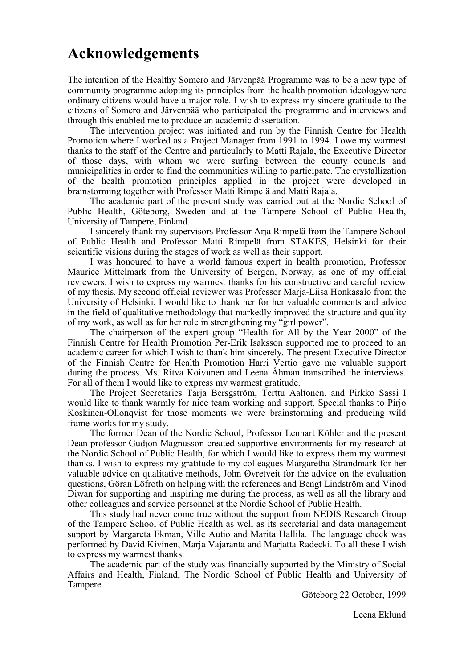# **Acknowledgements**

The intention of the Healthy Somero and Järvenpää Programme was to be a new type of community programme adopting its principles from the health promotion ideologywhere ordinary citizens would have a major role. I wish to express my sincere gratitude to the citizens of Somero and Järvenpää who participated the programme and interviews and through this enabled me to produce an academic dissertation.

The intervention project was initiated and run by the Finnish Centre for Health Promotion where I worked as a Project Manager from 1991 to 1994. I owe my warmest thanks to the staff of the Centre and particularly to Matti Rajala, the Executive Director of those days, with whom we were surfing between the county councils and municipalities in order to find the communities willing to participate. The crystallization of the health promotion principles applied in the project were developed in brainstorming together with Professor Matti Rimpelä and Matti Rajala.

The academic part of the present study was carried out at the Nordic School of Public Health, Göteborg, Sweden and at the Tampere School of Public Health, University of Tampere, Finland.

I sincerely thank my supervisors Professor Arja Rimpelä from the Tampere School of Public Health and Professor Matti Rimpelä from STAKES, Helsinki for their scientific visions during the stages of work as well as their support.

I was honoured to have a world famous expert in health promotion, Professor Maurice Mittelmark from the University of Bergen, Norway, as one of my official reviewers. I wish to express my warmest thanks for his constructive and careful review of my thesis. My second official reviewer was Professor Marja-Liisa Honkasalo from the University of Helsinki. I would like to thank her for her valuable comments and advice in the field of qualitative methodology that markedly improved the structure and quality of my work, as well as for her role in strengthening my "girl power".

The chairperson of the expert group "Health for All by the Year 2000" of the Finnish Centre for Health Promotion Per-Erik Isaksson supported me to proceed to an academic career for which I wish to thank him sincerely. The present Executive Director of the Finnish Centre for Health Promotion Harri Vertio gave me valuable support during the process. Ms. Ritva Koivunen and Leena Åhman transcribed the interviews. For all of them I would like to express my warmest gratitude.

The Project Secretaries Tarja Bersgström, Terttu Aaltonen, and Pirkko Sassi I would like to thank warmly for nice team working and support. Special thanks to Pirjo Koskinen-Ollonqvist for those moments we were brainstorming and producing wild frame-works for my study.

The former Dean of the Nordic School, Professor Lennart Köhler and the present Dean professor Gudjon Magnusson created supportive environments for my research at the Nordic School of Public Health, for which I would like to express them my warmest thanks. I wish to express my gratitude to my colleagues Margaretha Strandmark for her valuable advice on qualitative methods, John Øvretveit for the advice on the evaluation questions, Göran Löfroth on helping with the references and Bengt Lindström and Vinod Diwan for supporting and inspiring me during the process, as well as all the library and other colleagues and service personnel at the Nordic School of Public Health.

This study had never come true without the support from NEDIS Research Group of the Tampere School of Public Health as well as its secretarial and data management support by Margareta Ekman, Ville Autio and Marita Hallila. The language check was performed by David Kivinen, Marja Vajaranta and Marjatta Radecki. To all these I wish to express my warmest thanks.

The academic part of the study was financially supported by the Ministry of Social Affairs and Health, Finland, The Nordic School of Public Health and University of Tampere.

Göteborg 22 October, 1999

Leena Eklund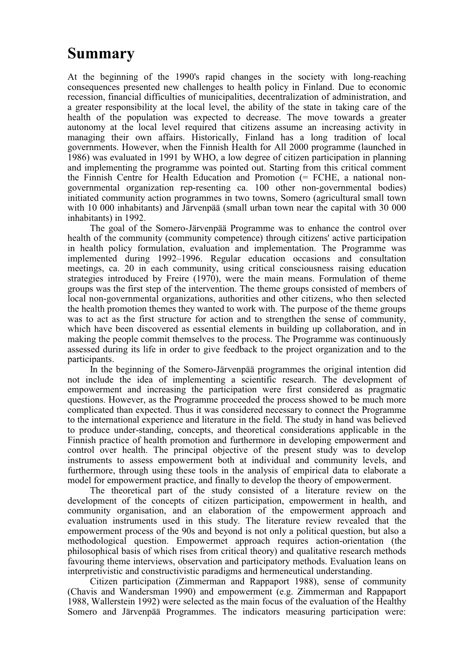# **Summary**

At the beginning of the 1990's rapid changes in the society with long-reaching consequences presented new challenges to health policy in Finland. Due to economic recession, financial difficulties of municipalities, decentralization of administration, and a greater responsibility at the local level, the ability of the state in taking care of the health of the population was expected to decrease. The move towards a greater autonomy at the local level required that citizens assume an increasing activity in managing their own affairs. Historically, Finland has a long tradition of local governments. However, when the Finnish Health for All 2000 programme (launched in 1986) was evaluated in 1991 by WHO, a low degree of citizen participation in planning and implementing the programme was pointed out. Starting from this critical comment the Finnish Centre for Health Education and Promotion (= FCHE, a national nongovernmental organization rep-resenting ca. 100 other non-governmental bodies) initiated community action programmes in two towns, Somero (agricultural small town with 10 000 inhabitants) and Järvenpää (small urban town near the capital with 30 000 inhabitants) in 1992.

The goal of the Somero-Järvenpää Programme was to enhance the control over health of the community (community competence) through citizens' active participation in health policy formulation, evaluation and implementation. The Programme was implemented during 1992–1996. Regular education occasions and consultation meetings, ca. 20 in each community, using critical consciousness raising education strategies introduced by Freire (1970), were the main means. Formulation of theme groups was the first step of the intervention. The theme groups consisted of members of local non-governmental organizations, authorities and other citizens, who then selected the health promotion themes they wanted to work with. The purpose of the theme groups was to act as the first structure for action and to strengthen the sense of community, which have been discovered as essential elements in building up collaboration, and in making the people commit themselves to the process. The Programme was continuously assessed during its life in order to give feedback to the project organization and to the participants.

In the beginning of the Somero-Järvenpää programmes the original intention did not include the idea of implementing a scientific research. The development of empowerment and increasing the participation were first considered as pragmatic questions. However, as the Programme proceeded the process showed to be much more complicated than expected. Thus it was considered necessary to connect the Programme to the international experience and literature in the field. The study in hand was believed to produce under-standing, concepts, and theoretical considerations applicable in the Finnish practice of health promotion and furthermore in developing empowerment and control over health. The principal objective of the present study was to develop instruments to assess empowerment both at individual and community levels, and furthermore, through using these tools in the analysis of empirical data to elaborate a model for empowerment practice, and finally to develop the theory of empowerment.

The theoretical part of the study consisted of a literature review on the development of the concepts of citizen participation, empowerment in health, and community organisation, and an elaboration of the empowerment approach and evaluation instruments used in this study. The literature review revealed that the empowerment process of the 90s and beyond is not only a political question, but also a methodological question. Empowermet approach requires action-orientation (the philosophical basis of which rises from critical theory) and qualitative research methods favouring theme interviews, observation and participatory methods. Evaluation leans on interpretivistic and constructivistic paradigms and hermeneutical understanding.

Citizen participation (Zimmerman and Rappaport 1988), sense of community (Chavis and Wandersman 1990) and empowerment (e.g. Zimmerman and Rappaport 1988, Wallerstein 1992) were selected as the main focus of the evaluation of the Healthy Somero and Järvenpää Programmes. The indicators measuring participation were: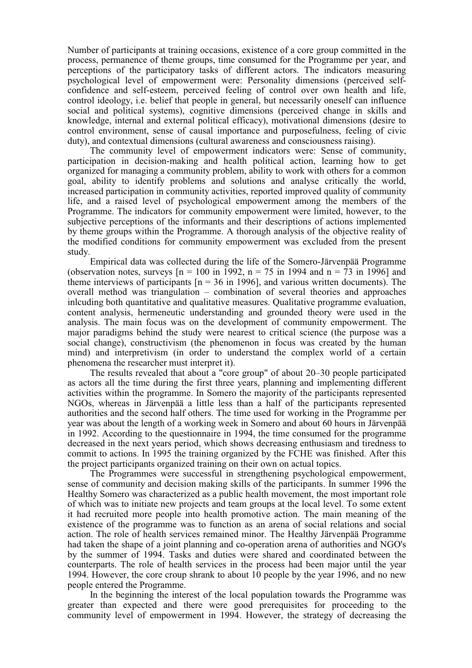Number of participants at training occasions, existence of a core group committed in the process, permanence of theme groups, time consumed for the Programme per year, and perceptions of the participatory tasks of different actors. The indicators measuring psychological level of empowerment were: Personality dimensions (perceived selfconfidence and self-esteem, perceived feeling of control over own health and life, control ideology, i.e. belief that people in general, but necessarily oneself can influence social and political systems), cognitive dimensions (perceived change in skills and knowledge, internal and external political efficacy), motivational dimensions (desire to control environment, sense of causal importance and purposefulness, feeling of civic duty), and contextual dimensions (cultural awareness and consciousness raising).

The community level of empowerment indicators were: Sense of community, participation in decision-making and health political action, learning how to get organized for managing a community problem, ability to work with others for a common goal, ability to identify problems and solutions and analyse critically the world, increased participation in community activities, reported improved quality of community life, and a raised level of psychological empowerment among the members of the Programme. The indicators for community empowerment were limited, however, to the subjective perceptions of the informants and their descriptions of actions implemented by theme groups within the Programme. A thorough analysis of the objective reality of the modified conditions for community empowerment was excluded from the present study.

Empirical data was collected during the life of the Somero-Järvenpää Programme (observation notes, surveys  $[n = 100 \text{ in } 1992$ ,  $n = 75 \text{ in } 1994$  and  $n = 73 \text{ in } 1996$ ] and theme interviews of participants  $[n = 36$  in 1996], and various written documents). The overall method was triangulation – combination of several theories and approaches inlcuding both quantitative and qualitative measures. Qualitative programme evaluation, content analysis, hermeneutic understanding and grounded theory were used in the analysis. The main focus was on the development of community empowerment. The major paradigms behind the study were nearest to critical science (the purpose was a social change), constructivism (the phenomenon in focus was created by the human mind) and interpretivism (in order to understand the complex world of a certain phenomena the researcher must interpret it).

The results revealed that about a "core group" of about 20–30 people participated as actors all the time during the first three years, planning and implementing different activities within the programme. In Somero the majority of the participants represented NGOs, whereas in Järvenpää a little less than a half of the participants represented authorities and the second half others. The time used for working in the Programme per year was about the length of a working week in Somero and about 60 hours in Järvenpää in 1992. According to the questionnaire in 1994, the time consumed for the programme decreased in the next years period, which shows decreasing enthusiasm and tiredness to commit to actions. In 1995 the training organized by the FCHE was finished. After this the project participants organized training on their own on actual topics.

The Programmes were successful in strengthening psychological empowerment, sense of community and decision making skills of the participants. In summer 1996 the Healthy Somero was characterized as a public health movement, the most important role of which was to initiate new projects and team groups at the local level. To some extent it had recruited more people into health promotive action. The main meaning of the existence of the programme was to function as an arena of social relations and social action. The role of health services remained minor. The Healthy Järvenpää Programme had taken the shape of a joint planning and co-operation arena of authorities and NGO's by the summer of 1994. Tasks and duties were shared and coordinated between the counterparts. The role of health services in the process had been major until the year 1994. However, the core croup shrank to about 10 people by the year 1996, and no new people entered the Programme.

In the beginning the interest of the local population towards the Programme was greater than expected and there were good prerequisites for proceeding to the community level of empowerment in 1994. However, the strategy of decreasing the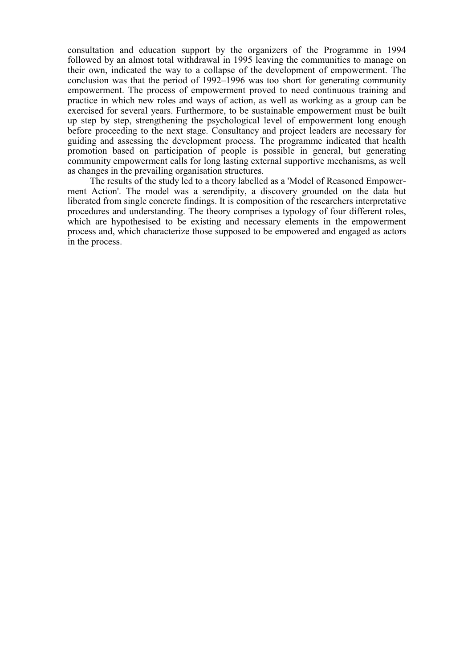consultation and education support by the organizers of the Programme in 1994 followed by an almost total withdrawal in 1995 leaving the communities to manage on their own, indicated the way to a collapse of the development of empowerment. The conclusion was that the period of 1992–1996 was too short for generating community empowerment. The process of empowerment proved to need continuous training and practice in which new roles and ways of action, as well as working as a group can be exercised for several years. Furthermore, to be sustainable empowerment must be built up step by step, strengthening the psychological level of empowerment long enough before proceeding to the next stage. Consultancy and project leaders are necessary for guiding and assessing the development process. The programme indicated that health promotion based on participation of people is possible in general, but generating community empowerment calls for long lasting external supportive mechanisms, as well as changes in the prevailing organisation structures.

The results of the study led to a theory labelled as a 'Model of Reasoned Empowerment Action'. The model was a serendipity, a discovery grounded on the data but liberated from single concrete findings. It is composition of the researchers interpretative procedures and understanding. The theory comprises a typology of four different roles, which are hypothesised to be existing and necessary elements in the empowerment process and, which characterize those supposed to be empowered and engaged as actors in the process.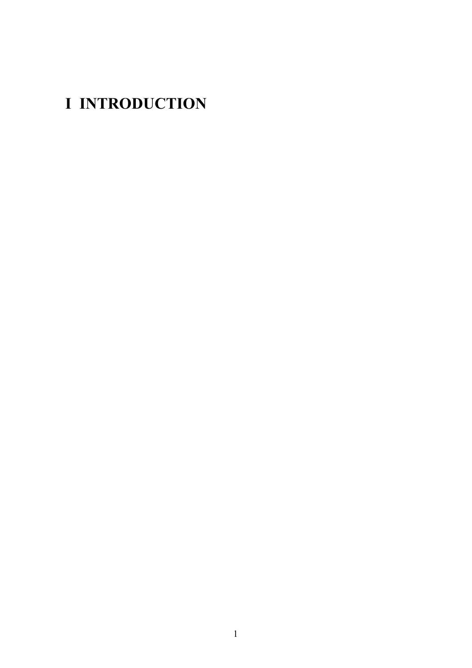# <span id="page-10-0"></span>**I INTRODUCTION**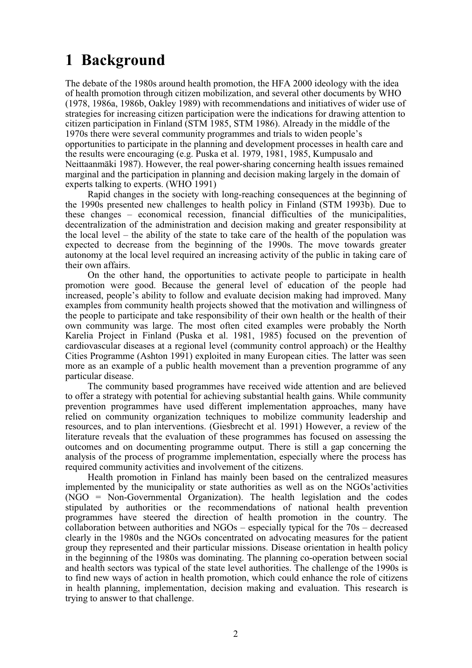# <span id="page-11-0"></span>**1 Background**

The debate of the 1980s around health promotion, the HFA 2000 ideology with the idea of health promotion through citizen mobilization, and several other documents by WHO (1978, 1986a, 1986b, Oakley 1989) with recommendations and initiatives of wider use of strategies for increasing citizen participation were the indications for drawing attention to citizen participation in Finland (STM 1985, STM 1986). Already in the middle of the 1970s there were several community programmes and trials to widen people's opportunities to participate in the planning and development processes in health care and the results were encouraging (e.g. Puska et al. 1979, 1981, 1985, Kumpusalo and Neittaanmäki 1987). However, the real power-sharing concerning health issues remained marginal and the participation in planning and decision making largely in the domain of experts talking to experts. (WHO 1991)

Rapid changes in the society with long-reaching consequences at the beginning of the 1990s presented new challenges to health policy in Finland (STM 1993b). Due to these changes – economical recession, financial difficulties of the municipalities, decentralization of the administration and decision making and greater responsibility at the local level – the ability of the state to take care of the health of the population was expected to decrease from the beginning of the 1990s. The move towards greater autonomy at the local level required an increasing activity of the public in taking care of their own affairs.

On the other hand, the opportunities to activate people to participate in health promotion were good. Because the general level of education of the people had increased, people's ability to follow and evaluate decision making had improved. Many examples from community health projects showed that the motivation and willingness of the people to participate and take responsibility of their own health or the health of their own community was large. The most often cited examples were probably the North Karelia Project in Finland (Puska et al. 1981, 1985) focused on the prevention of cardiovascular diseases at a regional level (community control approach) or the Healthy Cities Programme (Ashton 1991) exploited in many European cities. The latter was seen more as an example of a public health movement than a prevention programme of any particular disease.

The community based programmes have received wide attention and are believed to offer a strategy with potential for achieving substantial health gains. While community prevention programmes have used different implementation approaches, many have relied on community organization techniques to mobilize community leadership and resources, and to plan interventions. (Giesbrecht et al. 1991) However, a review of the literature reveals that the evaluation of these programmes has focused on assessing the outcomes and on documenting programme output. There is still a gap concerning the analysis of the process of programme implementation, especially where the process has required community activities and involvement of the citizens.

Health promotion in Finland has mainly been based on the centralized measures implemented by the municipality or state authorities as well as on the NGOs'activities (NGO = Non-Governmental Organization). The health legislation and the codes stipulated by authorities or the recommendations of national health prevention programmes have steered the direction of health promotion in the country. The collaboration between authorities and NGOs – especially typical for the 70s – decreased clearly in the 1980s and the NGOs concentrated on advocating measures for the patient group they represented and their particular missions. Disease orientation in health policy in the beginning of the 1980s was dominating. The planning co-operation between social and health sectors was typical of the state level authorities. The challenge of the 1990s is to find new ways of action in health promotion, which could enhance the role of citizens in health planning, implementation, decision making and evaluation. This research is trying to answer to that challenge.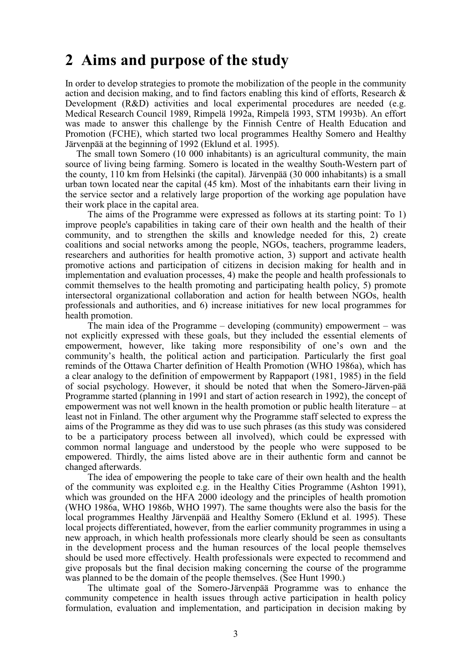### <span id="page-12-0"></span>**2 Aims and purpose of the study**

In order to develop strategies to promote the mobilization of the people in the community action and decision making, and to find factors enabling this kind of efforts, Research & Development (R&D) activities and local experimental procedures are needed (e.g. Medical Research Council 1989, Rimpelä 1992a, Rimpelä 1993, STM 1993b). An effort was made to answer this challenge by the Finnish Centre of Health Education and Promotion (FCHE), which started two local programmes Healthy Somero and Healthy Järvenpää at the beginning of 1992 (Eklund et al. 1995).

The small town Somero (10 000 inhabitants) is an agricultural community, the main source of living being farming. Somero is located in the wealthy South-Western part of the county, 110 km from Helsinki (the capital). Järvenpää (30 000 inhabitants) is a small urban town located near the capital (45 km). Most of the inhabitants earn their living in the service sector and a relatively large proportion of the working age population have their work place in the capital area.

The aims of the Programme were expressed as follows at its starting point: To 1) improve people's capabilities in taking care of their own health and the health of their community, and to strengthen the skills and knowledge needed for this, 2) create coalitions and social networks among the people, NGOs, teachers, programme leaders, researchers and authorities for health promotive action, 3) support and activate health promotive actions and participation of citizens in decision making for health and in implementation and evaluation processes, 4) make the people and health professionals to commit themselves to the health promoting and participating health policy, 5) promote intersectoral organizational collaboration and action for health between NGOs, health professionals and authorities, and 6) increase initiatives for new local programmes for health promotion.

The main idea of the Programme – developing (community) empowerment – was not explicitly expressed with these goals, but they included the essential elements of empowerment, however, like taking more responsibility of one's own and the community's health, the political action and participation. Particularly the first goal reminds of the Ottawa Charter definition of Health Promotion (WHO 1986a), which has a clear analogy to the definition of empowerment by Rappaport (1981, 1985) in the field of social psychology. However, it should be noted that when the Somero-Järven-pää Programme started (planning in 1991 and start of action research in 1992), the concept of empowerment was not well known in the health promotion or public health literature – at least not in Finland. The other argument why the Programme staff selected to express the aims of the Programme as they did was to use such phrases (as this study was considered to be a participatory process between all involved), which could be expressed with common normal language and understood by the people who were supposed to be empowered. Thirdly, the aims listed above are in their authentic form and cannot be changed afterwards.

The idea of empowering the people to take care of their own health and the health of the community was exploited e.g. in the Healthy Cities Programme (Ashton 1991), which was grounded on the HFA 2000 ideology and the principles of health promotion (WHO 1986a, WHO 1986b, WHO 1997). The same thoughts were also the basis for the local programmes Healthy Järvenpää and Healthy Somero (Eklund et al. 1995). These local projects differentiated, however, from the earlier community programmes in using a new approach, in which health professionals more clearly should be seen as consultants in the development process and the human resources of the local people themselves should be used more effectively. Health professionals were expected to recommend and give proposals but the final decision making concerning the course of the programme was planned to be the domain of the people themselves. (See Hunt 1990.)

The ultimate goal of the Somero-Järvenpää Programme was to enhance the community competence in health issues through active participation in health policy formulation, evaluation and implementation, and participation in decision making by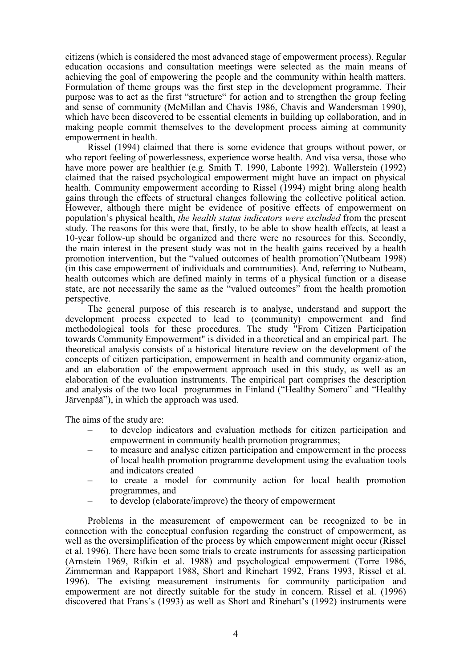citizens (which is considered the most advanced stage of empowerment process). Regular education occasions and consultation meetings were selected as the main means of achieving the goal of empowering the people and the community within health matters. Formulation of theme groups was the first step in the development programme. Their purpose was to act as the first "structure" for action and to strengthen the group feeling and sense of community (McMillan and Chavis 1986, Chavis and Wandersman 1990), which have been discovered to be essential elements in building up collaboration, and in making people commit themselves to the development process aiming at community empowerment in health.

Rissel (1994) claimed that there is some evidence that groups without power, or who report feeling of powerlessness, experience worse health. And visa versa, those who have more power are healthier (e.g. Smith T. 1990, Labonte 1992). Wallerstein (1992) claimed that the raised psychological empowerment might have an impact on physical health. Community empowerment according to Rissel (1994) might bring along health gains through the effects of structural changes following the collective political action. However, although there might be evidence of positive effects of empowerment on population's physical health, *the health status indicators were excluded* from the present study. The reasons for this were that, firstly, to be able to show health effects, at least a 10-year follow-up should be organized and there were no resources for this. Secondly, the main interest in the present study was not in the health gains received by a health promotion intervention, but the "valued outcomes of health promotion"(Nutbeam 1998) (in this case empowerment of individuals and communities). And, referring to Nutbeam, health outcomes which are defined mainly in terms of a physical function or a disease state, are not necessarily the same as the "valued outcomes" from the health promotion perspective.

The general purpose of this research is to analyse, understand and support the development process expected to lead to (community) empowerment and find methodological tools for these procedures. The study "From Citizen Participation towards Community Empowerment" is divided in a theoretical and an empirical part. The theoretical analysis consists of a historical literature review on the development of the concepts of citizen participation, empowerment in health and community organiz-ation, and an elaboration of the empowerment approach used in this study, as well as an elaboration of the evaluation instruments. The empirical part comprises the description and analysis of the two local programmes in Finland ("Healthy Somero" and "Healthy Järvenpää"), in which the approach was used.

The aims of the study are:

- to develop indicators and evaluation methods for citizen participation and empowerment in community health promotion programmes;
- to measure and analyse citizen participation and empowerment in the process of local health promotion programme development using the evaluation tools and indicators created
- to create a model for community action for local health promotion programmes, and
- to develop (elaborate/improve) the theory of empowerment

Problems in the measurement of empowerment can be recognized to be in connection with the conceptual confusion regarding the construct of empowerment, as well as the oversimplification of the process by which empowerment might occur (Rissel et al. 1996). There have been some trials to create instruments for assessing participation (Arnstein 1969, Rifkin et al. 1988) and psychological empowerment (Torre 1986, Zimmerman and Rappaport 1988, Short and Rinehart 1992, Frans 1993, Rissel et al. 1996). The existing measurement instruments for community participation and empowerment are not directly suitable for the study in concern. Rissel et al. (1996) discovered that Frans's (1993) as well as Short and Rinehart's (1992) instruments were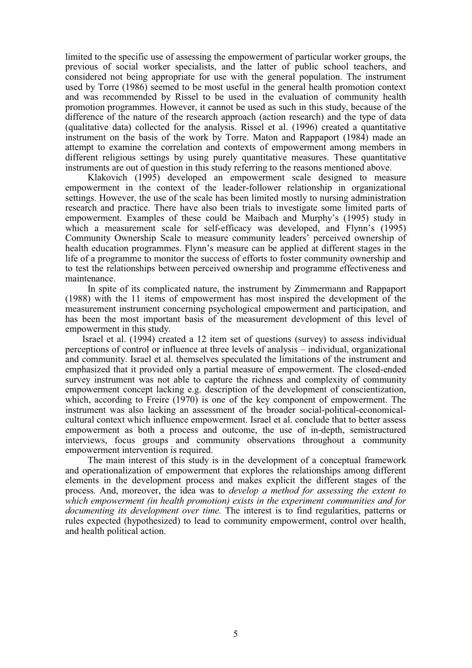limited to the specific use of assessing the empowerment of particular worker groups, the previous of social worker specialists, and the latter of public school teachers, and considered not being appropriate for use with the general population. The instrument used by Torre (1986) seemed to be most useful in the general health promotion context and was recommended by Rissel to be used in the evaluation of community health promotion programmes. However, it cannot be used as such in this study, because of the difference of the nature of the research approach (action research) and the type of data (qualitative data) collected for the analysis. Rissel et al. (1996) created a quantitative instrument on the basis of the work by Torre. Maton and Rappaport (1984) made an attempt to examine the correlation and contexts of empowerment among members in different religious settings by using purely quantitative measures. These quantitative instruments are out of question in this study referring to the reasons mentioned above.

Klakovich (1995) developed an empowerment scale designed to measure empowerment in the context of the leader-follower relationship in organizational settings. However, the use of the scale has been limited mostly to nursing administration research and practice. There have also been trials to investigate some limited parts of empowerment. Examples of these could be Maibach and Murphy's (1995) study in which a measurement scale for self-efficacy was developed, and Flynn's (1995) Community Ownership Scale to measure community leaders' perceived ownership of health education programmes. Flynn's measure can be applied at different stages in the life of a programme to monitor the success of efforts to foster community ownership and to test the relationships between perceived ownership and programme effectiveness and maintenance.

In spite of its complicated nature, the instrument by Zimmermann and Rappaport (1988) with the 11 items of empowerment has most inspired the development of the measurement instrument concerning psychological empowerment and participation, and has been the most important basis of the measurement development of this level of empowerment in this study.

Israel et al. (1994) created a 12 item set of questions (survey) to assess individual perceptions of control or influence at three levels of analysis – individual, organizational and community. Israel et al. themselves speculated the limitations of the instrument and emphasized that it provided only a partial measure of empowerment. The closed-ended survey instrument was not able to capture the richness and complexity of community empowerment concept lacking e.g. description of the development of conscientization, which, according to Freire (1970) is one of the key component of empowerment. The instrument was also lacking an assessment of the broader social-political-economicalcultural context which influence empowerment. Israel et al. conclude that to better assess empowerment as both a process and outcome, the use of in-depth, semistructured interviews, focus groups and community observations throughout a community empowerment intervention is required.

The main interest of this study is in the development of a conceptual framework and operationalization of empowerment that explores the relationships among different elements in the development process and makes explicit the different stages of the process*.* And, moreover, the idea was to *develop a method for assessing the extent to which empowerment (in health promotion) exists in the experiment communities and for documenting its development over time.* The interest is to find regularities, patterns or rules expected (hypothesized) to lead to community empowerment, control over health, and health political action.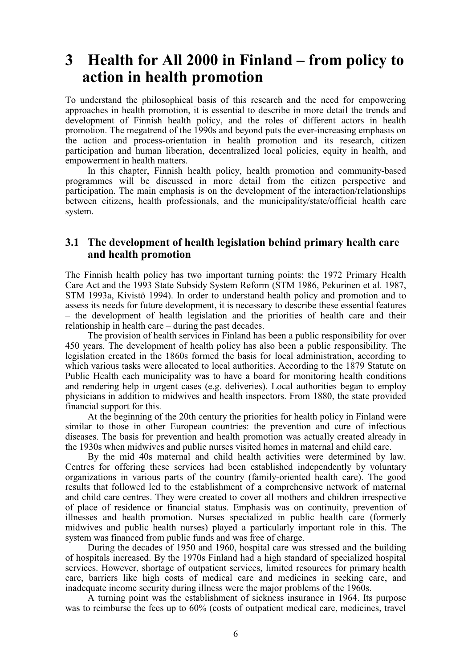## <span id="page-15-0"></span>**3 Health for All 2000 in Finland – from policy to action in health promotion**

To understand the philosophical basis of this research and the need for empowering approaches in health promotion, it is essential to describe in more detail the trends and development of Finnish health policy, and the roles of different actors in health promotion. The megatrend of the 1990s and beyond puts the ever-increasing emphasis on the action and process-orientation in health promotion and its research, citizen participation and human liberation, decentralized local policies, equity in health, and empowerment in health matters.

In this chapter, Finnish health policy, health promotion and community-based programmes will be discussed in more detail from the citizen perspective and participation. The main emphasis is on the development of the interaction/relationships between citizens, health professionals, and the municipality/state/official health care system.

### **3.1 The development of health legislation behind primary health care and health promotion**

The Finnish health policy has two important turning points: the 1972 Primary Health Care Act and the 1993 State Subsidy System Reform (STM 1986, Pekurinen et al. 1987, STM 1993a, Kivistö 1994). In order to understand health policy and promotion and to assess its needs for future development, it is necessary to describe these essential features – the development of health legislation and the priorities of health care and their relationship in health care – during the past decades.

The provision of health services in Finland has been a public responsibility for over 450 years. The development of health policy has also been a public responsibility. The legislation created in the 1860s formed the basis for local administration, according to which various tasks were allocated to local authorities. According to the 1879 Statute on Public Health each municipality was to have a board for monitoring health conditions and rendering help in urgent cases (e.g. deliveries). Local authorities began to employ physicians in addition to midwives and health inspectors. From 1880, the state provided financial support for this.

At the beginning of the 20th century the priorities for health policy in Finland were similar to those in other European countries: the prevention and cure of infectious diseases. The basis for prevention and health promotion was actually created already in the 1930s when midwives and public nurses visited homes in maternal and child care.

By the mid 40s maternal and child health activities were determined by law. Centres for offering these services had been established independently by voluntary organizations in various parts of the country (family-oriented health care). The good results that followed led to the establishment of a comprehensive network of maternal and child care centres. They were created to cover all mothers and children irrespective of place of residence or financial status. Emphasis was on continuity, prevention of illnesses and health promotion. Nurses specialized in public health care (formerly midwives and public health nurses) played a particularly important role in this. The system was financed from public funds and was free of charge.

During the decades of 1950 and 1960, hospital care was stressed and the building of hospitals increased. By the 1970s Finland had a high standard of specialized hospital services. However, shortage of outpatient services, limited resources for primary health care, barriers like high costs of medical care and medicines in seeking care, and inadequate income security during illness were the major problems of the 1960s.

A turning point was the establishment of sickness insurance in 1964. Its purpose was to reimburse the fees up to 60% (costs of outpatient medical care, medicines, travel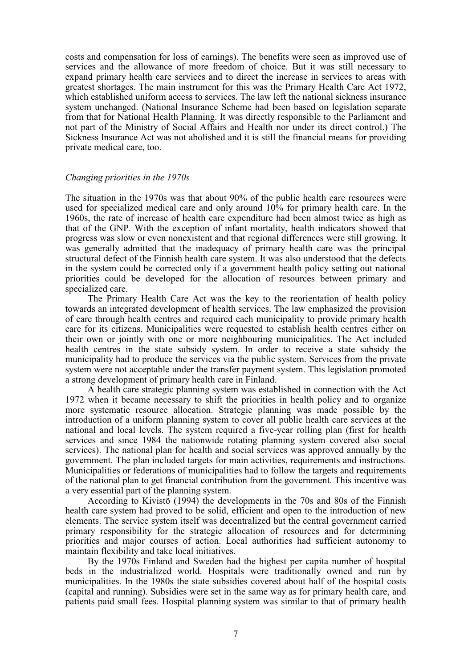costs and compensation for loss of earnings). The benefits were seen as improved use of services and the allowance of more freedom of choice. But it was still necessary to expand primary health care services and to direct the increase in services to areas with greatest shortages. The main instrument for this was the Primary Health Care Act 1972, which established uniform access to services. The law left the national sickness insurance system unchanged. (National Insurance Scheme had been based on legislation separate from that for National Health Planning. It was directly responsible to the Parliament and not part of the Ministry of Social Affairs and Health nor under its direct control.) The Sickness Insurance Act was not abolished and it is still the financial means for providing private medical care, too.

#### *Changing priorities in the 1970s*

The situation in the 1970s was that about 90% of the public health care resources were used for specialized medical care and only around 10% for primary health care. In the 1960s, the rate of increase of health care expenditure had been almost twice as high as that of the GNP. With the exception of infant mortality, health indicators showed that progress was slow or even nonexistent and that regional differences were still growing. It was generally admitted that the inadequacy of primary health care was the principal structural defect of the Finnish health care system. It was also understood that the defects in the system could be corrected only if a government health policy setting out national priorities could be developed for the allocation of resources between primary and specialized care.

The Primary Health Care Act was the key to the reorientation of health policy towards an integrated development of health services. The law emphasized the provision of care through health centres and required each municipality to provide primary health care for its citizens. Municipalities were requested to establish health centres either on their own or jointly with one or more neighbouring municipalities. The Act included health centres in the state subsidy system. In order to receive a state subsidy the municipality had to produce the services via the public system. Services from the private system were not acceptable under the transfer payment system. This legislation promoted a strong development of primary health care in Finland.

A health care strategic planning system was established in connection with the Act 1972 when it became necessary to shift the priorities in health policy and to organize more systematic resource allocation. Strategic planning was made possible by the introduction of a uniform planning system to cover all public health care services at the national and local levels. The system required a five-year rolling plan (first for health services and since 1984 the nationwide rotating planning system covered also social services). The national plan for health and social services was approved annually by the government. The plan included targets for main activities, requirements and instructions. Municipalities or federations of municipalities had to follow the targets and requirements of the national plan to get financial contribution from the government. This incentive was a very essential part of the planning system.

According to Kivistö (1994) the developments in the 70s and 80s of the Finnish health care system had proved to be solid, efficient and open to the introduction of new elements. The service system itself was decentralized but the central government carried primary responsibility for the strategic allocation of resources and for determining priorities and major courses of action. Local authorities had sufficient autonomy to maintain flexibility and take local initiatives.

By the 1970s Finland and Sweden had the highest per capita number of hospital beds in the industrialized world. Hospitals were traditionally owned and run by municipalities. In the 1980s the state subsidies covered about half of the hospital costs (capital and running). Subsidies were set in the same way as for primary health care, and patients paid small fees. Hospital planning system was similar to that of primary health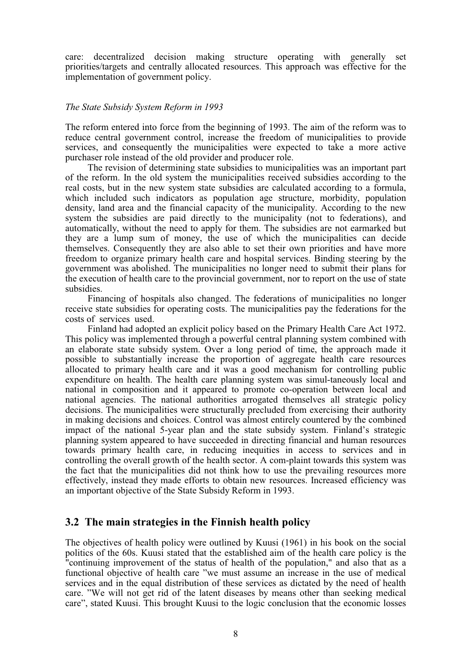care: decentralized decision making structure operating with generally set priorities/targets and centrally allocated resources. This approach was effective for the implementation of government policy.

#### *The State Subsidy System Reform in 1993*

The reform entered into force from the beginning of 1993. The aim of the reform was to reduce central government control, increase the freedom of municipalities to provide services, and consequently the municipalities were expected to take a more active purchaser role instead of the old provider and producer role.

The revision of determining state subsidies to municipalities was an important part of the reform. In the old system the municipalities received subsidies according to the real costs, but in the new system state subsidies are calculated according to a formula, which included such indicators as population age structure, morbidity, population density, land area and the financial capacity of the municipality. According to the new system the subsidies are paid directly to the municipality (not to federations), and automatically, without the need to apply for them. The subsidies are not earmarked but they are a lump sum of money, the use of which the municipalities can decide themselves. Consequently they are also able to set their own priorities and have more freedom to organize primary health care and hospital services. Binding steering by the government was abolished. The municipalities no longer need to submit their plans for the execution of health care to the provincial government, nor to report on the use of state subsidies.

Financing of hospitals also changed. The federations of municipalities no longer receive state subsidies for operating costs. The municipalities pay the federations for the costs of services used.

Finland had adopted an explicit policy based on the Primary Health Care Act 1972. This policy was implemented through a powerful central planning system combined with an elaborate state subsidy system. Over a long period of time, the approach made it possible to substantially increase the proportion of aggregate health care resources allocated to primary health care and it was a good mechanism for controlling public expenditure on health. The health care planning system was simul-taneously local and national in composition and it appeared to promote co-operation between local and national agencies. The national authorities arrogated themselves all strategic policy decisions. The municipalities were structurally precluded from exercising their authority in making decisions and choices. Control was almost entirely countered by the combined impact of the national 5-year plan and the state subsidy system. Finland's strategic planning system appeared to have succeeded in directing financial and human resources towards primary health care, in reducing inequities in access to services and in controlling the overall growth of the health sector. A com-plaint towards this system was the fact that the municipalities did not think how to use the prevailing resources more effectively, instead they made efforts to obtain new resources. Increased efficiency was an important objective of the State Subsidy Reform in 1993.

#### **3.2 The main strategies in the Finnish health policy**

The objectives of health policy were outlined by Kuusi (1961) in his book on the social politics of the 60s. Kuusi stated that the established aim of the health care policy is the "continuing improvement of the status of health of the population," and also that as a functional objective of health care "we must assume an increase in the use of medical services and in the equal distribution of these services as dictated by the need of health care. "We will not get rid of the latent diseases by means other than seeking medical care", stated Kuusi. This brought Kuusi to the logic conclusion that the economic losses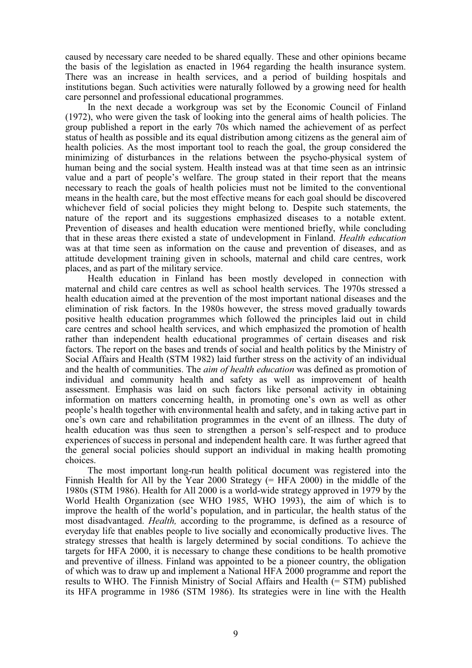caused by necessary care needed to be shared equally. These and other opinions became the basis of the legislation as enacted in 1964 regarding the health insurance system. There was an increase in health services, and a period of building hospitals and institutions began. Such activities were naturally followed by a growing need for health care personnel and professional educational programmes.

In the next decade a workgroup was set by the Economic Council of Finland (1972), who were given the task of looking into the general aims of health policies. The group published a report in the early 70s which named the achievement of as perfect status of health as possible and its equal distribution among citizens as the general aim of health policies. As the most important tool to reach the goal, the group considered the minimizing of disturbances in the relations between the psycho-physical system of human being and the social system. Health instead was at that time seen as an intrinsic value and a part of people's welfare. The group stated in their report that the means necessary to reach the goals of health policies must not be limited to the conventional means in the health care, but the most effective means for each goal should be discovered whichever field of social policies they might belong to. Despite such statements, the nature of the report and its suggestions emphasized diseases to a notable extent. Prevention of diseases and health education were mentioned briefly, while concluding that in these areas there existed a state of undevelopment in Finland. *Health education* was at that time seen as information on the cause and prevention of diseases, and as attitude development training given in schools, maternal and child care centres, work places, and as part of the military service.

Health education in Finland has been mostly developed in connection with maternal and child care centres as well as school health services. The 1970s stressed a health education aimed at the prevention of the most important national diseases and the elimination of risk factors. In the 1980s however, the stress moved gradually towards positive health education programmes which followed the principles laid out in child care centres and school health services, and which emphasized the promotion of health rather than independent health educational programmes of certain diseases and risk factors. The report on the bases and trends of social and health politics by the Ministry of Social Affairs and Health (STM 1982) laid further stress on the activity of an individual and the health of communities. The *aim of health education* was defined as promotion of individual and community health and safety as well as improvement of health assessment. Emphasis was laid on such factors like personal activity in obtaining information on matters concerning health, in promoting one's own as well as other people's health together with environmental health and safety, and in taking active part in one's own care and rehabilitation programmes in the event of an illness. The duty of health education was thus seen to strengthen a person's self-respect and to produce experiences of success in personal and independent health care. It was further agreed that the general social policies should support an individual in making health promoting choices.

The most important long-run health political document was registered into the Finnish Health for All by the Year 2000 Strategy (= HFA 2000) in the middle of the 1980s (STM 1986). Health for All 2000 is a world-wide strategy approved in 1979 by the World Health Organization (see WHO 1985, WHO 1993), the aim of which is to improve the health of the world's population, and in particular, the health status of the most disadvantaged. *Health,* according to the programme, is defined as a resource of everyday life that enables people to live socially and economically productive lives. The strategy stresses that health is largely determined by social conditions. To achieve the targets for HFA 2000, it is necessary to change these conditions to be health promotive and preventive of illness. Finland was appointed to be a pioneer country, the obligation of which was to draw up and implement a National HFA 2000 programme and report the results to WHO. The Finnish Ministry of Social Affairs and Health (= STM) published its HFA programme in 1986 (STM 1986). Its strategies were in line with the Health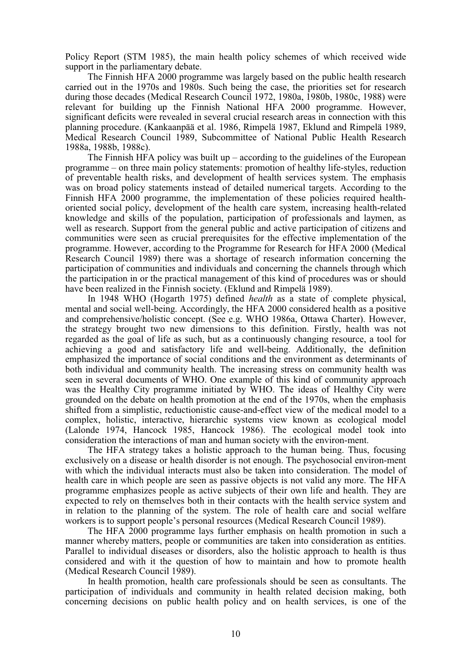Policy Report (STM 1985), the main health policy schemes of which received wide support in the parliamentary debate.

The Finnish HFA 2000 programme was largely based on the public health research carried out in the 1970s and 1980s. Such being the case, the priorities set for research during those decades (Medical Research Council 1972, 1980a, 1980b, 1980c, 1988) were relevant for building up the Finnish National HFA 2000 programme. However, significant deficits were revealed in several crucial research areas in connection with this planning procedure. (Kankaanpää et al. 1986, Rimpelä 1987, Eklund and Rimpelä 1989, Medical Research Council 1989, Subcommittee of National Public Health Research 1988a, 1988b, 1988c).

The Finnish HFA policy was built up – according to the guidelines of the European programme – on three main policy statements: promotion of healthy life-styles, reduction of preventable health risks, and development of health services system. The emphasis was on broad policy statements instead of detailed numerical targets. According to the Finnish HFA 2000 programme, the implementation of these policies required healthoriented social policy, development of the health care system, increasing health-related knowledge and skills of the population, participation of professionals and laymen, as well as research. Support from the general public and active participation of citizens and communities were seen as crucial prerequisites for the effective implementation of the programme. However, according to the Programme for Research for HFA 2000 (Medical Research Council 1989) there was a shortage of research information concerning the participation of communities and individuals and concerning the channels through which the participation in or the practical management of this kind of procedures was or should have been realized in the Finnish society. (Eklund and Rimpelä 1989).

In 1948 WHO (Hogarth 1975) defined *health* as a state of complete physical, mental and social well-being. Accordingly, the HFA 2000 considered health as a positive and comprehensive/holistic concept. (See e.g. WHO 1986a, Ottawa Charter). However, the strategy brought two new dimensions to this definition. Firstly, health was not regarded as the goal of life as such, but as a continuously changing resource, a tool for achieving a good and satisfactory life and well-being. Additionally, the definition emphasized the importance of social conditions and the environment as determinants of both individual and community health. The increasing stress on community health was seen in several documents of WHO. One example of this kind of community approach was the Healthy City programme initiated by WHO. The ideas of Healthy City were grounded on the debate on health promotion at the end of the 1970s, when the emphasis shifted from a simplistic, reductionistic cause-and-effect view of the medical model to a complex, holistic, interactive, hierarchic systems view known as ecological model (Lalonde 1974, Hancock 1985, Hancock 1986). The ecological model took into consideration the interactions of man and human society with the environ-ment.

The HFA strategy takes a holistic approach to the human being. Thus, focusing exclusively on a disease or health disorder is not enough. The psychosocial environ-ment with which the individual interacts must also be taken into consideration. The model of health care in which people are seen as passive objects is not valid any more. The HFA programme emphasizes people as active subjects of their own life and health. They are expected to rely on themselves both in their contacts with the health service system and in relation to the planning of the system. The role of health care and social welfare workers is to support people's personal resources (Medical Research Council 1989).

The HFA 2000 programme lays further emphasis on health promotion in such a manner whereby matters, people or communities are taken into consideration as entities. Parallel to individual diseases or disorders, also the holistic approach to health is thus considered and with it the question of how to maintain and how to promote health (Medical Research Council 1989).

In health promotion, health care professionals should be seen as consultants. The participation of individuals and community in health related decision making, both concerning decisions on public health policy and on health services, is one of the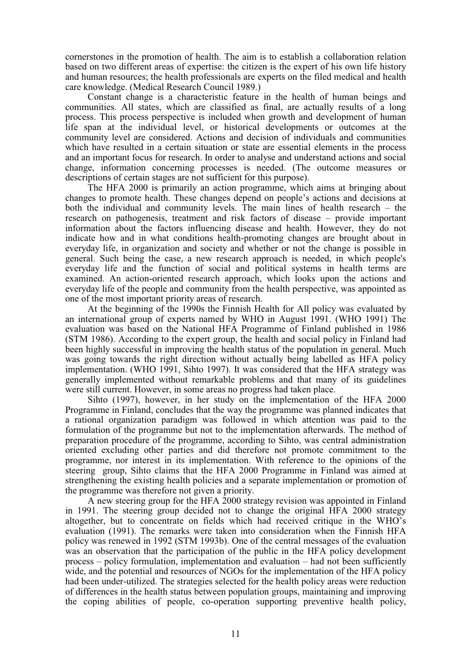cornerstones in the promotion of health. The aim is to establish a collaboration relation based on two different areas of expertise: the citizen is the expert of his own life history and human resources; the health professionals are experts on the filed medical and health care knowledge. (Medical Research Council 1989.)

Constant change is a characteristic feature in the health of human beings and communities. All states, which are classified as final, are actually results of a long process. This process perspective is included when growth and development of human life span at the individual level, or historical developments or outcomes at the community level are considered. Actions and decision of individuals and communities which have resulted in a certain situation or state are essential elements in the process and an important focus for research. In order to analyse and understand actions and social change, information concerning processes is needed. (The outcome measures or descriptions of certain stages are not sufficient for this purpose).

The HFA 2000 is primarily an action programme, which aims at bringing about changes to promote health. These changes depend on people's actions and decisions at both the individual and community levels. The main lines of health research – the research on pathogenesis, treatment and risk factors of disease – provide important information about the factors influencing disease and health. However, they do not indicate how and in what conditions health-promoting changes are brought about in everyday life, in organization and society and whether or not the change is possible in general. Such being the case, a new research approach is needed, in which people's everyday life and the function of social and political systems in health terms are examined. An action-oriented research approach, which looks upon the actions and everyday life of the people and community from the health perspective, was appointed as one of the most important priority areas of research.

At the beginning of the 1990s the Finnish Health for All policy was evaluated by an international group of experts named by WHO in August 1991. (WHO 1991) The evaluation was based on the National HFA Programme of Finland published in 1986 (STM 1986). According to the expert group, the health and social policy in Finland had been highly successful in improving the health status of the population in general. Much was going towards the right direction without actually being labelled as HFA policy implementation. (WHO 1991, Sihto 1997). It was considered that the HFA strategy was generally implemented without remarkable problems and that many of its guidelines were still current. However, in some areas no progress had taken place.

Sihto (1997), however, in her study on the implementation of the HFA 2000 Programme in Finland, concludes that the way the programme was planned indicates that a rational organization paradigm was followed in which attention was paid to the formulation of the programme but not to the implementation afterwards. The method of preparation procedure of the programme, according to Sihto, was central administration oriented excluding other parties and did therefore not promote commitment to the programme, nor interest in its implementation. With reference to the opinions of the steering group, Sihto claims that the HFA 2000 Programme in Finland was aimed at strengthening the existing health policies and a separate implementation or promotion of the programme was therefore not given a priority.

A new steering group for the HFA 2000 strategy revision was appointed in Finland in 1991. The steering group decided not to change the original HFA 2000 strategy altogether, but to concentrate on fields which had received critique in the WHO's evaluation (1991). The remarks were taken into consideration when the Finnish HFA policy was renewed in 1992 (STM 1993b). One of the central messages of the evaluation was an observation that the participation of the public in the HFA policy development process – policy formulation, implementation and evaluation – had not been sufficiently wide, and the potential and resources of NGOs for the implementation of the HFA policy had been under-utilized. The strategies selected for the health policy areas were reduction of differences in the health status between population groups, maintaining and improving the coping abilities of people, co-operation supporting preventive health policy,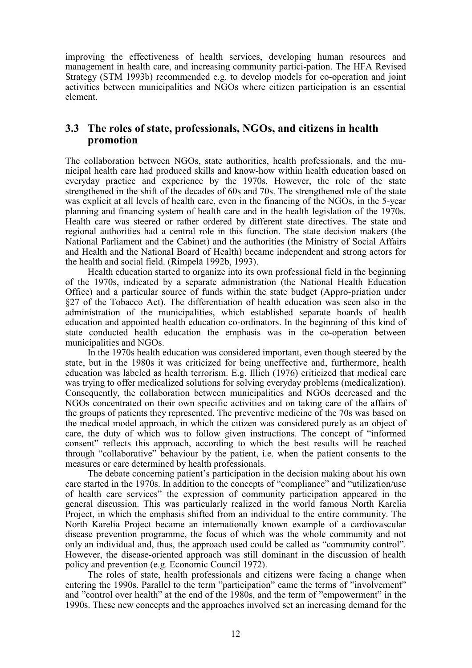improving the effectiveness of health services, developing human resources and management in health care, and increasing community partici-pation. The HFA Revised Strategy (STM 1993b) recommended e.g. to develop models for co-operation and joint activities between municipalities and NGOs where citizen participation is an essential element.

### **3.3 The roles of state, professionals, NGOs, and citizens in health promotion**

The collaboration between NGOs, state authorities, health professionals, and the municipal health care had produced skills and know-how within health education based on everyday practice and experience by the 1970s. However, the role of the state strengthened in the shift of the decades of 60s and 70s. The strengthened role of the state was explicit at all levels of health care, even in the financing of the NGOs, in the 5-year planning and financing system of health care and in the health legislation of the 1970s. Health care was steered or rather ordered by different state directives. The state and regional authorities had a central role in this function. The state decision makers (the National Parliament and the Cabinet) and the authorities (the Ministry of Social Affairs and Health and the National Board of Health) became independent and strong actors for the health and social field. (Rimpelä 1992b, 1993).

Health education started to organize into its own professional field in the beginning of the 1970s, indicated by a separate administration (the National Health Education Office) and a particular source of funds within the state budget (Appro-priation under §27 of the Tobacco Act). The differentiation of health education was seen also in the administration of the municipalities, which established separate boards of health education and appointed health education co-ordinators. In the beginning of this kind of state conducted health education the emphasis was in the co-operation between municipalities and NGOs.

In the 1970s health education was considered important, even though steered by the state, but in the 1980s it was criticized for being uneffective and, furthermore, health education was labeled as health terrorism. E.g. Illich (1976) criticized that medical care was trying to offer medicalized solutions for solving everyday problems (medicalization). Consequently, the collaboration between municipalities and NGOs decreased and the NGOs concentrated on their own specific activities and on taking care of the affairs of the groups of patients they represented. The preventive medicine of the 70s was based on the medical model approach, in which the citizen was considered purely as an object of care, the duty of which was to follow given instructions. The concept of "informed consent" reflects this approach, according to which the best results will be reached through "collaborative" behaviour by the patient, i.e. when the patient consents to the measures or care determined by health professionals.

The debate concerning patient's participation in the decision making about his own care started in the 1970s. In addition to the concepts of "compliance" and "utilization/use of health care services" the expression of community participation appeared in the general discussion. This was particularly realized in the world famous North Karelia Project, in which the emphasis shifted from an individual to the entire community. The North Karelia Project became an internationally known example of a cardiovascular disease prevention programme, the focus of which was the whole community and not only an individual and, thus, the approach used could be called as "community control". However, the disease-oriented approach was still dominant in the discussion of health policy and prevention (e.g. Economic Council 1972).

The roles of state, health professionals and citizens were facing a change when entering the 1990s. Parallel to the term "participation" came the terms of "involvement" and "control over health" at the end of the 1980s, and the term of "empowerment" in the 1990s. These new concepts and the approaches involved set an increasing demand for the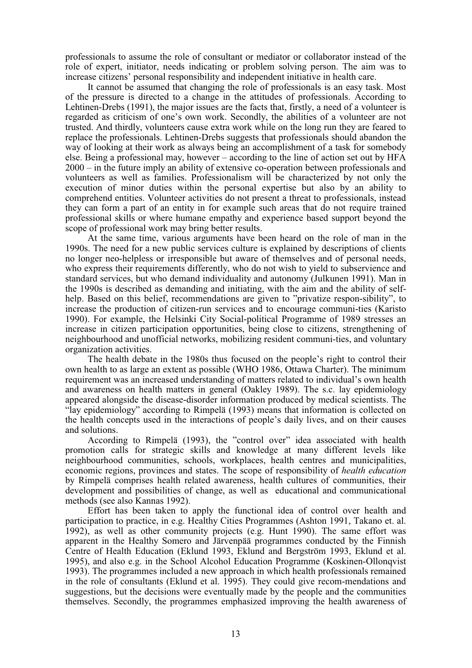professionals to assume the role of consultant or mediator or collaborator instead of the role of expert, initiator, needs indicating or problem solving person. The aim was to increase citizens' personal responsibility and independent initiative in health care.

It cannot be assumed that changing the role of professionals is an easy task. Most of the pressure is directed to a change in the attitudes of professionals. According to Lehtinen-Drebs (1991), the major issues are the facts that, firstly, a need of a volunteer is regarded as criticism of one's own work. Secondly, the abilities of a volunteer are not trusted. And thirdly, volunteers cause extra work while on the long run they are feared to replace the professionals. Lehtinen-Drebs suggests that professionals should abandon the way of looking at their work as always being an accomplishment of a task for somebody else. Being a professional may, however – according to the line of action set out by HFA 2000 – in the future imply an ability of extensive co-operation between professionals and volunteers as well as families. Professionalism will be characterized by not only the execution of minor duties within the personal expertise but also by an ability to comprehend entities. Volunteer activities do not present a threat to professionals, instead they can form a part of an entity in for example such areas that do not require trained professional skills or where humane empathy and experience based support beyond the scope of professional work may bring better results.

At the same time, various arguments have been heard on the role of man in the 1990s. The need for a new public services culture is explained by descriptions of clients no longer neo-helpless or irresponsible but aware of themselves and of personal needs, who express their requirements differently, who do not wish to yield to subservience and standard services, but who demand individuality and autonomy (Julkunen 1991). Man in the 1990s is described as demanding and initiating, with the aim and the ability of selfhelp. Based on this belief, recommendations are given to "privatize respon-sibility", to increase the production of citizen-run services and to encourage communi-ties (Karisto 1990). For example, the Helsinki City Social-political Programme of 1989 stresses an increase in citizen participation opportunities, being close to citizens, strengthening of neighbourhood and unofficial networks, mobilizing resident communi-ties, and voluntary organization activities.

The health debate in the 1980s thus focused on the people's right to control their own health to as large an extent as possible (WHO 1986, Ottawa Charter). The minimum requirement was an increased understanding of matters related to individual's own health and awareness on health matters in general (Oakley 1989). The s.c. lay epidemiology appeared alongside the disease-disorder information produced by medical scientists. The "lay epidemiology" according to Rimpelä (1993) means that information is collected on the health concepts used in the interactions of people's daily lives, and on their causes and solutions.

According to Rimpelä (1993), the "control over" idea associated with health promotion calls for strategic skills and knowledge at many different levels like neighbourhood communities, schools, workplaces, health centres and municipalities, economic regions, provinces and states. The scope of responsibility of *health education* by Rimpelä comprises health related awareness, health cultures of communities, their development and possibilities of change, as well as educational and communicational methods (see also Kannas 1992).

Effort has been taken to apply the functional idea of control over health and participation to practice, in e.g. Healthy Cities Programmes (Ashton 1991, Takano et. al. 1992), as well as other community projects (e.g. Hunt 1990). The same effort was apparent in the Healthy Somero and Järvenpää programmes conducted by the Finnish Centre of Health Education (Eklund 1993, Eklund and Bergström 1993, Eklund et al. 1995), and also e.g. in the School Alcohol Education Programme (Koskinen-Ollonqvist 1993). The programmes included a new approach in which health professionals remained in the role of consultants (Eklund et al. 1995). They could give recom-mendations and suggestions, but the decisions were eventually made by the people and the communities themselves. Secondly, the programmes emphasized improving the health awareness of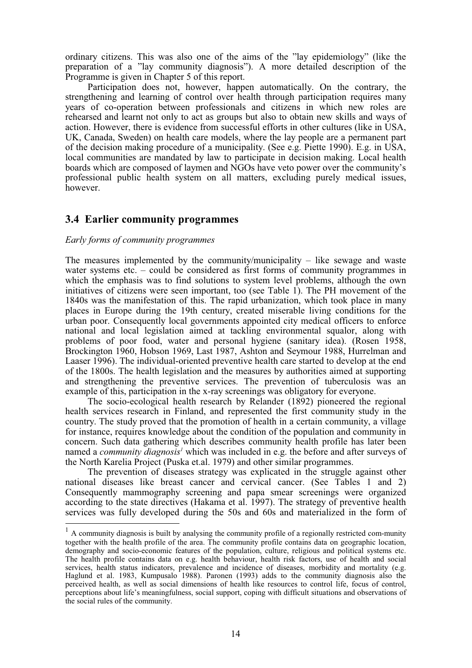ordinary citizens. This was also one of the aims of the "lay epidemiology" (like the preparation of a "lay community diagnosis"). A more detailed description of the Programme is given in Chapter 5 of this report.

Participation does not, however, happen automatically. On the contrary, the strengthening and learning of control over health through participation requires many years of co-operation between professionals and citizens in which new roles are rehearsed and learnt not only to act as groups but also to obtain new skills and ways of action. However, there is evidence from successful efforts in other cultures (like in USA, UK, Canada, Sweden) on health care models, where the lay people are a permanent part of the decision making procedure of a municipality. (See e.g. Piette 1990). E.g. in USA, local communities are mandated by law to participate in decision making. Local health boards which are composed of laymen and NGOs have veto power over the community's professional public health system on all matters, excluding purely medical issues, however.

### **3.4 Earlier community programmes**

#### *Early forms of community programmes*

The measures implemented by the community/municipality  $-$  like sewage and waste water systems etc. – could be considered as first forms of community programmes in which the emphasis was to find solutions to system level problems, although the own initiatives of citizens were seen important, too (see Table 1). The PH movement of the 1840s was the manifestation of this. The rapid urbanization, which took place in many places in Europe during the 19th century, created miserable living conditions for the urban poor. Consequently local governments appointed city medical officers to enforce national and local legislation aimed at tackling environmental squalor, along with problems of poor food, water and personal hygiene (sanitary idea). (Rosen 1958, Brockington 1960, Hobson 1969, Last 1987, Ashton and Seymour 1988, Hurrelman and Laaser 1996). The individual-oriented preventive health care started to develop at the end of the 1800s. The health legislation and the measures by authorities aimed at supporting and strengthening the preventive services. The prevention of tuberculosis was an example of this, participation in the x-ray screenings was obligatory for everyone.

The socio-ecological health research by Relander (1892) pioneered the regional health services research in Finland, and represented the first community study in the country. The study proved that the promotion of health in a certain community, a village for instance, requires knowledge about the condition of the population and community in concern. Such data gathering which describes community health profile has later been named a *community diagnosis<sup>1</sup>* which was included in e.g. the before and after surveys of the North Karelia Project (Puska et.al. 1979) and other similar programmes.

The prevention of diseases strategy was explicated in the struggle against other national diseases like breast cancer and cervical cancer. (See Tables 1 and 2) Consequently mammography screening and papa smear screenings were organized according to the state directives (Hakama et al. 1997). The strategy of preventive health services was fully developed during the 50s and 60s and materialized in the form of

 $1$  A community diagnosis is built by analysing the community profile of a regionally restricted com-munity together with the health profile of the area. The community profile contains data on geographic location, demography and socio-economic features of the population, culture, religious and political systems etc. The health profile contains data on e.g. health behaviour, health risk factors, use of health and social services, health status indicators, prevalence and incidence of diseases, morbidity and mortality (e.g. Haglund et al. 1983, Kumpusalo 1988). Paronen (1993) adds to the community diagnosis also the perceived health, as well as social dimensions of health like resources to control life, focus of control, perceptions about life's meaningfulness, social support, coping with difficult situations and observations of the social rules of the community.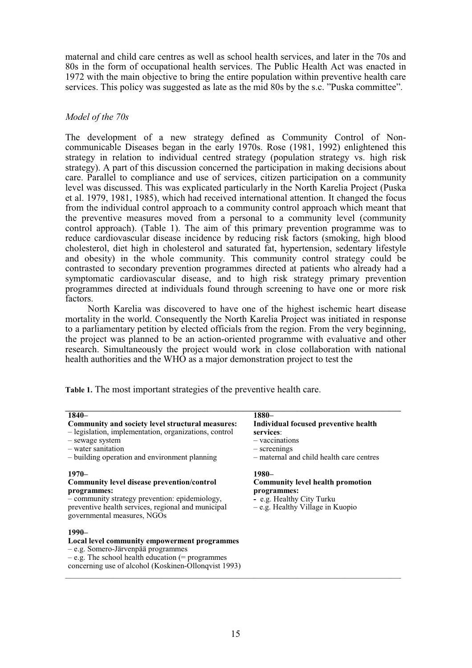maternal and child care centres as well as school health services, and later in the 70s and 80s in the form of occupational health services. The Public Health Act was enacted in 1972 with the main objective to bring the entire population within preventive health care services. This policy was suggested as late as the mid 80s by the s.c. "Puska committee".

#### *Model of the 70s*

The development of a new strategy defined as Community Control of Noncommunicable Diseases began in the early 1970s. Rose (1981, 1992) enlightened this strategy in relation to individual centred strategy (population strategy vs. high risk strategy). A part of this discussion concerned the participation in making decisions about care. Parallel to compliance and use of services, citizen participation on a community level was discussed. This was explicated particularly in the North Karelia Project (Puska et al. 1979, 1981, 1985), which had received international attention. It changed the focus from the individual control approach to a community control approach which meant that the preventive measures moved from a personal to a community level (community control approach). (Table 1). The aim of this primary prevention programme was to reduce cardiovascular disease incidence by reducing risk factors (smoking, high blood cholesterol, diet high in cholesterol and saturated fat, hypertension, sedentary lifestyle and obesity) in the whole community. This community control strategy could be contrasted to secondary prevention programmes directed at patients who already had a symptomatic cardiovascular disease, and to high risk strategy primary prevention programmes directed at individuals found through screening to have one or more risk factors.

North Karelia was discovered to have one of the highest ischemic heart disease mortality in the world. Consequently the North Karelia Project was initiated in response to a parliamentary petition by elected officials from the region. From the very beginning, the project was planned to be an action-oriented programme with evaluative and other research. Simultaneously the project would work in close collaboration with national health authorities and the WHO as a major demonstration project to test the

|  |  |  |  |  |  |  | Table 1. The most important strategies of the preventive health care. |
|--|--|--|--|--|--|--|-----------------------------------------------------------------------|
|--|--|--|--|--|--|--|-----------------------------------------------------------------------|

| $1840-$<br>Community and society level structural measures:<br>- legislation, implementation, organizations, control<br>- sewage system<br>- water sanitation<br>- building operation and environment planning     | 1880-<br>Individual focused preventive health<br>services:<br>- vaccinations<br>- screenings<br>- maternal and child health care centres |
|--------------------------------------------------------------------------------------------------------------------------------------------------------------------------------------------------------------------|------------------------------------------------------------------------------------------------------------------------------------------|
| $1970-$<br><b>Community level disease prevention/control</b><br>programmes:<br>- community strategy prevention: epidemiology,<br>preventive health services, regional and municipal<br>governmental measures, NGOs | $1980-$<br><b>Community level health promotion</b><br>programmes:<br>- e.g. Healthy City Turku<br>$-e.g.$ Healthy Village in Kuopio      |
| $1990-$<br>Local level community empowerment programmes<br>$-e.g.$ Somero-Järvenpää programmes<br>$-e.g.$ The school health education (= programmes<br>concerning use of alcohol (Koskinen-Ollonqvist 1993)        |                                                                                                                                          |

 $\_$  ,  $\_$  ,  $\_$  ,  $\_$  ,  $\_$  ,  $\_$  ,  $\_$  ,  $\_$  ,  $\_$  ,  $\_$  ,  $\_$  ,  $\_$  ,  $\_$  ,  $\_$  ,  $\_$  ,  $\_$  ,  $\_$  ,  $\_$  ,  $\_$  ,  $\_$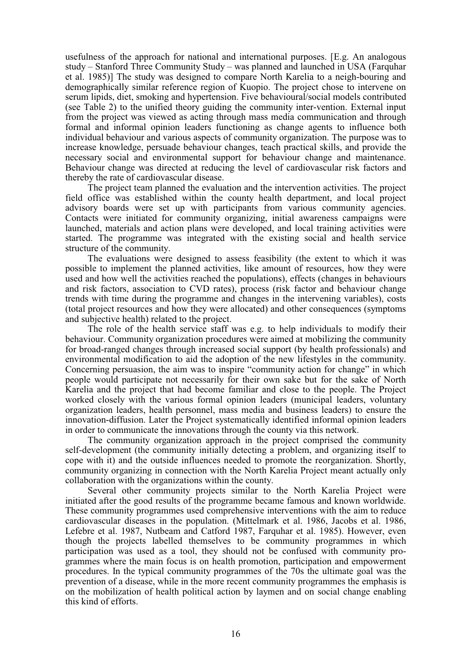usefulness of the approach for national and international purposes. [E.g. An analogous study – Stanford Three Community Study – was planned and launched in USA (Farquhar et al. 1985)] The study was designed to compare North Karelia to a neigh-bouring and demographically similar reference region of Kuopio. The project chose to intervene on serum lipids, diet, smoking and hypertension. Five behavioural/social models contributed (see Table 2) to the unified theory guiding the community inter-vention. External input from the project was viewed as acting through mass media communication and through formal and informal opinion leaders functioning as change agents to influence both individual behaviour and various aspects of community organization. The purpose was to increase knowledge, persuade behaviour changes, teach practical skills, and provide the necessary social and environmental support for behaviour change and maintenance. Behaviour change was directed at reducing the level of cardiovascular risk factors and thereby the rate of cardiovascular disease.

The project team planned the evaluation and the intervention activities. The project field office was established within the county health department, and local project advisory boards were set up with participants from various community agencies. Contacts were initiated for community organizing, initial awareness campaigns were launched, materials and action plans were developed, and local training activities were started. The programme was integrated with the existing social and health service structure of the community.

The evaluations were designed to assess feasibility (the extent to which it was possible to implement the planned activities, like amount of resources, how they were used and how well the activities reached the populations), effects (changes in behaviours and risk factors, association to CVD rates), process (risk factor and behaviour change trends with time during the programme and changes in the intervening variables), costs (total project resources and how they were allocated) and other consequences (symptoms and subjective health) related to the project.

The role of the health service staff was e.g. to help individuals to modify their behaviour. Community organization procedures were aimed at mobilizing the community for broad-ranged changes through increased social support (by health professionals) and environmental modification to aid the adoption of the new lifestyles in the community. Concerning persuasion, the aim was to inspire "community action for change" in which people would participate not necessarily for their own sake but for the sake of North Karelia and the project that had become familiar and close to the people. The Project worked closely with the various formal opinion leaders (municipal leaders, voluntary organization leaders, health personnel, mass media and business leaders) to ensure the innovation-diffusion. Later the Project systematically identified informal opinion leaders in order to communicate the innovations through the county via this network.

The community organization approach in the project comprised the community self-development (the community initially detecting a problem, and organizing itself to cope with it) and the outside influences needed to promote the reorganization. Shortly, community organizing in connection with the North Karelia Project meant actually only collaboration with the organizations within the county.

Several other community projects similar to the North Karelia Project were initiated after the good results of the programme became famous and known worldwide. These community programmes used comprehensive interventions with the aim to reduce cardiovascular diseases in the population. (Mittelmark et al. 1986, Jacobs et al. 1986, Lefebre et al. 1987, Nutbeam and Catford 1987, Farquhar et al. 1985). However, even though the projects labelled themselves to be community programmes in which participation was used as a tool, they should not be confused with community programmes where the main focus is on health promotion, participation and empowerment procedures. In the typical community programmes of the 70s the ultimate goal was the prevention of a disease, while in the more recent community programmes the emphasis is on the mobilization of health political action by laymen and on social change enabling this kind of efforts.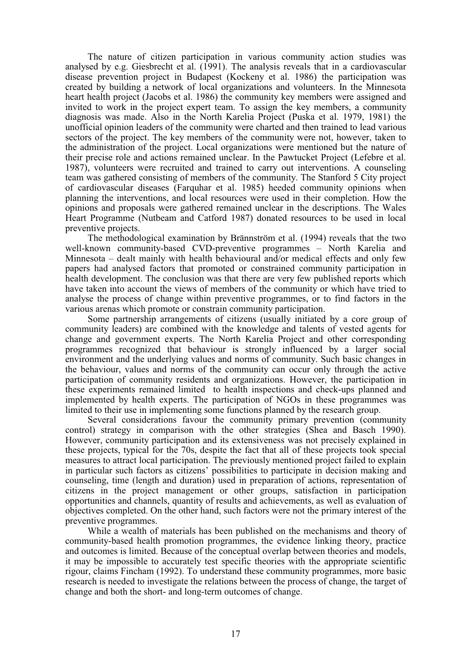The nature of citizen participation in various community action studies was analysed by e.g. Giesbrecht et al. (1991). The analysis reveals that in a cardiovascular disease prevention project in Budapest (Kockeny et al. 1986) the participation was created by building a network of local organizations and volunteers. In the Minnesota heart health project (Jacobs et al. 1986) the community key members were assigned and invited to work in the project expert team. To assign the key members, a community diagnosis was made. Also in the North Karelia Project (Puska et al. 1979, 1981) the unofficial opinion leaders of the community were charted and then trained to lead various sectors of the project. The key members of the community were not, however, taken to the administration of the project. Local organizations were mentioned but the nature of their precise role and actions remained unclear. In the Pawtucket Project (Lefebre et al. 1987), volunteers were recruited and trained to carry out interventions. A counseling team was gathered consisting of members of the community. The Stanford 5 City project of cardiovascular diseases (Farquhar et al. 1985) heeded community opinions when planning the interventions, and local resources were used in their completion. How the opinions and proposals were gathered remained unclear in the descriptions. The Wales Heart Programme (Nutbeam and Catford 1987) donated resources to be used in local preventive projects.

The methodological examination by Brännström et al. (1994) reveals that the two well-known community-based CVD-preventive programmes – North Karelia and Minnesota – dealt mainly with health behavioural and/or medical effects and only few papers had analysed factors that promoted or constrained community participation in health development. The conclusion was that there are very few published reports which have taken into account the views of members of the community or which have tried to analyse the process of change within preventive programmes, or to find factors in the various arenas which promote or constrain community participation.

Some partnership arrangements of citizens (usually initiated by a core group of community leaders) are combined with the knowledge and talents of vested agents for change and government experts. The North Karelia Project and other corresponding programmes recognized that behaviour is strongly influenced by a larger social environment and the underlying values and norms of community. Such basic changes in the behaviour, values and norms of the community can occur only through the active participation of community residents and organizations. However, the participation in these experiments remained limited to health inspections and check-ups planned and implemented by health experts. The participation of NGOs in these programmes was limited to their use in implementing some functions planned by the research group.

Several considerations favour the community primary prevention (community control) strategy in comparison with the other strategies (Shea and Basch 1990). However, community participation and its extensiveness was not precisely explained in these projects, typical for the 70s, despite the fact that all of these projects took special measures to attract local participation. The previously mentioned project failed to explain in particular such factors as citizens' possibilities to participate in decision making and counseling, time (length and duration) used in preparation of actions, representation of citizens in the project management or other groups, satisfaction in participation opportunities and channels, quantity of results and achievements, as well as evaluation of objectives completed. On the other hand, such factors were not the primary interest of the preventive programmes.

While a wealth of materials has been published on the mechanisms and theory of community-based health promotion programmes, the evidence linking theory, practice and outcomes is limited. Because of the conceptual overlap between theories and models, it may be impossible to accurately test specific theories with the appropriate scientific rigour, claims Fincham (1992). To understand these community programmes, more basic research is needed to investigate the relations between the process of change, the target of change and both the short- and long-term outcomes of change.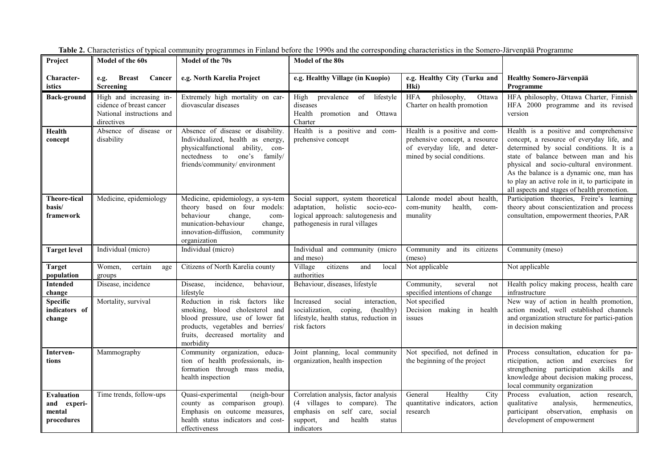| Project                                                  | Model of the 60s                                                                               | Model of the 70s                                                                                                                                                                           | <b>Model of the 80s</b>                                                                                                                                        |                                                                                                                                |                                                                                                                                                                                                                                                                                                                                                                   |
|----------------------------------------------------------|------------------------------------------------------------------------------------------------|--------------------------------------------------------------------------------------------------------------------------------------------------------------------------------------------|----------------------------------------------------------------------------------------------------------------------------------------------------------------|--------------------------------------------------------------------------------------------------------------------------------|-------------------------------------------------------------------------------------------------------------------------------------------------------------------------------------------------------------------------------------------------------------------------------------------------------------------------------------------------------------------|
| Character-<br>istics                                     | <b>Breast</b><br>Cancer<br>e.g.<br>Screening                                                   | e.g. North Karelia Project                                                                                                                                                                 | e.g. Healthy Village (in Kuopio)                                                                                                                               | e.g. Healthy City (Turku and<br>Hki)                                                                                           | <b>Healthy Somero-Järvenpää</b><br>Programme                                                                                                                                                                                                                                                                                                                      |
| <b>Back-ground</b>                                       | High and increasing in-<br>cidence of breast cancer<br>National instructions and<br>directives | Extremely high mortality on car-<br>diovascular diseases                                                                                                                                   | prevalence of<br>High<br>lifestyle<br>diseases<br>Health promotion and Ottawa<br>Charter                                                                       | philosophy,<br><b>HFA</b><br>Ottawa<br>Charter on health promotion                                                             | HFA philosophy, Ottawa Charter, Finnish<br>HFA 2000 programme and its revised<br>version                                                                                                                                                                                                                                                                          |
| Health<br>concept                                        | Absence of disease or<br>disability                                                            | Absence of disease or disability.<br>Individualized, health as energy,<br>physicalfunctional ability, con-<br>nectedness to one's family/<br>friends/community/ environment                | Health is a positive and com-<br>prehensive concept                                                                                                            | Health is a positive and com-<br>prehensive concept, a resource<br>of everyday life, and deter-<br>mined by social conditions. | Health is a positive and comprehensive<br>concept, a resource of everyday life, and<br>determined by social conditions. It is a<br>state of balance between man and his<br>physical and socio-cultural environment.<br>As the balance is a dynamic one, man has<br>to play an active role in it, to participate in<br>all aspects and stages of health promotion. |
| <b>Theore-tical</b><br>basis/<br>framework               | Medicine, epidemiology                                                                         | Medicine, epidemiology, a sys-tem<br>theory based on four models:<br>behaviour<br>change,<br>com-<br>munication-behaviour<br>change,<br>innovation-diffusion,<br>community<br>organization | Social support, system theoretical<br>adaptation, holistic<br>socio-eco-<br>logical approach: salutogenesis and<br>pathogenesis in rural villages              | Lalonde model about health,<br>com-munity<br>health,<br>com-<br>munality                                                       | Participation theories, Freire's learning<br>theory about conscientization and process<br>consultation, empowerment theories, PAR                                                                                                                                                                                                                                 |
| <b>Target level</b>                                      | Individual (micro)                                                                             | Individual (micro)                                                                                                                                                                         | Individual and community (micro<br>and meso)                                                                                                                   | Community and its citizens<br>(meso)                                                                                           | Community (meso)                                                                                                                                                                                                                                                                                                                                                  |
| <b>Target</b><br>population                              | Women.<br>certain<br>age<br>groups                                                             | Citizens of North Karelia county                                                                                                                                                           | Village<br>citizens<br>and<br>local<br>authorities                                                                                                             | Not applicable                                                                                                                 | Not applicable                                                                                                                                                                                                                                                                                                                                                    |
| <b>Intended</b><br>change                                | Disease, incidence                                                                             | incidence,<br>behaviour,<br>Disease,<br>lifestyle                                                                                                                                          | Behaviour, diseases, lifestyle                                                                                                                                 | Community,<br>several<br>not<br>specified intentions of change                                                                 | Health policy making process, health care<br>infrastructure                                                                                                                                                                                                                                                                                                       |
| <b>Specific</b><br>indicators of<br>change               | Mortality, survival                                                                            | Reduction in risk factors like<br>smoking, blood cholesterol and<br>blood pressure, use of lower fat<br>products, vegetables and berries/<br>fruits, decreased mortality and<br>morbidity  | Increased<br>social<br>interaction,<br>socialization,<br>coping,<br>(healthy)<br>lifestyle, health status, reduction in<br>risk factors                        | Not specified<br>Decision making in health<br>issues                                                                           | New way of action in health promotion,<br>action model, well established channels<br>and organization structure for partici-pation<br>in decision making                                                                                                                                                                                                          |
| Interven-<br>tions                                       | Mammography                                                                                    | Community organization, educa-<br>tion of health professionals, in-<br>formation through mass media,<br>health inspection                                                                  | Joint planning, local community<br>organization, health inspection                                                                                             | Not specified, not defined in<br>the beginning of the project                                                                  | Process consultation, education for pa-<br>rticipation, action and exercises for<br>strengthening participation skills and<br>knowledge about decision making process,<br>local community organization                                                                                                                                                            |
| <b>Evaluation</b><br>and experi-<br>mental<br>procedures | Time trends, follow-ups                                                                        | Quasi-experimental<br>(neigh-bour<br>county as comparison group).<br>Emphasis on outcome measures,<br>health status indicators and cost-<br>effectiveness                                  | Correlation analysis, factor analysis<br>(4 villages to compare). The<br>emphasis on self care,<br>social<br>health<br>support,<br>and<br>status<br>indicators | Healthy<br>General<br>City<br>quantitative indicators, action<br>research                                                      | Process evaluation,<br>action<br>research,<br>qualitative<br>analysis,<br>hermeneutics,<br>participant observation,<br>emphasis on<br>development of empowerment                                                                                                                                                                                                  |

**Table 2.** Characteristics of typical community programmes in Finland before the 1990s and the corresponding characteristics in the Somero-Järvenpää Programme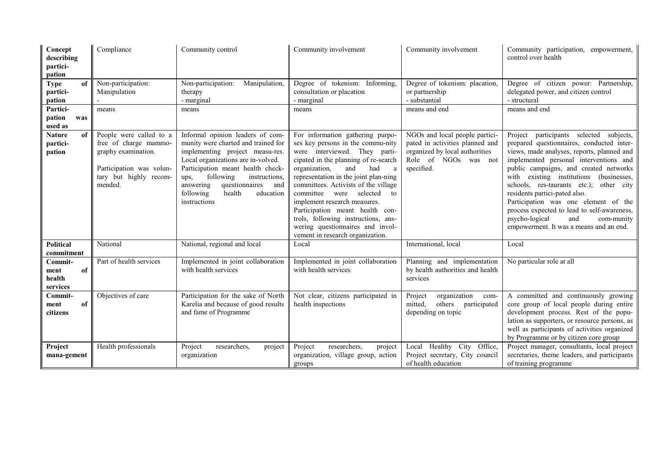| Concept<br>describing<br>partici-<br>pation | Compliance                                                                                                                               | Community control                                                                                                                                                                                                                                                                                                     | Community involvement                                                                                                                                                                                                                                                                                                                                                                                                                                                                        | Community involvement                                                                                                                     | Community participation, empowerment,<br>control over health                                                                                                                                                                                                                                                                                                                                                                                                                                                                       |  |
|---------------------------------------------|------------------------------------------------------------------------------------------------------------------------------------------|-----------------------------------------------------------------------------------------------------------------------------------------------------------------------------------------------------------------------------------------------------------------------------------------------------------------------|----------------------------------------------------------------------------------------------------------------------------------------------------------------------------------------------------------------------------------------------------------------------------------------------------------------------------------------------------------------------------------------------------------------------------------------------------------------------------------------------|-------------------------------------------------------------------------------------------------------------------------------------------|------------------------------------------------------------------------------------------------------------------------------------------------------------------------------------------------------------------------------------------------------------------------------------------------------------------------------------------------------------------------------------------------------------------------------------------------------------------------------------------------------------------------------------|--|
| <b>Type</b><br>of<br>partici-<br>pation     | Non-participation:<br>Manipulation                                                                                                       | Manipulation,<br>Non-participation:<br>therapy<br>- marginal                                                                                                                                                                                                                                                          | Degree of tokenism: Informing,<br>consultation or placation<br>- marginal                                                                                                                                                                                                                                                                                                                                                                                                                    | Degree of tokenism: placation,<br>or partnership<br>- substantial                                                                         | Degree of citizen power: Partnership,<br>delegated power, and citizen control<br>- structural                                                                                                                                                                                                                                                                                                                                                                                                                                      |  |
| Partici-<br>pation<br>was<br>used as        | means                                                                                                                                    | means                                                                                                                                                                                                                                                                                                                 | means                                                                                                                                                                                                                                                                                                                                                                                                                                                                                        | means and end                                                                                                                             | means and end                                                                                                                                                                                                                                                                                                                                                                                                                                                                                                                      |  |
| <b>Nature</b><br>of<br>partici-<br>pation   | People were called to a<br>free of charge mammo-<br>graphy examination.<br>Participation was volun-<br>tary but highly recom-<br>mended. | Informal opinion leaders of com-<br>munity were charted and trained for<br>implementing project measu-res.<br>Local organizations are in-volved.<br>Participation meant health check-<br>following<br>instructions,<br>ups,<br>questionnaires<br>and<br>answering<br>following<br>health<br>education<br>instructions | For information gathering purpo-<br>ses key persons in the commu-nity<br>were interviewed. They parti-<br>cipated in the planning of re-search<br>organization,<br>and<br>had<br>a<br>representation in the joint plan-ning<br>committees. Activists of the village<br>selected<br>committee<br>were<br>to<br>implement research measures.<br>Participation meant health con-<br>trols, following instructions, ans-<br>wering questionnaires and invol-<br>vement in research organization. | NGOs and local people partici-<br>pated in activities planned and<br>organized by local authorities<br>Role of NGOs was not<br>specified. | participants selected subjects,<br>Project<br>prepared questionnaires, conducted inter-<br>views, made analyses, reports, planned and<br>implemented personal interventions and<br>public campaigns, and created networks<br>existing institutions<br>with<br>(businesses,<br>schools, res-taurants etc.);<br>other city<br>residents partici-pated also.<br>Participation was one element of the<br>process expected to lead to self-awareness,<br>psycho-logical<br>and<br>com-munity<br>empowerment. It was a means and an end. |  |
| <b>Political</b><br>commitment              | National                                                                                                                                 | National, regional and local                                                                                                                                                                                                                                                                                          | Local                                                                                                                                                                                                                                                                                                                                                                                                                                                                                        | International, local                                                                                                                      | Local                                                                                                                                                                                                                                                                                                                                                                                                                                                                                                                              |  |
| Commit-<br>ment<br>of<br>health<br>services | Part of health services                                                                                                                  | Implemented in joint collaboration<br>with health services                                                                                                                                                                                                                                                            | Implemented in joint collaboration<br>with health services                                                                                                                                                                                                                                                                                                                                                                                                                                   | Planning and implementation<br>by health authorities and health<br>services                                                               | No particular role at all                                                                                                                                                                                                                                                                                                                                                                                                                                                                                                          |  |
| Commit-<br>of<br>ment<br>citizens           | Objectives of care                                                                                                                       | Participation for the sake of North<br>Karelia and because of good results<br>and fame of Programme                                                                                                                                                                                                                   | Not clear, citizens participated in<br>health inspections                                                                                                                                                                                                                                                                                                                                                                                                                                    | organization<br>Project<br>com-<br>mitted,<br>others<br>participated<br>depending on topic                                                | A committed and continuously growing<br>core group of local people during entire<br>development process. Rest of the popu-<br>lation as supporters, or resource persons, as<br>well as participants of activities organized<br>by Programme or by citizen core group                                                                                                                                                                                                                                                               |  |
| Project<br>mana-gement                      | Health professionals                                                                                                                     | Project<br>researchers,<br>project<br>organization                                                                                                                                                                                                                                                                    | Project<br>researchers,<br>project<br>organization, village group, action<br>groups                                                                                                                                                                                                                                                                                                                                                                                                          | Local Healthy City<br>Office,<br>Project secretary, City council<br>of health education                                                   | Project manager, consultants, local project<br>secretaries, theme leaders, and participants<br>of training programme                                                                                                                                                                                                                                                                                                                                                                                                               |  |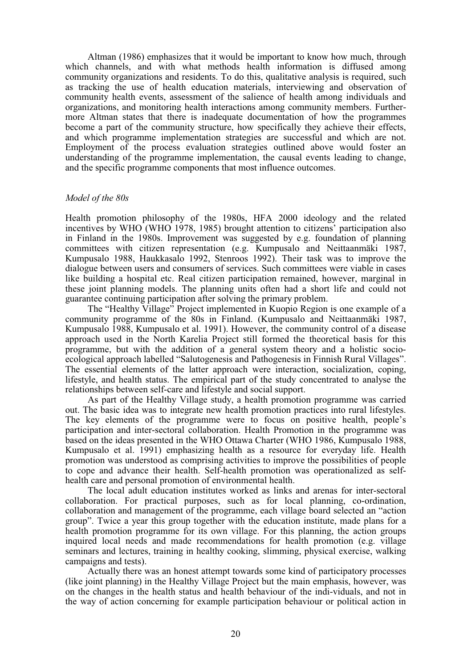Altman (1986) emphasizes that it would be important to know how much, through which channels, and with what methods health information is diffused among community organizations and residents. To do this, qualitative analysis is required, such as tracking the use of health education materials, interviewing and observation of community health events, assessment of the salience of health among individuals and organizations, and monitoring health interactions among community members. Furthermore Altman states that there is inadequate documentation of how the programmes become a part of the community structure, how specifically they achieve their effects, and which programme implementation strategies are successful and which are not. Employment of the process evaluation strategies outlined above would foster an understanding of the programme implementation, the causal events leading to change, and the specific programme components that most influence outcomes.

#### *Model of the 80s*

Health promotion philosophy of the 1980s, HFA 2000 ideology and the related incentives by WHO (WHO 1978, 1985) brought attention to citizens' participation also in Finland in the 1980s. Improvement was suggested by e.g. foundation of planning committees with citizen representation (e.g. Kumpusalo and Neittaanmäki 1987, Kumpusalo 1988, Haukkasalo 1992, Stenroos 1992). Their task was to improve the dialogue between users and consumers of services. Such committees were viable in cases like building a hospital etc. Real citizen participation remained, however, marginal in these joint planning models. The planning units often had a short life and could not guarantee continuing participation after solving the primary problem.

The "Healthy Village" Project implemented in Kuopio Region is one example of a community programme of the 80s in Finland. (Kumpusalo and Neittaanmäki 1987, Kumpusalo 1988, Kumpusalo et al. 1991). However, the community control of a disease approach used in the North Karelia Project still formed the theoretical basis for this programme, but with the addition of a general system theory and a holistic socioecological approach labelled "Salutogenesis and Pathogenesis in Finnish Rural Villages". The essential elements of the latter approach were interaction, socialization, coping, lifestyle, and health status. The empirical part of the study concentrated to analyse the relationships between self-care and lifestyle and social support.

As part of the Healthy Village study, a health promotion programme was carried out. The basic idea was to integrate new health promotion practices into rural lifestyles. The key elements of the programme were to focus on positive health, people's participation and inter-sectoral collaboration. Health Promotion in the programme was based on the ideas presented in the WHO Ottawa Charter (WHO 1986, Kumpusalo 1988, Kumpusalo et al. 1991) emphasizing health as a resource for everyday life. Health promotion was understood as comprising activities to improve the possibilities of people to cope and advance their health. Self-health promotion was operationalized as selfhealth care and personal promotion of environmental health.

The local adult education institutes worked as links and arenas for inter-sectoral collaboration. For practical purposes, such as for local planning, co-ordination, collaboration and management of the programme, each village board selected an "action group". Twice a year this group together with the education institute, made plans for a health promotion programme for its own village. For this planning, the action groups inquired local needs and made recommendations for health promotion (e.g. village seminars and lectures, training in healthy cooking, slimming, physical exercise, walking campaigns and tests).

Actually there was an honest attempt towards some kind of participatory processes (like joint planning) in the Healthy Village Project but the main emphasis, however, was on the changes in the health status and health behaviour of the indi-viduals, and not in the way of action concerning for example participation behaviour or political action in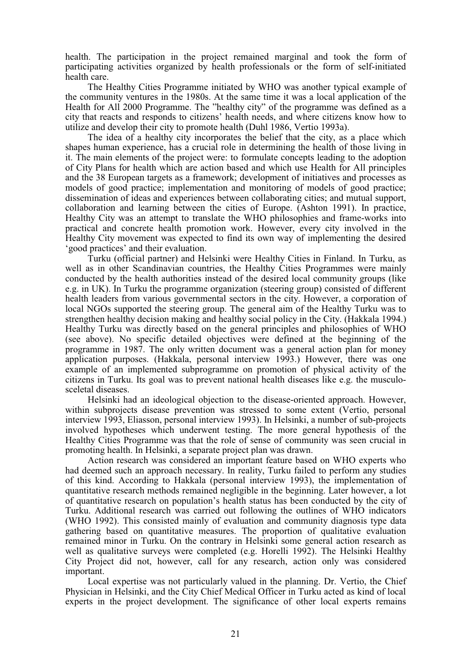health. The participation in the project remained marginal and took the form of participating activities organized by health professionals or the form of self-initiated health care.

The Healthy Cities Programme initiated by WHO was another typical example of the community ventures in the 1980s. At the same time it was a local application of the Health for All 2000 Programme. The "healthy city" of the programme was defined as a city that reacts and responds to citizens' health needs, and where citizens know how to utilize and develop their city to promote health (Duhl 1986, Vertio 1993a).

The idea of a healthy city incorporates the belief that the city, as a place which shapes human experience, has a crucial role in determining the health of those living in it. The main elements of the project were: to formulate concepts leading to the adoption of City Plans for health which are action based and which use Health for All principles and the 38 European targets as a framework; development of initiatives and processes as models of good practice; implementation and monitoring of models of good practice; dissemination of ideas and experiences between collaborating cities; and mutual support, collaboration and learning between the cities of Europe. (Ashton 1991). In practice, Healthy City was an attempt to translate the WHO philosophies and frame-works into practical and concrete health promotion work. However, every city involved in the Healthy City movement was expected to find its own way of implementing the desired 'good practices' and their evaluation.

Turku (official partner) and Helsinki were Healthy Cities in Finland. In Turku, as well as in other Scandinavian countries, the Healthy Cities Programmes were mainly conducted by the health authorities instead of the desired local community groups (like e.g. in UK). In Turku the programme organization (steering group) consisted of different health leaders from various governmental sectors in the city. However, a corporation of local NGOs supported the steering group. The general aim of the Healthy Turku was to strengthen healthy decision making and healthy social policy in the City. (Hakkala 1994.) Healthy Turku was directly based on the general principles and philosophies of WHO (see above). No specific detailed objectives were defined at the beginning of the programme in 1987. The only written document was a general action plan for money application purposes. (Hakkala, personal interview 1993.) However, there was one example of an implemented subprogramme on promotion of physical activity of the citizens in Turku. Its goal was to prevent national health diseases like e.g. the musculosceletal diseases.

Helsinki had an ideological objection to the disease-oriented approach. However, within subprojects disease prevention was stressed to some extent (Vertio, personal interview 1993, Eliasson, personal interview 1993). In Helsinki, a number of sub-projects involved hypotheses which underwent testing. The more general hypothesis of the Healthy Cities Programme was that the role of sense of community was seen crucial in promoting health. In Helsinki, a separate project plan was drawn.

Action research was considered an important feature based on WHO experts who had deemed such an approach necessary. In reality, Turku failed to perform any studies of this kind. According to Hakkala (personal interview 1993), the implementation of quantitative research methods remained negligible in the beginning. Later however, a lot of quantitative research on population's health status has been conducted by the city of Turku. Additional research was carried out following the outlines of WHO indicators (WHO 1992). This consisted mainly of evaluation and community diagnosis type data gathering based on quantitative measures. The proportion of qualitative evaluation remained minor in Turku. On the contrary in Helsinki some general action research as well as qualitative surveys were completed (e.g. Horelli 1992). The Helsinki Healthy City Project did not, however, call for any research, action only was considered important.

Local expertise was not particularly valued in the planning. Dr. Vertio, the Chief Physician in Helsinki, and the City Chief Medical Officer in Turku acted as kind of local experts in the project development. The significance of other local experts remains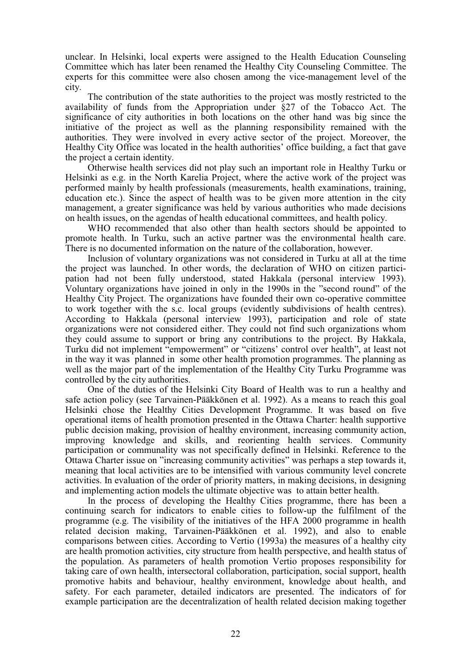unclear. In Helsinki, local experts were assigned to the Health Education Counseling Committee which has later been renamed the Healthy City Counseling Committee. The experts for this committee were also chosen among the vice-management level of the city.

The contribution of the state authorities to the project was mostly restricted to the availability of funds from the Appropriation under §27 of the Tobacco Act. The significance of city authorities in both locations on the other hand was big since the initiative of the project as well as the planning responsibility remained with the authorities. They were involved in every active sector of the project. Moreover, the Healthy City Office was located in the health authorities' office building, a fact that gave the project a certain identity.

Otherwise health services did not play such an important role in Healthy Turku or Helsinki as e.g. in the North Karelia Project, where the active work of the project was performed mainly by health professionals (measurements, health examinations, training, education etc.). Since the aspect of health was to be given more attention in the city management, a greater significance was held by various authorities who made decisions on health issues, on the agendas of health educational committees, and health policy.

WHO recommended that also other than health sectors should be appointed to promote health. In Turku, such an active partner was the environmental health care. There is no documented information on the nature of the collaboration, however.

Inclusion of voluntary organizations was not considered in Turku at all at the time the project was launched. In other words, the declaration of WHO on citizen participation had not been fully understood, stated Hakkala (personal interview 1993). Voluntary organizations have joined in only in the 1990s in the "second round" of the Healthy City Project. The organizations have founded their own co-operative committee to work together with the s.c. local groups (evidently subdivisions of health centres). According to Hakkala (personal interview 1993), participation and role of state organizations were not considered either. They could not find such organizations whom they could assume to support or bring any contributions to the project. By Hakkala, Turku did not implement "empowerment" or "citizens' control over health", at least not in the way it was planned in some other health promotion programmes. The planning as well as the major part of the implementation of the Healthy City Turku Programme was controlled by the city authorities.

One of the duties of the Helsinki City Board of Health was to run a healthy and safe action policy (see Tarvainen-Pääkkönen et al. 1992). As a means to reach this goal Helsinki chose the Healthy Cities Development Programme. It was based on five operational items of health promotion presented in the Ottawa Charter: health supportive public decision making, provision of healthy environment, increasing community action, improving knowledge and skills, and reorienting health services. Community participation or communality was not specifically defined in Helsinki. Reference to the Ottawa Charter issue on "increasing community activities" was perhaps a step towards it, meaning that local activities are to be intensified with various community level concrete activities. In evaluation of the order of priority matters, in making decisions, in designing and implementing action models the ultimate objective was to attain better health.

In the process of developing the Healthy Cities programme, there has been a continuing search for indicators to enable cities to follow-up the fulfilment of the programme (e.g. The visibility of the initiatives of the HFA 2000 programme in health related decision making, Tarvainen-Pääkkönen et al. 1992), and also to enable comparisons between cities. According to Vertio (1993a) the measures of a healthy city are health promotion activities, city structure from health perspective, and health status of the population. As parameters of health promotion Vertio proposes responsibility for taking care of own health, intersectoral collaboration, participation, social support, health promotive habits and behaviour, healthy environment, knowledge about health, and safety. For each parameter, detailed indicators are presented. The indicators of for example participation are the decentralization of health related decision making together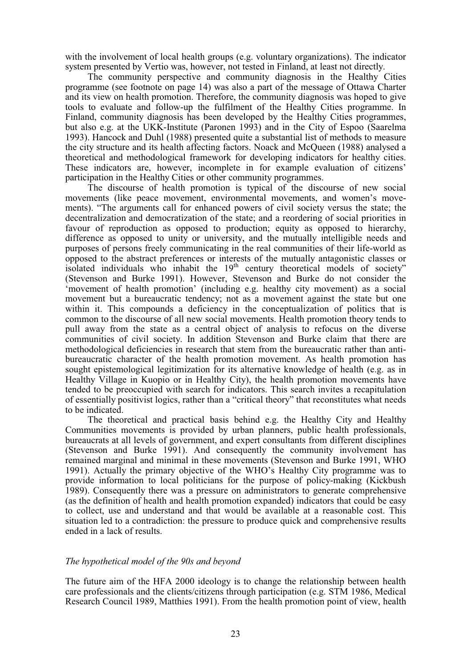with the involvement of local health groups (e.g. voluntary organizations). The indicator system presented by Vertio was, however, not tested in Finland, at least not directly.

The community perspective and community diagnosis in the Healthy Cities programme (see footnote on page 14) was also a part of the message of Ottawa Charter and its view on health promotion. Therefore, the community diagnosis was hoped to give tools to evaluate and follow-up the fulfilment of the Healthy Cities programme. In Finland, community diagnosis has been developed by the Healthy Cities programmes, but also e.g. at the UKK-Institute (Paronen 1993) and in the City of Espoo (Saarelma 1993). Hancock and Duhl (1988) presented quite a substantial list of methods to measure the city structure and its health affecting factors. Noack and McQueen (1988) analysed a theoretical and methodological framework for developing indicators for healthy cities. These indicators are, however, incomplete in for example evaluation of citizens' participation in the Healthy Cities or other community programmes.

The discourse of health promotion is typical of the discourse of new social movements (like peace movement, environmental movements, and women's movements). "The arguments call for enhanced powers of civil society versus the state; the decentralization and democratization of the state; and a reordering of social priorities in favour of reproduction as opposed to production; equity as opposed to hierarchy, difference as opposed to unity or university, and the mutually intelligible needs and purposes of persons freely communicating in the real communities of their life-world as opposed to the abstract preferences or interests of the mutually antagonistic classes or isolated individuals who inhabit the  $19<sup>th</sup>$  century theoretical models of society" (Stevenson and Burke 1991). However, Stevenson and Burke do not consider the 'movement of health promotion' (including e.g. healthy city movement) as a social movement but a bureaucratic tendency; not as a movement against the state but one within it. This compounds a deficiency in the conceptualization of politics that is common to the discourse of all new social movements. Health promotion theory tends to pull away from the state as a central object of analysis to refocus on the diverse communities of civil society. In addition Stevenson and Burke claim that there are methodological deficiencies in research that stem from the bureaucratic rather than antibureaucratic character of the health promotion movement. As health promotion has sought epistemological legitimization for its alternative knowledge of health (e.g. as in Healthy Village in Kuopio or in Healthy City), the health promotion movements have tended to be preoccupied with search for indicators. This search invites a recapitulation of essentially positivist logics, rather than a "critical theory" that reconstitutes what needs to be indicated.

The theoretical and practical basis behind e.g. the Healthy City and Healthy Communities movements is provided by urban planners, public health professionals, bureaucrats at all levels of government, and expert consultants from different disciplines (Stevenson and Burke 1991). And consequently the community involvement has remained marginal and minimal in these movements (Stevenson and Burke 1991, WHO 1991). Actually the primary objective of the WHO's Healthy City programme was to provide information to local politicians for the purpose of policy-making (Kickbush 1989). Consequently there was a pressure on administrators to generate comprehensive (as the definition of health and health promotion expanded) indicators that could be easy to collect, use and understand and that would be available at a reasonable cost. This situation led to a contradiction: the pressure to produce quick and comprehensive results ended in a lack of results.

#### *The hypothetical model of the 90s and beyond*

The future aim of the HFA 2000 ideology is to change the relationship between health care professionals and the clients/citizens through participation (e.g. STM 1986, Medical Research Council 1989, Matthies 1991). From the health promotion point of view, health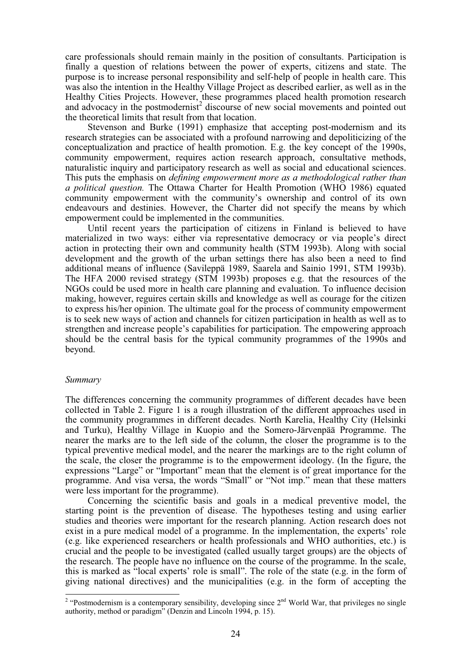care professionals should remain mainly in the position of consultants. Participation is finally a question of relations between the power of experts, citizens and state. The purpose is to increase personal responsibility and self-help of people in health care. This was also the intention in the Healthy Village Project as described earlier, as well as in the Healthy Cities Projects. However, these programmes placed health promotion research and advocacy in the postmodernist<sup>2</sup> discourse of new social movements and pointed out the theoretical limits that result from that location.

Stevenson and Burke (1991) emphasize that accepting post-modernism and its research strategies can be associated with a profound narrowing and depoliticizing of the conceptualization and practice of health promotion. E.g. the key concept of the 1990s, community empowerment, requires action research approach, consultative methods, naturalistic inquiry and participatory research as well as social and educational sciences. This puts the emphasis on *defining empowerment more as a methodological rather than a political question.* The Ottawa Charter for Health Promotion (WHO 1986) equated community empowerment with the community's ownership and control of its own endeavours and destinies. However, the Charter did not specify the means by which empowerment could be implemented in the communities.

Until recent years the participation of citizens in Finland is believed to have materialized in two ways: either via representative democracy or via people's direct action in protecting their own and community health (STM 1993b). Along with social development and the growth of the urban settings there has also been a need to find additional means of influence (Savileppä 1989, Saarela and Sainio 1991, STM 1993b). The HFA 2000 revised strategy (STM 1993b) proposes e.g. that the resources of the NGOs could be used more in health care planning and evaluation. To influence decision making, however, reguires certain skills and knowledge as well as courage for the citizen to express his/her opinion. The ultimate goal for the process of community empowerment is to seek new ways of action and channels for citizen participation in health as well as to strengthen and increase people's capabilities for participation. The empowering approach should be the central basis for the typical community programmes of the 1990s and beyond.

#### *Summary*

The differences concerning the community programmes of different decades have been collected in Table 2. Figure 1 is a rough illustration of the different approaches used in the community programmes in different decades. North Karelia, Healthy City (Helsinki and Turku), Healthy Village in Kuopio and the Somero-Järvenpää Programme. The nearer the marks are to the left side of the column, the closer the programme is to the typical preventive medical model, and the nearer the markings are to the right column of the scale, the closer the programme is to the empowerment ideology. (In the figure, the expressions "Large" or "Important" mean that the element is of great importance for the programme. And visa versa, the words "Small" or "Not imp." mean that these matters were less important for the programme).

Concerning the scientific basis and goals in a medical preventive model, the starting point is the prevention of disease. The hypotheses testing and using earlier studies and theories were important for the research planning. Action research does not exist in a pure medical model of a programme. In the implementation, the experts' role (e.g. like experienced researchers or health professionals and WHO authorities, etc.) is crucial and the people to be investigated (called usually target groups) are the objects of the research. The people have no influence on the course of the programme. In the scale, this is marked as "local experts' role is small". The role of the state (e.g. in the form of giving national directives) and the municipalities (e.g. in the form of accepting the

<sup>&</sup>lt;sup>2</sup> "Postmodernism is a contemporary sensibility, developing since  $2<sup>nd</sup>$  World War, that privileges no single authority, method or paradigm" (Denzin and Lincoln 1994, p. 15).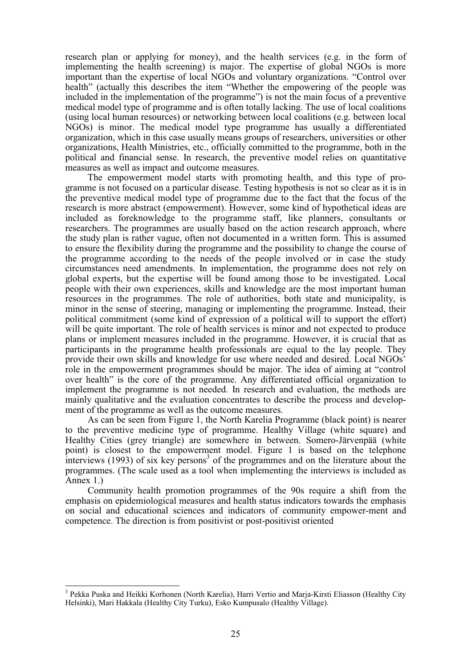research plan or applying for money), and the health services (e.g. in the form of implementing the health screening) is major. The expertise of global NGOs is more important than the expertise of local NGOs and voluntary organizations. "Control over health" (actually this describes the item "Whether the empowering of the people was included in the implementation of the programme") is not the main focus of a preventive medical model type of programme and is often totally lacking. The use of local coalitions (using local human resources) or networking between local coalitions (e.g. between local NGOs) is minor. The medical model type programme has usually a differentiated organization, which in this case usually means groups of researchers, universities or other organizations, Health Ministries, etc., officially committed to the programme, both in the political and financial sense. In research, the preventive model relies on quantitative measures as well as impact and outcome measures.

The empowerment model starts with promoting health, and this type of programme is not focused on a particular disease. Testing hypothesis is not so clear as it is in the preventive medical model type of programme due to the fact that the focus of the research is more abstract (empowerment). However, some kind of hypothetical ideas are included as foreknowledge to the programme staff, like planners, consultants or researchers. The programmes are usually based on the action research approach, where the study plan is rather vague, often not documented in a written form. This is assumed to ensure the flexibility during the programme and the possibility to change the course of the programme according to the needs of the people involved or in case the study circumstances need amendments. In implementation, the programme does not rely on global experts, but the expertise will be found among those to be investigated. Local people with their own experiences, skills and knowledge are the most important human resources in the programmes. The role of authorities, both state and municipality, is minor in the sense of steering, managing or implementing the programme. Instead, their political commitment (some kind of expression of a political will to support the effort) will be quite important. The role of health services is minor and not expected to produce plans or implement measures included in the programme. However, it is crucial that as participants in the programme health professionals are equal to the lay people. They provide their own skills and knowledge for use where needed and desired. Local NGOs' role in the empowerment programmes should be major. The idea of aiming at "control over health" is the core of the programme. Any differentiated official organization to implement the programme is not needed. In research and evaluation, the methods are mainly qualitative and the evaluation concentrates to describe the process and development of the programme as well as the outcome measures.

As can be seen from Figure 1, the North Karelia Programme (black point) is nearer to the preventive medicine type of programme. Healthy Village (white square) and Healthy Cities (grey triangle) are somewhere in between. Somero-Järvenpää (white point) is closest to the empowerment model. Figure 1 is based on the telephone  $\frac{1}{2}$  interviews (1993) of six key persons<sup>3</sup> of the programmes and on the literature about the programmes. (The scale used as a tool when implementing the interviews is included as Annex 1.)

Community health promotion programmes of the 90s require a shift from the emphasis on epidemiological measures and health status indicators towards the emphasis on social and educational sciences and indicators of community empower-ment and competence. The direction is from positivist or post-positivist oriented

<sup>&</sup>lt;sup>3</sup> Pekka Puska and Heikki Korhonen (North Karelia), Harri Vertio and Marja-Kirsti Eliasson (Healthy City Helsinki), Mari Hakkala (Healthy City Turku), Esko Kumpusalo (Healthy Village).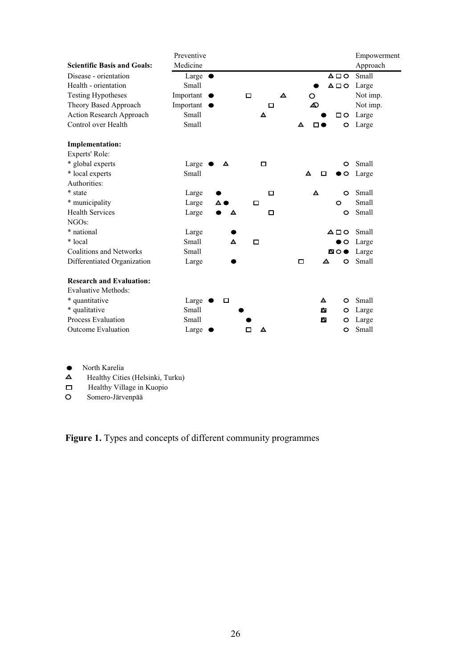|                                    | Preventive          |        |                       |                     |                  | Empowerment |
|------------------------------------|---------------------|--------|-----------------------|---------------------|------------------|-------------|
| <b>Scientific Basis and Goals:</b> | Medicine            |        |                       |                     |                  | Approach    |
| Disease - orientation              | Large $\bullet$     |        |                       |                     | $\triangle \Box$ | Small       |
| Health - orientation               | Small               |        |                       |                     | △□○              | Large       |
| <b>Testing Hypotheses</b>          | Important $\bullet$ |        | $\blacktriangle$<br>□ | $\circ$             |                  | Not imp.    |
| Theory Based Approach              | Important $\bullet$ |        | □                     | ⚠                   |                  | Not imp.    |
| <b>Action Research Approach</b>    | Small               |        | ▲                     |                     | $\Box$           | Large       |
| Control over Health                | Small               |        |                       | ▲<br>◻◕             | O                | Large       |
| <b>Implementation:</b>             |                     |        |                       |                     |                  |             |
| Experts' Role:                     |                     |        |                       |                     |                  |             |
| * global experts                   | Large $\triangle$   | ▲      | $\Box$                |                     | O                | Small       |
| * local experts                    | Small               |        |                       | Δ<br>п              | $\circ$          | Large       |
| Authorities:                       |                     |        |                       |                     |                  |             |
| * state                            | Large               |        | □                     | $\Delta \mathbf{h}$ | $\circ$          | Small       |
| * municipality                     | Large               | ▵◕     | □                     |                     | $\circ$          | Small       |
| <b>Health Services</b>             | Large               | А      | □                     |                     | $\circ$          | Small       |
| NGOs:                              |                     |        |                       |                     |                  |             |
| * national                         | Large               |        |                       |                     | $\triangle \Box$ | Small       |
| * local                            | Small               | Δ      | $\Box$                |                     | $\circ$<br>●     | Large       |
| <b>Coalitions and Networks</b>     | Small               |        |                       |                     | ◚◦               | Large       |
| Differentiated Organization        | Large               |        |                       | □<br>◢              | O                | Small       |
| <b>Research and Evaluation:</b>    |                     |        |                       |                     |                  |             |
| <b>Evaluative Methods:</b>         |                     |        |                       |                     |                  |             |
| * quantitative                     | Large $\epsilon$    | $\Box$ |                       | $\Delta \omega$     | $\circ$          | Small       |
| * qualitative                      | Small               |        |                       | ИA.                 | O                | Large       |
| <b>Process Evaluation</b>          | Small               |        |                       | ⋒                   | O                | Large       |
| <b>Outcome Evaluation</b>          | Large               |        | ▲<br>□                |                     | O                | Small       |

- North Karelia<br> **A** Healthy Citie
- Healthy Cities (Helsinki, Turku)
- $\Box$ Healthy Village in Kuopio
- $\circ$ Somero-Järvenpää

**Figure 1.** Types and concepts of different community programmes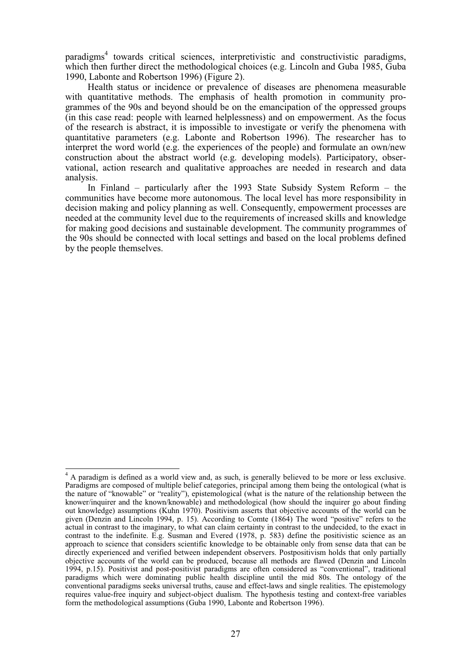paradigms<sup>4</sup> towards critical sciences, interpretivistic and constructivistic paradigms, which then further direct the methodological choices (e.g. Lincoln and Guba 1985, Guba 1990, Labonte and Robertson 1996) (Figure 2).

Health status or incidence or prevalence of diseases are phenomena measurable with quantitative methods. The emphasis of health promotion in community programmes of the 90s and beyond should be on the emancipation of the oppressed groups (in this case read: people with learned helplessness) and on empowerment. As the focus of the research is abstract, it is impossible to investigate or verify the phenomena with quantitative parameters (e.g. Labonte and Robertson 1996). The researcher has to interpret the word world (e.g. the experiences of the people) and formulate an own/new construction about the abstract world (e.g. developing models). Participatory, observational, action research and qualitative approaches are needed in research and data analysis.

In Finland – particularly after the 1993 State Subsidy System Reform – the communities have become more autonomous. The local level has more responsibility in decision making and policy planning as well. Consequently, empowerment processes are needed at the community level due to the requirements of increased skills and knowledge for making good decisions and sustainable development. The community programmes of the 90s should be connected with local settings and based on the local problems defined by the people themselves.

<sup>&</sup>lt;sup>4</sup> A paradigm is defined as a world view and, as such, is generally believed to be more or less exclusive. Paradigms are composed of multiple belief categories, principal among them being the ontological (what is the nature of "knowable" or "reality"), epistemological (what is the nature of the relationship between the knower/inquirer and the known/knowable) and methodological (how should the inquirer go about finding out knowledge) assumptions (Kuhn 1970). Positivism asserts that objective accounts of the world can be given (Denzin and Lincoln 1994, p. 15). According to Comte (1864) The word "positive" refers to the actual in contrast to the imaginary, to what can claim certainty in contrast to the undecided, to the exact in contrast to the indefinite. E.g. Susman and Evered (1978, p. 583) define the positivistic science as an approach to science that considers scientific knowledge to be obtainable only from sense data that can be directly experienced and verified between independent observers. Postpositivism holds that only partially objective accounts of the world can be produced, because all methods are flawed (Denzin and Lincoln 1994, p.15). Positivist and post-positivist paradigms are often considered as "conventional", traditional paradigms which were dominating public health discipline until the mid 80s. The ontology of the conventional paradigms seeks universal truths, cause and effect-laws and single realities. The epistemology requires value-free inquiry and subject-object dualism. The hypothesis testing and context-free variables form the methodological assumptions (Guba 1990, Labonte and Robertson 1996).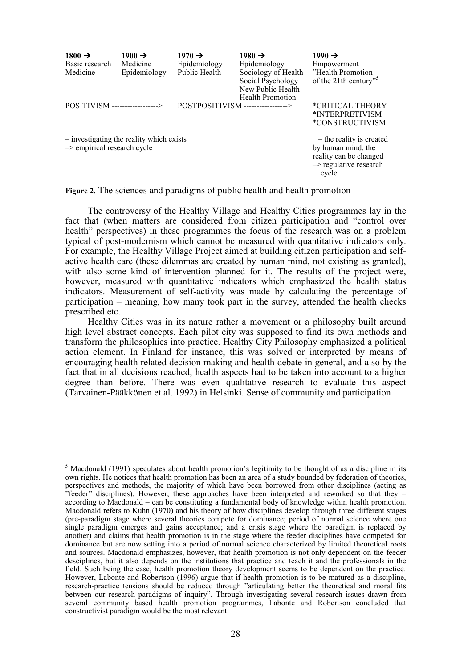| $1800 \rightarrow$<br>Basic research<br>Medicine | $1900 \rightarrow$<br>Medicine<br>Epidemiology | $1970 \rightarrow$<br>Epidemiology<br>Public Health | $1980 \rightarrow$<br>Epidemiology<br>Sociology of Health<br>Social Psychology<br>New Public Health<br><b>Health Promotion</b> | $1990 \rightarrow$<br>Empowerment<br>"Health Promotion"<br>of the 21th century"                                        |
|--------------------------------------------------|------------------------------------------------|-----------------------------------------------------|--------------------------------------------------------------------------------------------------------------------------------|------------------------------------------------------------------------------------------------------------------------|
| POSITIVISM ------------------->                  |                                                | POSTPOSITIVISM ----------------->                   |                                                                                                                                | *CRITICAL THEORY<br>*INTERPRETIVISM<br>*CONSTRUCTIVISM                                                                 |
| $\rightarrow$ empirical research cycle           | - investigating the reality which exists       |                                                     |                                                                                                                                | – the reality is created<br>by human mind, the<br>reality can be changed<br>$\rightarrow$ regulative research<br>cycle |

**Figure 2.** The sciences and paradigms of public health and health promotion

The controversy of the Healthy Village and Healthy Cities programmes lay in the fact that (when matters are considered from citizen participation and "control over health" perspectives) in these programmes the focus of the research was on a problem typical of post-modernism which cannot be measured with quantitative indicators only. For example, the Healthy Village Project aimed at building citizen participation and selfactive health care (these dilemmas are created by human mind, not existing as granted), with also some kind of intervention planned for it. The results of the project were, however, measured with quantitative indicators which emphasized the health status indicators. Measurement of self-activity was made by calculating the percentage of participation – meaning, how many took part in the survey, attended the health checks prescribed etc.

Healthy Cities was in its nature rather a movement or a philosophy built around high level abstract concepts. Each pilot city was supposed to find its own methods and transform the philosophies into practice. Healthy City Philosophy emphasized a political action element. In Finland for instance, this was solved or interpreted by means of encouraging health related decision making and health debate in general, and also by the fact that in all decisions reached, health aspects had to be taken into account to a higher degree than before. There was even qualitative research to evaluate this aspect (Tarvainen-Pääkkönen et al. 1992) in Helsinki. Sense of community and participation

<sup>&</sup>lt;sup>5</sup> Macdonald (1991) speculates about health promotion's legitimity to be thought of as a discipline in its own rights. He notices that health promotion has been an area of a study bounded by federation of theories, perspectives and methods, the majority of which have been borrowed from other disciplines (acting as "feeder" disciplines). However, these approaches have been interpreted and reworked so that they – according to Macdonald – can be constituting a fundamental body of knowledge within health promotion. Macdonald refers to Kuhn (1970) and his theory of how disciplines develop through three different stages (pre-paradigm stage where several theories compete for dominance; period of normal science where one single paradigm emerges and gains acceptance; and a crisis stage where the paradigm is replaced by another) and claims that health promotion is in the stage where the feeder disciplines have competed for dominance but are now setting into a period of normal science characterized by limited theoretical roots and sources. Macdonald emphasizes, however, that health promotion is not only dependent on the feeder desciplines, but it also depends on the institutions that practice and teach it and the professionals in the field. Such being the case, health promotion theory development seems to be dependent on the practice. However, Labonte and Robertson (1996) argue that if health promotion is to be matured as a discipline, research-practice tensions should be reduced through "articulating better the theoretical and moral fits between our research paradigms of inquiry". Through investigating several research issues drawn from several community based health promotion programmes, Labonte and Robertson concluded that constructivist paradigm would be the most relevant.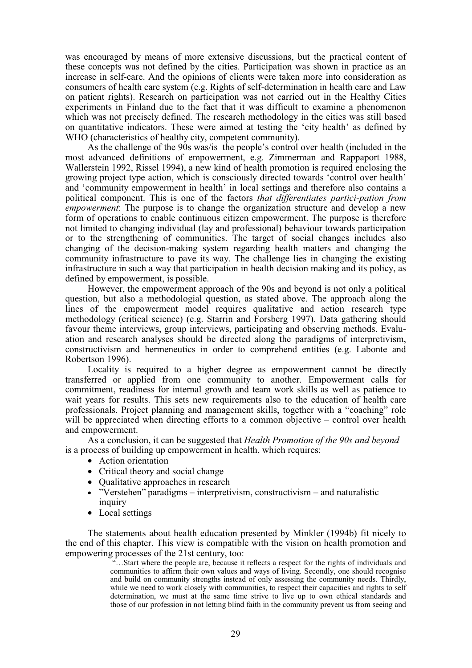was encouraged by means of more extensive discussions, but the practical content of these concepts was not defined by the cities. Participation was shown in practice as an increase in self-care. And the opinions of clients were taken more into consideration as consumers of health care system (e.g. Rights of self-determination in health care and Law on patient rights). Research on participation was not carried out in the Healthy Cities experiments in Finland due to the fact that it was difficult to examine a phenomenon which was not precisely defined. The research methodology in the cities was still based on quantitative indicators. These were aimed at testing the 'city health' as defined by WHO (characteristics of healthy city, competent community).

As the challenge of the 90s was/is the people's control over health (included in the most advanced definitions of empowerment, e.g. Zimmerman and Rappaport 1988, Wallerstein 1992, Rissel 1994), a new kind of health promotion is required enclosing the growing project type action, which is consciously directed towards 'control over health' and 'community empowerment in health' in local settings and therefore also contains a political component. This is one of the factors *that differentiates partici-pation from empowerment*: The purpose is to change the organization structure and develop a new form of operations to enable continuous citizen empowerment. The purpose is therefore not limited to changing individual (lay and professional) behaviour towards participation or to the strengthening of communities. The target of social changes includes also changing of the decision-making system regarding health matters and changing the community infrastructure to pave its way. The challenge lies in changing the existing infrastructure in such a way that participation in health decision making and its policy, as defined by empowerment, is possible.

However, the empowerment approach of the 90s and beyond is not only a political question, but also a methodologial question, as stated above. The approach along the lines of the empowerment model requires qualitative and action research type methodology (critical science) (e.g. Starrin and Forsberg 1997). Data gathering should favour theme interviews, group interviews, participating and observing methods. Evaluation and research analyses should be directed along the paradigms of interpretivism, constructivism and hermeneutics in order to comprehend entities (e.g. Labonte and Robertson 1996).

Locality is required to a higher degree as empowerment cannot be directly transferred or applied from one community to another. Empowerment calls for commitment, readiness for internal growth and team work skills as well as patience to wait years for results. This sets new requirements also to the education of health care professionals. Project planning and management skills, together with a "coaching" role will be appreciated when directing efforts to a common objective – control over health and empowerment.

As a conclusion, it can be suggested that *Health Promotion of the 90s and beyond* is a process of building up empowerment in health, which requires:

- Action orientation
- Critical theory and social change
- Oualitative approaches in research
- "Verstehen" paradigms interpretivism, constructivism and naturalistic inquiry
- Local settings

The statements about health education presented by Minkler (1994b) fit nicely to the end of this chapter. This view is compatible with the vision on health promotion and empowering processes of the 21st century, too:

 "…Start where the people are, because it reflects a respect for the rights of individuals and communities to affirm their own values and ways of living. Secondly, one should recognise and build on community strengths instead of only assessing the community needs. Thirdly, while we need to work closely with communities, to respect their capacities and rights to self determination, we must at the same time strive to live up to own ethical standards and those of our profession in not letting blind faith in the community prevent us from seeing and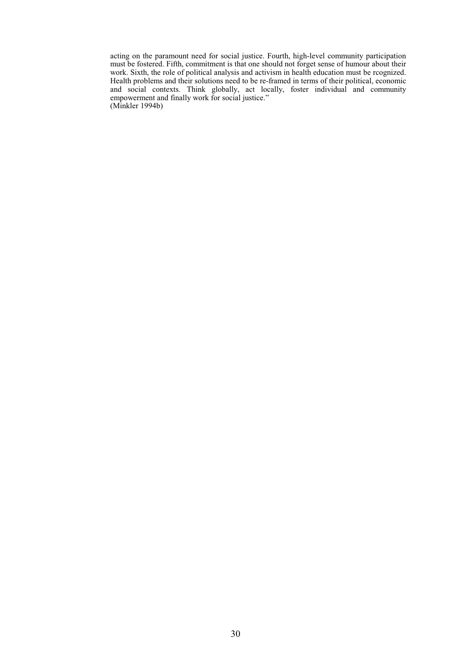acting on the paramount need for social justice. Fourth, high-level community participation must be fostered. Fifth, commitment is that one should not forget sense of humour about their work. Sixth, the role of political analysis and activism in health education must be rcognized. Health problems and their solutions need to be re-framed in terms of their political, economic and social contexts. Think globally, act locally, foster individual and community empowerment and finally work for social justice." (Minkler 1994b)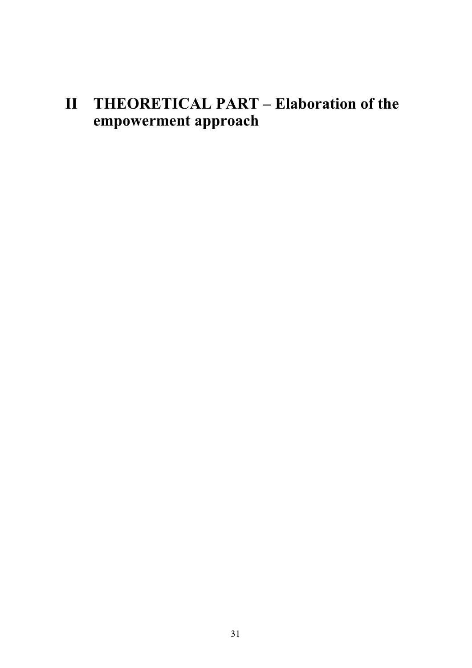# **II THEORETICAL PART – Elaboration of the empowerment approach**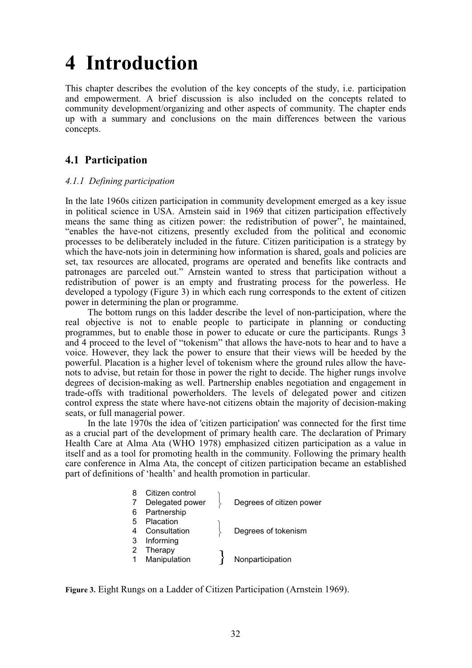# **4 Introduction**

This chapter describes the evolution of the key concepts of the study, i.e. participation and empowerment. A brief discussion is also included on the concepts related to community development/organizing and other aspects of community. The chapter ends up with a summary and conclusions on the main differences between the various concepts.

# **4.1 Participation**

# *4.1.1 Defining participation*

In the late 1960s citizen participation in community development emerged as a key issue in political science in USA. Arnstein said in 1969 that citizen participation effectively means the same thing as citizen power: the redistribution of power", he maintained, "enables the have-not citizens, presently excluded from the political and economic processes to be deliberately included in the future. Citizen pariticipation is a strategy by which the have-nots join in determining how information is shared, goals and policies are set, tax resources are allocated, programs are operated and benefits like contracts and patronages are parceled out." Arnstein wanted to stress that participation without a redistribution of power is an empty and frustrating process for the powerless. He developed a typology (Figure 3) in which each rung corresponds to the extent of citizen power in determining the plan or programme.

The bottom rungs on this ladder describe the level of non-participation, where the real objective is not to enable people to participate in planning or conducting programmes, but to enable those in power to educate or cure the participants. Rungs 3 and 4 proceed to the level of "tokenism" that allows the have-nots to hear and to have a voice. However, they lack the power to ensure that their views will be heeded by the powerful. Placation is a higher level of tokenism where the ground rules allow the havenots to advise, but retain for those in power the right to decide. The higher rungs involve degrees of decision-making as well. Partnership enables negotiation and engagement in trade-offs with traditional powerholders. The levels of delegated power and citizen control express the state where have-not citizens obtain the majority of decision-making seats, or full managerial power.

In the late 1970s the idea of 'citizen participation' was connected for the first time as a crucial part of the development of primary health care. The declaration of Primary Health Care at Alma Ata (WHO 1978) emphasized citizen participation as a value in itself and as a tool for promoting health in the community. Following the primary health care conference in Alma Ata, the concept of citizen participation became an established part of definitions of 'health' and health promotion in particular.

| 8 | Citizen control |                          |
|---|-----------------|--------------------------|
|   | Delegated power | Degrees of citizen power |
| 6 | Partnership     |                          |
| 5 | Placation       |                          |
|   | Consultation    | Degrees of tokenism      |
| 3 | Informing       |                          |
|   | Therapy         |                          |
|   | Manipulation    | Nonparticipation         |
|   |                 |                          |

**Figure 3.** Eight Rungs on a Ladder of Citizen Participation (Arnstein 1969).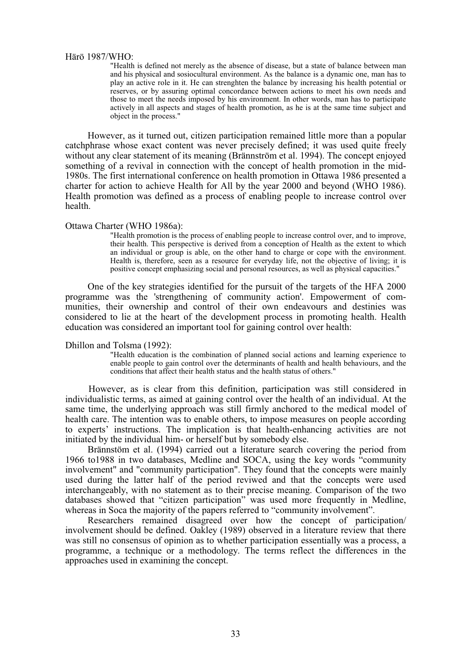#### Härö 1987/WHO:

"Health is defined not merely as the absence of disease, but a state of balance between man and his physical and sosiocultural environment. As the balance is a dynamic one, man has to play an active role in it. He can strenghten the balance by increasing his health potential or reserves, or by assuring optimal concordance between actions to meet his own needs and those to meet the needs imposed by his environment. In other words, man has to participate actively in all aspects and stages of health promotion, as he is at the same time subject and object in the process."

However, as it turned out, citizen participation remained little more than a popular catchphrase whose exact content was never precisely defined; it was used quite freely without any clear statement of its meaning (Brännström et al. 1994). The concept enjoyed something of a revival in connection with the concept of health promotion in the mid-1980s. The first international conference on health promotion in Ottawa 1986 presented a charter for action to achieve Health for All by the year 2000 and beyond (WHO 1986). Health promotion was defined as a process of enabling people to increase control over health.

#### Ottawa Charter (WHO 1986a):

"Health promotion is the process of enabling people to increase control over, and to improve, their health. This perspective is derived from a conception of Health as the extent to which an individual or group is able, on the other hand to charge or cope with the environment. Health is, therefore, seen as a resource for everyday life, not the objective of living; it is positive concept emphasizing social and personal resources, as well as physical capacities."

One of the key strategies identified for the pursuit of the targets of the HFA 2000 programme was the 'strengthening of community action'. Empowerment of communities, their ownership and control of their own endeavours and destinies was considered to lie at the heart of the development process in promoting health. Health education was considered an important tool for gaining control over health:

#### Dhillon and Tolsma (1992):

"Health education is the combination of planned social actions and learning experience to enable people to gain control over the determinants of health and health behaviours, and the conditions that affect their health status and the health status of others."

However, as is clear from this definition, participation was still considered in individualistic terms, as aimed at gaining control over the health of an individual. At the same time, the underlying approach was still firmly anchored to the medical model of health care. The intention was to enable others, to impose measures on people according to experts' instructions. The implication is that health-enhancing activities are not initiated by the individual him- or herself but by somebody else.

Brännstöm et al. (1994) carried out a literature search covering the period from 1966 to1988 in two databases, Medline and SOCA, using the key words "community involvement" and "community participation". They found that the concepts were mainly used during the latter half of the period reviwed and that the concepts were used interchangeably, with no statement as to their precise meaning. Comparison of the two databases showed that "citizen participation" was used more frequently in Medline, whereas in Soca the majority of the papers referred to "community involvement".

Researchers remained disagreed over how the concept of participation/ involvement should be defined. Oakley (1989) observed in a literature review that there was still no consensus of opinion as to whether participation essentially was a process, a programme, a technique or a methodology. The terms reflect the differences in the approaches used in examining the concept.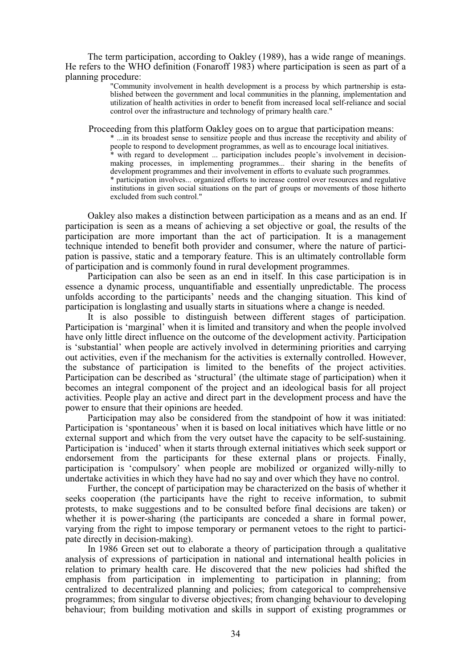The term participation, according to Oakley (1989), has a wide range of meanings. He refers to the WHO definition (Fonaroff 1983) where participation is seen as part of a planning procedure:

> "Community involvement in health development is a process by which partnership is established between the government and local communities in the planning, implementation and utilization of health activities in order to benefit from increased local self-reliance and social control over the infrastructure and technology of primary health care."

Proceeding from this platform Oakley goes on to argue that participation means:

\* ...in its broadest sense to sensitize people and thus increase the receptivity and ability of people to respond to development programmes, as well as to encourage local initiatives. with regard to development ... participation includes people's involvement in decisionmaking processes, in implementing programmes... their sharing in the benefits of development programmes and their involvement in efforts to evaluate such programmes. \* participation involves... organized efforts to increase control over resources and regulative institutions in given social situations on the part of groups or movements of those hitherto excluded from such control."

Oakley also makes a distinction between participation as a means and as an end. If participation is seen as a means of achieving a set objective or goal, the results of the participation are more important than the act of participation. It is a management technique intended to benefit both provider and consumer, where the nature of participation is passive, static and a temporary feature. This is an ultimately controllable form of participation and is commonly found in rural development programmes.

Participation can also be seen as an end in itself. In this case participation is in essence a dynamic process, unquantifiable and essentially unpredictable. The process unfolds according to the participants' needs and the changing situation. This kind of participation is longlasting and usually starts in situations where a change is needed.

It is also possible to distinguish between different stages of participation. Participation is 'marginal' when it is limited and transitory and when the people involved have only little direct influence on the outcome of the development activity. Participation is 'substantial' when people are actively involved in determining priorities and carrying out activities, even if the mechanism for the activities is externally controlled. However, the substance of participation is limited to the benefits of the project activities. Participation can be described as 'structural' (the ultimate stage of participation) when it becomes an integral component of the project and an ideological basis for all project activities. People play an active and direct part in the development process and have the power to ensure that their opinions are heeded.

Participation may also be considered from the standpoint of how it was initiated: Participation is 'spontaneous' when it is based on local initiatives which have little or no external support and which from the very outset have the capacity to be self-sustaining. Participation is 'induced' when it starts through external initiatives which seek support or endorsement from the participants for these external plans or projects. Finally, participation is 'compulsory' when people are mobilized or organized willy-nilly to undertake activities in which they have had no say and over which they have no control.

Further, the concept of participation may be characterized on the basis of whether it seeks cooperation (the participants have the right to receive information, to submit protests, to make suggestions and to be consulted before final decisions are taken) or whether it is power-sharing (the participants are conceded a share in formal power, varying from the right to impose temporary or permanent vetoes to the right to participate directly in decision-making).

In 1986 Green set out to elaborate a theory of participation through a qualitative analysis of expressions of participation in national and international health policies in relation to primary health care. He discovered that the new policies had shifted the emphasis from participation in implementing to participation in planning; from centralized to decentralized planning and policies; from categorical to comprehensive programmes; from singular to diverse objectives; from changing behaviour to developing behaviour; from building motivation and skills in support of existing programmes or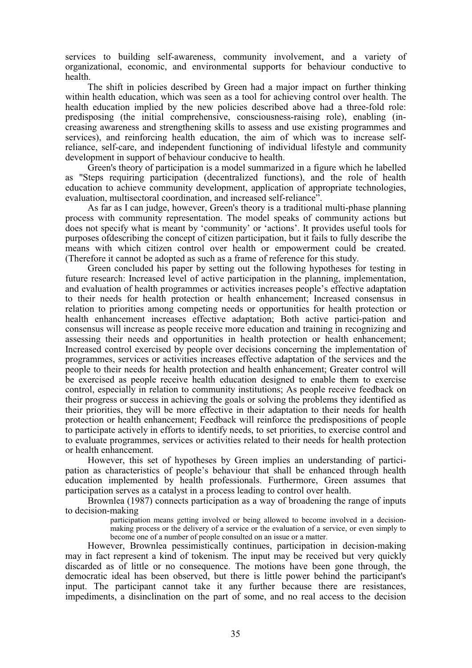services to building self-awareness, community involvement, and a variety of organizational, economic, and environmental supports for behaviour conductive to health.

The shift in policies described by Green had a major impact on further thinking within health education, which was seen as a tool for achieving control over health. The health education implied by the new policies described above had a three-fold role: predisposing (the initial comprehensive, consciousness-raising role), enabling (increasing awareness and strengthening skills to assess and use existing programmes and services), and reinforcing health education, the aim of which was to increase selfreliance, self-care, and independent functioning of individual lifestyle and community development in support of behaviour conducive to health.

Green's theory of participation is a model summarized in a figure which he labelled as "Steps requiring participation (decentralized functions), and the role of health education to achieve community development, application of appropriate technologies, evaluation, multisectoral coordination, and increased self-reliance".

As far as I can judge, however, Green's theory is a traditional multi-phase planning process with community representation. The model speaks of community actions but does not specify what is meant by 'community' or 'actions'. It provides useful tools for purposes ofdescribing the concept of citizen participation, but it fails to fully describe the means with which citizen control over health or empowerment could be created. (Therefore it cannot be adopted as such as a frame of reference for this study.

Green concluded his paper by setting out the following hypotheses for testing in future research: Increased level of active participation in the planning, implementation, and evaluation of health programmes or activities increases people's effective adaptation to their needs for health protection or health enhancement; Increased consensus in relation to priorities among competing needs or opportunities for health protection or health enhancement increases effective adaptation; Both active partici-pation and consensus will increase as people receive more education and training in recognizing and assessing their needs and opportunities in health protection or health enhancement; Increased control exercised by people over decisions concerning the implementation of programmes, services or activities increases effective adaptation of the services and the people to their needs for health protection and health enhancement; Greater control will be exercised as people receive health education designed to enable them to exercise control, especially in relation to community institutions; As people receive feedback on their progress or success in achieving the goals or solving the problems they identified as their priorities, they will be more effective in their adaptation to their needs for health protection or health enhancement; Feedback will reinforce the predispositions of people to participate actively in efforts to identify needs, to set priorities, to exercise control and to evaluate programmes, services or activities related to their needs for health protection or health enhancement.

However, this set of hypotheses by Green implies an understanding of participation as characteristics of people's behaviour that shall be enhanced through health education implemented by health professionals. Furthermore, Green assumes that participation serves as a catalyst in a process leading to control over health.

Brownlea (1987) connects participation as a way of broadening the range of inputs to decision-making

> participation means getting involved or being allowed to become involved in a decisionmaking process or the delivery of a service or the evaluation of a service, or even simply to become one of a number of people consulted on an issue or a matter.

However, Brownlea pessimistically continues, participation in decision-making may in fact represent a kind of tokenism. The input may be received but very quickly discarded as of little or no consequence. The motions have been gone through, the democratic ideal has been observed, but there is little power behind the participant's input. The participant cannot take it any further because there are resistances, impediments, a disinclination on the part of some, and no real access to the decision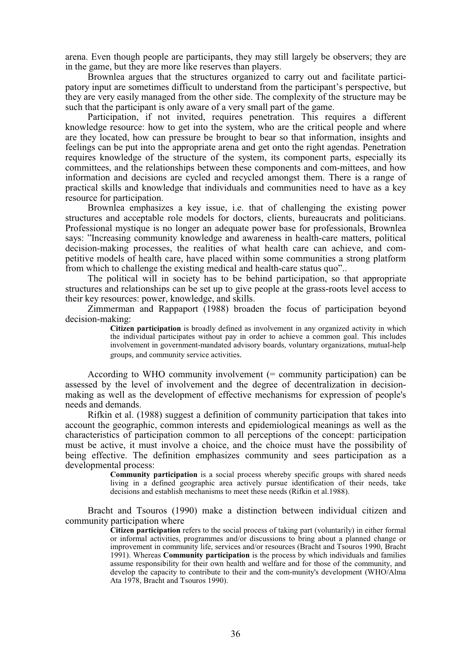arena. Even though people are participants, they may still largely be observers; they are in the game, but they are more like reserves than players.

Brownlea argues that the structures organized to carry out and facilitate participatory input are sometimes difficult to understand from the participant's perspective, but they are very easily managed from the other side. The complexity of the structure may be such that the participant is only aware of a very small part of the game.

Participation, if not invited, requires penetration. This requires a different knowledge resource: how to get into the system, who are the critical people and where are they located, how can pressure be brought to bear so that information, insights and feelings can be put into the appropriate arena and get onto the right agendas. Penetration requires knowledge of the structure of the system, its component parts, especially its committees, and the relationships between these components and com-mittees, and how information and decisions are cycled and recycled amongst them. There is a range of practical skills and knowledge that individuals and communities need to have as a key resource for participation.

Brownlea emphasizes a key issue, i.e. that of challenging the existing power structures and acceptable role models for doctors, clients, bureaucrats and politicians. Professional mystique is no longer an adequate power base for professionals, Brownlea says: "Increasing community knowledge and awareness in health-care matters, political decision-making processes, the realities of what health care can achieve, and competitive models of health care, have placed within some communities a strong platform from which to challenge the existing medical and health-care status quo"..

The political will in society has to be behind participation, so that appropriate structures and relationships can be set up to give people at the grass-roots level access to their key resources: power, knowledge, and skills.

Zimmerman and Rappaport (1988) broaden the focus of participation beyond decision-making:

> **Citizen participation** is broadly defined as involvement in any organized activity in which the individual participates without pay in order to achieve a common goal. This includes involvement in government-mandated advisory boards, voluntary organizations, mutual-help groups, and community service activities.

According to WHO community involvement (= community participation) can be assessed by the level of involvement and the degree of decentralization in decisionmaking as well as the development of effective mechanisms for expression of people's needs and demands.

Rifkin et al. (1988) suggest a definition of community participation that takes into account the geographic, common interests and epidemiological meanings as well as the characteristics of participation common to all perceptions of the concept: participation must be active, it must involve a choice, and the choice must have the possibility of being effective. The definition emphasizes community and sees participation as a developmental process:

> **Community participation** is a social process whereby specific groups with shared needs living in a defined geographic area actively pursue identification of their needs, take decisions and establish mechanisms to meet these needs (Rifkin et al.1988).

Bracht and Tsouros (1990) make a distinction between individual citizen and community participation where

> **Citizen participation** refers to the social process of taking part (voluntarily) in either formal or informal activities, programmes and/or discussions to bring about a planned change or improvement in community life, services and/or resources (Bracht and Tsouros 1990, Bracht 1991). Whereas **Community participation** is the process by which individuals and families assume responsibility for their own health and welfare and for those of the community, and develop the capacity to contribute to their and the com-munity's development (WHO/Alma Ata 1978, Bracht and Tsouros 1990).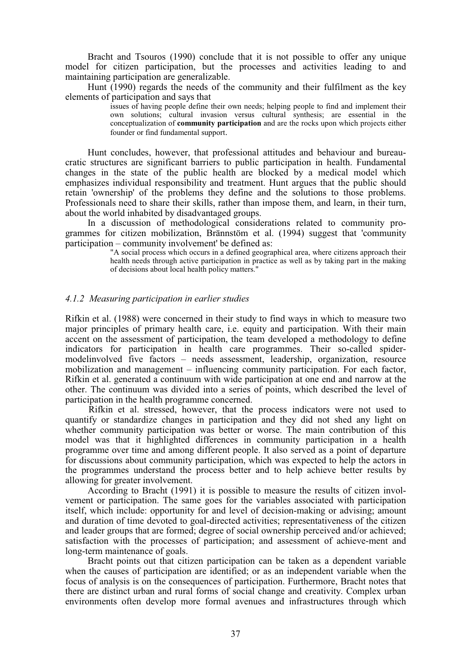Bracht and Tsouros (1990) conclude that it is not possible to offer any unique model for citizen participation, but the processes and activities leading to and maintaining participation are generalizable.

Hunt (1990) regards the needs of the community and their fulfilment as the key elements of participation and says that

issues of having people define their own needs; helping people to find and implement their own solutions; cultural invasion versus cultural synthesis; are essential in the conceptualization of **community participation** and are the rocks upon which projects either founder or find fundamental support.

Hunt concludes, however, that professional attitudes and behaviour and bureaucratic structures are significant barriers to public participation in health. Fundamental changes in the state of the public health are blocked by a medical model which emphasizes individual responsibility and treatment. Hunt argues that the public should retain 'ownership' of the problems they define and the solutions to those problems. Professionals need to share their skills, rather than impose them, and learn, in their turn, about the world inhabited by disadvantaged groups.

In a discussion of methodological considerations related to community programmes for citizen mobilization, Brännstöm et al. (1994) suggest that 'community participation – community involvement' be defined as:

> "A social process which occurs in a defined geographical area, where citizens approach their health needs through active participation in practice as well as by taking part in the making of decisions about local health policy matters."

## *4.1.2 Measuring participation in earlier studies*

Rifkin et al. (1988) were concerned in their study to find ways in which to measure two major principles of primary health care, i.e. equity and participation. With their main accent on the assessment of participation, the team developed a methodology to define indicators for participation in health care programmes. Their so-called spidermodelinvolved five factors – needs assessment, leadership, organization, resource mobilization and management – influencing community participation. For each factor, Rifkin et al. generated a continuum with wide participation at one end and narrow at the other. The continuum was divided into a series of points, which described the level of participation in the health programme concerned.

Rifkin et al. stressed, however, that the process indicators were not used to quantify or standardize changes in participation and they did not shed any light on whether community participation was better or worse. The main contribution of this model was that it highlighted differences in community participation in a health programme over time and among different people. It also served as a point of departure for discussions about community participation, which was expected to help the actors in the programmes understand the process better and to help achieve better results by allowing for greater involvement.

According to Bracht (1991) it is possible to measure the results of citizen involvement or participation. The same goes for the variables associated with participation itself, which include: opportunity for and level of decision-making or advising; amount and duration of time devoted to goal-directed activities; representativeness of the citizen and leader groups that are formed; degree of social ownership perceived and/or achieved; satisfaction with the processes of participation; and assessment of achieve-ment and long-term maintenance of goals.

Bracht points out that citizen participation can be taken as a dependent variable when the causes of participation are identified; or as an independent variable when the focus of analysis is on the consequences of participation. Furthermore, Bracht notes that there are distinct urban and rural forms of social change and creativity. Complex urban environments often develop more formal avenues and infrastructures through which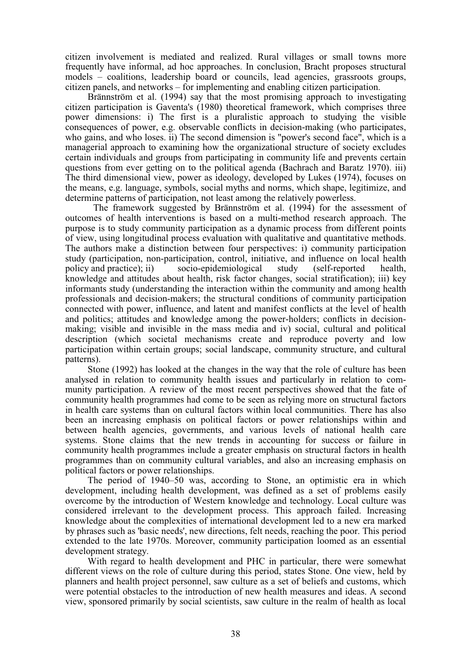citizen involvement is mediated and realized. Rural villages or small towns more frequently have informal, ad hoc approaches. In conclusion, Bracht proposes structural models – coalitions, leadership board or councils, lead agencies, grassroots groups, citizen panels, and networks – for implementing and enabling citizen participation.

Brännström et al. (1994) say that the most promising approach to investigating citizen participation is Gaventa's (1980) theoretical framework, which comprises three power dimensions: i) The first is a pluralistic approach to studying the visible consequences of power, e.g. observable conflicts in decision-making (who participates, who gains, and who loses. ii) The second dimension is "power's second face", which is a managerial approach to examining how the organizational structure of society excludes certain individuals and groups from participating in community life and prevents certain questions from ever getting on to the political agenda (Bachrach and Baratz 1970). iii) The third dimensional view, power as ideology, developed by Lukes (1974), focuses on the means, e.g. language, symbols, social myths and norms, which shape, legitimize, and determine patterns of participation, not least among the relatively powerless.

The framework suggested by Brännström et al. (1994) for the assessment of outcomes of health interventions is based on a multi-method research approach. The purpose is to study community participation as a dynamic process from different points of view, using longitudinal process evaluation with qualitative and quantitative methods. The authors make a distinction between four perspectives: i) community participation study (participation, non-participation, control, initiative, and influence on local health policy and practice); ii) socio-epidemiological study (self-reported health, knowledge and attitudes about health, risk factor changes, social stratification); iii) key informants study (understanding the interaction within the community and among health professionals and decision-makers; the structural conditions of community participation connected with power, influence, and latent and manifest conflicts at the level of health and politics; attitudes and knowledge among the power-holders; conflicts in decisionmaking; visible and invisible in the mass media and iv) social, cultural and political description (which societal mechanisms create and reproduce poverty and low participation within certain groups; social landscape, community structure, and cultural patterns).

Stone (1992) has looked at the changes in the way that the role of culture has been analysed in relation to community health issues and particularly in relation to community participation. A review of the most recent perspectives showed that the fate of community health programmes had come to be seen as relying more on structural factors in health care systems than on cultural factors within local communities. There has also been an increasing emphasis on political factors or power relationships within and between health agencies, governments, and various levels of national health care systems. Stone claims that the new trends in accounting for success or failure in community health programmes include a greater emphasis on structural factors in health programmes than on community cultural variables, and also an increasing emphasis on political factors or power relationships.

The period of 1940–50 was, according to Stone, an optimistic era in which development, including health development, was defined as a set of problems easily overcome by the introduction of Western knowledge and technology. Local culture was considered irrelevant to the development process. This approach failed. Increasing knowledge about the complexities of international development led to a new era marked by phrases such as 'basic needs', new directions, felt needs, reaching the poor. This period extended to the late 1970s. Moreover, community participation loomed as an essential development strategy.

With regard to health development and PHC in particular, there were somewhat different views on the role of culture during this period, states Stone. One view, held by planners and health project personnel, saw culture as a set of beliefs and customs, which were potential obstacles to the introduction of new health measures and ideas. A second view, sponsored primarily by social scientists, saw culture in the realm of health as local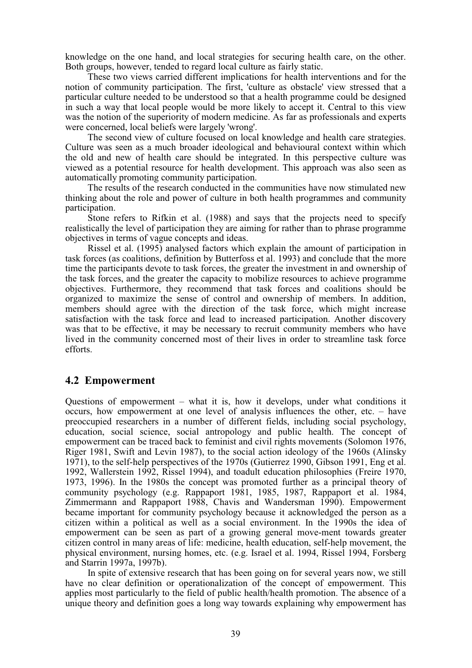knowledge on the one hand, and local strategies for securing health care, on the other. Both groups, however, tended to regard local culture as fairly static.

These two views carried different implications for health interventions and for the notion of community participation. The first, 'culture as obstacle' view stressed that a particular culture needed to be understood so that a health programme could be designed in such a way that local people would be more likely to accept it. Central to this view was the notion of the superiority of modern medicine. As far as professionals and experts were concerned, local beliefs were largely 'wrong'.

The second view of culture focused on local knowledge and health care strategies. Culture was seen as a much broader ideological and behavioural context within which the old and new of health care should be integrated. In this perspective culture was viewed as a potential resource for health development. This approach was also seen as automatically promoting community participation.

The results of the research conducted in the communities have now stimulated new thinking about the role and power of culture in both health programmes and community participation.

Stone refers to Rifkin et al. (1988) and says that the projects need to specify realistically the level of participation they are aiming for rather than to phrase programme objectives in terms of vague concepts and ideas.

Rissel et al. (1995) analysed factors which explain the amount of participation in task forces (as coalitions, definition by Butterfoss et al. 1993) and conclude that the more time the participants devote to task forces, the greater the investment in and ownership of the task forces, and the greater the capacity to mobilize resources to achieve programme objectives. Furthermore, they recommend that task forces and coalitions should be organized to maximize the sense of control and ownership of members. In addition, members should agree with the direction of the task force, which might increase satisfaction with the task force and lead to increased participation. Another discovery was that to be effective, it may be necessary to recruit community members who have lived in the community concerned most of their lives in order to streamline task force efforts.

# **4.2 Empowerment**

Questions of empowerment – what it is, how it develops, under what conditions it occurs, how empowerment at one level of analysis influences the other, etc. – have preoccupied researchers in a number of different fields, including social psychology, education, social science, social antropology and public health. The concept of empowerment can be traced back to feminist and civil rights movements (Solomon 1976, Riger 1981, Swift and Levin 1987), to the social action ideology of the 1960s (Alinsky 1971), to the self-help perspectives of the 1970s (Gutierrez 1990, Gibson 1991, Eng et al. 1992, Wallerstein 1992, Rissel 1994), and toadult education philosophies (Freire 1970, 1973, 1996). In the 1980s the concept was promoted further as a principal theory of community psychology (e.g. Rappaport 1981, 1985, 1987, Rappaport et al. 1984, Zimmermann and Rappaport 1988, Chavis and Wandersman 1990). Empowerment became important for community psychology because it acknowledged the person as a citizen within a political as well as a social environment. In the 1990s the idea of empowerment can be seen as part of a growing general move-ment towards greater citizen control in many areas of life: medicine, health education, self-help movement, the physical environment, nursing homes, etc. (e.g. Israel et al. 1994, Rissel 1994, Forsberg and Starrin 1997a, 1997b).

In spite of extensive research that has been going on for several years now, we still have no clear definition or operationalization of the concept of empowerment. This applies most particularly to the field of public health/health promotion. The absence of a unique theory and definition goes a long way towards explaining why empowerment has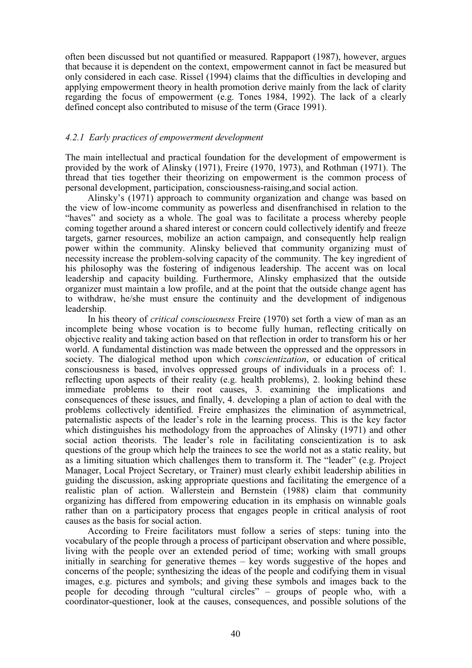often been discussed but not quantified or measured. Rappaport (1987), however, argues that because it is dependent on the context, empowerment cannot in fact be measured but only considered in each case. Rissel (1994) claims that the difficulties in developing and applying empowerment theory in health promotion derive mainly from the lack of clarity regarding the focus of empowerment (e.g. Tones 1984, 1992). The lack of a clearly defined concept also contributed to misuse of the term (Grace 1991).

## *4.2.1 Early practices of empowerment development*

The main intellectual and practical foundation for the development of empowerment is provided by the work of Alinsky (1971), Freire (1970, 1973), and Rothman (1971). The thread that ties together their theorizing on empowerment is the common process of personal development, participation, consciousness-raising,and social action.

Alinsky's (1971) approach to community organization and change was based on the view of low-income community as powerless and disenfranchised in relation to the "haves" and society as a whole. The goal was to facilitate a process whereby people coming together around a shared interest or concern could collectively identify and freeze targets, garner resources, mobilize an action campaign, and consequently help realign power within the community. Alinsky believed that community organizing must of necessity increase the problem-solving capacity of the community. The key ingredient of his philosophy was the fostering of indigenous leadership. The accent was on local leadership and capacity building. Furthermore, Alinsky emphasized that the outside organizer must maintain a low profile, and at the point that the outside change agent has to withdraw, he/she must ensure the continuity and the development of indigenous leadership.

In his theory of *critical consciousness* Freire (1970) set forth a view of man as an incomplete being whose vocation is to become fully human, reflecting critically on objective reality and taking action based on that reflection in order to transform his or her world. A fundamental distinction was made between the oppressed and the oppressors in society. The dialogical method upon which *conscientization*, or education of critical consciousness is based, involves oppressed groups of individuals in a process of: 1. reflecting upon aspects of their reality (e.g. health problems), 2. looking behind these immediate problems to their root causes, 3. examining the implications and consequences of these issues, and finally, 4. developing a plan of action to deal with the problems collectively identified. Freire emphasizes the elimination of asymmetrical, paternalistic aspects of the leader's role in the learning process. This is the key factor which distinguishes his methodology from the approaches of Alinsky (1971) and other social action theorists. The leader's role in facilitating conscientization is to ask questions of the group which help the trainees to see the world not as a static reality, but as a limiting situation which challenges them to transform it. The "leader" (e.g. Project Manager, Local Project Secretary, or Trainer) must clearly exhibit leadership abilities in guiding the discussion, asking appropriate questions and facilitating the emergence of a realistic plan of action. Wallerstein and Bernstein (1988) claim that community organizing has differed from empowering education in its emphasis on winnable goals rather than on a participatory process that engages people in critical analysis of root causes as the basis for social action.

According to Freire facilitators must follow a series of steps: tuning into the vocabulary of the people through a process of participant observation and where possible, living with the people over an extended period of time; working with small groups initially in searching for generative themes – key words suggestive of the hopes and concerns of the people; synthesizing the ideas of the people and codifying them in visual images, e.g. pictures and symbols; and giving these symbols and images back to the people for decoding through "cultural circles" – groups of people who, with a coordinator-questioner, look at the causes, consequences, and possible solutions of the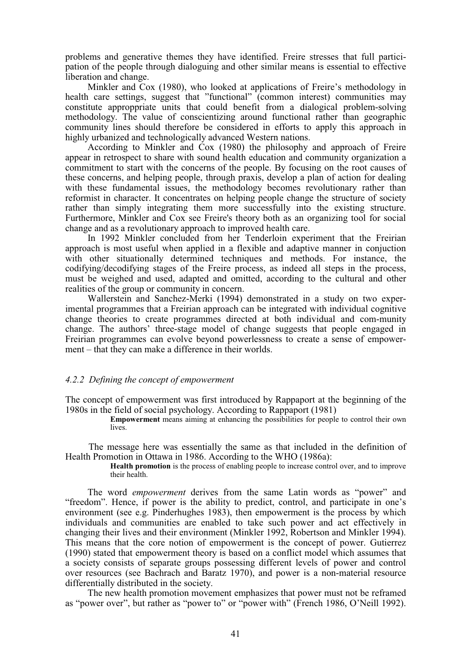problems and generative themes they have identified. Freire stresses that full participation of the people through dialoguing and other similar means is essential to effective liberation and change.

Minkler and Cox (1980), who looked at applications of Freire's methodology in health care settings, suggest that "functional" (common interest) communities may constitute approppriate units that could benefit from a dialogical problem-solving methodology. The value of conscientizing around functional rather than geographic community lines should therefore be considered in efforts to apply this approach in highly urbanized and technologically advanced Western nations.

According to Minkler and Cox (1980) the philosophy and approach of Freire appear in retrospect to share with sound health education and community organization a commitment to start with the concerns of the people. By focusing on the root causes of these concerns, and helping people, through praxis, develop a plan of action for dealing with these fundamental issues, the methodology becomes revolutionary rather than reformist in character. It concentrates on helping people change the structure of society rather than simply integrating them more successfully into the existing structure. Furthermore, Minkler and Cox see Freire's theory both as an organizing tool for social change and as a revolutionary approach to improved health care.

In 1992 Minkler concluded from her Tenderloin experiment that the Freirian approach is most useful when applied in a flexible and adaptive manner in conjuction with other situationally determined techniques and methods. For instance, the codifying/decodifying stages of the Freire process, as indeed all steps in the process, must be weighed and used, adapted and omitted, according to the cultural and other realities of the group or community in concern.

Wallerstein and Sanchez-Merki (1994) demonstrated in a study on two experimental programmes that a Freirian approach can be integrated with individual cognitive change theories to create programmes directed at both individual and com-munity change. The authors' three-stage model of change suggests that people engaged in Freirian programmes can evolve beyond powerlessness to create a sense of empowerment – that they can make a difference in their worlds.

## *4.2.2 Defining the concept of empowerment*

The concept of empowerment was first introduced by Rappaport at the beginning of the 1980s in the field of social psychology. According to Rappaport (1981)

**Empowerment** means aiming at enhancing the possibilities for people to control their own lives.

The message here was essentially the same as that included in the definition of Health Promotion in Ottawa in 1986. According to the WHO (1986a):

> **Health promotion** is the process of enabling people to increase control over, and to improve their health.

The word *empowerment* derives from the same Latin words as "power" and "freedom". Hence, if power is the ability to predict, control, and participate in one's environment (see e.g. Pinderhughes 1983), then empowerment is the process by which individuals and communities are enabled to take such power and act effectively in changing their lives and their environment (Minkler 1992, Robertson and Minkler 1994). This means that the core notion of empowerment is the concept of power. Gutierrez (1990) stated that empowerment theory is based on a conflict model which assumes that a society consists of separate groups possessing different levels of power and control over resources (see Bachrach and Baratz 1970), and power is a non-material resource differentially distributed in the society.

The new health promotion movement emphasizes that power must not be reframed as "power over", but rather as "power to" or "power with" (French 1986, O'Neill 1992).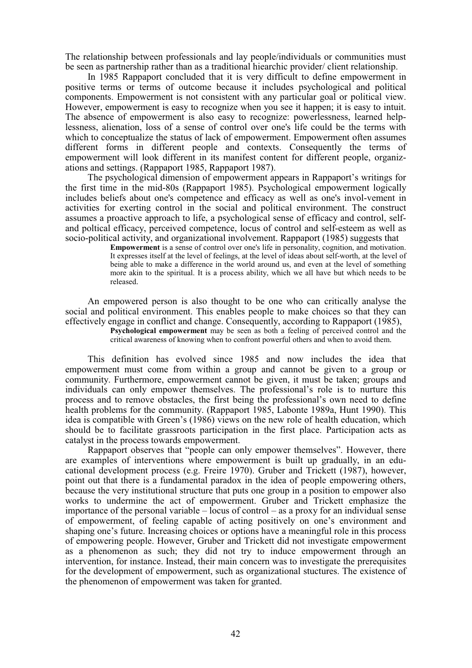The relationship between professionals and lay people/individuals or communities must be seen as partnership rather than as a traditional hiearchic provider/ client relationship.

In 1985 Rappaport concluded that it is very difficult to define empowerment in positive terms or terms of outcome because it includes psychological and political components. Empowerment is not consistent with any particular goal or political view. However, empowerment is easy to recognize when you see it happen; it is easy to intuit. The absence of empowerment is also easy to recognize: powerlessness, learned helplessness, alienation, loss of a sense of control over one's life could be the terms with which to conceptualize the status of lack of empowerment. Empowerment often assumes different forms in different people and contexts. Consequently the terms of empowerment will look different in its manifest content for different people, organizations and settings. (Rappaport 1985, Rappaport 1987).

The psychological dimension of empowerment appears in Rappaport's writings for the first time in the mid-80s (Rappaport 1985). Psychological empowerment logically includes beliefs about one's competence and efficacy as well as one's invol-vement in activities for exerting control in the social and political environment. The construct assumes a proactive approach to life, a psychological sense of efficacy and control, selfand poltical efficacy, perceived competence, locus of control and self-esteem as well as socio-political activity, and organizational involvement. Rappaport (1985) suggests that

**Empowerment** is a sense of control over one's life in personality, cognition, and motivation. It expresses itself at the level of feelings, at the level of ideas about self-worth, at the level of being able to make a difference in the world around us, and even at the level of something more akin to the spiritual. It is a process ability, which we all have but which needs to be released.

An empowered person is also thought to be one who can critically analyse the social and political environment. This enables people to make choices so that they can effectively engage in conflict and change. Consequently, according to Rappaport (1985), **Psychological empowerment** may be seen as both a feeling of perceived control and the

critical awareness of knowing when to confront powerful others and when to avoid them.

This definition has evolved since 1985 and now includes the idea that empowerment must come from within a group and cannot be given to a group or community. Furthermore, empowerment cannot be given, it must be taken; groups and individuals can only empower themselves. The professional's role is to nurture this process and to remove obstacles, the first being the professional's own need to define health problems for the community. (Rappaport 1985, Labonte 1989a, Hunt 1990). This idea is compatible with Green's (1986) views on the new role of health education, which should be to facilitate grassroots participation in the first place. Participation acts as catalyst in the process towards empowerment.

Rappaport observes that "people can only empower themselves". However, there are examples of interventions where empowerment is built up gradually, in an educational development process (e.g. Freire 1970). Gruber and Trickett (1987), however, point out that there is a fundamental paradox in the idea of people empowering others, because the very institutional structure that puts one group in a position to empower also works to undermine the act of empowerment. Gruber and Trickett emphasize the importance of the personal variable – locus of control – as a proxy for an individual sense of empowerment, of feeling capable of acting positively on one's environment and shaping one's future. Increasing choices or options have a meaningful role in this process of empowering people. However, Gruber and Trickett did not investigate empowerment as a phenomenon as such; they did not try to induce empowerment through an intervention, for instance. Instead, their main concern was to investigate the prerequisites for the development of empowerment, such as organizational stuctures. The existence of the phenomenon of empowerment was taken for granted.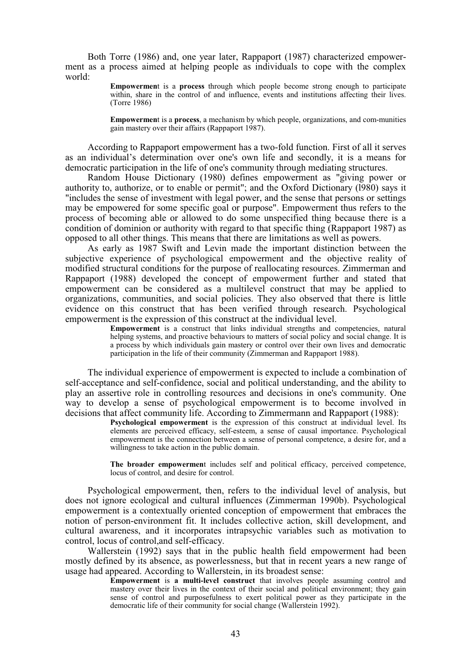Both Torre (1986) and, one year later, Rappaport (1987) characterized empowerment as a process aimed at helping people as individuals to cope with the complex world:

> **Empowermen**t is a **process** through which people become strong enough to participate within, share in the control of and influence, events and institutions affecting their lives. (Torre 1986)

> **Empowermen**t is a **process**, a mechanism by which people, organizations, and com-munities gain mastery over their affairs (Rappaport 1987).

According to Rappaport empowerment has a two-fold function. First of all it serves as an individual's determination over one's own life and secondly, it is a means for democratic participation in the life of one's community through mediating structures.

Random House Dictionary (1980) defines empowerment as "giving power or authority to, authorize, or to enable or permit"; and the Oxford Dictionary (l980) says it "includes the sense of investment with legal power, and the sense that persons or settings may be empowered for some specific goal or purpose". Empowerment thus refers to the process of becoming able or allowed to do some unspecified thing because there is a condition of dominion or authority with regard to that specific thing (Rappaport 1987) as opposed to all other things. This means that there are limitations as well as powers.

As early as 1987 Swift and Levin made the important distinction between the subjective experience of psychological empowerment and the objective reality of modified structural conditions for the purpose of reallocating resources. Zimmerman and Rappaport (1988) developed the concept of empowerment further and stated that empowerment can be considered as a multilevel construct that may be applied to organizations, communities, and social policies. They also observed that there is little evidence on this construct that has been verified through research. Psychological empowerment is the expression of this construct at the individual level.

**Empowerment** is a construct that links individual strengths and competencies, natural helping systems, and proactive behaviours to matters of social policy and social change. It is a process by which individuals gain mastery or control over their own lives and democratic participation in the life of their community (Zimmerman and Rappaport 1988).

The individual experience of empowerment is expected to include a combination of self-acceptance and self-confidence, social and political understanding, and the ability to play an assertive role in controlling resources and decisions in one's community. One way to develop a sense of psychological empowerment is to become involved in decisions that affect community life. According to Zimmermann and Rappaport (1988):

> **Psychological empowerment** is the expression of this construct at individual level. Its elements are perceived efficacy, self-esteem, a sense of causal importance. Psychological empowerment is the connection between a sense of personal competence, a desire for, and a willingness to take action in the public domain.

> **The broader empowermen**t includes self and political efficacy, perceived competence, locus of control, and desire for control.

Psychological empowerment, then, refers to the individual level of analysis, but does not ignore ecological and cultural influences (Zimmerman 1990b). Psychological empowerment is a contextually oriented conception of empowerment that embraces the notion of person-environment fit. It includes collective action, skill development, and cultural awareness, and it incorporates intrapsychic variables such as motivation to control, locus of control,and self-efficacy.

Wallerstein (1992) says that in the public health field empowerment had been mostly defined by its absence, as powerlessness, but that in recent years a new range of usage had appeared. According to Wallerstein, in its broadest sense:

**Empowerment** is **a** multi-level construct that involves people assuming control and mastery over their lives in the context of their social and political environment; they gain sense of control and purposefulness to exert political power as they participate in the democratic life of their community for social change (Wallerstein 1992).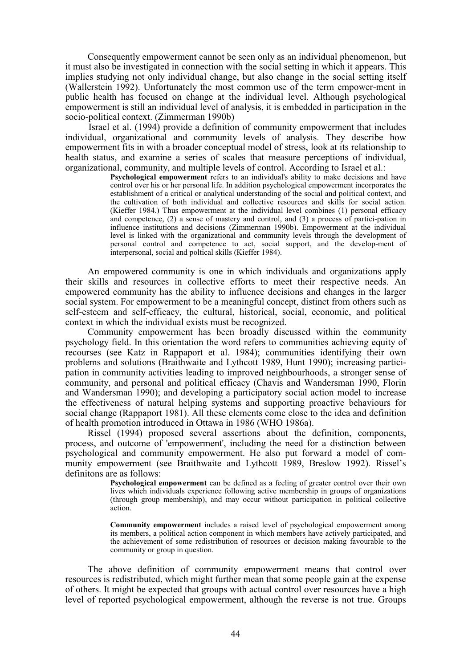Consequently empowerment cannot be seen only as an individual phenomenon, but it must also be investigated in connection with the social setting in which it appears. This implies studying not only individual change, but also change in the social setting itself (Wallerstein 1992). Unfortunately the most common use of the term empower-ment in public health has focused on change at the individual level. Although psychological empowerment is still an individual level of analysis, it is embedded in participation in the socio-political context. (Zimmerman 1990b)

Israel et al. (1994) provide a definition of community empowerment that includes individual, organizational and community levels of analysis. They describe how empowerment fits in with a broader conceptual model of stress, look at its relationship to health status, and examine a series of scales that measure perceptions of individual, organizational, community, and multiple levels of control. According to Israel et al.:

> **Psychological empowerment** refers to an individual's ability to make decisions and have control over his or her personal life. In addition psychological empowerment incorporates the establishment of a critical or analytical understanding of the social and political context, and the cultivation of both individual and collective resources and skills for social action. (Kieffer 1984.) Thus empowerment at the individual level combines (1) personal efficacy and competence, (2) a sense of mastery and control, and (3) a process of partici-pation in influence institutions and decisions (Zimmerman 1990b). Empowerment at the individual level is linked with the organizational and community levels through the development of personal control and competence to act, social support, and the develop-ment of interpersonal, social and poltical skills (Kieffer 1984).

An empowered community is one in which individuals and organizations apply their skills and resources in collective efforts to meet their respective needs. An empowered community has the ability to influence decisions and changes in the larger social system. For empowerment to be a meaningful concept, distinct from others such as self-esteem and self-efficacy, the cultural, historical, social, economic, and political context in which the individual exists must be recognized.

Community empowerment has been broadly discussed within the community psychology field. In this orientation the word refers to communities achieving equity of recourses (see Katz in Rappaport et al. 1984); communities identifying their own problems and solutions (Braithwaite and Lythcott 1989, Hunt 1990); increasing participation in community activities leading to improved neighbourhoods, a stronger sense of community, and personal and political efficacy (Chavis and Wandersman 1990, Florin and Wandersman 1990); and developing a participatory social action model to increase the effectiveness of natural helping systems and supporting proactive behaviours for social change (Rappaport 1981). All these elements come close to the idea and definition of health promotion introduced in Ottawa in 1986 (WHO 1986a).

Rissel (1994) proposed several assertions about the definition, components, process, and outcome of 'empowerment', including the need for a distinction between psychological and community empowerment. He also put forward a model of community empowerment (see Braithwaite and Lythcott 1989, Breslow 1992). Rissel's definitons are as follows:

> **Psychological empowerment** can be defined as a feeling of greater control over their own lives which individuals experience following active membership in groups of organizations (through group membership), and may occur without participation in political collective action.

> **Community empowerment** includes a raised level of psychological empowerment among its members, a political action component in which members have actively participated, and the achievement of some redistribution of resources or decision making favourable to the community or group in question.

The above definition of community empowerment means that control over resources is redistributed, which might further mean that some people gain at the expense of others. It might be expected that groups with actual control over resources have a high level of reported psychological empowerment, although the reverse is not true. Groups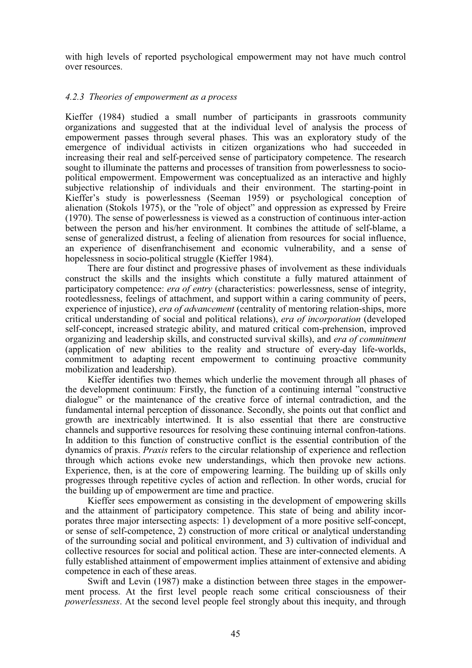with high levels of reported psychological empowerment may not have much control over resources.

# *4.2.3 Theories of empowerment as a process*

Kieffer (1984) studied a small number of participants in grassroots community organizations and suggested that at the individual level of analysis the process of empowerment passes through several phases. This was an exploratory study of the emergence of individual activists in citizen organizations who had succeeded in increasing their real and self-perceived sense of participatory competence. The research sought to illuminate the patterns and processes of transition from powerlessness to sociopolitical empowerment. Empowerment was conceptualized as an interactive and highly subjective relationship of individuals and their environment. The starting-point in Kieffer's study is powerlessness (Seeman 1959) or psychological conception of alienation (Stokols 1975), or the "role of object" and oppression as expressed by Freire (1970). The sense of powerlessness is viewed as a construction of continuous inter-action between the person and his/her environment. It combines the attitude of self-blame, a sense of generalized distrust, a feeling of alienation from resources for social influence, an experience of disenfranchisement and economic vulnerability, and a sense of hopelessness in socio-political struggle (Kieffer 1984).

There are four distinct and progressive phases of involvement as these individuals construct the skills and the insights which constitute a fully matured attainment of participatory competence: *era of entry* (characteristics: powerlessness, sense of integrity, rootedlessness, feelings of attachment, and support within a caring community of peers, experience of injustice), *era of advancement* (centrality of mentoring relation-ships, more critical understanding of social and political relations), *era of incorporation* (developed self-concept, increased strategic ability, and matured critical com-prehension, improved organizing and leadership skills, and constructed survival skills), and *era of commitment* (application of new abilities to the reality and structure of every-day life-worlds, commitment to adapting recent empowerment to continuing proactive community mobilization and leadership).

Kieffer identifies two themes which underlie the movement through all phases of the development continuum: Firstly, the function of a continuing internal "constructive dialogue" or the maintenance of the creative force of internal contradiction, and the fundamental internal perception of dissonance. Secondly, she points out that conflict and growth are inextricably intertwined. It is also essential that there are constructive channels and supportive resources for resolving these continuing internal confron-tations. In addition to this function of constructive conflict is the essential contribution of the dynamics of praxis. *Praxis* refers to the circular relationship of experience and reflection through which actions evoke new understandings, which then provoke new actions. Experience, then, is at the core of empowering learning. The building up of skills only progresses through repetitive cycles of action and reflection. In other words, crucial for the building up of empowerment are time and practice.

Kieffer sees empowerment as consisting in the development of empowering skills and the attainment of participatory competence. This state of being and ability incorporates three major intersecting aspects: 1) development of a more positive self-concept, or sense of self-competence, 2) construction of more critical or analytical understanding of the surrounding social and political environment, and 3) cultivation of individual and collective resources for social and political action. These are inter-connected elements. A fully established attainment of empowerment implies attainment of extensive and abiding competence in each of these areas.

Swift and Levin (1987) make a distinction between three stages in the empowerment process. At the first level people reach some critical consciousness of their *powerlessness*. At the second level people feel strongly about this inequity, and through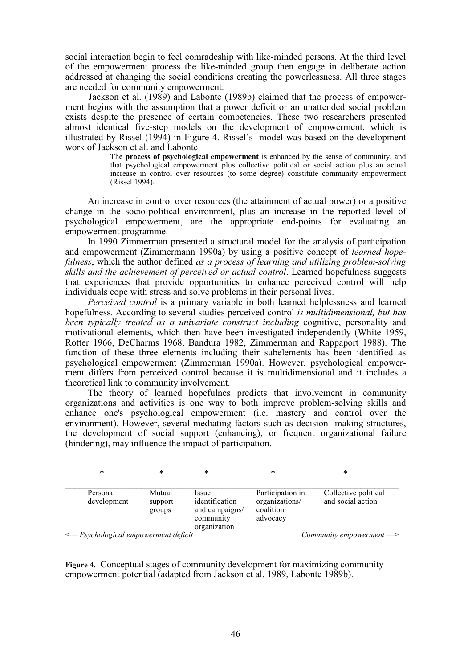social interaction begin to feel comradeship with like-minded persons. At the third level of the empowerment process the like-minded group then engage in deliberate action addressed at changing the social conditions creating the powerlessness. All three stages are needed for community empowerment.

Jackson et al. (1989) and Labonte (1989b) claimed that the process of empowerment begins with the assumption that a power deficit or an unattended social problem exists despite the presence of certain competencies. These two researchers presented almost identical five-step models on the development of empowerment, which is illustrated by Rissel (1994) in Figure 4. Rissel's model was based on the development work of Jackson et al. and Labonte.

> The **process of psychological empowerment** is enhanced by the sense of community, and that psychological empowerment plus collective political or social action plus an actual increase in control over resources (to some degree) constitute community empowerment (Rissel 1994).

An increase in control over resources (the attainment of actual power) or a positive change in the socio-political environment, plus an increase in the reported level of psychological empowerment, are the appropriate end-points for evaluating an empowerment programme.

In 1990 Zimmerman presented a structural model for the analysis of participation and empowerment (Zimmermann 1990a) by using a positive concept of *learned hopefulness*, which the author defined *as a process of learning and utilizing problem-solving skills and the achievement of perceived or actual control*. Learned hopefulness suggests that experiences that provide opportunities to enhance perceived control will help individuals cope with stress and solve problems in their personal lives.

*Perceived control* is a primary variable in both learned helplessness and learned hopefulness. According to several studies perceived control *is multidimensional, but has been typically treated as a univariate construct including cognitive, personality and* motivational elements, which then have been investigated independently (White 1959, Rotter 1966, DeCharms 1968, Bandura 1982, Zimmerman and Rappaport 1988). The function of these three elements including their subelements has been identified as psychological empowerment (Zimmerman 1990a). However, psychological empowerment differs from perceived control because it is multidimensional and it includes a theoretical link to community involvement.

The theory of learned hopefulnes predicts that involvement in community organizations and activities is one way to both improve problem-solving skills and enhance one's psychological empowerment (i.e. mastery and control over the environment). However, several mediating factors such as decision -making structures, the development of social support (enhancing), or frequent organizational failure (hindering), may influence the impact of participation.

 $\begin{matrix} * & * \end{matrix}$  \*  $\begin{matrix} * & * \end{matrix}$  \*  $\begin{matrix} * & * \end{matrix}$ 

| Personal<br>development               | Mutual<br>support<br>groups | <i>ssue</i><br>identification<br>and campaigns/<br>community<br>organization | Participation in<br>organizations/<br>coalition<br>advocacy | Collective political<br>and social action |  |
|---------------------------------------|-----------------------------|------------------------------------------------------------------------------|-------------------------------------------------------------|-------------------------------------------|--|
| <-- Psychological empowerment deficit |                             |                                                                              | Community empowerment -                                     |                                           |  |

**Figure 4.** Conceptual stages of community development for maximizing community empowerment potential (adapted from Jackson et al. 1989, Labonte 1989b).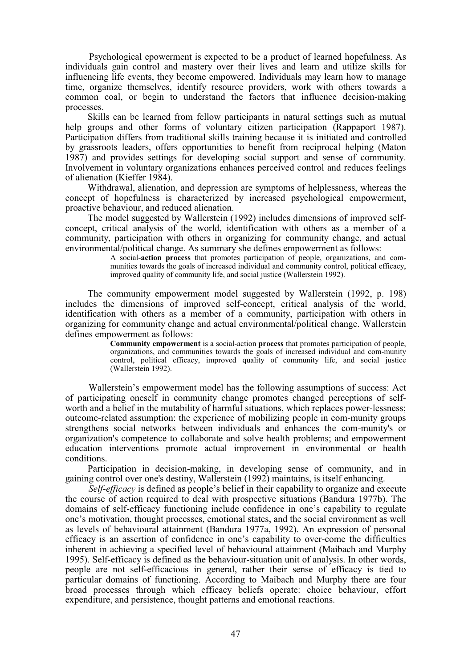Psychological epowerment is expected to be a product of learned hopefulness. As individuals gain control and mastery over their lives and learn and utilize skills for influencing life events, they become empowered. Individuals may learn how to manage time, organize themselves, identify resource providers, work with others towards a common coal, or begin to understand the factors that influence decision-making processes.

Skills can be learned from fellow participants in natural settings such as mutual help groups and other forms of voluntary citizen participation (Rappaport 1987). Participation differs from traditional skills training because it is initiated and controlled by grassroots leaders, offers opportunities to benefit from reciprocal helping (Maton 1987) and provides settings for developing social support and sense of community. Involvement in voluntary organizations enhances perceived control and reduces feelings of alienation (Kieffer 1984).

Withdrawal, alienation, and depression are symptoms of helplessness, whereas the concept of hopefulness is characterized by increased psychological empowerment, proactive behaviour, and reduced alienation.

The model suggested by Wallerstein (1992) includes dimensions of improved selfconcept, critical analysis of the world, identification with others as a member of a community, participation with others in organizing for community change, and actual environmental/political change. As summary she defines empowerment as follows:

> A social-**action process** that promotes participation of people, organizations, and communities towards the goals of increased individual and community control, political efficacy, improved quality of community life, and social justice (Wallerstein 1992).

The community empowerment model suggested by Wallerstein (1992, p. 198) includes the dimensions of improved self-concept, critical analysis of the world, identification with others as a member of a community, participation with others in organizing for community change and actual environmental/political change. Wallerstein defines empowerment as follows:

> **Community empowerment** is a social-action **process** that promotes participation of people, organizations, and communities towards the goals of increased individual and com-munity control, political efficacy, improved quality of community life, and social justice (Wallerstein 1992).

Wallerstein's empowerment model has the following assumptions of success: Act of participating oneself in community change promotes changed perceptions of selfworth and a belief in the mutability of harmful situations, which replaces power-lessness; outcome-related assumption: the experience of mobilizing people in com-munity groups strengthens social networks between individuals and enhances the com-munity's or organization's competence to collaborate and solve health problems; and empowerment education interventions promote actual improvement in environmental or health conditions.

Participation in decision-making, in developing sense of community, and in gaining control over one's destiny, Wallerstein (1992) maintains, is itself enhancing.

*Self-efficacy* is defined as people's belief in their capability to organize and execute the course of action required to deal with prospective situations (Bandura 1977b). The domains of self-efficacy functioning include confidence in one's capability to regulate one's motivation, thought processes, emotional states, and the social environment as well as levels of behavioural attainment (Bandura 1977a, 1992). An expression of personal efficacy is an assertion of confidence in one's capability to over-come the difficulties inherent in achieving a specified level of behavioural attainment (Maibach and Murphy 1995). Self-efficacy is defined as the behaviour-situation unit of analysis. In other words, people are not self-efficacious in general, rather their sense of efficacy is tied to particular domains of functioning. According to Maibach and Murphy there are four broad processes through which efficacy beliefs operate: choice behaviour, effort expenditure, and persistence, thought patterns and emotional reactions.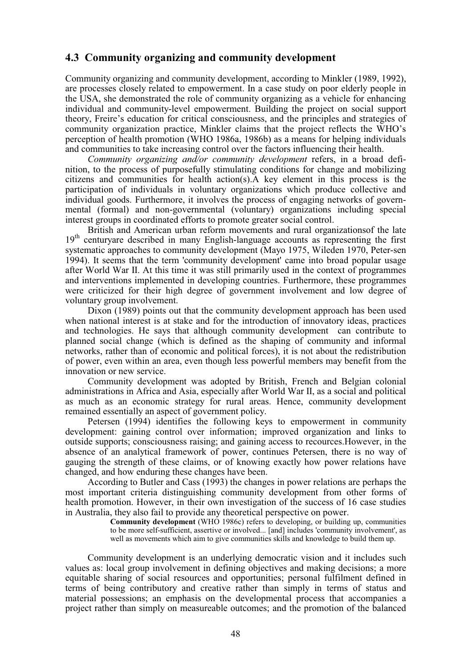# **4.3 Community organizing and community development**

Community organizing and community development, according to Minkler (1989, 1992), are processes closely related to empowerment. In a case study on poor elderly people in the USA, she demonstrated the role of community organizing as a vehicle for enhancing individual and community-level empowerment. Building the project on social support theory, Freire's education for critical consciousness, and the principles and strategies of community organization practice, Minkler claims that the project reflects the WHO's perception of health promotion (WHO 1986a, 1986b) as a means for helping individuals and communities to take increasing control over the factors influencing their health.

*Community organizing and/or community development* refers, in a broad definition, to the process of purposefully stimulating conditions for change and mobilizing citizens and communities for health action(s).A key element in this process is the participation of individuals in voluntary organizations which produce collective and individual goods. Furthermore, it involves the process of engaging networks of governmental (formal) and non-governmental (voluntary) organizations including special interest groups in coordinated efforts to promote greater social control.

British and American urban reform movements and rural organizationsof the late 19<sup>th</sup> centuryare described in many English-language accounts as representing the first systematic approaches to community development (Mayo 1975, Wileden 1970, Peter-sen 1994). It seems that the term 'community development' came into broad popular usage after World War II. At this time it was still primarily used in the context of programmes and interventions implemented in developing countries. Furthermore, these programmes were criticized for their high degree of government involvement and low degree of voluntary group involvement.

Dixon (1989) points out that the community development approach has been used when national interest is at stake and for the introduction of innovatory ideas, practices and technologies. He says that although community development can contribute to planned social change (which is defined as the shaping of community and informal networks, rather than of economic and political forces), it is not about the redistribution of power, even within an area, even though less powerful members may benefit from the innovation or new service.

Community development was adopted by British, French and Belgian colonial administrations in Africa and Asia, especially after World War II, as a social and political as much as an economic strategy for rural areas. Hence, community development remained essentially an aspect of government policy.

Petersen (1994) identifies the following keys to empowerment in community development: gaining control over information; improved organization and links to outside supports; consciousness raising; and gaining access to recources.However, in the absence of an analytical framework of power, continues Petersen, there is no way of gauging the strength of these claims, or of knowing exactly how power relations have changed, and how enduring these changes have been.

According to Butler and Cass (1993) the changes in power relations are perhaps the most important criteria distinguishing community development from other forms of health promotion. However, in their own investigation of the success of 16 case studies in Australia, they also fail to provide any theoretical perspective on power.

**Community development** (WHO 1986c) refers to developing, or building up, communities to be more self-sufficient, assertive or involved... [and] includes 'community involvement', as well as movements which aim to give communities skills and knowledge to build them up.

Community development is an underlying democratic vision and it includes such values as: local group involvement in defining objectives and making decisions; a more equitable sharing of social resources and opportunities; personal fulfilment defined in terms of being contributory and creative rather than simply in terms of status and material possessions; an emphasis on the developmental process that accompanies a project rather than simply on measureable outcomes; and the promotion of the balanced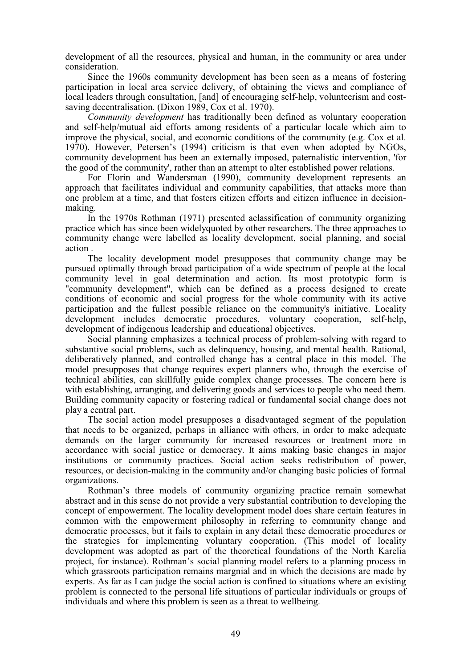development of all the resources, physical and human, in the community or area under consideration.

Since the 1960s community development has been seen as a means of fostering participation in local area service delivery, of obtaining the views and compliance of local leaders through consultation, [and] of encouraging self-help, volunteerism and costsaving decentralisation. (Dixon 1989, Cox et al. 1970).

*Community development* has traditionally been defined as voluntary cooperation and self-help/mutual aid efforts among residents of a particular locale which aim to improve the physical, social, and economic conditions of the community (e.g. Cox et al. 1970). However, Petersen's (1994) criticism is that even when adopted by NGOs, community development has been an externally imposed, paternalistic intervention, 'for the good of the community', rather than an attempt to alter established power relations.

For Florin and Wandersman (1990), community development represents an approach that facilitates individual and community capabilities, that attacks more than one problem at a time, and that fosters citizen efforts and citizen influence in decisionmaking.

In the 1970s Rothman (1971) presented aclassification of community organizing practice which has since been widelyquoted by other researchers. The three approaches to community change were labelled as locality development, social planning, and social action .

The locality development model presupposes that community change may be pursued optimally through broad participation of a wide spectrum of people at the local community level in goal determination and action. Its most prototypic form is "community development", which can be defined as a process designed to create conditions of economic and social progress for the whole community with its active participation and the fullest possible reliance on the community's initiative. Locality development includes democratic procedures, voluntary cooperation, self-help, development of indigenous leadership and educational objectives.

Social planning emphasizes a technical process of problem-solving with regard to substantive social problems, such as delinquency, housing, and mental health. Rational, deliberatively planned, and controlled change has a central place in this model. The model presupposes that change requires expert planners who, through the exercise of technical abilities, can skillfully guide complex change processes. The concern here is with establishing, arranging, and delivering goods and services to people who need them. Building community capacity or fostering radical or fundamental social change does not play a central part.

The social action model presupposes a disadvantaged segment of the population that needs to be organized, perhaps in alliance with others, in order to make adequate demands on the larger community for increased resources or treatment more in accordance with social justice or democracy. It aims making basic changes in major institutions or community practices. Social action seeks redistribution of power, resources, or decision-making in the community and/or changing basic policies of formal organizations.

Rothman's three models of community organizing practice remain somewhat abstract and in this sense do not provide a very substantial contribution to developing the concept of empowerment. The locality development model does share certain features in common with the empowerment philosophy in referring to community change and democratic processes, but it fails to explain in any detail these democratic procedures or the strategies for implementing voluntary cooperation. (This model of locality development was adopted as part of the theoretical foundations of the North Karelia project, for instance). Rothman's social planning model refers to a planning process in which grassroots participation remains margnial and in which the decisions are made by experts. As far as I can judge the social action is confined to situations where an existing problem is connected to the personal life situations of particular individuals or groups of individuals and where this problem is seen as a threat to wellbeing.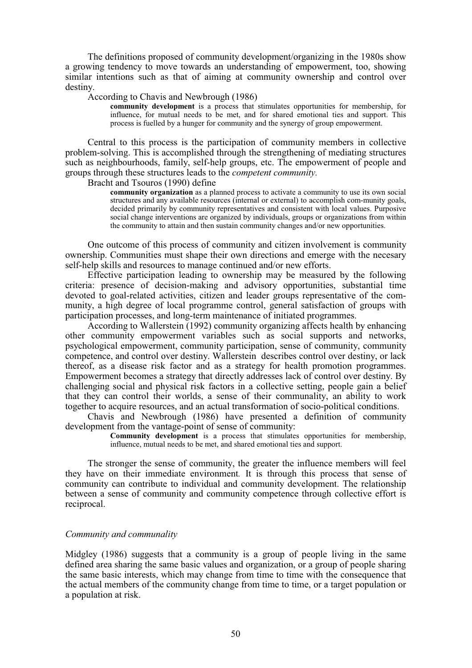The definitions proposed of community development/organizing in the 1980s show a growing tendency to move towards an understanding of empowerment, too, showing similar intentions such as that of aiming at community ownership and control over destiny.

#### According to Chavis and Newbrough (1986)

**community development** is a process that stimulates opportunities for membership, for influence, for mutual needs to be met, and for shared emotional ties and support. This process is fuelled by a hunger for community and the synergy of group empowerment.

Central to this process is the participation of community members in collective problem-solving. This is accomplished through the strengthening of mediating structures such as neighbourhoods, family, self-help groups, etc. The empowerment of people and groups through these structures leads to the *competent community.*

Bracht and Tsouros (1990) define

**community organization** as a planned process to activate a community to use its own social structures and any available resources (internal or external) to accomplish com-munity goals, decided primarily by community representatives and consistent with local values. Purposive social change interventions are organized by individuals, groups or organizations from within the community to attain and then sustain community changes and/or new opportunities.

One outcome of this process of community and citizen involvement is community ownership. Communities must shape their own directions and emerge with the necesary self-help skills and resources to manage continued and/or new efforts.

Effective participation leading to ownership may be measured by the following criteria: presence of decision-making and advisory opportunities, substantial time devoted to goal-related activities, citizen and leader groups representative of the community, a high degree of local programme control, general satisfaction of groups with participation processes, and long-term maintenance of initiated programmes.

According to Wallerstein (1992) community organizing affects health by enhancing other community empowerment variables such as social supports and networks, psychological empowerment, community participation, sense of community, community competence, and control over destiny. Wallerstein describes control over destiny, or lack thereof, as a disease risk factor and as a strategy for health promotion programmes. Empowerment becomes a strategy that directly addresses lack of control over destiny. By challenging social and physical risk factors in a collective setting, people gain a belief that they can control their worlds, a sense of their communality, an ability to work together to acquire resources, and an actual transformation of socio-political conditions.

Chavis and Newbrough (1986) have presented a definition of community development from the vantage-point of sense of community:

> **Community development** is a process that stimulates opportunities for membership, influence, mutual needs to be met, and shared emotional ties and support.

The stronger the sense of community, the greater the influence members will feel they have on their immediate environment*.* It is through this process that sense of community can contribute to individual and community development. The relationship between a sense of community and community competence through collective effort is reciprocal.

## *Community and communality*

Midgley (1986) suggests that a community is a group of people living in the same defined area sharing the same basic values and organization, or a group of people sharing the same basic interests, which may change from time to time with the consequence that the actual members of the community change from time to time, or a target population or a population at risk.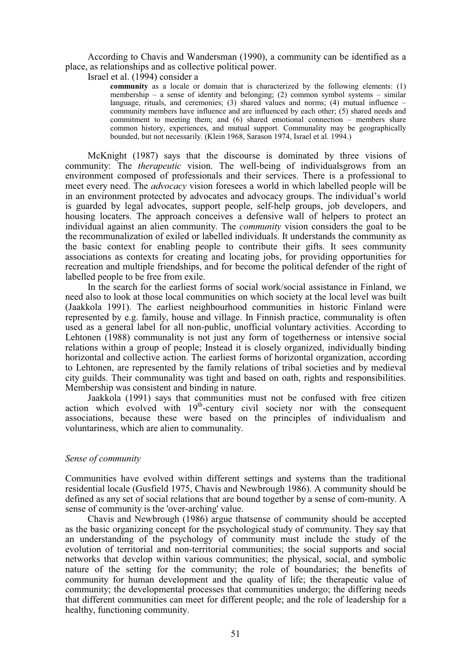According to Chavis and Wandersman (1990), a community can be identified as a place, as relationships and as collective political power.

Israel et al. (1994) consider a

**community** as a locale or domain that is characterized by the following elements: (1) membership – a sense of identity and belonging; (2) common symbol systems – similar language, rituals, and ceremonies; (3) shared values and norms; (4) mutual influence – community members have influence and are influenced by each other; (5) shared needs and commitment to meeting them; and (6) shared emotional connection – members share common history, experiences, and mutual support. Communality may be geographically bounded, but not necessarily. (Klein 1968, Sarason 1974, Israel et al. 1994.)

McKnight (1987) says that the discourse is dominated by three visions of community: The *therapeutic* vision. The well-being of individualsgrows from an environment composed of professionals and their services. There is a professional to meet every need. The *advocacy* vision foresees a world in which labelled people will be in an environment protected by advocates and advocacy groups. The individual's world is guarded by legal advocates, support people, self-help groups, job developers, and housing locaters. The approach conceives a defensive wall of helpers to protect an individual against an alien community. The *community* vision considers the goal to be the recommunalization of exiled or labelled individuals. It understands the community as the basic context for enabling people to contribute their gifts. It sees community associations as contexts for creating and locating jobs, for providing opportunities for recreation and multiple friendships, and for become the political defender of the right of labelled people to be free from exile.

In the search for the earliest forms of social work/social assistance in Finland, we need also to look at those local communities on which society at the local level was built (Jaakkola 1991). The earliest neighbourhood communities in historic Finland were represented by e.g. family, house and village. In Finnish practice, communality is often used as a general label for all non-public, unofficial voluntary activities. According to Lehtonen (1988) communality is not just any form of togetherness or intensive social relations within a group of people; Instead it is closely organized, individually binding horizontal and collective action. The earliest forms of horizontal organization, according to Lehtonen, are represented by the family relations of tribal societies and by medieval city guilds. Their communality was tight and based on oath, rights and responsibilities. Membership was consistent and binding in nature.

Jaakkola (1991) says that communities must not be confused with free citizen action which evolved with  $19<sup>th</sup>$ -century civil society nor with the consequent associations, because these were based on the principles of individualism and voluntariness, which are alien to communality.

## *Sense of community*

Communities have evolved within different settings and systems than the traditional residential locale (Gusfield 1975, Chavis and Newbrough 1986). A community should be defined as any set of social relations that are bound together by a sense of com-munity. A sense of community is the 'over-arching' value.

Chavis and Newbrough (1986) argue thatsense of community should be accepted as the basic organizing concept for the psychological study of community. They say that an understanding of the psychology of community must include the study of the evolution of territorial and non-territorial communities; the social supports and social networks that develop within various communities; the physical, social, and symbolic nature of the setting for the community; the role of boundaries; the benefits of community for human development and the quality of life; the therapeutic value of community; the developmental processes that communities undergo; the differing needs that different communities can meet for different people; and the role of leadership for a healthy, functioning community.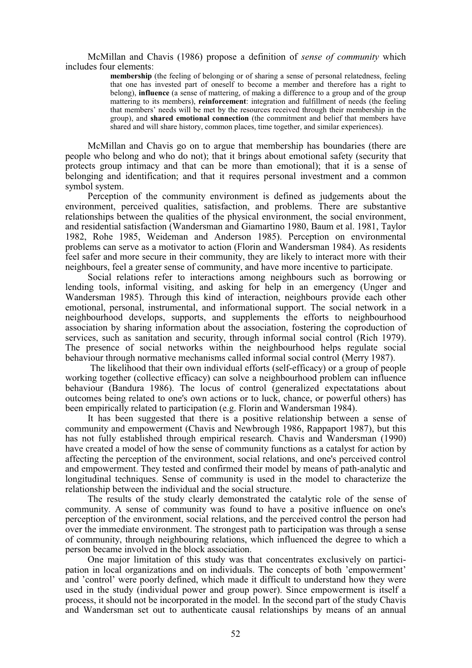McMillan and Chavis (1986) propose a definition of *sense of community* which includes four elements:

> **membership** (the feeling of belonging or of sharing a sense of personal relatedness, feeling that one has invested part of oneself to become a member and therefore has a right to belong), **influence** (a sense of mattering, of making a difference to a group and of the group mattering to its members), **reinforcement**: integration and fulfillment of needs (the feeling that members' needs will be met by the resources received through their membership in the group), and **shared emotional connection** (the commitment and belief that members have shared and will share history, common places, time together, and similar experiences).

McMillan and Chavis go on to argue that membership has boundaries (there are people who belong and who do not); that it brings about emotional safety (security that protects group intimacy and that can be more than emotional); that it is a sense of belonging and identification; and that it requires personal investment and a common symbol system.

Perception of the community environment is defined as judgements about the environment, perceived qualities, satisfaction, and problems. There are substantive relationships between the qualities of the physical environment, the social environment, and residential satisfaction (Wandersman and Giamartino 1980, Baum et al. 1981, Taylor 1982, Rohe 1985, Weideman and Anderson 1985). Perception on environmental problems can serve as a motivator to action (Florin and Wandersman 1984). As residents feel safer and more secure in their community, they are likely to interact more with their neighbours, feel a greater sense of community, and have more incentive to participate.

Social relations refer to interactions among neighbours such as borrowing or lending tools, informal visiting, and asking for help in an emergency (Unger and Wandersman 1985). Through this kind of interaction, neighbours provide each other emotional, personal, instrumental, and informational support. The social network in a neighbourhood develops, supports, and supplements the efforts to neighbourhood association by sharing information about the association, fostering the coproduction of services, such as sanitation and security, through informal social control (Rich 1979). The presence of social networks within the neighbourhood helps regulate social behaviour through normative mechanisms called informal social control (Merry 1987).

 The likelihood that their own individual efforts (self-efficacy) or a group of people working together (collective efficacy) can solve a neighbourhood problem can influence behaviour (Bandura 1986). The locus of control (generalized expectatations about outcomes being related to one's own actions or to luck, chance, or powerful others) has been empirically related to participation (e.g. Florin and Wandersman 1984).

It has been suggested that there is a positive relationship between a sense of community and empowerment (Chavis and Newbrough 1986, Rappaport 1987), but this has not fully established through empirical research. Chavis and Wandersman (1990) have created a model of how the sense of community functions as a catalyst for action by affecting the perception of the environment, social relations, and one's perceived control and empowerment. They tested and confirmed their model by means of path-analytic and longitudinal techniques. Sense of community is used in the model to characterize the relationship between the individual and the social structure.

The results of the study clearly demonstrated the catalytic role of the sense of community. A sense of community was found to have a positive influence on one's perception of the environment, social relations, and the perceived control the person had over the immediate environment. The strongest path to participation was through a sense of community, through neighbouring relations, which influenced the degree to which a person became involved in the block association.

One major limitation of this study was that concentrates exclusively on participation in local organizations and on individuals. The concepts of both 'empowerment' and 'control' were poorly defined, which made it difficult to understand how they were used in the study (individual power and group power). Since empowerment is itself a process, it should not be incorporated in the model. In the second part of the study Chavis and Wandersman set out to authenticate causal relationships by means of an annual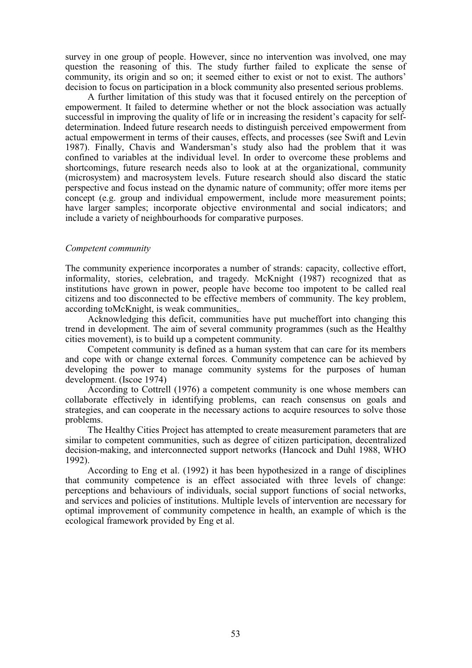survey in one group of people. However, since no intervention was involved, one may question the reasoning of this. The study further failed to explicate the sense of community, its origin and so on; it seemed either to exist or not to exist. The authors' decision to focus on participation in a block community also presented serious problems.

A further limitation of this study was that it focused entirely on the perception of empowerment. It failed to determine whether or not the block association was actually successful in improving the quality of life or in increasing the resident's capacity for selfdetermination. Indeed future research needs to distinguish perceived empowerment from actual empowerment in terms of their causes, effects, and processes (see Swift and Levin 1987). Finally, Chavis and Wandersman's study also had the problem that it was confined to variables at the individual level. In order to overcome these problems and shortcomings, future research needs also to look at at the organizational, community (microsystem) and macrosystem levels. Future research should also discard the static perspective and focus instead on the dynamic nature of community; offer more items per concept (e.g. group and individual empowerment, include more measurement points; have larger samples; incorporate objective environmental and social indicators; and include a variety of neighbourhoods for comparative purposes.

## *Competent community*

The community experience incorporates a number of strands: capacity, collective effort, informality, stories, celebration, and tragedy. McKnight (1987) recognized that as institutions have grown in power, people have become too impotent to be called real citizens and too disconnected to be effective members of community. The key problem, according toMcKnight, is weak communities,.

Acknowledging this deficit, communities have put mucheffort into changing this trend in development. The aim of several community programmes (such as the Healthy cities movement), is to build up a competent community.

Competent community is defined as a human system that can care for its members and cope with or change external forces. Community competence can be achieved by developing the power to manage community systems for the purposes of human development. (Iscoe 1974)

According to Cottrell (1976) a competent community is one whose members can collaborate effectively in identifying problems, can reach consensus on goals and strategies, and can cooperate in the necessary actions to acquire resources to solve those problems.

The Healthy Cities Project has attempted to create measurement parameters that are similar to competent communities, such as degree of citizen participation, decentralized decision-making, and interconnected support networks (Hancock and Duhl 1988, WHO 1992).

According to Eng et al. (1992) it has been hypothesized in a range of disciplines that community competence is an effect associated with three levels of change: perceptions and behaviours of individuals, social support functions of social networks, and services and policies of institutions. Multiple levels of intervention are necessary for optimal improvement of community competence in health, an example of which is the ecological framework provided by Eng et al.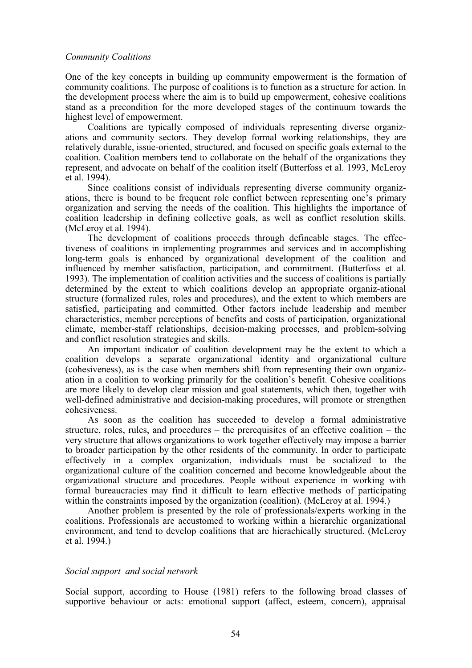### *Community Coalitions*

One of the key concepts in building up community empowerment is the formation of community coalitions. The purpose of coalitions is to function as a structure for action. In the development process where the aim is to build up empowerment, cohesive coalitions stand as a precondition for the more developed stages of the continuum towards the highest level of empowerment.

Coalitions are typically composed of individuals representing diverse organizations and community sectors. They develop formal working relationships, they are relatively durable, issue-oriented, structured, and focused on specific goals external to the coalition. Coalition members tend to collaborate on the behalf of the organizations they represent, and advocate on behalf of the coalition itself (Butterfoss et al. 1993, McLeroy et al. 1994).

Since coalitions consist of individuals representing diverse community organizations, there is bound to be frequent role conflict between representing one's primary organization and serving the needs of the coalition. This highlights the importance of coalition leadership in defining collective goals, as well as conflict resolution skills. (McLeroy et al. 1994).

The development of coalitions proceeds through defineable stages. The effectiveness of coalitions in implementing programmes and services and in accomplishing long-term goals is enhanced by organizational development of the coalition and influenced by member satisfaction, participation, and commitment. (Butterfoss et al. 1993). The implementation of coalition activities and the success of coalitions is partially determined by the extent to which coalitions develop an appropriate organiz-ational structure (formalized rules, roles and procedures), and the extent to which members are satisfied, participating and committed. Other factors include leadership and member characteristics, member perceptions of benefits and costs of participation, organizational climate, member-staff relationships, decision-making processes, and problem-solving and conflict resolution strategies and skills.

An important indicator of coalition development may be the extent to which a coalition develops a separate organizational identity and organizational culture (cohesiveness), as is the case when members shift from representing their own organization in a coalition to working primarily for the coalition's benefit. Cohesive coalitions are more likely to develop clear mission and goal statements, which then, together with well-defined administrative and decision-making procedures, will promote or strengthen cohesiveness.

As soon as the coalition has succeeded to develop a formal administrative structure, roles, rules, and procedures – the prerequisites of an effective coalition – the very structure that allows organizations to work together effectively may impose a barrier to broader participation by the other residents of the community. In order to participate effectively in a complex organization, individuals must be socialized to the organizational culture of the coalition concerned and become knowledgeable about the organizational structure and procedures. People without experience in working with formal bureaucracies may find it difficult to learn effective methods of participating within the constraints imposed by the organization (coalition). (McLeroy at al. 1994.)

Another problem is presented by the role of professionals/experts working in the coalitions. Professionals are accustomed to working within a hierarchic organizational environment, and tend to develop coalitions that are hierachically structured. (McLeroy et al. 1994.)

## *Social support and social network*

Social support, according to House (1981) refers to the following broad classes of supportive behaviour or acts: emotional support (affect, esteem, concern), appraisal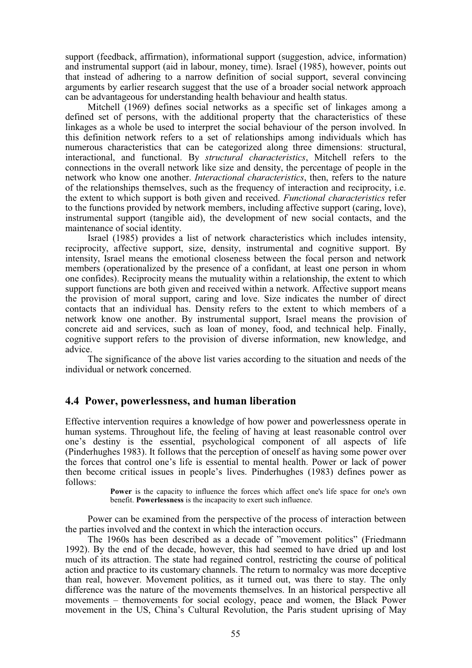support (feedback, affirmation), informational support (suggestion, advice, information) and instrumental support (aid in labour, money, time). Israel (1985), however, points out that instead of adhering to a narrow definition of social support, several convincing arguments by earlier research suggest that the use of a broader social network approach can be advantageous for understanding health behaviour and health status.

Mitchell (1969) defines social networks as a specific set of linkages among a defined set of persons, with the additional property that the characteristics of these linkages as a whole be used to interpret the social behaviour of the person involved. In this definition network refers to a set of relationships among individuals which has numerous characteristics that can be categorized along three dimensions: structural, interactional, and functional. By *structural characteristics*, Mitchell refers to the connections in the overall network like size and density, the percentage of people in the network who know one another. *Interactional characteristics*, then, refers to the nature of the relationships themselves, such as the frequency of interaction and reciprocity, i.e. the extent to which support is both given and received. *Functional characteristics* refer to the functions provided by network members, including affective support (caring, love), instrumental support (tangible aid), the development of new social contacts, and the maintenance of social identity.

Israel (1985) provides a list of network characteristics which includes intensity, reciprocity, affective support, size, density, instrumental and cognitive support. By intensity, Israel means the emotional closeness between the focal person and network members (operationalized by the presence of a confidant, at least one person in whom one confides). Reciprocity means the mutuality within a relationship, the extent to which support functions are both given and received within a network. Affective support means the provision of moral support, caring and love. Size indicates the number of direct contacts that an individual has. Density refers to the extent to which members of a network know one another. By instrumental support, Israel means the provision of concrete aid and services, such as loan of money, food, and technical help. Finally, cognitive support refers to the provision of diverse information, new knowledge, and advice.

The significance of the above list varies according to the situation and needs of the individual or network concerned.

# **4.4 Power, powerlessness, and human liberation**

Effective intervention requires a knowledge of how power and powerlessness operate in human systems. Throughout life, the feeling of having at least reasonable control over one's destiny is the essential, psychological component of all aspects of life (Pinderhughes 1983). It follows that the perception of oneself as having some power over the forces that control one's life is essential to mental health. Power or lack of power then become critical issues in people's lives. Pinderhughes (1983) defines power as follows:

> **Power** is the capacity to influence the forces which affect one's life space for one's own benefit. **Powerlessness** is the incapacity to exert such influence.

Power can be examined from the perspective of the process of interaction between the parties involved and the context in which the interaction occurs.

The 1960s has been described as a decade of "movement politics" (Friedmann 1992). By the end of the decade, however, this had seemed to have dried up and lost much of its attraction. The state had regained control, restricting the course of political action and practice to its customary channels. The return to normalcy was more deceptive than real, however. Movement politics, as it turned out, was there to stay. The only difference was the nature of the movements themselves. In an historical perspective all movements – themovements for social ecology, peace and women, the Black Power movement in the US, China's Cultural Revolution, the Paris student uprising of May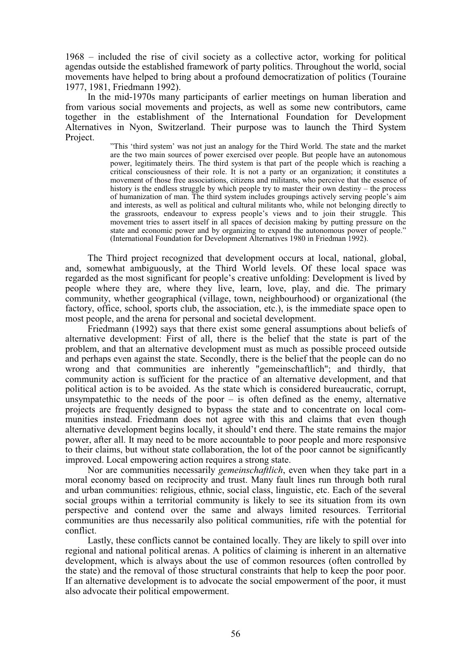1968 – included the rise of civil society as a collective actor, working for political agendas outside the established framework of party politics. Throughout the world, social movements have helped to bring about a profound democratization of politics (Touraine 1977, 1981, Friedmann 1992).

In the mid-1970s many participants of earlier meetings on human liberation and from various social movements and projects, as well as some new contributors, came together in the establishment of the International Foundation for Development Alternatives in Nyon, Switzerland. Their purpose was to launch the Third System Project.

"This 'third system' was not just an analogy for the Third World. The state and the market are the two main sources of power exercised over people. But people have an autonomous power, legitimately theirs. The third system is that part of the people which is reaching a critical consciousness of their role. It is not a party or an organization; it constitutes a movement of those free associations, citizens and militants, who perceive that the essence of history is the endless struggle by which people try to master their own destiny – the process of humanization of man. The third system includes groupings actively serving people's aim and interests, as well as political and cultural militants who, while not belonging directly to the grassroots, endeavour to express people's views and to join their struggle. This movement tries to assert itself in all spaces of decision making by putting pressure on the state and economic power and by organizing to expand the autonomous power of people." (International Foundation for Development Alternatives 1980 in Friedman 1992).

The Third project recognized that development occurs at local, national, global, and, somewhat ambiguously, at the Third World levels. Of these local space was regarded as the most significant for people's creative unfolding: Development is lived by people where they are, where they live, learn, love, play, and die. The primary community, whether geographical (village, town, neighbourhood) or organizational (the factory, office, school, sports club, the association, etc.), is the immediate space open to most people, and the arena for personal and societal development.

Friedmann (1992) says that there exist some general assumptions about beliefs of alternative development: First of all, there is the belief that the state is part of the problem, and that an alternative development must as much as possible proceed outside and perhaps even against the state. Secondly, there is the belief that the people can do no wrong and that communities are inherently "gemeinschaftlich"; and thirdly, that community action is sufficient for the practice of an alternative development, and that political action is to be avoided. As the state which is considered bureaucratic, corrupt, unsympatethic to the needs of the poor  $-$  is often defined as the enemy, alternative projects are frequently designed to bypass the state and to concentrate on local communities instead. Friedmann does not agree with this and claims that even though alternative development begins locally, it should't end there. The state remains the major power, after all. It may need to be more accountable to poor people and more responsive to their claims, but without state collaboration, the lot of the poor cannot be significantly improved. Local empowering action requires a strong state.

Nor are communities necessarily *gemeinschaftlich*, even when they take part in a moral economy based on reciprocity and trust. Many fault lines run through both rural and urban communities: religious, ethnic, social class, linguistic, etc. Each of the several social groups within a territorial community is likely to see its situation from its own perspective and contend over the same and always limited resources. Territorial communities are thus necessarily also political communities, rife with the potential for conflict.

Lastly, these conflicts cannot be contained locally. They are likely to spill over into regional and national political arenas. A politics of claiming is inherent in an alternative development, which is always about the use of common resources (often controlled by the state) and the removal of those structural constraints that help to keep the poor poor. If an alternative development is to advocate the social empowerment of the poor, it must also advocate their political empowerment.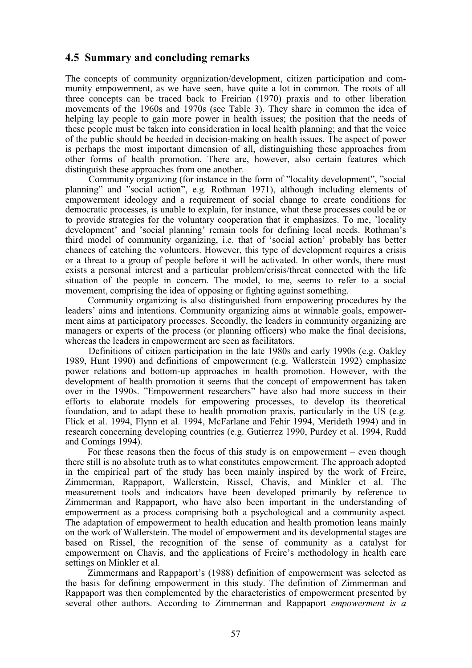# **4.5 Summary and concluding remarks**

The concepts of community organization/development, citizen participation and community empowerment, as we have seen, have quite a lot in common. The roots of all three concepts can be traced back to Freirian (1970) praxis and to other liberation movements of the 1960s and 1970s (see Table 3). They share in common the idea of helping lay people to gain more power in health issues; the position that the needs of these people must be taken into consideration in local health planning; and that the voice of the public should be heeded in decision-making on health issues. The aspect of power is perhaps the most important dimension of all, distinguishing these approaches from other forms of health promotion. There are, however, also certain features which distinguish these approaches from one another.

Community organizing (for instance in the form of "locality development", "social planning" and "social action", e.g. Rothman 1971), although including elements of empowerment ideology and a requirement of social change to create conditions for democratic processes, is unable to explain, for instance, what these processes could be or to provide strategies for the voluntary cooperation that it emphasizes. To me, 'locality development' and 'social planning' remain tools for defining local needs. Rothman's third model of community organizing, i.e. that of 'social action' probably has better chances of catching the volunteers. However, this type of development requires a crisis or a threat to a group of people before it will be activated. In other words, there must exists a personal interest and a particular problem/crisis/threat connected with the life situation of the people in concern. The model, to me, seems to refer to a social movement, comprising the idea of opposing or fighting against something.

Community organizing is also distinguished from empowering procedures by the leaders' aims and intentions. Community organizing aims at winnable goals, empowerment aims at participatory processes. Secondly, the leaders in community organizing are managers or experts of the process (or planning officers) who make the final decisions, whereas the leaders in empowerment are seen as facilitators.

Definitions of citizen participation in the late 1980s and early 1990s (e.g. Oakley 1989, Hunt 1990) and definitions of empowerment (e.g. Wallerstein 1992) emphasize power relations and bottom-up approaches in health promotion. However, with the development of health promotion it seems that the concept of empowerment has taken over in the 1990s. "Empowerment researchers" have also had more success in their efforts to elaborate models for empowering processes, to develop its theoretical foundation, and to adapt these to health promotion praxis, particularly in the US (e.g. Flick et al. 1994, Flynn et al. 1994, McFarlane and Fehir 1994, Merideth 1994) and in research concerning developing countries (e.g. Gutierrez 1990, Purdey et al. 1994, Rudd and Comings 1994).

For these reasons then the focus of this study is on empowerment – even though there still is no absolute truth as to what constitutes empowerment. The approach adopted in the empirical part of the study has been mainly inspired by the work of Freire, Zimmerman, Rappaport, Wallerstein, Rissel, Chavis, and Minkler et al. The measurement tools and indicators have been developed primarily by reference to Zimmerman and Rappaport, who have also been important in the understanding of empowerment as a process comprising both a psychological and a community aspect. The adaptation of empowerment to health education and health promotion leans mainly on the work of Wallerstein. The model of empowerment and its developmental stages are based on Rissel, the recognition of the sense of community as a catalyst for empowerment on Chavis, and the applications of Freire's methodology in health care settings on Minkler et al.

Zimmermans and Rappaport's (1988) definition of empowerment was selected as the basis for defining empowerment in this study. The definition of Zimmerman and Rappaport was then complemented by the characteristics of empowerment presented by several other authors. According to Zimmerman and Rappaport *empowerment is a*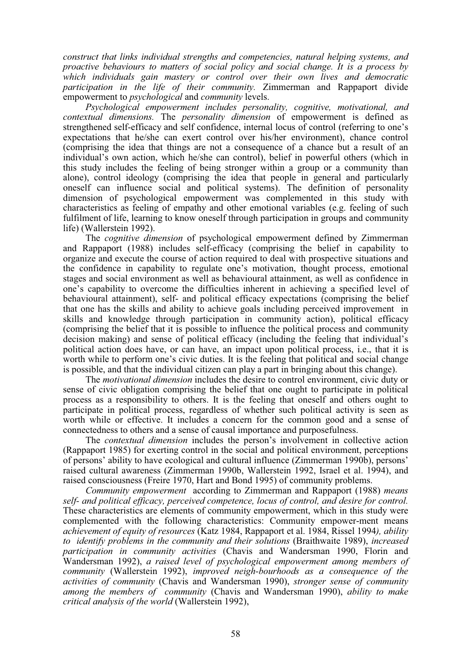*construct that links individual strengths and competencies, natural helping systems, and proactive behaviours to matters of social policy and social change. It is a process by which individuals gain mastery or control over their own lives and democratic participation in the life of their community.* Zimmerman and Rappaport divide empowerment to *psychological* and *community* levels.

*Psychological empowerment includes personality, cognitive, motivational, and contextual dimensions.* The *personality dimension* of empowerment is defined as strengthened self-efficacy and self confidence, internal locus of control (referring to one's expectations that he/she can exert control over his/her environment), chance control (comprising the idea that things are not a consequence of a chance but a result of an individual's own action, which he/she can control), belief in powerful others (which in this study includes the feeling of being stronger within a group or a community than alone), control ideology (comprising the idea that people in general and particularly oneself can influence social and political systems). The definition of personality dimension of psychological empowerment was complemented in this study with characteristics as feeling of empathy and other emotional variables (e.g. feeling of such fulfilment of life, learning to know oneself through participation in groups and community life) (Wallerstein 1992).

The *cognitive dimension* of psychological empowerment defined by Zimmerman and Rappaport (1988) includes self-efficacy (comprising the belief in capability to organize and execute the course of action required to deal with prospective situations and the confidence in capability to regulate one's motivation, thought process, emotional stages and social environment as well as behavioural attainment, as well as confidence in one's capability to overcome the difficulties inherent in achieving a specified level of behavioural attainment), self- and political efficacy expectations (comprising the belief that one has the skills and ability to achieve goals including perceived improvement in skills and knowledge through participation in community action), political efficacy (comprising the belief that it is possible to influence the political process and community decision making) and sense of political efficacy (including the feeling that individual's political action does have, or can have, an impact upon political process, i.e., that it is worth while to perform one's civic duties. It is the feeling that political and social change is possible, and that the individual citizen can play a part in bringing about this change).

The *motivational dimension* includes the desire to control environment, civic duty or sense of civic obligation comprising the belief that one ought to participate in political process as a responsibility to others. It is the feeling that oneself and others ought to participate in political process, regardless of whether such political activity is seen as worth while or effective. It includes a concern for the common good and a sense of connectedness to others and a sense of causal importance and purposefulness.

The *contextual dimension* includes the person's involvement in collective action (Rappaport 1985) for exerting control in the social and political environment, perceptions of persons' ability to have ecological and cultural influence (Zimmerman 1990b), persons' raised cultural awareness (Zimmerman 1990b, Wallerstein 1992, Israel et al. 1994), and raised consciousness (Freire 1970, Hart and Bond 1995) of community problems.

*Community empowerment* according to Zimmerman and Rappaport (1988) *means self- and political efficacy, perceived competence, locus of control, and desire for control.* These characteristics are elements of community empowerment, which in this study were complemented with the following characteristics: Community empower-ment means *achievement of equity of resources* (Katz 1984, Rappaport et al. 1984, Rissel 1994*), ability to identify problems in the community and their solutions* (Braithwaite 1989), *increased participation in community activities* (Chavis and Wandersman 1990, Florin and Wandersman 1992), *a raised level of psychological empowerment among members of community* (Wallerstein 1992), *improved neigh-bourhoods as a consequence of the activities of community* (Chavis and Wandersman 1990), *stronger sense of community among the members of community* (Chavis and Wandersman 1990), *ability to make critical analysis of the world* (Wallerstein 1992),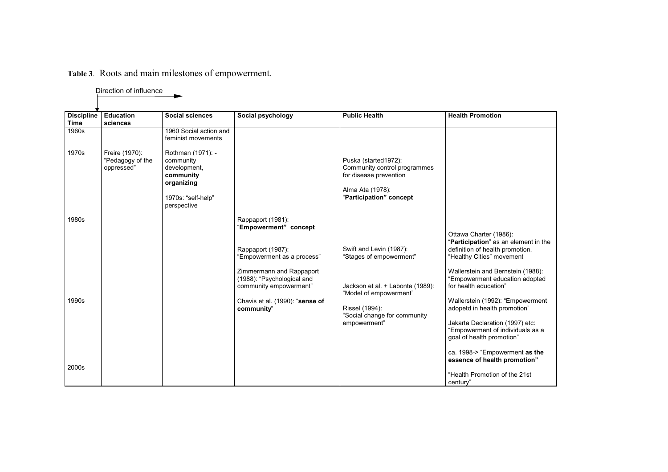# **Table 3**. Roots and main milestones of empowerment.

|                                  | סטופטגוויון וט ווטוסטוע                          |                                                                                                                |                                                                                                                                   |                                                                                                                               |                                                                                                                                                                                                                                                                      |
|----------------------------------|--------------------------------------------------|----------------------------------------------------------------------------------------------------------------|-----------------------------------------------------------------------------------------------------------------------------------|-------------------------------------------------------------------------------------------------------------------------------|----------------------------------------------------------------------------------------------------------------------------------------------------------------------------------------------------------------------------------------------------------------------|
|                                  |                                                  |                                                                                                                |                                                                                                                                   |                                                                                                                               |                                                                                                                                                                                                                                                                      |
| <b>Discipline</b><br><b>Time</b> | <b>Education</b><br>sciences                     | <b>Social sciences</b>                                                                                         | Social psychology                                                                                                                 | <b>Public Health</b>                                                                                                          | <b>Health Promotion</b>                                                                                                                                                                                                                                              |
| 1960s                            |                                                  | 1960 Social action and<br>feminist movements                                                                   |                                                                                                                                   |                                                                                                                               |                                                                                                                                                                                                                                                                      |
| 1970s                            | Freire (1970):<br>"Pedagogy of the<br>oppressed" | Rothman (1971): -<br>community<br>development,<br>community<br>organizing<br>1970s: "self-help"<br>perspective |                                                                                                                                   | Puska (started1972):<br>Community control programmes<br>for disease prevention<br>Alma Ata (1978):<br>"Participation" concept |                                                                                                                                                                                                                                                                      |
| 1980s                            |                                                  |                                                                                                                | Rappaport (1981):<br>'Empowerment" concept<br>Rappaport (1987):<br>"Empowerment as a process"                                     | Swift and Levin (1987):<br>"Stages of empowerment"                                                                            | Ottawa Charter (1986):<br>"Participation" as an element in the<br>definition of health promotion.<br>"Healthy Cities" movement                                                                                                                                       |
| 1990s                            |                                                  |                                                                                                                | Zimmermann and Rappaport<br>(1988): "Psychological and<br>community empowerment"<br>Chavis et al. (1990): "sense of<br>community" | Jackson et al. + Labonte (1989):<br>"Model of empowerment"<br>Rissel (1994):<br>"Social change for community<br>empowerment"  | Wallerstein and Bernstein (1988):<br>"Empowerment education adopted<br>for health education"<br>Wallerstein (1992): "Empowerment<br>adopetd in health promotion"<br>Jakarta Declaration (1997) etc:<br>"Empowerment of individuals as a<br>goal of health promotion" |
| 2000s                            |                                                  |                                                                                                                |                                                                                                                                   |                                                                                                                               | ca. 1998-> "Empowerment as the<br>essence of health promotion"<br>"Health Promotion of the 21st<br>century"                                                                                                                                                          |

Direction of influence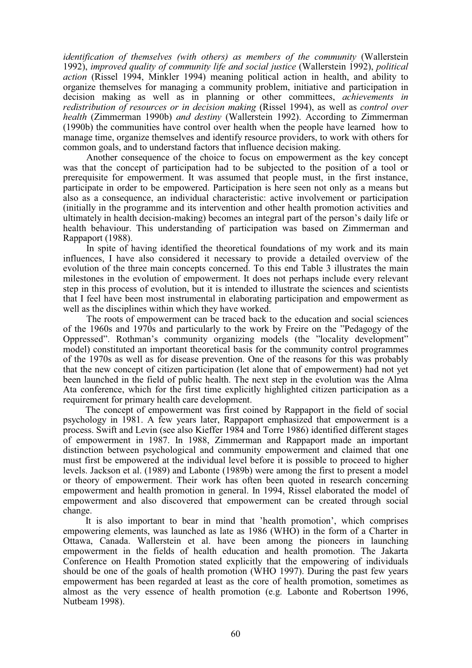*identification of themselves (with others) as members of the community* (Wallerstein 1992), *improved quality of community life and social justice* (Wallerstein 1992), *political action* (Rissel 1994, Minkler 1994) meaning political action in health, and ability to organize themselves for managing a community problem, initiative and participation in decision making as well as in planning or other committees, *achievements in redistribution of resources or in decision making* (Rissel 1994), as well as *control over health* (Zimmerman 1990b) *and destiny* (Wallerstein 1992). According to Zimmerman (1990b) the communities have control over health when the people have learned how to manage time, organize themselves and identify resource providers, to work with others for common goals, and to understand factors that influence decision making.

Another consequence of the choice to focus on empowerment as the key concept was that the concept of participation had to be subjected to the position of a tool or prerequisite for empowerment. It was assumed that people must, in the first instance, participate in order to be empowered. Participation is here seen not only as a means but also as a consequence, an individual characteristic: active involvement or participation (initially in the programme and its intervention and other health promotion activities and ultimately in health decision-making) becomes an integral part of the person's daily life or health behaviour. This understanding of participation was based on Zimmerman and Rappaport (1988).

In spite of having identified the theoretical foundations of my work and its main influences, I have also considered it necessary to provide a detailed overview of the evolution of the three main concepts concerned. To this end Table 3 illustrates the main milestones in the evolution of empowerment. It does not perhaps include every relevant step in this process of evolution, but it is intended to illustrate the sciences and scientists that I feel have been most instrumental in elaborating participation and empowerment as well as the disciplines within which they have worked.

The roots of empowerment can be traced back to the education and social sciences of the 1960s and 1970s and particularly to the work by Freire on the "Pedagogy of the Oppressed". Rothman's community organizing models (the "locality development" model) constituted an important theoretical basis for the community control programmes of the 1970s as well as for disease prevention. One of the reasons for this was probably that the new concept of citizen participation (let alone that of empowerment) had not yet been launched in the field of public health. The next step in the evolution was the Alma Ata conference, which for the first time explicitly highlighted citizen participation as a requirement for primary health care development.

The concept of empowerment was first coined by Rappaport in the field of social psychology in 1981. A few years later, Rappaport emphasized that empowerment is a process. Swift and Levin (see also Kieffer 1984 and Torre 1986) identified different stages of empowerment in 1987. In 1988, Zimmerman and Rappaport made an important distinction between psychological and community empowerment and claimed that one must first be empowered at the individual level before it is possible to proceed to higher levels. Jackson et al. (1989) and Labonte (1989b) were among the first to present a model or theory of empowerment. Their work has often been quoted in research concerning empowerment and health promotion in general. In 1994, Rissel elaborated the model of empowerment and also discovered that empowerment can be created through social change.

It is also important to bear in mind that 'health promotion', which comprises empowering elements, was launched as late as 1986 (WHO) in the form of a Charter in Ottawa, Canada. Wallerstein et al. have been among the pioneers in launching empowerment in the fields of health education and health promotion. The Jakarta Conference on Health Promotion stated explicitly that the empowering of individuals should be one of the goals of health promotion (WHO 1997). During the past few years empowerment has been regarded at least as the core of health promotion, sometimes as almost as the very essence of health promotion (e.g. Labonte and Robertson 1996, Nutbeam 1998).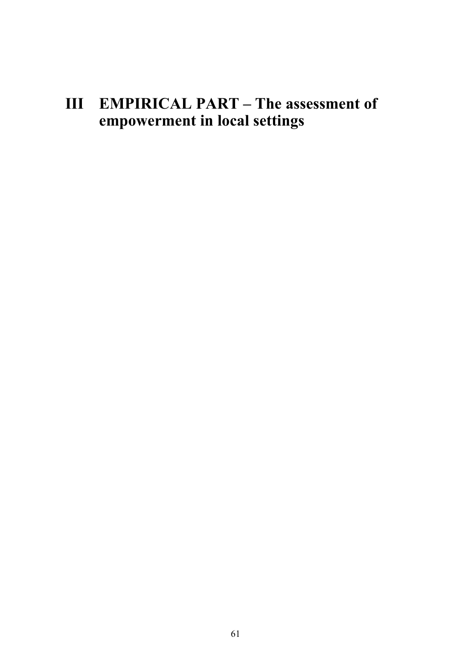# **III EMPIRICAL PART – The assessment of empowerment in local settings**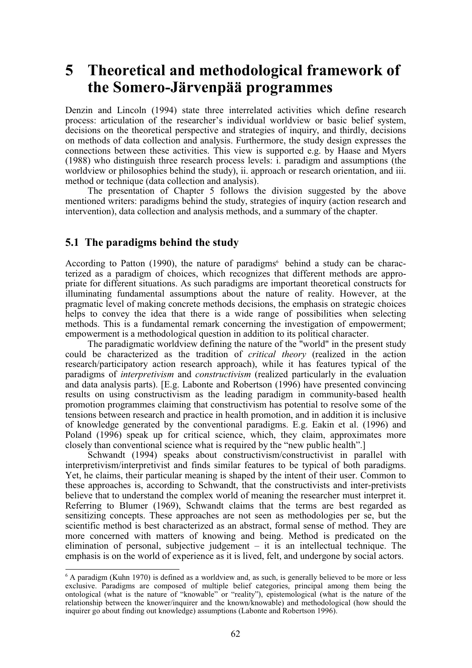# **5 Theoretical and methodological framework of the Somero-Järvenpää programmes**

Denzin and Lincoln (1994) state three interrelated activities which define research process: articulation of the researcher's individual worldview or basic belief system, decisions on the theoretical perspective and strategies of inquiry, and thirdly, decisions on methods of data collection and analysis. Furthermore, the study design expresses the connections between these activities. This view is supported e.g. by Haase and Myers (1988) who distinguish three research process levels: i. paradigm and assumptions (the worldview or philosophies behind the study), ii. approach or research orientation, and iii. method or technique (data collection and analysis).

The presentation of Chapter 5 follows the division suggested by the above mentioned writers: paradigms behind the study, strategies of inquiry (action research and intervention), data collection and analysis methods, and a summary of the chapter.

# **5.1 The paradigms behind the study**

According to Patton (1990), the nature of paradigms<sup> $6$ </sup> behind a study can be characterized as a paradigm of choices, which recognizes that different methods are appropriate for different situations. As such paradigms are important theoretical constructs for illuminating fundamental assumptions about the nature of reality. However, at the pragmatic level of making concrete methods decisions, the emphasis on strategic choices helps to convey the idea that there is a wide range of possibilities when selecting methods. This is a fundamental remark concerning the investigation of empowerment; empowerment is a methodological question in addition to its political character.

The paradigmatic worldview defining the nature of the "world" in the present study could be characterized as the tradition of *critical theory* (realized in the action research/participatory action research approach), while it has features typical of the paradigms of *interpretivism* and *constructivism* (realized particularly in the evaluation and data analysis parts). [E.g. Labonte and Robertson (1996) have presented convincing results on using constructivism as the leading paradigm in community-based health promotion programmes claiming that constructivism has potential to resolve some of the tensions between research and practice in health promotion, and in addition it is inclusive of knowledge generated by the conventional paradigms. E.g. Eakin et al. (1996) and Poland (1996) speak up for critical science, which, they claim, approximates more closely than conventional science what is required by the "new public health".]

Schwandt (1994) speaks about constructivism/constructivist in parallel with interpretivism/interpretivist and finds similar features to be typical of both paradigms. Yet, he claims, their particular meaning is shaped by the intent of their user. Common to these approaches is, according to Schwandt, that the constructivists and inter-pretivists believe that to understand the complex world of meaning the researcher must interpret it. Referring to Blumer (1969), Schwandt claims that the terms are best regarded as sensitizing concepts. These approaches are not seen as methodologies per se, but the scientific method is best characterized as an abstract, formal sense of method. They are more concerned with matters of knowing and being. Method is predicated on the elimination of personal, subjective judgement – it is an intellectual technique. The emphasis is on the world of experience as it is lived, felt, and undergone by social actors.

 $6$  A paradigm (Kuhn 1970) is defined as a worldview and, as such, is generally believed to be more or less exclusive. Paradigms are composed of multiple belief categories, principal among them being the ontological (what is the nature of "knowable" or "reality"), epistemological (what is the nature of the relationship between the knower/inquirer and the known/knowable) and methodological (how should the inquirer go about finding out knowledge) assumptions (Labonte and Robertson 1996).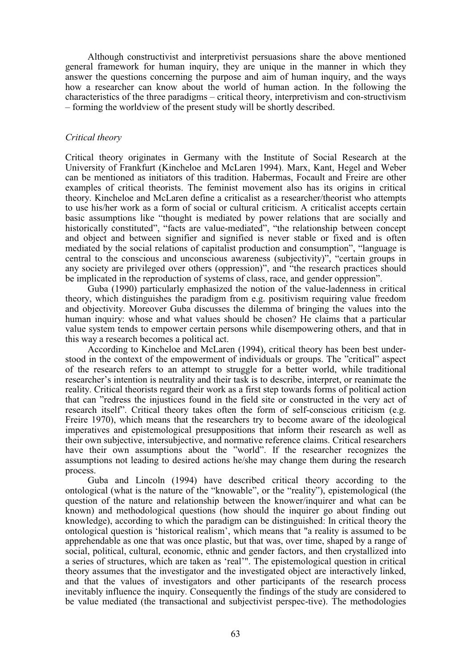Although constructivist and interpretivist persuasions share the above mentioned general framework for human inquiry, they are unique in the manner in which they answer the questions concerning the purpose and aim of human inquiry, and the ways how a researcher can know about the world of human action. In the following the characteristics of the three paradigms – critical theory, interpretivism and con-structivism – forming the worldview of the present study will be shortly described.

# *Critical theory*

Critical theory originates in Germany with the Institute of Social Research at the University of Frankfurt (Kincheloe and McLaren 1994). Marx, Kant, Hegel and Weber can be mentioned as initiators of this tradition. Habermas, Focault and Freire are other examples of critical theorists. The feminist movement also has its origins in critical theory. Kincheloe and McLaren define a criticalist as a researcher/theorist who attempts to use his/her work as a form of social or cultural criticism. A criticalist accepts certain basic assumptions like "thought is mediated by power relations that are socially and historically constituted", "facts are value-mediated", "the relationship between concept and object and between signifier and signified is never stable or fixed and is often mediated by the social relations of capitalist production and consumption", "language is central to the conscious and unconscious awareness (subjectivity)", "certain groups in any society are privileged over others (oppression)", and "the research practices should be implicated in the reproduction of systems of class, race, and gender oppression".

Guba (1990) particularly emphasized the notion of the value-ladenness in critical theory, which distinguishes the paradigm from e.g. positivism requiring value freedom and objectivity. Moreover Guba discusses the dilemma of bringing the values into the human inquiry: whose and what values should be chosen? He claims that a particular value system tends to empower certain persons while disempowering others, and that in this way a research becomes a political act.

According to Kincheloe and McLaren (1994), critical theory has been best understood in the context of the empowerment of individuals or groups. The "critical" aspect of the research refers to an attempt to struggle for a better world, while traditional researcher's intention is neutrality and their task is to describe, interpret, or reanimate the reality. Critical theorists regard their work as a first step towards forms of political action that can "redress the injustices found in the field site or constructed in the very act of research itself". Critical theory takes often the form of self-conscious criticism (e.g. Freire 1970), which means that the researchers try to become aware of the ideological imperatives and epistemological presuppositions that inform their research as well as their own subjective, intersubjective, and normative reference claims. Critical researchers have their own assumptions about the "world". If the researcher recognizes the assumptions not leading to desired actions he/she may change them during the research process.

Guba and Lincoln (1994) have described critical theory according to the ontological (what is the nature of the "knowable", or the "reality"), epistemological (the question of the nature and relationship between the knower/inquirer and what can be known) and methodological questions (how should the inquirer go about finding out knowledge), according to which the paradigm can be distinguished: In critical theory the ontological question is 'historical realism', which means that "a reality is assumed to be apprehendable as one that was once plastic, but that was, over time, shaped by a range of social, political, cultural, economic, ethnic and gender factors, and then crystallized into a series of structures, which are taken as 'real'". The epistemological question in critical theory assumes that the investigator and the investigated object are interactively linked, and that the values of investigators and other participants of the research process inevitably influence the inquiry. Consequently the findings of the study are considered to be value mediated (the transactional and subjectivist perspec-tive). The methodologies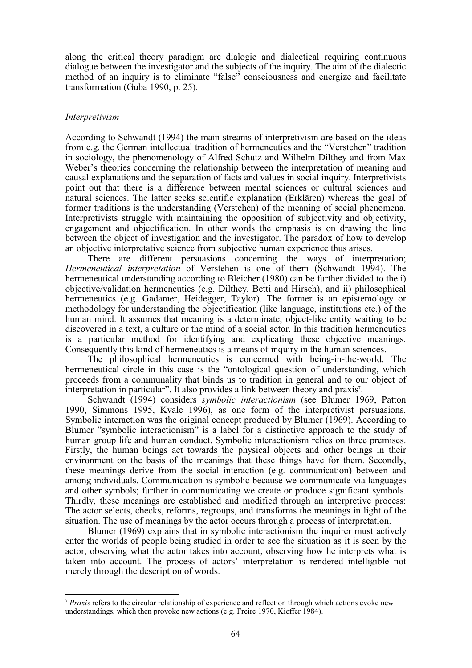along the critical theory paradigm are dialogic and dialectical requiring continuous dialogue between the investigator and the subjects of the inquiry. The aim of the dialectic method of an inquiry is to eliminate "false" consciousness and energize and facilitate transformation (Guba 1990, p. 25).

#### *Interpretivism*

According to Schwandt (1994) the main streams of interpretivism are based on the ideas from e.g. the German intellectual tradition of hermeneutics and the "Verstehen" tradition in sociology, the phenomenology of Alfred Schutz and Wilhelm Dilthey and from Max Weber's theories concerning the relationship between the interpretation of meaning and causal explanations and the separation of facts and values in social inquiry. Interpretivists point out that there is a difference between mental sciences or cultural sciences and natural sciences. The latter seeks scientific explanation (Erklären) whereas the goal of former traditions is the understanding (Verstehen) of the meaning of social phenomena. Interpretivists struggle with maintaining the opposition of subjectivity and objectivity, engagement and objectification. In other words the emphasis is on drawing the line between the object of investigation and the investigator. The paradox of how to develop an objective interpretative science from subjective human experience thus arises.

There are different persuasions concerning the ways of interpretation; *Hermeneutical interpretation* of Verstehen is one of them (Schwandt 1994). The hermeneutical understanding according to Bleicher (1980) can be further divided to the i) objective/validation hermeneutics (e.g. Dilthey, Betti and Hirsch), and ii) philosophical hermeneutics (e.g. Gadamer, Heidegger, Taylor). The former is an epistemology or methodology for understanding the objectification (like language, institutions etc.) of the human mind. It assumes that meaning is a determinate, object-like entity waiting to be discovered in a text, a culture or the mind of a social actor. In this tradition hermeneutics is a particular method for identifying and explicating these objective meanings. Consequently this kind of hermeneutics is a means of inquiry in the human sciences.

The philosophical hermeneutics is concerned with being-in-the-world. The hermeneutical circle in this case is the "ontological question of understanding, which proceeds from a communality that binds us to tradition in general and to our object of interpretation in particular". It also provides a link between theory and praxis<sup>7</sup>.

Schwandt (1994) considers *symbolic interactionism* (see Blumer 1969, Patton 1990, Simmons 1995, Kvale 1996), as one form of the interpretivist persuasions. Symbolic interaction was the original concept produced by Blumer (1969). According to Blumer "symbolic interactionism" is a label for a distinctive approach to the study of human group life and human conduct. Symbolic interactionism relies on three premises. Firstly, the human beings act towards the physical objects and other beings in their environment on the basis of the meanings that these things have for them. Secondly, these meanings derive from the social interaction (e.g. communication) between and among individuals. Communication is symbolic because we communicate via languages and other symbols; further in communicating we create or produce significant symbols. Thirdly, these meanings are established and modified through an interpretive process: The actor selects, checks, reforms, regroups, and transforms the meanings in light of the situation. The use of meanings by the actor occurs through a process of interpretation.

Blumer (1969) explains that in symbolic interactionism the inquirer must actively enter the worlds of people being studied in order to see the situation as it is seen by the actor, observing what the actor takes into account, observing how he interprets what is taken into account. The process of actors' interpretation is rendered intelligible not merely through the description of words.

<sup>7</sup> *Praxis* refers to the circular relationship of experience and reflection through which actions evoke new understandings, which then provoke new actions (e.g. Freire 1970, Kieffer 1984).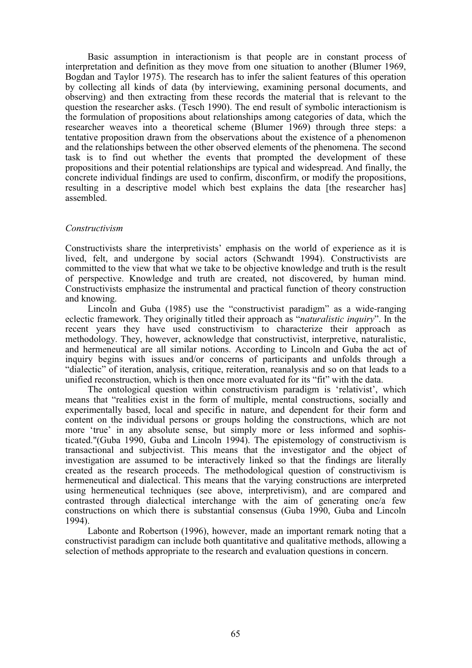Basic assumption in interactionism is that people are in constant process of interpretation and definition as they move from one situation to another (Blumer 1969, Bogdan and Taylor 1975). The research has to infer the salient features of this operation by collecting all kinds of data (by interviewing, examining personal documents, and observing) and then extracting from these records the material that is relevant to the question the researcher asks. (Tesch 1990). The end result of symbolic interactionism is the formulation of propositions about relationships among categories of data, which the researcher weaves into a theoretical scheme (Blumer 1969) through three steps: a tentative proposition drawn from the observations about the existence of a phenomenon and the relationships between the other observed elements of the phenomena. The second task is to find out whether the events that prompted the development of these propositions and their potential relationships are typical and widespread. And finally, the concrete individual findings are used to confirm, disconfirm, or modify the propositions, resulting in a descriptive model which best explains the data [the researcher has] assembled.

#### *Constructivism*

Constructivists share the interpretivists' emphasis on the world of experience as it is lived, felt, and undergone by social actors (Schwandt 1994). Constructivists are committed to the view that what we take to be objective knowledge and truth is the result of perspective. Knowledge and truth are created, not discovered, by human mind. Constructivists emphasize the instrumental and practical function of theory construction and knowing.

Lincoln and Guba (1985) use the "constructivist paradigm" as a wide-ranging eclectic framework. They originally titled their approach as "*naturalistic inquiry*". In the recent years they have used constructivism to characterize their approach as methodology. They, however, acknowledge that constructivist, interpretive, naturalistic, and hermeneutical are all similar notions. According to Lincoln and Guba the act of inquiry begins with issues and/or concerns of participants and unfolds through a "dialectic" of iteration, analysis, critique, reiteration, reanalysis and so on that leads to a unified reconstruction, which is then once more evaluated for its "fit" with the data.

The ontological question within constructivism paradigm is 'relativist', which means that "realities exist in the form of multiple, mental constructions, socially and experimentally based, local and specific in nature, and dependent for their form and content on the individual persons or groups holding the constructions, which are not more 'true' in any absolute sense, but simply more or less informed and sophisticated."(Guba 1990, Guba and Lincoln 1994). The epistemology of constructivism is transactional and subjectivist. This means that the investigator and the object of investigation are assumed to be interactively linked so that the findings are literally created as the research proceeds. The methodological question of constructivism is hermeneutical and dialectical. This means that the varying constructions are interpreted using hermeneutical techniques (see above, interpretivism), and are compared and contrasted through dialectical interchange with the aim of generating one/a few constructions on which there is substantial consensus (Guba 1990, Guba and Lincoln 1994).

Labonte and Robertson (1996), however, made an important remark noting that a constructivist paradigm can include both quantitative and qualitative methods, allowing a selection of methods appropriate to the research and evaluation questions in concern.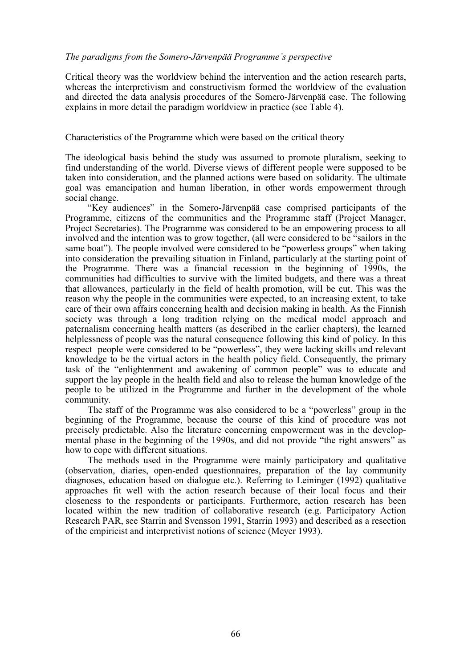# *The paradigms from the Somero-Järvenpää Programme's perspective*

Critical theory was the worldview behind the intervention and the action research parts, whereas the interpretivism and constructivism formed the worldview of the evaluation and directed the data analysis procedures of the Somero-Järvenpää case. The following explains in more detail the paradigm worldview in practice (see Table 4).

## Characteristics of the Programme which were based on the critical theory

The ideological basis behind the study was assumed to promote pluralism, seeking to find understanding of the world. Diverse views of different people were supposed to be taken into consideration, and the planned actions were based on solidarity. The ultimate goal was emancipation and human liberation, in other words empowerment through social change.

"Key audiences" in the Somero-Järvenpää case comprised participants of the Programme, citizens of the communities and the Programme staff (Project Manager, Project Secretaries). The Programme was considered to be an empowering process to all involved and the intention was to grow together, (all were considered to be "sailors in the same boat"). The people involved were considered to be "powerless groups" when taking into consideration the prevailing situation in Finland, particularly at the starting point of the Programme. There was a financial recession in the beginning of 1990s, the communities had difficulties to survive with the limited budgets, and there was a threat that allowances, particularly in the field of health promotion, will be cut. This was the reason why the people in the communities were expected, to an increasing extent, to take care of their own affairs concerning health and decision making in health. As the Finnish society was through a long tradition relying on the medical model approach and paternalism concerning health matters (as described in the earlier chapters), the learned helplessness of people was the natural consequence following this kind of policy. In this respect people were considered to be "powerless", they were lacking skills and relevant knowledge to be the virtual actors in the health policy field. Consequently, the primary task of the "enlightenment and awakening of common people" was to educate and support the lay people in the health field and also to release the human knowledge of the people to be utilized in the Programme and further in the development of the whole community.

The staff of the Programme was also considered to be a "powerless" group in the beginning of the Programme, because the course of this kind of procedure was not precisely predictable. Also the literature concerning empowerment was in the developmental phase in the beginning of the 1990s, and did not provide "the right answers" as how to cope with different situations.

The methods used in the Programme were mainly participatory and qualitative (observation, diaries, open-ended questionnaires, preparation of the lay community diagnoses, education based on dialogue etc.). Referring to Leininger (1992) qualitative approaches fit well with the action research because of their local focus and their closeness to the respondents or participants. Furthermore, action research has been located within the new tradition of collaborative research (e.g. Participatory Action Research PAR, see Starrin and Svensson 1991, Starrin 1993) and described as a resection of the empiricist and interpretivist notions of science (Meyer 1993).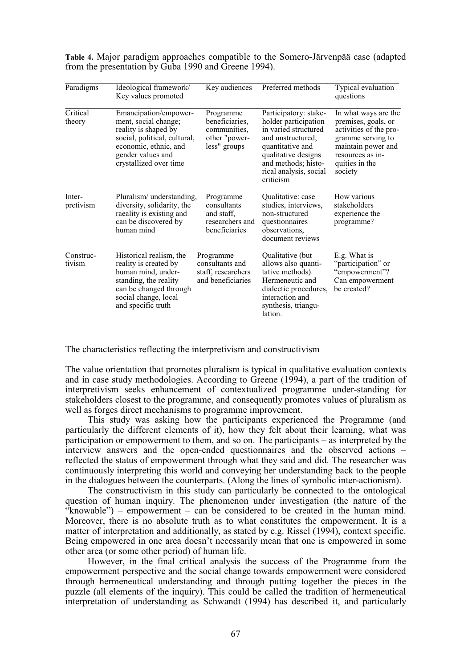| Paradigms           | Ideological framework/<br>Key values promoted                                                                                                                                 | Key audiences                                                                | Preferred methods                                                                                                                                                                                   | Typical evaluation<br>questions                                                                                                                                   |
|---------------------|-------------------------------------------------------------------------------------------------------------------------------------------------------------------------------|------------------------------------------------------------------------------|-----------------------------------------------------------------------------------------------------------------------------------------------------------------------------------------------------|-------------------------------------------------------------------------------------------------------------------------------------------------------------------|
| Critical<br>theory  | Emancipation/empower-<br>ment, social change;<br>reality is shaped by<br>social, political, cultural,<br>economic, ethnic, and<br>gender values and<br>crystallized over time | Programme<br>beneficiaries,<br>communities,<br>other "power-<br>less" groups | Participatory: stake-<br>holder participation<br>in varied structured<br>and unstructured,<br>quantitative and<br>qualitative designs<br>and methods; histo-<br>rical analysis, social<br>criticism | In what ways are the<br>premises, goals, or<br>activities of the pro-<br>gramme serving to<br>maintain power and<br>resources as in-<br>quities in the<br>society |
| Inter-<br>pretivism | Pluralism/ understanding,<br>diversity, solidarity, the<br>raeality is existing and<br>can be discovered by<br>human mind                                                     | Programme<br>consultants<br>and staff,<br>researchers and<br>beneficiaries   | Qualitative: case<br>studies, interviews,<br>non-structured<br>questionnaires<br>observations,<br>document reviews                                                                                  | How various<br>stakeholders<br>experience the<br>programme?                                                                                                       |
| Construc-<br>tivism | Historical realism, the<br>reality is created by<br>human mind, under-<br>standing, the reality<br>can be changed through<br>social change, local<br>and specific truth       | Programme<br>consultants and<br>staff, researchers<br>and beneficiaries      | Qualitative (but<br>allows also quanti-<br>tative methods).<br>Hermeneutic and<br>dialectic procedures,<br>interaction and<br>synthesis, triangu-<br>lation.                                        | E.g. What is<br>"participation" or<br>"empowerment"?<br>Can empowerment<br>be created?                                                                            |

**Table 4.** Major paradigm approaches compatible to the Somero-Järvenpää case (adapted from the presentation by Guba 1990 and Greene 1994).

The characteristics reflecting the interpretivism and constructivism

The value orientation that promotes pluralism is typical in qualitative evaluation contexts and in case study methodologies. According to Greene (1994), a part of the tradition of interpretivism seeks enhancement of contextualized programme under-standing for stakeholders closest to the programme, and consequently promotes values of pluralism as well as forges direct mechanisms to programme improvement.

This study was asking how the participants experienced the Programme (and particularly the different elements of it), how they felt about their learning, what was participation or empowerment to them, and so on. The participants – as interpreted by the interview answers and the open-ended questionnaires and the observed actions – reflected the status of empowerment through what they said and did. The researcher was continuously interpreting this world and conveying her understanding back to the people in the dialogues between the counterparts. (Along the lines of symbolic inter-actionism).

The constructivism in this study can particularly be connected to the ontological question of human inquiry. The phenomenon under investigation (the nature of the  $\hat{R}$  ( $\hat{R}$ ) – empowerment – can be considered to be created in the human mind. Moreover, there is no absolute truth as to what constitutes the empowerment. It is a matter of interpretation and additionally, as stated by e.g. Rissel (1994), context specific. Being empowered in one area doesn't necessarily mean that one is empowered in some other area (or some other period) of human life.

However, in the final critical analysis the success of the Programme from the empowerment perspective and the social change towards empowerment were considered through hermeneutical understanding and through putting together the pieces in the puzzle (all elements of the inquiry). This could be called the tradition of hermeneutical interpretation of understanding as Schwandt (1994) has described it, and particularly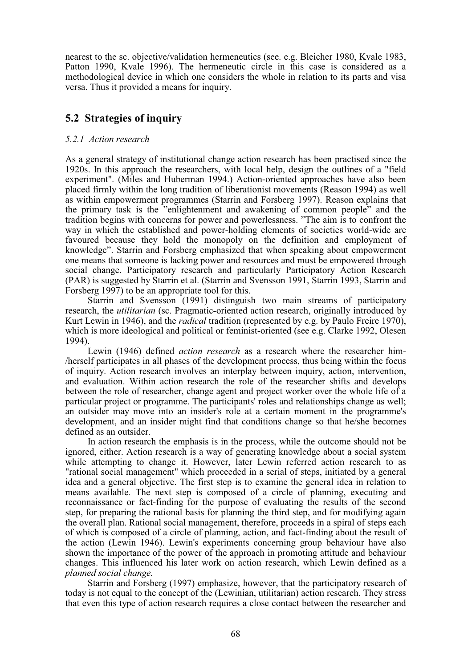nearest to the sc. objective/validation hermeneutics (see. e.g. Bleicher 1980, Kvale 1983, Patton 1990, Kvale 1996). The hermeneutic circle in this case is considered as a methodological device in which one considers the whole in relation to its parts and visa versa. Thus it provided a means for inquiry.

# **5.2 Strategies of inquiry**

# *5.2.1 Action research*

As a general strategy of institutional change action research has been practised since the 1920s. In this approach the researchers, with local help, design the outlines of a "field experiment". (Miles and Huberman 1994.) Action-oriented approaches have also been placed firmly within the long tradition of liberationist movements (Reason 1994) as well as within empowerment programmes (Starrin and Forsberg 1997). Reason explains that the primary task is the "enlightenment and awakening of common people" and the tradition begins with concerns for power and powerlessness. "The aim is to confront the way in which the established and power-holding elements of societies world-wide are favoured because they hold the monopoly on the definition and employment of knowledge". Starrin and Forsberg emphasized that when speaking about empowerment one means that someone is lacking power and resources and must be empowered through social change. Participatory research and particularly Participatory Action Research (PAR) is suggested by Starrin et al. (Starrin and Svensson 1991, Starrin 1993, Starrin and Forsberg 1997) to be an appropriate tool for this.

Starrin and Svensson (1991) distinguish two main streams of participatory research, the *utilitarian* (sc. Pragmatic*-*oriented action research, originally introduced by Kurt Lewin in 1946), and the *radical* tradition (represented by e.g. by Paulo Freire 1970), which is more ideological and political or feminist-oriented (see e.g. Clarke 1992, Olesen 1994).

Lewin (1946) defined *action research* as a research where the researcher him- /herself participates in all phases of the development process, thus being within the focus of inquiry. Action research involves an interplay between inquiry, action, intervention, and evaluation. Within action research the role of the researcher shifts and develops between the role of researcher, change agent and project worker over the whole life of a particular project or programme. The participants' roles and relationships change as well; an outsider may move into an insider's role at a certain moment in the programme's development, and an insider might find that conditions change so that he/she becomes defined as an outsider.

In action research the emphasis is in the process, while the outcome should not be ignored, either. Action research is a way of generating knowledge about a social system while attempting to change it. However, later Lewin referred action research to as "rational social management" which proceeded in a serial of steps, initiated by a general idea and a general objective. The first step is to examine the general idea in relation to means available. The next step is composed of a circle of planning, executing and reconnaissance or fact-finding for the purpose of evaluating the results of the second step, for preparing the rational basis for planning the third step, and for modifying again the overall plan. Rational social management, therefore, proceeds in a spiral of steps each of which is composed of a circle of planning, action, and fact-finding about the result of the action (Lewin 1946). Lewin's experiments concerning group behaviour have also shown the importance of the power of the approach in promoting attitude and behaviour changes. This influenced his later work on action research, which Lewin defined as a *planned social change.*

Starrin and Forsberg (1997) emphasize, however, that the participatory research of today is not equal to the concept of the (Lewinian, utilitarian) action research. They stress that even this type of action research requires a close contact between the researcher and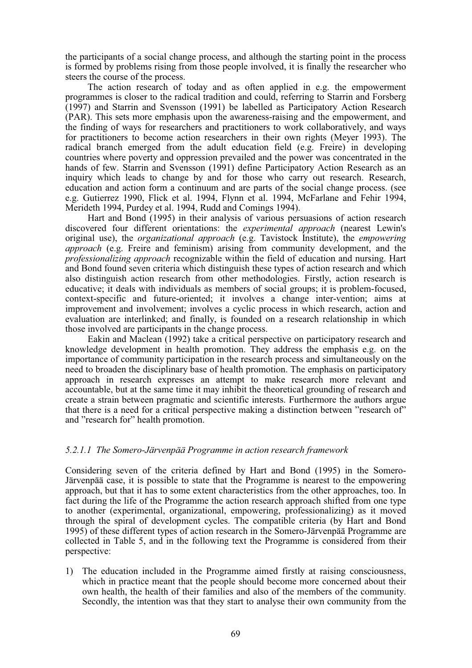the participants of a social change process, and although the starting point in the process is formed by problems rising from those people involved, it is finally the researcher who steers the course of the process.

The action research of today and as often applied in e.g. the empowerment programmes is closer to the radical tradition and could, referring to Starrin and Forsberg (1997) and Starrin and Svensson (1991) be labelled as Participatory Action Research (PAR). This sets more emphasis upon the awareness-raising and the empowerment, and the finding of ways for researchers and practitioners to work collaboratively, and ways for practitioners to become action researchers in their own rights (Meyer 1993). The radical branch emerged from the adult education field (e.g. Freire) in developing countries where poverty and oppression prevailed and the power was concentrated in the hands of few. Starrin and Svensson (1991) define Participatory Action Research as an inquiry which leads to change by and for those who carry out research. Research, education and action form a continuum and are parts of the social change process. (see e.g. Gutierrez 1990, Flick et al. 1994, Flynn et al. 1994, McFarlane and Fehir 1994, Merideth 1994, Purdey et al. 1994, Rudd and Comings 1994).

Hart and Bond (1995) in their analysis of various persuasions of action research discovered four different orientations: the *experimental approach* (nearest Lewin's original use), the *organizational approach* (e.g. Tavistock Institute), the *empowering approach* (e.g. Freire and feminism) arising from community development, and the *professionalizing approach* recognizable within the field of education and nursing. Hart and Bond found seven criteria which distinguish these types of action research and which also distinguish action research from other methodologies. Firstly, action research is educative; it deals with individuals as members of social groups; it is problem-focused, context-specific and future-oriented; it involves a change inter-vention; aims at improvement and involvement; involves a cyclic process in which research, action and evaluation are interlinked; and finally, is founded on a research relationship in which those involved are participants in the change process.

Eakin and Maclean (1992) take a critical perspective on participatory research and knowledge development in health promotion. They address the emphasis e.g. on the importance of community participation in the research process and simultaneously on the need to broaden the disciplinary base of health promotion. The emphasis on participatory approach in research expresses an attempt to make research more relevant and accountable, but at the same time it may inhibit the theoretical grounding of research and create a strain between pragmatic and scientific interests. Furthermore the authors argue that there is a need for a critical perspective making a distinction between "research of" and "research for" health promotion.

#### *5.2.1.1 The Somero-Järvenpää Programme in action research framework*

Considering seven of the criteria defined by Hart and Bond (1995) in the Somero-Järvenpää case, it is possible to state that the Programme is nearest to the empowering approach, but that it has to some extent characteristics from the other approaches, too. In fact during the life of the Programme the action research approach shifted from one type to another (experimental, organizational, empowering, professionalizing) as it moved through the spiral of development cycles. The compatible criteria (by Hart and Bond 1995) of these different types of action research in the Somero-Järvenpää Programme are collected in Table 5, and in the following text the Programme is considered from their perspective:

1) The education included in the Programme aimed firstly at raising consciousness, which in practice meant that the people should become more concerned about their own health, the health of their families and also of the members of the community. Secondly, the intention was that they start to analyse their own community from the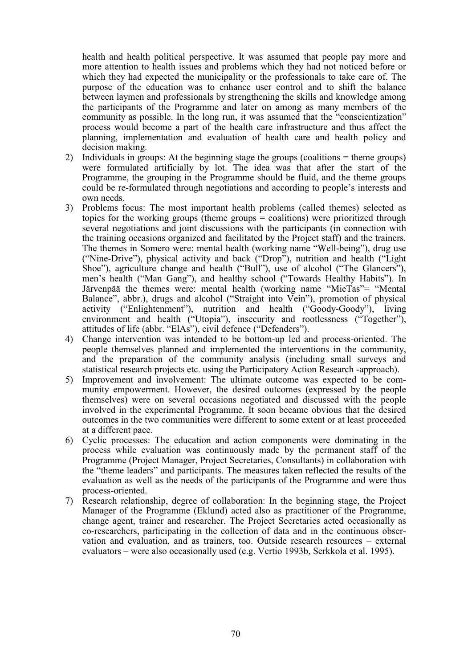health and health political perspective. It was assumed that people pay more and more attention to health issues and problems which they had not noticed before or which they had expected the municipality or the professionals to take care of. The purpose of the education was to enhance user control and to shift the balance between laymen and professionals by strengthening the skills and knowledge among the participants of the Programme and later on among as many members of the community as possible. In the long run, it was assumed that the "conscientization" process would become a part of the health care infrastructure and thus affect the planning, implementation and evaluation of health care and health policy and decision making.

- 2) Individuals in groups: At the beginning stage the groups (coalitions = theme groups) were formulated artificially by lot. The idea was that after the start of the Programme, the grouping in the Programme should be fluid, and the theme groups could be re-formulated through negotiations and according to people's interests and own needs.
- 3) Problems focus: The most important health problems (called themes) selected as topics for the working groups (theme groups = coalitions) were prioritized through several negotiations and joint discussions with the participants (in connection with the training occasions organized and facilitated by the Project staff) and the trainers. The themes in Somero were: mental health (working name "Well-being"), drug use ("Nine-Drive"), physical activity and back ("Drop"), nutrition and health ("Light Shoe"), agriculture change and health ("Bull"), use of alcohol ("The Glancers"), men's health ("Man Gang"), and healthy school ("Towards Healthy Habits"). In Järvenpää the themes were: mental health (working name "MieTas"= "Mental Balance", abbr.), drugs and alcohol ("Straight into Vein"), promotion of physical activity ("Enlightenment"), nutrition and health ("Goody-Goody"), living environment and health ("Utopia"), insecurity and rootlessness ("Together"), attitudes of life (abbr. "ElAs"), civil defence ("Defenders").
- 4) Change intervention was intended to be bottom-up led and process-oriented. The people themselves planned and implemented the interventions in the community, and the preparation of the community analysis (including small surveys and statistical research projects etc. using the Participatory Action Research -approach).
- 5) Improvement and involvement: The ultimate outcome was expected to be community empowerment. However, the desired outcomes (expressed by the people themselves) were on several occasions negotiated and discussed with the people involved in the experimental Programme. It soon became obvious that the desired outcomes in the two communities were different to some extent or at least proceeded at a different pace.
- 6) Cyclic processes: The education and action components were dominating in the process while evaluation was continuously made by the permanent staff of the Programme (Project Manager, Project Secretaries, Consultants) in collaboration with the "theme leaders" and participants. The measures taken reflected the results of the evaluation as well as the needs of the participants of the Programme and were thus process-oriented.
- 7) Research relationship, degree of collaboration: In the beginning stage, the Project Manager of the Programme (Eklund) acted also as practitioner of the Programme, change agent, trainer and researcher. The Project Secretaries acted occasionally as co-researchers, participating in the collection of data and in the continuous observation and evaluation, and as trainers, too. Outside research resources – external evaluators – were also occasionally used (e.g. Vertio 1993b, Serkkola et al. 1995).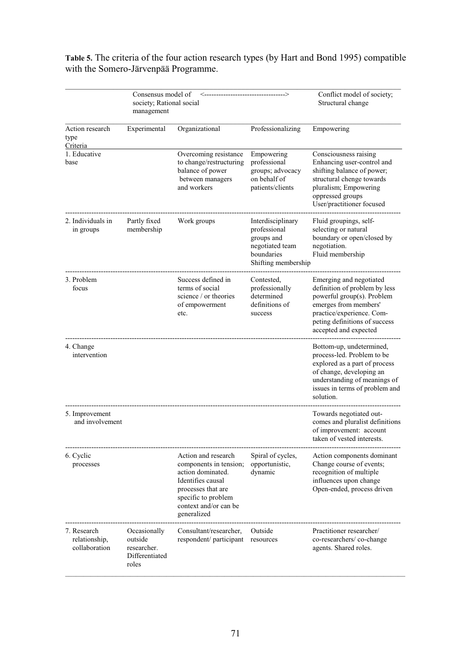|                                               | Consensus model of<br>society; Rational social<br>management      |                                                                                                                                                                              |                                                                                                         | Conflict model of society;<br>Structural change                                                                                                                                                        |
|-----------------------------------------------|-------------------------------------------------------------------|------------------------------------------------------------------------------------------------------------------------------------------------------------------------------|---------------------------------------------------------------------------------------------------------|--------------------------------------------------------------------------------------------------------------------------------------------------------------------------------------------------------|
| Action research<br>type<br>Criteria           | Experimental                                                      | Organizational                                                                                                                                                               | Professionalizing                                                                                       | Empowering                                                                                                                                                                                             |
| 1. Educative<br>base                          |                                                                   | Overcoming resistance<br>to change/restructuring<br>balance of power<br>between managers<br>and workers                                                                      | Empowering<br>professional<br>groups; advocacy<br>on behalf of<br>patients/clients                      | Consciousness raising<br>Enhancing user-control and<br>shifting balance of power;<br>structural chenge towards<br>pluralism; Empowering<br>oppressed groups<br>User/practitioner focused               |
| 2. Individuals in<br>in groups                | Partly fixed<br>membership                                        | Work groups                                                                                                                                                                  | Interdisciplinary<br>professional<br>groups and<br>negotiated team<br>boundaries<br>Shifting membership | Fluid groupings, self-<br>selecting or natural<br>boundary or open/closed by<br>negotiation.<br>Fluid membership                                                                                       |
| 3. Problem<br>focus                           |                                                                   | Success defined in<br>terms of social<br>science / or theories<br>of empowerment<br>etc.                                                                                     | Contested,<br>professionally<br>determined<br>definitions of<br>success                                 | Emerging and negotiated<br>definition of problem by less<br>powerful group(s). Problem<br>emerges from members'<br>practice/experience. Com-<br>peting definitions of success<br>accepted and expected |
| 4. Change<br>intervention                     |                                                                   |                                                                                                                                                                              |                                                                                                         | Bottom-up, undetermined,<br>process-led. Problem to be<br>explored as a part of process<br>of change, developing an<br>understanding of meanings of<br>issues in terms of problem and<br>solution.     |
| 5. Improvement<br>and involvement             |                                                                   |                                                                                                                                                                              |                                                                                                         | Towards negotiated out-<br>comes and pluralist definitions<br>of improvement: account<br>taken of vested interests.                                                                                    |
| 6. Cyclic<br>processes                        |                                                                   | Action and research<br>components in tension;<br>action dominated.<br>Identifies causal<br>processes that are<br>specific to problem<br>context and/or can be<br>generalized | Spiral of cycles,<br>opportunistic,<br>dynamic                                                          | Action components dominant<br>Change course of events;<br>recognition of multiple<br>influences upon change<br>Open-ended, process driven                                                              |
| 7. Research<br>relationship,<br>collaboration | Occasionally<br>outside<br>researcher.<br>Differentiated<br>roles | Consultant/researcher,<br>respondent/ participant                                                                                                                            | Outside<br>resources                                                                                    | Practitioner researcher/<br>co-researchers/co-change<br>agents. Shared roles.                                                                                                                          |

**Table 5.** The criteria of the four action research types (by Hart and Bond 1995) compatible with the Somero-Järvenpää Programme.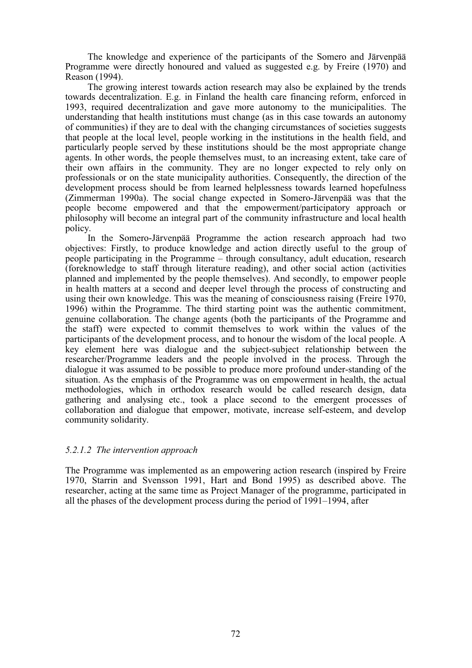The knowledge and experience of the participants of the Somero and Järvenpää Programme were directly honoured and valued as suggested e.g. by Freire (1970) and Reason (1994).

The growing interest towards action research may also be explained by the trends towards decentralization. E.g. in Finland the health care financing reform, enforced in 1993, required decentralization and gave more autonomy to the municipalities. The understanding that health institutions must change (as in this case towards an autonomy of communities) if they are to deal with the changing circumstances of societies suggests that people at the local level, people working in the institutions in the health field, and particularly people served by these institutions should be the most appropriate change agents. In other words, the people themselves must, to an increasing extent, take care of their own affairs in the community. They are no longer expected to rely only on professionals or on the state municipality authorities. Consequently, the direction of the development process should be from learned helplessness towards learned hopefulness (Zimmerman 1990a). The social change expected in Somero-Järvenpää was that the people become empowered and that the empowerment/participatory approach or philosophy will become an integral part of the community infrastructure and local health policy.

In the Somero-Järvenpää Programme the action research approach had two objectives: Firstly, to produce knowledge and action directly useful to the group of people participating in the Programme – through consultancy, adult education, research (foreknowledge to staff through literature reading), and other social action (activities planned and implemented by the people themselves). And secondly, to empower people in health matters at a second and deeper level through the process of constructing and using their own knowledge. This was the meaning of consciousness raising (Freire 1970, 1996) within the Programme. The third starting point was the authentic commitment, genuine collaboration. The change agents (both the participants of the Programme and the staff) were expected to commit themselves to work within the values of the participants of the development process, and to honour the wisdom of the local people. A key element here was dialogue and the subject-subject relationship between the researcher/Programme leaders and the people involved in the process. Through the dialogue it was assumed to be possible to produce more profound under-standing of the situation. As the emphasis of the Programme was on empowerment in health, the actual methodologies, which in orthodox research would be called research design, data gathering and analysing etc., took a place second to the emergent processes of collaboration and dialogue that empower, motivate, increase self-esteem, and develop community solidarity.

#### *5.2.1.2 The intervention approach*

The Programme was implemented as an empowering action research (inspired by Freire 1970, Starrin and Svensson 1991, Hart and Bond 1995) as described above. The researcher, acting at the same time as Project Manager of the programme, participated in all the phases of the development process during the period of 1991–1994, after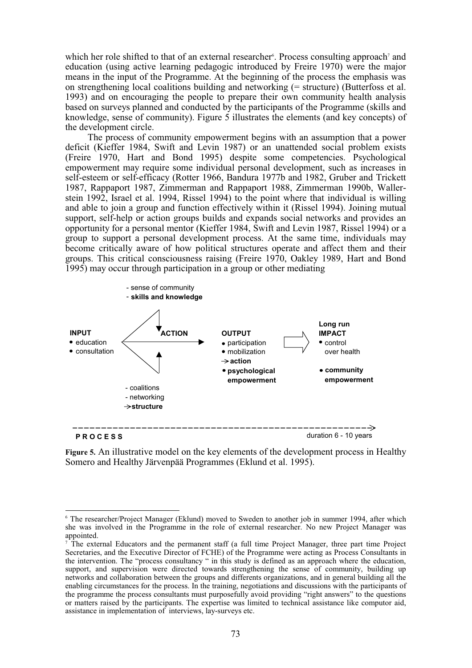which her role shifted to that of an external researcher<sup>6</sup>. Process consulting approach<sup>7</sup> and education (using active learning pedagogic introduced by Freire 1970) were the major means in the input of the Programme. At the beginning of the process the emphasis was on strengthening local coalitions building and networking (= structure) (Butterfoss et al. 1993) and on encouraging the people to prepare their own community health analysis based on surveys planned and conducted by the participants of the Programme (skills and knowledge, sense of community). Figure 5 illustrates the elements (and key concepts) of the development circle.

The process of community empowerment begins with an assumption that a power deficit (Kieffer 1984, Swift and Levin 1987) or an unattended social problem exists (Freire 1970, Hart and Bond 1995) despite some competencies. Psychological empowerment may require some individual personal development, such as increases in self-esteem or self-efficacy (Rotter 1966, Bandura 1977b and 1982, Gruber and Trickett 1987, Rappaport 1987, Zimmerman and Rappaport 1988, Zimmerman 1990b, Wallerstein 1992, Israel et al. 1994, Rissel 1994) to the point where that individual is willing and able to join a group and function effectively within it (Rissel 1994). Joining mutual support, self-help or action groups builds and expands social networks and provides an opportunity for a personal mentor (Kieffer 1984, Swift and Levin 1987, Rissel 1994) or a group to support a personal development process. At the same time, individuals may become critically aware of how political structures operate and affect them and their groups. This critical consciousness raising (Freire 1970, Oakley 1989, Hart and Bond 1995) may occur through participation in a group or other mediating



**Figure 5.** An illustrative model on the key elements of the development process in Healthy Somero and Healthy Järvenpää Programmes (Eklund et al. 1995).

<sup>6</sup> The researcher/Project Manager (Eklund) moved to Sweden to another job in summer 1994, after which she was involved in the Programme in the role of external researcher. No new Project Manager was appointed.

<sup>7</sup> The external Educators and the permanent staff (a full time Project Manager, three part time Project Secretaries, and the Executive Director of FCHE) of the Programme were acting as Process Consultants in the intervention. The "process consultancy " in this study is defined as an approach where the education, support, and supervision were directed towards strengthening the sense of community, building up networks and collaboration between the groups and differents organizations, and in general building all the enabling circumstances for the process. In the training, negotiations and discussions with the participants of the programme the process consultants must purposefully avoid providing "right answers" to the questions or matters raised by the participants. The expertise was limited to technical assistance like computor aid, assistance in implementation of interviews, lay-surveys etc.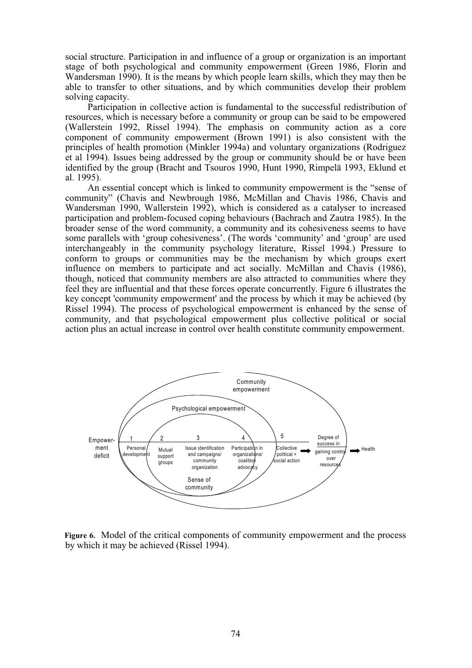social structure. Participation in and influence of a group or organization is an important stage of both psychological and community empowerment (Green 1986, Florin and Wandersman 1990). It is the means by which people learn skills, which they may then be able to transfer to other situations, and by which communities develop their problem solving capacity.

Participation in collective action is fundamental to the successful redistribution of resources, which is necessary before a community or group can be said to be empowered (Wallerstein 1992, Rissel 1994). The emphasis on community action as a core component of community empowerment (Brown 1991) is also consistent with the principles of health promotion (Minkler 1994a) and voluntary organizations (Rodriguez et al 1994). Issues being addressed by the group or community should be or have been identified by the group (Bracht and Tsouros 1990, Hunt 1990, Rimpelä 1993, Eklund et al. 1995).

An essential concept which is linked to community empowerment is the "sense of community" (Chavis and Newbrough 1986, McMillan and Chavis 1986, Chavis and Wandersman 1990, Wallerstein 1992), which is considered as a catalyser to increased participation and problem-focused coping behaviours (Bachrach and Zautra 1985). In the broader sense of the word community, a community and its cohesiveness seems to have some parallels with 'group cohesiveness'. (The words 'community' and 'group' are used interchangeably in the community psychology literature, Rissel 1994.) Pressure to conform to groups or communities may be the mechanism by which groups exert influence on members to participate and act socially. McMillan and Chavis (1986), though, noticed that community members are also attracted to communities where they feel they are influential and that these forces operate concurrently. Figure 6 illustrates the key concept 'community empowerment' and the process by which it may be achieved (by Rissel 1994). The process of psychological empowerment is enhanced by the sense of community, and that psychological empowerment plus collective political or social action plus an actual increase in control over health constitute community empowerment.



**Figure 6.** Model of the critical components of community empowerment and the process by which it may be achieved (Rissel 1994).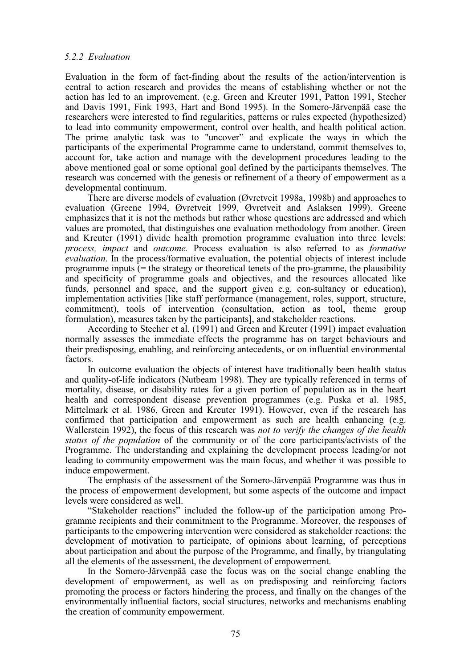# *5.2.2 Evaluation*

Evaluation in the form of fact-finding about the results of the action/intervention is central to action research and provides the means of establishing whether or not the action has led to an improvement. (e.g. Green and Kreuter 1991, Patton 1991, Stecher and Davis 1991, Fink 1993, Hart and Bond 1995). In the Somero-Järvenpää case the researchers were interested to find regularities, patterns or rules expected (hypothesized) to lead into community empowerment, control over health, and health political action. The prime analytic task was to "uncover" and explicate the ways in which the participants of the experimental Programme came to understand, commit themselves to, account for, take action and manage with the development procedures leading to the above mentioned goal or some optional goal defined by the participants themselves. The research was concerned with the genesis or refinement of a theory of empowerment as a developmental continuum.

There are diverse models of evaluation (Øvretveit 1998a, 1998b) and approaches to evaluation (Greene 1994, Øvretveit 1999, Øvretveit and Aslaksen 1999). Greene emphasizes that it is not the methods but rather whose questions are addressed and which values are promoted, that distinguishes one evaluation methodology from another. Green and Kreuter (1991) divide health promotion programme evaluation into three levels: *process, impact* and *outcome.* Process evaluation is also referred to as *formative evaluation*. In the process/formative evaluation, the potential objects of interest include programme inputs (= the strategy or theoretical tenets of the pro-gramme, the plausibility and specificity of programme goals and objectives, and the resources allocated like funds, personnel and space, and the support given e.g. con-sultancy or education), implementation activities [like staff performance (management, roles, support, structure, commitment), tools of intervention (consultation, action as tool, theme group formulation), measures taken by the participants], and stakeholder reactions.

According to Stecher et al. (1991) and Green and Kreuter (1991) impact evaluation normally assesses the immediate effects the programme has on target behaviours and their predisposing, enabling, and reinforcing antecedents, or on influential environmental factors.

In outcome evaluation the objects of interest have traditionally been health status and quality-of-life indicators (Nutbeam 1998). They are typically referenced in terms of mortality, disease, or disability rates for a given portion of population as in the heart health and correspondent disease prevention programmes (e.g. Puska et al. 1985, Mittelmark et al. 1986, Green and Kreuter 1991). However, even if the research has confirmed that participation and empowerment as such are health enhancing (e.g. Wallerstein 1992), the focus of this research was *not to verify the changes of the health status of the population* of the community or of the core participants/activists of the Programme. The understanding and explaining the development process leading/or not leading to community empowerment was the main focus, and whether it was possible to induce empowerment.

The emphasis of the assessment of the Somero-Järvenpää Programme was thus in the process of empowerment development, but some aspects of the outcome and impact levels were considered as well.

"Stakeholder reactions" included the follow-up of the participation among Programme recipients and their commitment to the Programme. Moreover, the responses of participants to the empowering intervention were considered as stakeholder reactions: the development of motivation to participate, of opinions about learning, of perceptions about participation and about the purpose of the Programme, and finally, by triangulating all the elements of the assessment, the development of empowerment.

In the Somero-Järvenpää case the focus was on the social change enabling the development of empowerment, as well as on predisposing and reinforcing factors promoting the process or factors hindering the process, and finally on the changes of the environmentally influential factors, social structures, networks and mechanisms enabling the creation of community empowerment.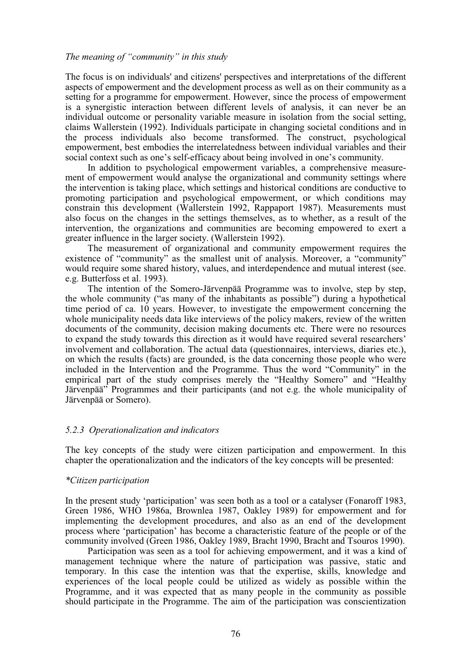# *The meaning of "community" in this study*

The focus is on individuals' and citizens' perspectives and interpretations of the different aspects of empowerment and the development process as well as on their community as a setting for a programme for empowerment. However, since the process of empowerment is a synergistic interaction between different levels of analysis, it can never be an individual outcome or personality variable measure in isolation from the social setting, claims Wallerstein (1992). Individuals participate in changing societal conditions and in the process individuals also become transformed. The construct, psychological empowerment, best embodies the interrelatedness between individual variables and their social context such as one's self-efficacy about being involved in one's community.

In addition to psychological empowerment variables, a comprehensive measurement of empowerment would analyse the organizational and community settings where the intervention is taking place, which settings and historical conditions are conductive to promoting participation and psychological empowerment, or which conditions may constrain this development (Wallerstein 1992, Rappaport 1987). Measurements must also focus on the changes in the settings themselves, as to whether, as a result of the intervention, the organizations and communities are becoming empowered to exert a greater influence in the larger society. (Wallerstein 1992).

The measurement of organizational and community empowerment requires the existence of "community" as the smallest unit of analysis. Moreover, a "community" would require some shared history, values, and interdependence and mutual interest (see. e.g. Butterfoss et al. 1993).

The intention of the Somero-Järvenpää Programme was to involve, step by step, the whole community ("as many of the inhabitants as possible") during a hypothetical time period of ca. 10 years. However, to investigate the empowerment concerning the whole municipality needs data like interviews of the policy makers, review of the written documents of the community, decision making documents etc. There were no resources to expand the study towards this direction as it would have required several researchers' involvement and collaboration. The actual data (questionnaires, interviews, diaries etc.), on which the results (facts) are grounded, is the data concerning those people who were included in the Intervention and the Programme. Thus the word "Community" in the empirical part of the study comprises merely the "Healthy Somero" and "Healthy Järvenpää" Programmes and their participants (and not e.g. the whole municipality of Järvenpää or Somero).

#### *5.2.3 Operationalization and indicators*

The key concepts of the study were citizen participation and empowerment. In this chapter the operationalization and the indicators of the key concepts will be presented:

#### *\*Citizen participation*

In the present study 'participation' was seen both as a tool or a catalyser (Fonaroff 1983, Green 1986, WHO 1986a, Brownlea 1987, Oakley 1989) for empowerment and for implementing the development procedures, and also as an end of the development process where 'participation' has become a characteristic feature of the people or of the community involved (Green 1986, Oakley 1989, Bracht 1990, Bracht and Tsouros 1990).

Participation was seen as a tool for achieving empowerment, and it was a kind of management technique where the nature of participation was passive, static and temporary. In this case the intention was that the expertise, skills, knowledge and experiences of the local people could be utilized as widely as possible within the Programme, and it was expected that as many people in the community as possible should participate in the Programme. The aim of the participation was conscientization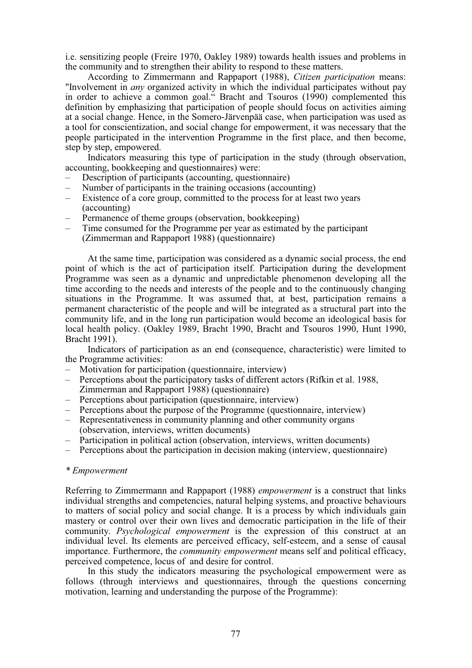i.e. sensitizing people (Freire 1970, Oakley 1989) towards health issues and problems in the community and to strengthen their ability to respond to these matters.

According to Zimmermann and Rappaport (1988), *Citizen participation* means: "Involvement in *any* organized activity in which the individual participates without pay in order to achieve a common goal." Bracht and Tsouros (1990) complemented this definition by emphasizing that participation of people should focus on activities aiming at a social change. Hence, in the Somero-Järvenpää case, when participation was used as a tool for conscientization, and social change for empowerment, it was necessary that the people participated in the intervention Programme in the first place, and then become, step by step, empowered.

Indicators measuring this type of participation in the study (through observation, accounting, bookkeeping and questionnaires) were:

- Description of participants (accounting, questionnaire)
- Number of participants in the training occasions (accounting)
- Existence of a core group, committed to the process for at least two years (accounting)
- Permanence of theme groups (observation, bookkeeping)
- Time consumed for the Programme per year as estimated by the participant (Zimmerman and Rappaport 1988) (questionnaire)

At the same time, participation was considered as a dynamic social process, the end point of which is the act of participation itself. Participation during the development Programme was seen as a dynamic and unpredictable phenomenon developing all the time according to the needs and interests of the people and to the continuously changing situations in the Programme. It was assumed that, at best, participation remains a permanent characteristic of the people and will be integrated as a structural part into the community life, and in the long run participation would become an ideological basis for local health policy. (Oakley 1989, Bracht 1990, Bracht and Tsouros 1990, Hunt 1990, Bracht 1991).

Indicators of participation as an end (consequence, characteristic) were limited to the Programme activities:<br>- Motivation for narticine

- Motivation for participation (questionnaire, interview)
- Perceptions about the participatory tasks of different actors (Rifkin et al. 1988, Zimmerman and Rappaport 1988) (questionnaire)
- Perceptions about participation (questionnaire, interview)
- Perceptions about the purpose of the Programme (questionnaire, interview)
- Representativeness in community planning and other community organs (observation, interviews, written documents)
- Participation in political action (observation, interviews, written documents)
- Perceptions about the participation in decision making (interview, questionnaire)

#### *\* Empowerment*

Referring to Zimmermann and Rappaport (1988) *empowerment* is a construct that links individual strengths and competencies, natural helping systems, and proactive behaviours to matters of social policy and social change. It is a process by which individuals gain mastery or control over their own lives and democratic participation in the life of their community. *Psychological empowerment* is the expression of this construct at an individual level. Its elements are perceived efficacy, self-esteem, and a sense of causal importance. Furthermore, the *community empowerment* means self and political efficacy, perceived competence, locus of and desire for control.

In this study the indicators measuring the psychological empowerment were as follows (through interviews and questionnaires, through the questions concerning motivation, learning and understanding the purpose of the Programme):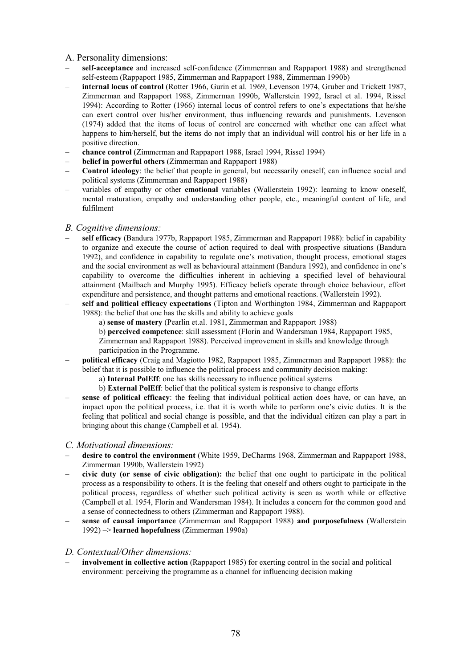# A. Personality dimensions:

- **self-acceptance** and increased self-confidence (Zimmerman and Rappaport 1988) and strengthened self-esteem (Rappaport 1985, Zimmerman and Rappaport 1988, Zimmerman 1990b)
- **internal locus of control** (Rotter 1966, Gurin et al. 1969, Levenson 1974, Gruber and Trickett 1987, Zimmerman and Rappaport 1988, Zimmerman 1990b, Wallerstein 1992, Israel et al. 1994, Rissel 1994): According to Rotter (1966) internal locus of control refers to one's expectations that he/she can exert control over his/her environment, thus influencing rewards and punishments. Levenson (1974) added that the items of locus of control are concerned with whether one can affect what happens to him/herself, but the items do not imply that an individual will control his or her life in a positive direction.
- **chance control** (Zimmerman and Rappaport 1988, Israel 1994, Rissel 1994)
- **belief in powerful others** (Zimmerman and Rappaport 1988)
- **Control ideology**: the belief that people in general, but necessarily oneself, can influence social and political systems (Zimmerman and Rappaport 1988)
- variables of empathy or other **emotional** variables (Wallerstein 1992): learning to know oneself, mental maturation, empathy and understanding other people, etc., meaningful content of life, and fulfilment

#### *B. Cognitive dimensions:*

- **self efficacy** (Bandura 1977b, Rappaport 1985, Zimmerman and Rappaport 1988): belief in capability to organize and execute the course of action required to deal with prospective situations (Bandura 1992), and confidence in capability to regulate one's motivation, thought process, emotional stages and the social environment as well as behavioural attainment (Bandura 1992), and confidence in one's capability to overcome the difficulties inherent in achieving a specified level of behavioural attainment (Mailbach and Murphy 1995). Efficacy beliefs operate through choice behaviour, effort expenditure and persistence, and thought patterns and emotional reactions. (Wallerstein 1992).
- **self and political efficacy expectations** (Tipton and Worthington 1984, Zimmerman and Rappaport 1988): the belief that one has the skills and ability to achieve goals
	- a) **sense of mastery** (Pearlin et.al. 1981, Zimmerman and Rappaport 1988)
	- b) **perceived competence**: skill assessment (Florin and Wandersman 1984, Rappaport 1985,
	- Zimmerman and Rappaport 1988). Perceived improvement in skills and knowledge through participation in the Programme.
- **political efficacy** (Craig and Magiotto 1982, Rappaport 1985, Zimmerman and Rappaport 1988): the belief that it is possible to influence the political process and community decision making:
	- a) **Internal PolEff**: one has skills necessary to influence political systems
	- b) **External PolEff**: belief that the political system is responsive to change efforts
- sense of political efficacy: the feeling that individual political action does have, or can have, an impact upon the political process, i.e. that it is worth while to perform one's civic duties. It is the feeling that political and social change is possible, and that the individual citizen can play a part in bringing about this change (Campbell et al. 1954).

#### *C. Motivational dimensions:*

- **desire to control the environment** (White 1959, DeCharms 1968, Zimmerman and Rappaport 1988, Zimmerman 1990b, Wallerstein 1992)
- **civic duty (or sense of civic obligation):** the belief that one ought to participate in the political process as a responsibility to others. It is the feeling that oneself and others ought to participate in the political process, regardless of whether such political activity is seen as worth while or effective (Campbell et al. 1954, Florin and Wandersman 1984). It includes a concern for the common good and a sense of connectedness to others (Zimmerman and Rappaport 1988).
- **sense of causal importance** (Zimmerman and Rappaport 1988) **and purposefulness** (Wallerstein 1992) –> **learned hopefulness** (Zimmerman 1990a)

#### *D. Contextual/Other dimensions:*

– **involvement in collective action** (Rappaport 1985) for exerting control in the social and political environment: perceiving the programme as a channel for influencing decision making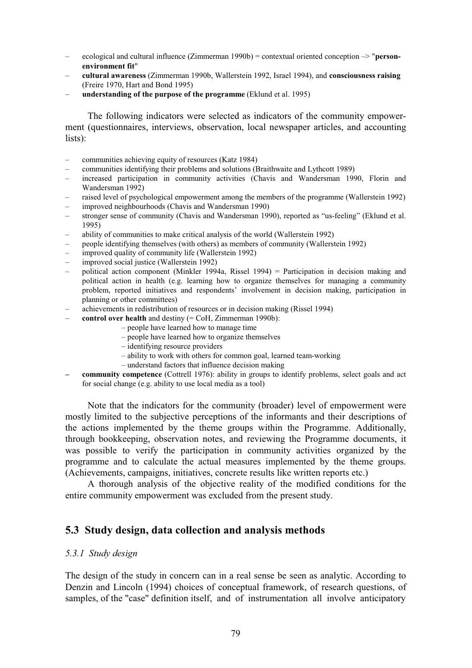- ecological and cultural influence (Zimmerman 1990b) = contextual oriented conception –> "**personenvironment fit**"
- **cultural awareness** (Zimmerman 1990b, Wallerstein 1992, Israel 1994), and **consciousness raising** (Freire 1970, Hart and Bond 1995)
- **understanding of the purpose of the programme** (Eklund et al. 1995)

The following indicators were selected as indicators of the community empowerment (questionnaires, interviews, observation, local newspaper articles, and accounting lists):

- communities achieving equity of resources (Katz 1984)
- communities identifying their problems and solutions (Braithwaite and Lythcott 1989)
- increased participation in community activities (Chavis and Wandersman 1990, Florin and Wandersman 1992)
- raised level of psychological empowerment among the members of the programme (Wallerstein 1992)
- improved neighbourhoods (Chavis and Wandersman 1990)
- stronger sense of community (Chavis and Wandersman 1990), reported as "us-feeling" (Eklund et al. 1995)
- ability of communities to make critical analysis of the world (Wallerstein 1992)
- people identifying themselves (with others) as members of community (Wallerstein 1992)
- improved quality of community life (Wallerstein 1992)
- improved social justice (Wallerstein 1992)
- political action component (Minkler 1994a, Rissel 1994) = Participation in decision making and political action in health (e.g. learning how to organize themselves for managing a community problem, reported initiatives and respondents' involvement in decision making, participation in planning or other committees)
- achievements in redistribution of resources or in decision making (Rissel 1994)
	- **control over health** and destiny (= CoH, Zimmerman 1990b):
		- people have learned how to manage time
		- people have learned how to organize themselves
		- identifying resource providers
		- ability to work with others for common goal, learned team-working
		- understand factors that influence decision making
- **community competence** (Cottrell 1976): ability in groups to identify problems, select goals and act for social change (e.g. ability to use local media as a tool)

Note that the indicators for the community (broader) level of empowerment were mostly limited to the subjective perceptions of the informants and their descriptions of the actions implemented by the theme groups within the Programme. Additionally, through bookkeeping, observation notes, and reviewing the Programme documents, it was possible to verify the participation in community activities organized by the programme and to calculate the actual measures implemented by the theme groups. (Achievements, campaigns, initiatives, concrete results like written reports etc.)

A thorough analysis of the objective reality of the modified conditions for the entire community empowerment was excluded from the present study.

# **5.3 Study design, data collection and analysis methods**

## *5.3.1 Study design*

The design of the study in concern can in a real sense be seen as analytic. According to Denzin and Lincoln (1994) choices of conceptual framework, of research questions, of samples, of the "case" definition itself, and of instrumentation all involve anticipatory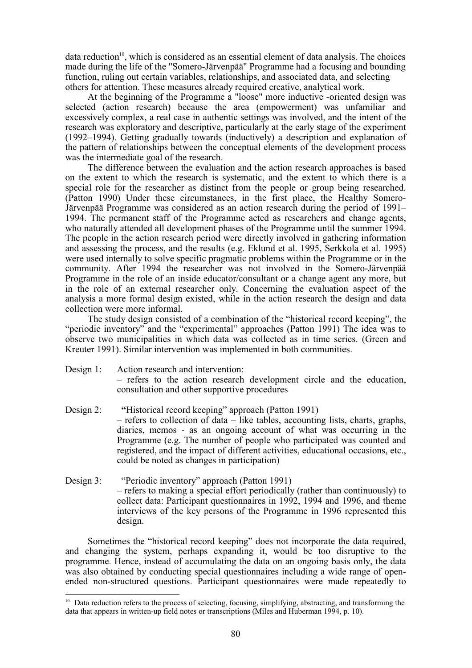data reduction<sup>10</sup>, which is considered as an essential element of data analysis. The choices made during the life of the "Somero-Järvenpää" Programme had a focusing and bounding function, ruling out certain variables, relationships, and associated data, and selecting others for attention. These measures already required creative, analytical work.

At the beginning of the Programme a "loose" more inductive -oriented design was selected (action research) because the area (empowerment) was unfamiliar and excessively complex, a real case in authentic settings was involved, and the intent of the research was exploratory and descriptive, particularly at the early stage of the experiment (1992–1994). Getting gradually towards (inductively) a description and explanation of the pattern of relationships between the conceptual elements of the development process was the intermediate goal of the research.

The difference between the evaluation and the action research approaches is based on the extent to which the research is systematic, and the extent to which there is a special role for the researcher as distinct from the people or group being researched. (Patton 1990) Under these circumstances, in the first place, the Healthy Somero-Järvenpää Programme was considered as an action research during the period of 1991– 1994. The permanent staff of the Programme acted as researchers and change agents, who naturally attended all development phases of the Programme until the summer 1994. The people in the action research period were directly involved in gathering information and assessing the process, and the results (e.g. Eklund et al. 1995, Serkkola et al. 1995) were used internally to solve specific pragmatic problems within the Programme or in the community. After 1994 the researcher was not involved in the Somero-Järvenpää Programme in the role of an inside educator/consultant or a change agent any more, but in the role of an external researcher only. Concerning the evaluation aspect of the analysis a more formal design existed, while in the action research the design and data collection were more informal.

The study design consisted of a combination of the "historical record keeping", the "periodic inventory" and the "experimental" approaches (Patton 1991) The idea was to observe two municipalities in which data was collected as in time series. (Green and Kreuter 1991). Similar intervention was implemented in both communities.

- Design 1: Action research and intervention: – refers to the action research development circle and the education, consultation and other supportive procedures
- Design 2: **"**Historical record keeping" approach (Patton 1991) – refers to collection of data – like tables, accounting lists, charts, graphs, diaries, memos - as an ongoing account of what was occurring in the Programme (e.g. The number of people who participated was counted and registered, and the impact of different activities, educational occasions, etc., could be noted as changes in participation)
- Design 3: "Periodic inventory" approach (Patton 1991) – refers to making a special effort periodically (rather than continuously) to collect data: Participant questionnaires in 1992, 1994 and 1996, and theme interviews of the key persons of the Programme in 1996 represented this design.

Sometimes the "historical record keeping" does not incorporate the data required, and changing the system, perhaps expanding it, would be too disruptive to the programme. Hence, instead of accumulating the data on an ongoing basis only, the data was also obtained by conducting special questionnaires including a wide range of openended non-structured questions. Participant questionnaires were made repeatedly to

<sup>&</sup>lt;sup>10</sup> Data reduction refers to the process of selecting, focusing, simplifying, abstracting, and transforming the data that appears in written-up field notes or transcriptions (Miles and Huberman 1994, p. 10).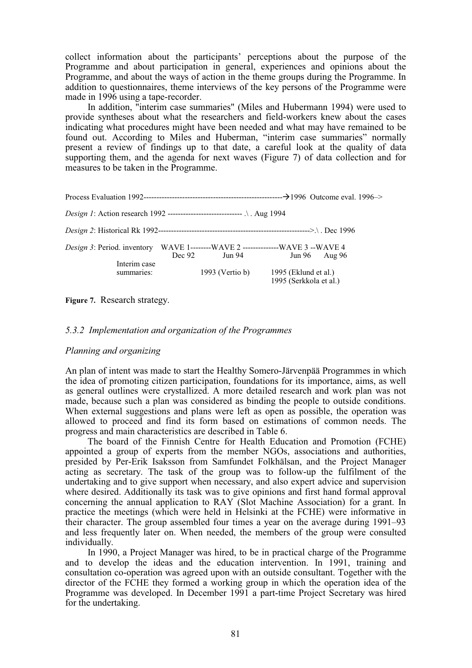collect information about the participants' perceptions about the purpose of the Programme and about participation in general, experiences and opinions about the Programme, and about the ways of action in the theme groups during the Programme. In addition to questionnaires, theme interviews of the key persons of the Programme were made in 1996 using a tape-recorder.

In addition, "interim case summaries" (Miles and Hubermann 1994) were used to provide syntheses about what the researchers and field-workers knew about the cases indicating what procedures might have been needed and what may have remained to be found out. According to Miles and Huberman, "interim case summaries" normally present a review of findings up to that date, a careful look at the quality of data supporting them, and the agenda for next waves (Figure 7) of data collection and for measures to be taken in the Programme.

| <i>Design 1</i> : Action research 1992 -------------------------------- . Aug 1994                    |          |                 |                                                |                   |
|-------------------------------------------------------------------------------------------------------|----------|-----------------|------------------------------------------------|-------------------|
|                                                                                                       |          |                 |                                                |                   |
| <i>Design 3</i> : Period. inventory WAVE 1-------WAVE 2 --------------WAVE 3 --WAVE 4<br>Interim case | Dec $92$ | Jun 94          |                                                | $Jun 96$ Aug $96$ |
| summaries:                                                                                            |          | 1993 (Vertio b) | 1995 (Eklund et al.)<br>1995 (Serkkola et al.) |                   |

**Figure 7.** Research strategy.

## *5.3.2 Implementation and organization of the Programmes*

#### *Planning and organizing*

An plan of intent was made to start the Healthy Somero-Järvenpää Programmes in which the idea of promoting citizen participation, foundations for its importance, aims, as well as general outlines were crystallized. A more detailed research and work plan was not made, because such a plan was considered as binding the people to outside conditions. When external suggestions and plans were left as open as possible, the operation was allowed to proceed and find its form based on estimations of common needs. The progress and main characteristics are described in Table 6.

The board of the Finnish Centre for Health Education and Promotion (FCHE) appointed a group of experts from the member NGOs, associations and authorities, presided by Per-Erik Isaksson from Samfundet Folkhälsan, and the Project Manager acting as secretary. The task of the group was to follow-up the fulfilment of the undertaking and to give support when necessary, and also expert advice and supervision where desired. Additionally its task was to give opinions and first hand formal approval concerning the annual application to RAY (Slot Machine Association) for a grant. In practice the meetings (which were held in Helsinki at the FCHE) were informative in their character. The group assembled four times a year on the average during 1991–93 and less frequently later on. When needed, the members of the group were consulted individually.

In 1990, a Project Manager was hired, to be in practical charge of the Programme and to develop the ideas and the education intervention. In 1991, training and consultation co-operation was agreed upon with an outside consultant. Together with the director of the FCHE they formed a working group in which the operation idea of the Programme was developed. In December 1991 a part-time Project Secretary was hired for the undertaking.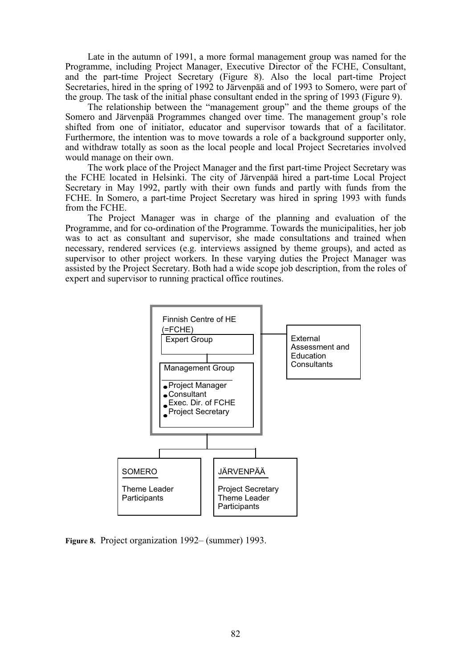Late in the autumn of 1991, a more formal management group was named for the Programme, including Project Manager, Executive Director of the FCHE, Consultant, and the part-time Project Secretary (Figure 8). Also the local part-time Project Secretaries, hired in the spring of 1992 to Järvenpää and of 1993 to Somero, were part of the group. The task of the initial phase consultant ended in the spring of 1993 (Figure 9).

The relationship between the "management group" and the theme groups of the Somero and Järvenpää Programmes changed over time. The management group's role shifted from one of initiator, educator and supervisor towards that of a facilitator. Furthermore, the intention was to move towards a role of a background supporter only, and withdraw totally as soon as the local people and local Project Secretaries involved would manage on their own.

The work place of the Project Manager and the first part-time Project Secretary was the FCHE located in Helsinki. The city of Järvenpää hired a part-time Local Project Secretary in May 1992, partly with their own funds and partly with funds from the FCHE. In Somero, a part-time Project Secretary was hired in spring 1993 with funds from the FCHE.

The Project Manager was in charge of the planning and evaluation of the Programme, and for co-ordination of the Programme. Towards the municipalities, her job was to act as consultant and supervisor, she made consultations and trained when necessary, rendered services (e.g. interviews assigned by theme groups), and acted as supervisor to other project workers. In these varying duties the Project Manager was assisted by the Project Secretary. Both had a wide scope job description, from the roles of expert and supervisor to running practical office routines.



**Figure 8.** Project organization 1992– (summer) 1993.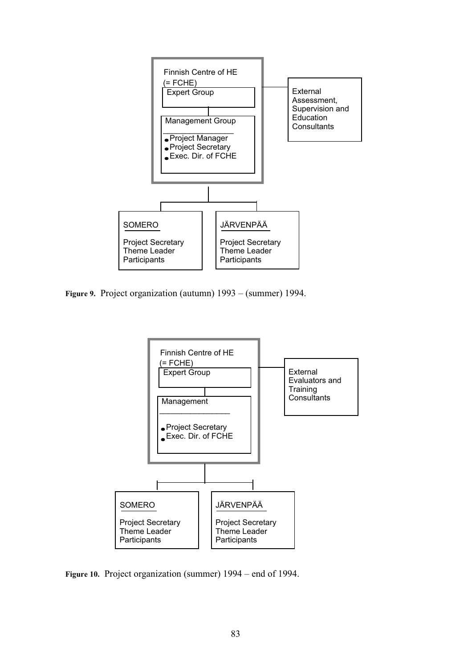

**Figure 9.** Project organization (autumn) 1993 – (summer) 1994.



**Figure 10.** Project organization (summer) 1994 – end of 1994.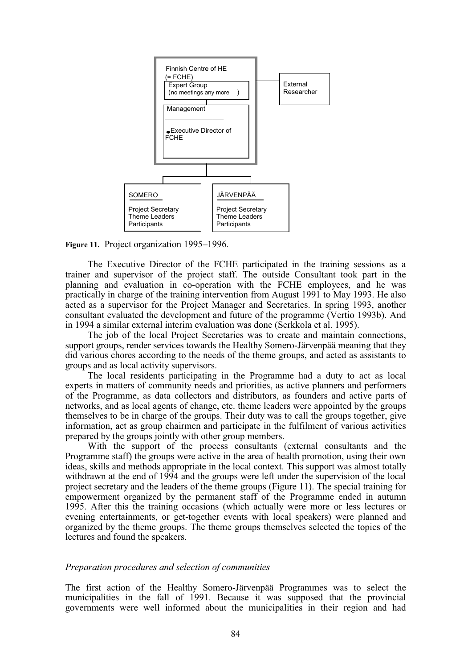

**Figure 11.** Project organization 1995–1996.

The Executive Director of the FCHE participated in the training sessions as a trainer and supervisor of the project staff. The outside Consultant took part in the planning and evaluation in co-operation with the FCHE employees, and he was practically in charge of the training intervention from August 1991 to May 1993. He also acted as a supervisor for the Project Manager and Secretaries. In spring 1993, another consultant evaluated the development and future of the programme (Vertio 1993b). And in 1994 a similar external interim evaluation was done (Serkkola et al. 1995).

The job of the local Project Secretaries was to create and maintain connections, support groups, render services towards the Healthy Somero-Järvenpää meaning that they did various chores according to the needs of the theme groups, and acted as assistants to groups and as local activity supervisors.

The local residents participating in the Programme had a duty to act as local experts in matters of community needs and priorities, as active planners and performers of the Programme, as data collectors and distributors, as founders and active parts of networks, and as local agents of change, etc. theme leaders were appointed by the groups themselves to be in charge of the groups. Their duty was to call the groups together, give information, act as group chairmen and participate in the fulfilment of various activities prepared by the groups jointly with other group members.

With the support of the process consultants (external consultants and the Programme staff) the groups were active in the area of health promotion, using their own ideas, skills and methods appropriate in the local context. This support was almost totally withdrawn at the end of 1994 and the groups were left under the supervision of the local project secretary and the leaders of the theme groups (Figure 11). The special training for empowerment organized by the permanent staff of the Programme ended in autumn 1995. After this the training occasions (which actually were more or less lectures or evening entertainments, or get-together events with local speakers) were planned and organized by the theme groups. The theme groups themselves selected the topics of the lectures and found the speakers.

#### *Preparation procedures and selection of communities*

The first action of the Healthy Somero-Järvenpää Programmes was to select the municipalities in the fall of 1991. Because it was supposed that the provincial governments were well informed about the municipalities in their region and had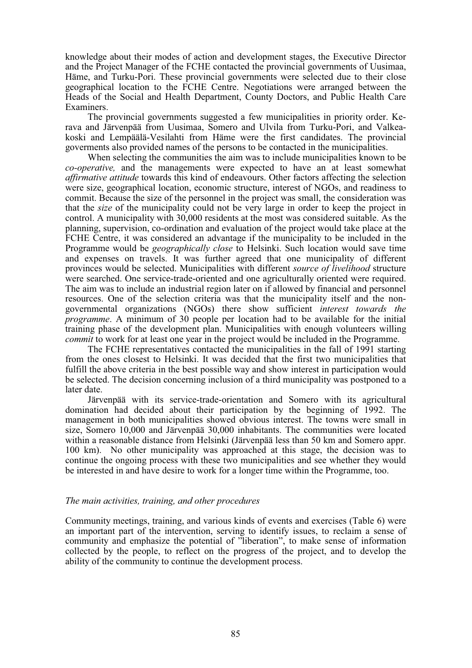knowledge about their modes of action and development stages, the Executive Director and the Project Manager of the FCHE contacted the provincial governments of Uusimaa, Häme, and Turku-Pori. These provincial governments were selected due to their close geographical location to the FCHE Centre. Negotiations were arranged between the Heads of the Social and Health Department, County Doctors, and Public Health Care Examiners.

The provincial governments suggested a few municipalities in priority order. Kerava and Järvenpää from Uusimaa, Somero and Ulvila from Turku-Pori, and Valkeakoski and Lempäälä-Vesilahti from Häme were the first candidates. The provincial goverments also provided names of the persons to be contacted in the municipalities.

When selecting the communities the aim was to include municipalities known to be *co-operative,* and the managements were expected to have an at least somewhat *affirmative attitude* towards this kind of endeavours. Other factors affecting the selection were size, geographical location, economic structure, interest of NGOs, and readiness to commit. Because the size of the personnel in the project was small, the consideration was that the *size* of the municipality could not be very large in order to keep the project in control. A municipality with 30,000 residents at the most was considered suitable. As the planning, supervision, co-ordination and evaluation of the project would take place at the FCHE Centre, it was considered an advantage if the municipality to be included in the Programme would be *geographically close* to Helsinki. Such location would save time and expenses on travels. It was further agreed that one municipality of different provinces would be selected. Municipalities with different *source of livelihood* structure were searched. One service-trade-oriented and one agriculturally oriented were required. The aim was to include an industrial region later on if allowed by financial and personnel resources. One of the selection criteria was that the municipality itself and the nongovernmental organizations (NGOs) there show sufficient *interest towards the programme*. A minimum of 30 people per location had to be available for the initial training phase of the development plan. Municipalities with enough volunteers willing *commit* to work for at least one year in the project would be included in the Programme.

The FCHE representatives contacted the municipalities in the fall of 1991 starting from the ones closest to Helsinki. It was decided that the first two municipalities that fulfill the above criteria in the best possible way and show interest in participation would be selected. The decision concerning inclusion of a third municipality was postponed to a later date.

Järvenpää with its service-trade-orientation and Somero with its agricultural domination had decided about their participation by the beginning of 1992. The management in both municipalities showed obvious interest. The towns were small in size, Somero 10,000 and Järvenpää 30,000 inhabitants. The communities were located within a reasonable distance from Helsinki (Järvenpää less than 50 km and Somero appr. 100 km). No other municipality was approached at this stage, the decision was to continue the ongoing process with these two municipalities and see whether they would be interested in and have desire to work for a longer time within the Programme, too.

#### *The main activities, training, and other procedures*

Community meetings, training, and various kinds of events and exercises (Table 6) were an important part of the intervention, serving to identify issues, to reclaim a sense of community and emphasize the potential of "liberation", to make sense of information collected by the people, to reflect on the progress of the project, and to develop the ability of the community to continue the development process.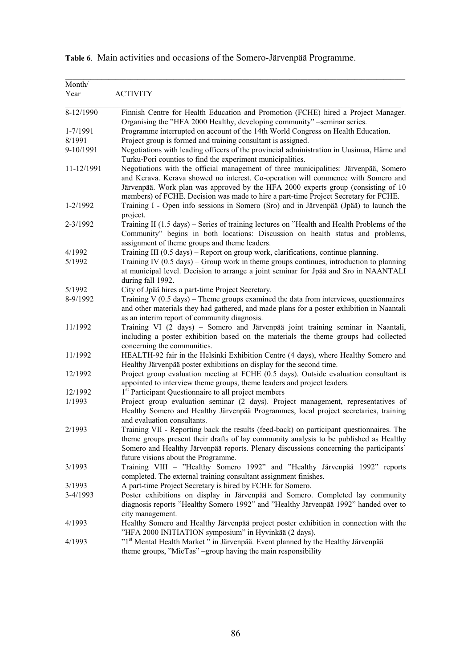| Month/<br>Year | <b>ACTIVITY</b>                                                                                                                                                                                                                                                                                                                                       |
|----------------|-------------------------------------------------------------------------------------------------------------------------------------------------------------------------------------------------------------------------------------------------------------------------------------------------------------------------------------------------------|
| 8-12/1990      | Finnish Centre for Health Education and Promotion (FCHE) hired a Project Manager.<br>Organising the "HFA 2000 Healthy, developing community" -seminar series.                                                                                                                                                                                         |
| 1-7/1991       | Programme interrupted on account of the 14th World Congress on Health Education.                                                                                                                                                                                                                                                                      |
| 8/1991         | Project group is formed and training consultant is assigned.                                                                                                                                                                                                                                                                                          |
| 9-10/1991      | Negotiations with leading officers of the provincial administration in Uusimaa, Häme and<br>Turku-Pori counties to find the experiment municipalities.                                                                                                                                                                                                |
| 11-12/1991     | Negotiations with the official management of three municipalities: Järvenpää, Somero<br>and Kerava. Kerava showed no interest. Co-operation will commence with Somero and<br>Järvenpää. Work plan was approved by the HFA 2000 experts group (consisting of 10<br>members) of FCHE. Decision was made to hire a part-time Project Secretary for FCHE. |
| $1 - 2/1992$   | Training I - Open info sessions in Somero (Sro) and in Järvenpää (Jpää) to launch the<br>project.                                                                                                                                                                                                                                                     |
| $2 - 3/1992$   | Training II (1.5 days) - Series of training lectures on "Health and Health Problems of the<br>Community" begins in both locations: Discussion on health status and problems,<br>assignment of theme groups and theme leaders.                                                                                                                         |
| 4/1992         | Training III (0.5 days) – Report on group work, clarifications, continue planning.                                                                                                                                                                                                                                                                    |
| 5/1992         | Training IV $(0.5 \text{ days})$ – Group work in theme groups continues, introduction to planning<br>at municipal level. Decision to arrange a joint seminar for Jpää and Sro in NAANTALI<br>during fall 1992.                                                                                                                                        |
| 5/1992         | City of Jpää hires a part-time Project Secretary.                                                                                                                                                                                                                                                                                                     |
| 8-9/1992       | Training V $(0.5 \text{ days})$ – Theme groups examined the data from interviews, questionnaires<br>and other materials they had gathered, and made plans for a poster exhibition in Naantali<br>as an interim report of community diagnosis.                                                                                                         |
| 11/1992        | Training VI (2 days) - Somero and Järvenpää joint training seminar in Naantali,<br>including a poster exhibition based on the materials the theme groups had collected<br>concerning the communities.                                                                                                                                                 |
| 11/1992        | HEALTH-92 fair in the Helsinki Exhibition Centre (4 days), where Healthy Somero and<br>Healthy Järvenpää poster exhibitions on display for the second time.                                                                                                                                                                                           |
| 12/1992        | Project group evaluation meeting at FCHE (0.5 days). Outside evaluation consultant is<br>appointed to interview theme groups, theme leaders and project leaders.                                                                                                                                                                                      |
| 12/1992        | 1 <sup>st</sup> Participant Questionnaire to all project members                                                                                                                                                                                                                                                                                      |
| 1/1993         | Project group evaluation seminar (2 days). Project management, representatives of<br>Healthy Somero and Healthy Järvenpää Programmes, local project secretaries, training<br>and evaluation consultants.                                                                                                                                              |
| 2/1993         | Training VII - Reporting back the results (feed-back) on participant questionnaires. The<br>theme groups present their drafts of lay community analysis to be published as Healthy<br>Somero and Healthy Järvenpää reports. Plenary discussions concerning the participants'<br>future visions about the Programme.                                   |
| 3/1993         | Training VIII - "Healthy Somero 1992" and "Healthy Järvenpää 1992" reports<br>completed. The external training consultant assignment finishes.                                                                                                                                                                                                        |
| 3/1993         | A part-time Project Secretary is hired by FCHE for Somero.                                                                                                                                                                                                                                                                                            |
| 3-4/1993       | Poster exhibitions on display in Järvenpää and Somero. Completed lay community<br>diagnosis reports "Healthy Somero 1992" and "Healthy Järvenpää 1992" handed over to<br>city management.                                                                                                                                                             |
| 4/1993         | Healthy Somero and Healthy Järvenpää project poster exhibition in connection with the<br>"HFA 2000 INITIATION symposium" in Hyvinkää (2 days).                                                                                                                                                                                                        |
| 4/1993         | "1 <sup>st</sup> Mental Health Market " in Järvenpää. Event planned by the Healthy Järvenpää<br>theme groups, "MieTas" -group having the main responsibility                                                                                                                                                                                          |

**Table 6**. Main activities and occasions of the Somero-Järvenpää Programme.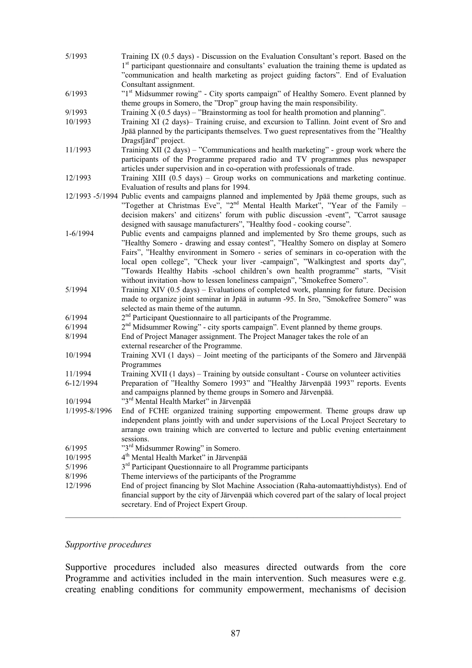| 5/1993                   | Training IX (0.5 days) - Discussion on the Evaluation Consultant's report. Based on the<br>1 <sup>st</sup> participant questionnaire and consultants' evaluation the training theme is updated as                                                                                                                                                                                                                                                                                                                    |
|--------------------------|----------------------------------------------------------------------------------------------------------------------------------------------------------------------------------------------------------------------------------------------------------------------------------------------------------------------------------------------------------------------------------------------------------------------------------------------------------------------------------------------------------------------|
|                          | "communication and health marketing as project guiding factors". End of Evaluation<br>Consultant assignment.                                                                                                                                                                                                                                                                                                                                                                                                         |
| 6/1993                   | "1st Midsummer rowing" - City sports campaign" of Healthy Somero. Event planned by<br>theme groups in Somero, the "Drop" group having the main responsibility.                                                                                                                                                                                                                                                                                                                                                       |
| 9/1993                   | Training $X$ (0.5 days) – "Brainstorming as tool for health promotion and planning".                                                                                                                                                                                                                                                                                                                                                                                                                                 |
| 10/1993                  | Training XI (2 days)- Training cruise, and excursion to Tallinn. Joint event of Sro and                                                                                                                                                                                                                                                                                                                                                                                                                              |
|                          | Jpää planned by the participants themselves. Two guest representatives from the "Healthy<br>Dragsfjärd" project.                                                                                                                                                                                                                                                                                                                                                                                                     |
| 11/1993                  | Training XII (2 days) – "Communications and health marketing" - group work where the<br>participants of the Programme prepared radio and TV programmes plus newspaper<br>articles under supervision and in co-operation with professionals of trade.                                                                                                                                                                                                                                                                 |
| 12/1993                  | Training XIII (0.5 days) - Group works on communications and marketing continue.<br>Evaluation of results and plans for 1994.                                                                                                                                                                                                                                                                                                                                                                                        |
|                          | 12/1993 -5/1994 Public events and campaigns planned and implemented by Jpää theme groups, such as<br>"Together at Christmas Eve", "2 <sup>nd</sup> Mental Health Market", "Year of the Family $-$<br>decision makers' and citizens' forum with public discussion -event", "Carrot sausage<br>designed with sausage manufacturers", "Healthy food - cooking course".                                                                                                                                                  |
| $1 - 6/1994$             | Public events and campaigns planned and implemented by Sro theme groups, such as<br>"Healthy Somero - drawing and essay contest", "Healthy Somero on display at Somero<br>Fairs", "Healthy environment in Somero - series of seminars in co-operation with the<br>local open college", "Check your liver -campaign", "Walkingtest and sports day",<br>"Towards Healthy Habits -school children's own health programme" starts, "Visit<br>without invitation -how to lessen loneliness campaign", "Smokefree Somero". |
| 5/1994                   | Training XIV (0.5 days) – Evaluations of completed work, planning for future. Decision<br>made to organize joint seminar in Jpää in autumn -95. In Sro, "Smokefree Somero" was<br>selected as main theme of the autumn.                                                                                                                                                                                                                                                                                              |
| 6/1994                   | $2nd$ Participant Questionnaire to all participants of the Programme.                                                                                                                                                                                                                                                                                                                                                                                                                                                |
| 6/1994                   | $2nd$ Midsummer Rowing" - city sports campaign". Event planned by theme groups.                                                                                                                                                                                                                                                                                                                                                                                                                                      |
| 8/1994                   | End of Project Manager assignment. The Project Manager takes the role of an<br>external researcher of the Programme.                                                                                                                                                                                                                                                                                                                                                                                                 |
| 10/1994                  | Training XVI (1 days) – Joint meeting of the participants of the Somero and Järvenpää<br>Programmes                                                                                                                                                                                                                                                                                                                                                                                                                  |
| 11/1994                  | Training XVII (1 days) – Training by outside consultant - Course on volunteer activities                                                                                                                                                                                                                                                                                                                                                                                                                             |
| 6-12/1994                | Preparation of "Healthy Somero 1993" and "Healthy Järvenpää 1993" reports. Events<br>and campaigns planned by theme groups in Somero and Järvenpää.                                                                                                                                                                                                                                                                                                                                                                  |
| 10/1994<br>1/1995-8/1996 | "3 <sup>rd</sup> Mental Health Market" in Järvenpää<br>End of FCHE organized training supporting empowerment. Theme groups draw up                                                                                                                                                                                                                                                                                                                                                                                   |
|                          | independent plans jointly with and under supervisions of the Local Project Secretary to<br>arrange own training which are converted to lecture and public evening entertainment<br>sessions.                                                                                                                                                                                                                                                                                                                         |
| 6/1995                   | "3 <sup>rd</sup> Midsummer Rowing" in Somero.                                                                                                                                                                                                                                                                                                                                                                                                                                                                        |
| 10/1995                  | 4 <sup>th</sup> Mental Health Market" in Järvenpää                                                                                                                                                                                                                                                                                                                                                                                                                                                                   |
| 5/1996                   | $3rd$ Participant Questionnaire to all Programme participants                                                                                                                                                                                                                                                                                                                                                                                                                                                        |
| 8/1996                   | Theme interviews of the participants of the Programme                                                                                                                                                                                                                                                                                                                                                                                                                                                                |
| 12/1996                  | End of project financing by Slot Machine Association (Raha-automaattiyhdistys). End of<br>financial support by the city of Järvenpää which covered part of the salary of local project<br>secretary. End of Project Expert Group.                                                                                                                                                                                                                                                                                    |
|                          |                                                                                                                                                                                                                                                                                                                                                                                                                                                                                                                      |

# *Supportive procedures*

Supportive procedures included also measures directed outwards from the core Programme and activities included in the main intervention. Such measures were e.g. creating enabling conditions for community empowerment, mechanisms of decision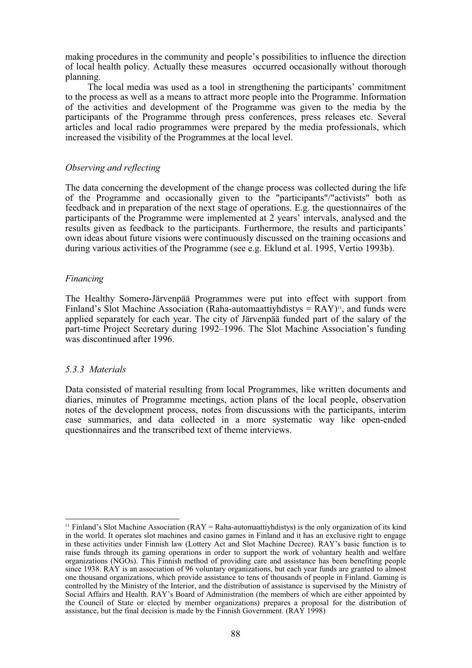making procedures in the community and people's possibilities to influence the direction of local health policy. Actually these measures occurred occasionally without thorough planning.

The local media was used as a tool in strengthening the participants' commitment to the process as well as a means to attract more people into the Programme. Information of the activities and development of the Programme was given to the media by the participants of the Programme through press conferences, press releases etc. Several articles and local radio programmes were prepared by the media professionals, which increased the visibility of the Programmes at the local level.

#### *Observing and reflecting*

The data concerning the development of the change process was collected during the life of the Programme and occasionally given to the "participants"/"activists" both as feedback and in preparation of the next stage of operations. E.g. the questionnaires of the participants of the Programme were implemented at 2 years' intervals, analysed and the results given as feedback to the participants. Furthermore, the results and participants' own ideas about future visions were continuously discussed on the training occasions and during various activities of the Programme (see e.g. Eklund et al. 1995, Vertio 1993b).

#### *Financing*

The Healthy Somero-Järvenpää Programmes were put into effect with support from Finland's Slot Machine Association (Raha-automaattivh distys  $= RAY$ )<sup>11</sup>, and funds were applied separately for each year. The city of Järvenpää funded part of the salary of the part-time Project Secretary during 1992–1996. The Slot Machine Association's funding was discontinued after 1996.

#### *5.3.3 Materials*

Data consisted of material resulting from local Programmes, like written documents and diaries, minutes of Programme meetings, action plans of the local people, observation notes of the development process, notes from discussions with the participants, interim case summaries, and data collected in a more systematic way like open-ended questionnaires and the transcribed text of theme interviews.

<sup>&</sup>lt;sup>11</sup> Finland's Slot Machine Association (RAY = Raha-automaattiyhdistys) is the only organization of its kind in the world. It operates slot machines and casino games in Finland and it has an exclusive right to engage in these activities under Finnish law (Lottery Act and Slot Machine Decree). RAY's basic function is to raise funds through its gaming operations in order to support the work of voluntary health and welfare organizations (NGOs). This Finnish method of providing care and assistance has been benefiting people since 1938. RAY is an association of 96 voluntary organizations, but each year funds are granted to almost one thousand organizations, which provide assistance to tens of thousands of people in Finland. Gaming is controlled by the Ministry of the Interior, and the distribution of assistance is supervised by the Ministry of Social Affairs and Health. RAY's Board of Administration (the members of which are either appointed by the Council of State or elected by member organizations) prepares a proposal for the distribution of assistance, but the final decision is made by the Finnish Government. (RAY 1998)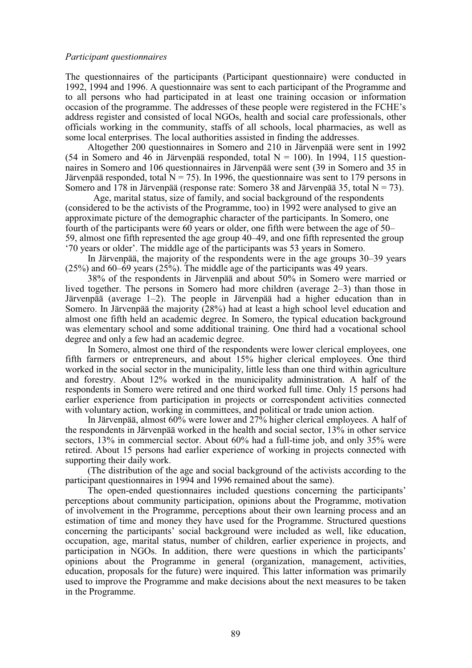The questionnaires of the participants (Participant questionnaire) were conducted in 1992, 1994 and 1996. A questionnaire was sent to each participant of the Programme and to all persons who had participated in at least one training occasion or information occasion of the programme. The addresses of these people were registered in the FCHE's address register and consisted of local NGOs, health and social care professionals, other officials working in the community, staffs of all schools, local pharmacies, as well as some local enterprises. The local authorities assisted in finding the addresses.

Altogether 200 questionnaires in Somero and 210 in Järvenpää were sent in 1992 (54 in Somero and 46 in Järvenpää responded, total  $N = 100$ ). In 1994, 115 questionnaires in Somero and 106 questionnaires in Järvenpää were sent (39 in Somero and 35 in Järvenpää responded, total  $N = 75$ ). In 1996, the questionnaire was sent to 179 persons in Somero and 178 in Järvenpää (response rate: Somero 38 and Järvenpää 35, total  $N = 73$ ).

Age, marital status, size of family, and social background of the respondents (considered to be the activists of the Programme, too) in 1992 were analysed to give an approximate picture of the demographic character of the participants. In Somero, one fourth of the participants were 60 years or older, one fifth were between the age of 50– 59, almost one fifth represented the age group 40–49, and one fifth represented the group '70 years or older'. The middle age of the participants was 53 years in Somero.

In Järvenpää, the majority of the respondents were in the age groups 30–39 years (25%) and 60–69 years (25%). The middle age of the participants was 49 years.

38% of the respondents in Järvenpää and about 50% in Somero were married or lived together. The persons in Somero had more children (average 2–3) than those in Järvenpää (average 1–2). The people in Järvenpää had a higher education than in Somero. In Järvenpää the majority (28%) had at least a high school level education and almost one fifth held an academic degree. In Somero, the typical education background was elementary school and some additional training. One third had a vocational school degree and only a few had an academic degree.

In Somero, almost one third of the respondents were lower clerical employees, one fifth farmers or entrepreneurs, and about 15% higher clerical employees. One third worked in the social sector in the municipality, little less than one third within agriculture and forestry. About 12% worked in the municipality administration. A half of the respondents in Somero were retired and one third worked full time. Only 15 persons had earlier experience from participation in projects or correspondent activities connected with voluntary action, working in committees, and political or trade union action.

In Järvenpää, almost 60% were lower and 27% higher clerical employees. A half of the respondents in Järvenpää worked in the health and social sector, 13% in other service sectors, 13% in commercial sector. About 60% had a full-time job, and only 35% were retired. About 15 persons had earlier experience of working in projects connected with supporting their daily work.

(The distribution of the age and social background of the activists according to the participant questionnaires in 1994 and 1996 remained about the same).

The open-ended questionnaires included questions concerning the participants' perceptions about community participation, opinions about the Programme, motivation of involvement in the Programme, perceptions about their own learning process and an estimation of time and money they have used for the Programme. Structured questions concerning the participants' social background were included as well, like education, occupation, age, marital status, number of children, earlier experience in projects, and participation in NGOs. In addition, there were questions in which the participants' opinions about the Programme in general (organization, management, activities, education, proposals for the future) were inquired. This latter information was primarily used to improve the Programme and make decisions about the next measures to be taken in the Programme.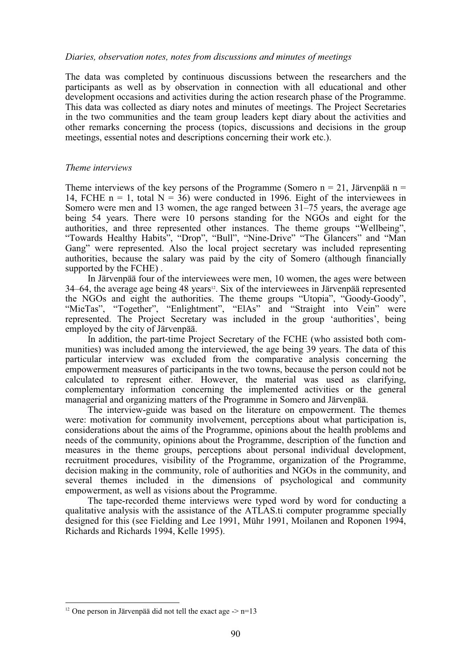#### *Diaries, observation notes, notes from discussions and minutes of meetings*

The data was completed by continuous discussions between the researchers and the participants as well as by observation in connection with all educational and other development occasions and activities during the action research phase of the Programme. This data was collected as diary notes and minutes of meetings. The Project Secretaries in the two communities and the team group leaders kept diary about the activities and other remarks concerning the process (topics, discussions and decisions in the group meetings, essential notes and descriptions concerning their work etc.).

# *Theme interviews*

Theme interviews of the key persons of the Programme (Somero  $n = 21$ , Järvenpää n = 14, FCHE n = 1, total  $N = 36$ ) were conducted in 1996. Eight of the interviewees in Somero were men and 13 women, the age ranged between 31–75 years, the average age being 54 years. There were 10 persons standing for the NGOs and eight for the authorities, and three represented other instances. The theme groups "Wellbeing", "Towards Healthy Habits", "Drop", "Bull", "Nine-Drive" "The Glancers" and "Man Gang" were represented. Also the local project secretary was included representing authorities, because the salary was paid by the city of Somero (although financially supported by the FCHE) .

In Järvenpää four of the interviewees were men, 10 women, the ages were between 34–64, the average age being 48 years<sup>12</sup>. Six of the interviewees in Järvenpää represented the NGOs and eight the authorities. The theme groups "Utopia", "Goody-Goody", "MieTas", "Together", "Enlightment", "ElAs" and "Straight into Vein" were represented. The Project Secretary was included in the group 'authorities', being employed by the city of Järvenpää.

In addition, the part-time Project Secretary of the FCHE (who assisted both communities) was included among the interviewed, the age being 39 years. The data of this particular interview was excluded from the comparative analysis concerning the empowerment measures of participants in the two towns, because the person could not be calculated to represent either. However, the material was used as clarifying, complementary information concerning the implemented activities or the general managerial and organizing matters of the Programme in Somero and Järvenpää.

The interview-guide was based on the literature on empowerment. The themes were: motivation for community involvement, perceptions about what participation is, considerations about the aims of the Programme, opinions about the health problems and needs of the community, opinions about the Programme, description of the function and measures in the theme groups, perceptions about personal individual development, recruitment procedures, visibility of the Programme, organization of the Programme, decision making in the community, role of authorities and NGOs in the community, and several themes included in the dimensions of psychological and community empowerment, as well as visions about the Programme.

The tape-recorded theme interviews were typed word by word for conducting a qualitative analysis with the assistance of the ATLAS.ti computer programme specially designed for this (see Fielding and Lee 1991, Mühr 1991, Moilanen and Roponen 1994, Richards and Richards 1994, Kelle 1995).

<sup>&</sup>lt;sup>12</sup> One person in Järvenpää did not tell the exact age  $\ge$  n=13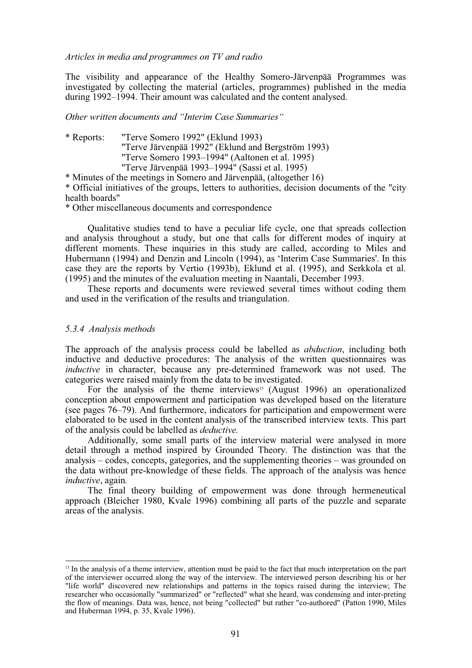*Articles in media and programmes on TV and radio*

The visibility and appearance of the Healthy Somero-Järvenpää Programmes was investigated by collecting the material (articles, programmes) published in the media during 1992–1994. Their amount was calculated and the content analysed.

*Other written documents and "Interim Case Summaries"*

\* Reports: "Terve Somero 1992" (Eklund 1993) "Terve Järvenpää 1992" (Eklund and Bergström 1993) "Terve Somero 1993–1994" (Aaltonen et al. 1995) "Terve Järvenpää 1993–1994" (Sassi et al. 1995)

\* Minutes of the meetings in Somero and Järvenpää, (altogether 16) \* Official initiatives of the groups, letters to authorities, decision documents of the "city health boards"

\* Other miscellaneous documents and correspondence

Qualitative studies tend to have a peculiar life cycle, one that spreads collection and analysis throughout a study, but one that calls for different modes of inquiry at different moments. These inquiries in this study are called, according to Miles and Hubermann (1994) and Denzin and Lincoln (1994), as 'Interim Case Summaries'. In this case they are the reports by Vertio (1993b), Eklund et al. (1995), and Serkkola et al. (1995) and the minutes of the evaluation meeting in Naantali, December 1993.

These reports and documents were reviewed several times without coding them and used in the verification of the results and triangulation.

#### *5.3.4 Analysis methods*

The approach of the analysis process could be labelled as *abduction*, including both inductive and deductive procedures: The analysis of the written questionnaires was *inductive* in character, because any pre-determined framework was not used. The categories were raised mainly from the data to be investigated.

For the analysis of the theme interviews<sup>13</sup> (August 1996) an operationalized conception about empowerment and participation was developed based on the literature (see pages 76–79). And furthermore, indicators for participation and empowerment were elaborated to be used in the content analysis of the transcribed interview texts. This part of the analysis could be labelled as *deductive.*

Additionally, some small parts of the interview material were analysed in more detail through a method inspired by Grounded Theory. The distinction was that the analysis – codes, concepts, gategories, and the supplementing theories – was grounded on the data without pre-knowledge of these fields. The approach of the analysis was hence *inductive*, again*.*

The final theory building of empowerment was done through hermeneutical approach (Bleicher 1980, Kvale 1996) combining all parts of the puzzle and separate areas of the analysis.

<sup>&</sup>lt;sup>13</sup> In the analysis of a theme interview, attention must be paid to the fact that much interpretation on the part of the interviewer occurred along the way of the interview. The interviewed person describing his or her "life world" discovered new relationships and patterns in the topics raised during the interview; The researcher who occasionally "summarized" or "reflected" what she heard, was condensing and inter-preting the flow of meanings. Data was, hence, not being "collected" but rather "co-authored" (Patton 1990, Miles and Huberman 1994, p. 35, Kvale 1996).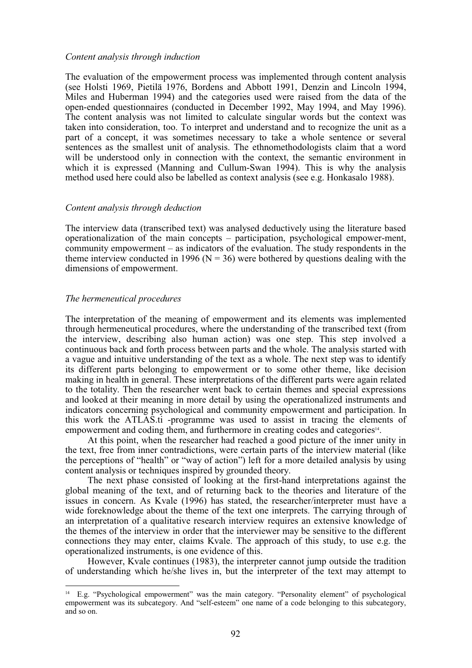#### *Content analysis through induction*

The evaluation of the empowerment process was implemented through content analysis (see Holsti 1969, Pietilä 1976, Bordens and Abbott 1991, Denzin and Lincoln 1994, Miles and Huberman 1994) and the categories used were raised from the data of the open-ended questionnaires (conducted in December 1992, May 1994, and May 1996). The content analysis was not limited to calculate singular words but the context was taken into consideration, too. To interpret and understand and to recognize the unit as a part of a concept, it was sometimes necessary to take a whole sentence or several sentences as the smallest unit of analysis. The ethnomethodologists claim that a word will be understood only in connection with the context, the semantic environment in which it is expressed (Manning and Cullum-Swan 1994). This is why the analysis method used here could also be labelled as context analysis (see e.g. Honkasalo 1988).

#### *Content analysis through deduction*

The interview data (transcribed text) was analysed deductively using the literature based operationalization of the main concepts – participation, psychological empower-ment, community empowerment – as indicators of the evaluation. The study respondents in the theme interview conducted in 1996 ( $N = 36$ ) were bothered by questions dealing with the dimensions of empowerment.

#### *The hermeneutical procedures*

The interpretation of the meaning of empowerment and its elements was implemented through hermeneutical procedures, where the understanding of the transcribed text (from the interview, describing also human action) was one step. This step involved a continuous back and forth process between parts and the whole. The analysis started with a vague and intuitive understanding of the text as a whole. The next step was to identify its different parts belonging to empowerment or to some other theme, like decision making in health in general. These interpretations of the different parts were again related to the totality. Then the researcher went back to certain themes and special expressions and looked at their meaning in more detail by using the operationalized instruments and indicators concerning psychological and community empowerment and participation. In this work the ATLAS.ti -programme was used to assist in tracing the elements of empowerment and coding them, and furthermore in creating codes and categories14.

At this point, when the researcher had reached a good picture of the inner unity in the text, free from inner contradictions, were certain parts of the interview material (like the perceptions of "health" or "way of action") left for a more detailed analysis by using content analysis or techniques inspired by grounded theory.

The next phase consisted of looking at the first-hand interpretations against the global meaning of the text, and of returning back to the theories and literature of the issues in concern. As Kvale (1996) has stated, the researcher/interpreter must have a wide foreknowledge about the theme of the text one interprets. The carrying through of an interpretation of a qualitative research interview requires an extensive knowledge of the themes of the interview in order that the interviewer may be sensitive to the different connections they may enter, claims Kvale. The approach of this study, to use e.g. the operationalized instruments, is one evidence of this.

However, Kvale continues (1983), the interpreter cannot jump outside the tradition of understanding which he/she lives in, but the interpreter of the text may attempt to

<sup>14</sup> E.g. "Psychological empowerment" was the main category. "Personality element" of psychological empowerment was its subcategory. And "self-esteem" one name of a code belonging to this subcategory, and so on.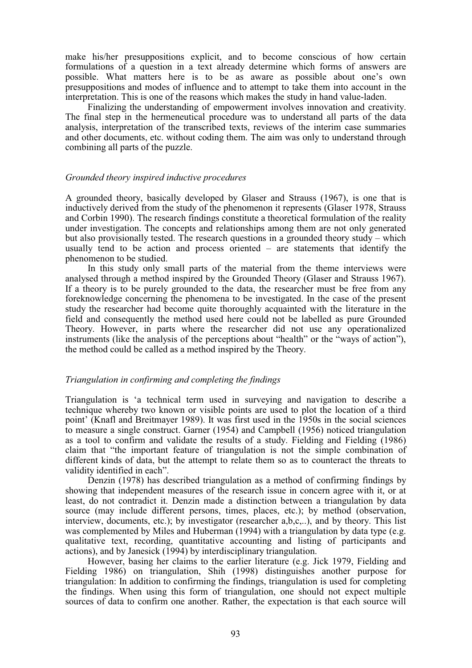make his/her presuppositions explicit, and to become conscious of how certain formulations of a question in a text already determine which forms of answers are possible. What matters here is to be as aware as possible about one's own presuppositions and modes of influence and to attempt to take them into account in the interpretation. This is one of the reasons which makes the study in hand value-laden.

Finalizing the understanding of empowerment involves innovation and creativity. The final step in the hermeneutical procedure was to understand all parts of the data analysis, interpretation of the transcribed texts, reviews of the interim case summaries and other documents, etc. without coding them. The aim was only to understand through combining all parts of the puzzle.

#### *Grounded theory inspired inductive procedures*

A grounded theory, basically developed by Glaser and Strauss (1967), is one that is inductively derived from the study of the phenomenon it represents (Glaser 1978, Strauss and Corbin 1990). The research findings constitute a theoretical formulation of the reality under investigation. The concepts and relationships among them are not only generated but also provisionally tested. The research questions in a grounded theory study – which usually tend to be action and process oriented – are statements that identify the phenomenon to be studied.

In this study only small parts of the material from the theme interviews were analysed through a method inspired by the Grounded Theory (Glaser and Strauss 1967). If a theory is to be purely grounded to the data, the researcher must be free from any foreknowledge concerning the phenomena to be investigated. In the case of the present study the researcher had become quite thoroughly acquainted with the literature in the field and consequently the method used here could not be labelled as pure Grounded Theory. However, in parts where the researcher did not use any operationalized instruments (like the analysis of the perceptions about "health" or the "ways of action"), the method could be called as a method inspired by the Theory.

#### *Triangulation in confirming and completing the findings*

Triangulation is 'a technical term used in surveying and navigation to describe a technique whereby two known or visible points are used to plot the location of a third point' (Knafl and Breitmayer 1989). It was first used in the 1950s in the social sciences to measure a single construct. Garner (1954) and Campbell (1956) noticed triangulation as a tool to confirm and validate the results of a study. Fielding and Fielding (1986) claim that "the important feature of triangulation is not the simple combination of different kinds of data, but the attempt to relate them so as to counteract the threats to validity identified in each".

Denzin (1978) has described triangulation as a method of confirming findings by showing that independent measures of the research issue in concern agree with it, or at least, do not contradict it. Denzin made a distinction between a triangulation by data source (may include different persons, times, places, etc.); by method (observation, interview, documents, etc.); by investigator (researcher a,b,c,..), and by theory. This list was complemented by Miles and Huberman (1994) with a triangulation by data type (e.g. qualitative text, recording, quantitative accounting and listing of participants and actions), and by Janesick (1994) by interdisciplinary triangulation.

However, basing her claims to the earlier literature (e.g. Jick 1979, Fielding and Fielding 1986) on triangulation, Shih (1998) distinguishes another purpose for triangulation: In addition to confirming the findings, triangulation is used for completing the findings. When using this form of triangulation, one should not expect multiple sources of data to confirm one another. Rather, the expectation is that each source will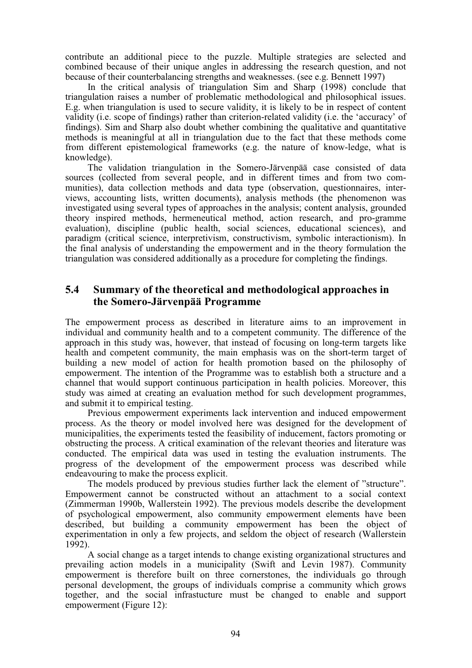contribute an additional piece to the puzzle. Multiple strategies are selected and combined because of their unique angles in addressing the research question, and not because of their counterbalancing strengths and weaknesses. (see e.g. Bennett 1997)

In the critical analysis of triangulation Sim and Sharp (1998) conclude that triangulation raises a number of problematic methodological and philosophical issues. E.g. when triangulation is used to secure validity, it is likely to be in respect of content validity (i.e. scope of findings) rather than criterion-related validity (i.e. the 'accuracy' of findings). Sim and Sharp also doubt whether combining the qualitative and quantitative methods is meaningful at all in triangulation due to the fact that these methods come from different epistemological frameworks (e.g. the nature of know-ledge, what is knowledge).

The validation triangulation in the Somero-Järvenpää case consisted of data sources (collected from several people, and in different times and from two communities), data collection methods and data type (observation, questionnaires, interviews, accounting lists, written documents), analysis methods (the phenomenon was investigated using several types of approaches in the analysis; content analysis, grounded theory inspired methods, hermeneutical method, action research, and pro-gramme evaluation), discipline (public health, social sciences, educational sciences), and paradigm (critical science, interpretivism, constructivism, symbolic interactionism). In the final analysis of understanding the empowerment and in the theory formulation the triangulation was considered additionally as a procedure for completing the findings.

# **5.4 Summary of the theoretical and methodological approaches in the Somero-Järvenpää Programme**

The empowerment process as described in literature aims to an improvement in individual and community health and to a competent community. The difference of the approach in this study was, however, that instead of focusing on long-term targets like health and competent community, the main emphasis was on the short-term target of building a new model of action for health promotion based on the philosophy of empowerment. The intention of the Programme was to establish both a structure and a channel that would support continuous participation in health policies. Moreover, this study was aimed at creating an evaluation method for such development programmes, and submit it to empirical testing.

Previous empowerment experiments lack intervention and induced empowerment process. As the theory or model involved here was designed for the development of municipalities, the experiments tested the feasibility of inducement, factors promoting or obstructing the process. A critical examination of the relevant theories and literature was conducted. The empirical data was used in testing the evaluation instruments. The progress of the development of the empowerment process was described while endeavouring to make the process explicit.

The models produced by previous studies further lack the element of "structure". Empowerment cannot be constructed without an attachment to a social context (Zimmerman 1990b, Wallerstein 1992). The previous models describe the development of psychological empowerment, also community empowerment elements have been described, but building a community empowerment has been the object of experimentation in only a few projects, and seldom the object of research (Wallerstein 1992).

A social change as a target intends to change existing organizational structures and prevailing action models in a municipality (Swift and Levin 1987). Community empowerment is therefore built on three cornerstones, the individuals go through personal development, the groups of individuals comprise a community which grows together, and the social infrastucture must be changed to enable and support empowerment (Figure 12):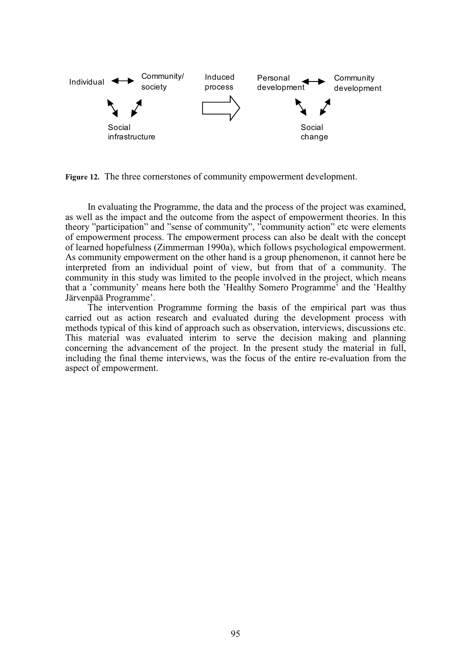

**Figure 12.** The three cornerstones of community empowerment development.

In evaluating the Programme, the data and the process of the project was examined, as well as the impact and the outcome from the aspect of empowerment theories. In this theory "participation" and "sense of community", "community action" etc were elements of empowerment process. The empowerment process can also be dealt with the concept of learned hopefulness (Zimmerman 1990a), which follows psychological empowerment. As community empowerment on the other hand is a group phenomenon, it cannot here be interpreted from an individual point of view, but from that of a community. The community in this study was limited to the people involved in the project, which means that a 'community' means here both the 'Healthy Somero Programme' and the 'Healthy Järvenpää Programme'.

The intervention Programme forming the basis of the empirical part was thus carried out as action research and evaluated during the development process with methods typical of this kind of approach such as observation, interviews, discussions etc. This material was evaluated interim to serve the decision making and planning concerning the advancement of the project. In the present study the material in full, including the final theme interviews, was the focus of the entire re-evaluation from the aspect of empowerment.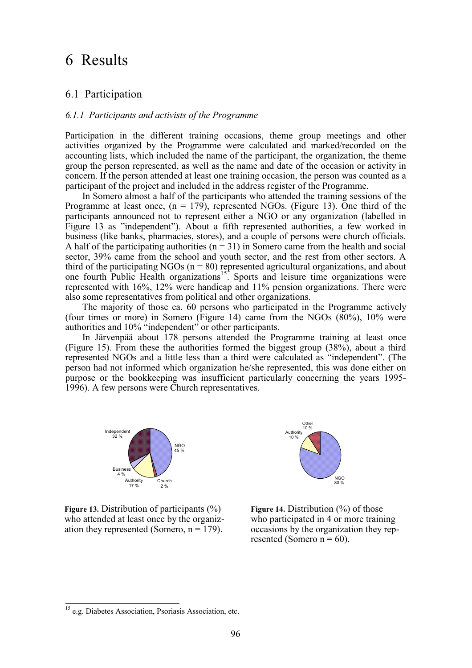# 6 Results

# 6.1 Participation

#### *6.1.1 Participants and activists of the Programme*

Participation in the different training occasions, theme group meetings and other activities organized by the Programme were calculated and marked/recorded on the accounting lists, which included the name of the participant, the organization, the theme group the person represented, as well as the name and date of the occasion or activity in concern. If the person attended at least one training occasion, the person was counted as a participant of the project and included in the address register of the Programme.

In Somero almost a half of the participants who attended the training sessions of the Programme at least once,  $(n = 179)$ , represented NGOs. (Figure 13). One third of the participants announced not to represent either a NGO or any organization (labelled in Figure 13 as "independent"). About a fifth represented authorities, a few worked in business (like banks, pharmacies, stores), and a couple of persons were church officials. A half of the participating authorities ( $n = 31$ ) in Somero came from the health and social sector, 39% came from the school and youth sector, and the rest from other sectors. A third of the participating NGOs ( $n = 80$ ) represented agricultural organizations, and about one fourth Public Health organizations<sup>15</sup>. Sports and leisure time organizations were represented with 16%, 12% were handicap and 11% pension organizations. There were also some representatives from political and other organizations.

The majority of those ca. 60 persons who participated in the Programme actively (four times or more) in Somero (Figure 14) came from the NGOs  $(80\%)$ ,  $10\%$  were authorities and 10% "independent" or other participants.

In Järvenpää about 178 persons attended the Programme training at least once (Figure 15). From these the authorities formed the biggest group (38%), about a third represented NGOs and a little less than a third were calculated as "independent". (The person had not informed which organization he/she represented, this was done either on purpose or the bookkeeping was insufficient particularly concerning the years 1995- 1996). A few persons were Church representatives.



**Figure 13.** Distribution of participants (%) **Figure 14.** Distribution (%) of those who attended at least once by the organiz-<br>who participated in 4 or more training ation they represented (Somero,  $n = 179$ ). occasions by the organization they rep-



resented (Somero  $n = 60$ ).

 $\overline{\phantom{a}}$ 

<sup>&</sup>lt;sup>15</sup> e.g. Diabetes Association, Psoriasis Association, etc.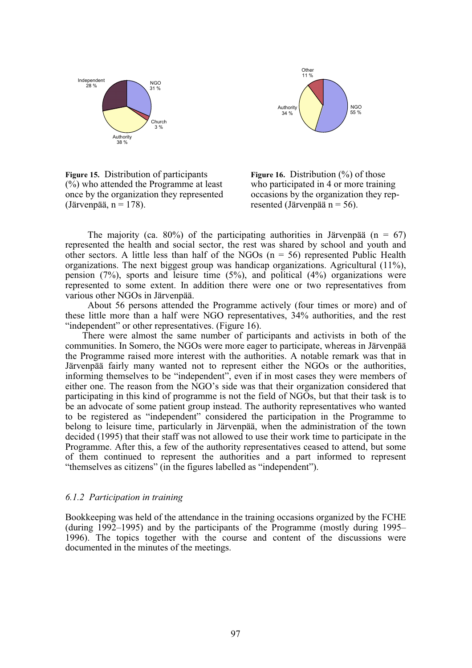



**Figure 15.** Distribution of participants **Figure 16.** Distribution (%) of those  $\frac{1}{2}$  (%) who attended the Programme at least who participated in 4 or more training once by the organization they represented occasions by the organization they rep- (Järvenpää,  $n = 178$ ). resented (Järvenpää  $n = 56$ ).



The majority (ca. 80%) of the participating authorities in Järvenpää (n = 67) represented the health and social sector, the rest was shared by school and youth and other sectors. A little less than half of the NGOs  $(n = 56)$  represented Public Health organizations. The next biggest group was handicap organizations. Agricultural (11%), pension  $(7%)$ , sports and leisure time  $(5%)$ , and political  $(4%)$  organizations were represented to some extent. In addition there were one or two representatives from various other NGOs in Järvenpää.

About 56 persons attended the Programme actively (four times or more) and of these little more than a half were NGO representatives, 34% authorities, and the rest "independent" or other representatives. (Figure 16).

There were almost the same number of participants and activists in both of the communities. In Somero, the NGOs were more eager to participate, whereas in Järvenpää the Programme raised more interest with the authorities. A notable remark was that in Järvenpää fairly many wanted not to represent either the NGOs or the authorities, informing themselves to be "independent", even if in most cases they were members of either one. The reason from the NGO's side was that their organization considered that participating in this kind of programme is not the field of NGOs, but that their task is to be an advocate of some patient group instead. The authority representatives who wanted to be registered as "independent" considered the participation in the Programme to belong to leisure time, particularly in Järvenpää, when the administration of the town decided (1995) that their staff was not allowed to use their work time to participate in the Programme. After this, a few of the authority representatives ceased to attend, but some of them continued to represent the authorities and a part informed to represent "themselves as citizens" (in the figures labelled as "independent").

#### *6.1.2 Participation in training*

Bookkeeping was held of the attendance in the training occasions organized by the FCHE (during 1992–1995) and by the participants of the Programme (mostly during 1995– 1996). The topics together with the course and content of the discussions were documented in the minutes of the meetings.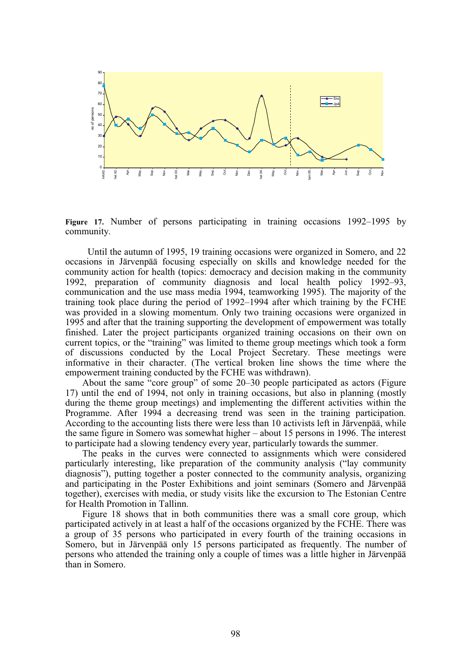

**Figure 17.** Number of persons participating in training occasions 1992–1995 by community.

Until the autumn of 1995, 19 training occasions were organized in Somero, and 22 occasions in Järvenpää focusing especially on skills and knowledge needed for the community action for health (topics: democracy and decision making in the community 1992, preparation of community diagnosis and local health policy 1992–93, communication and the use mass media 1994, teamworking 1995). The majority of the training took place during the period of 1992–1994 after which training by the FCHE was provided in a slowing momentum. Only two training occasions were organized in 1995 and after that the training supporting the development of empowerment was totally finished. Later the project participants organized training occasions on their own on current topics, or the "training" was limited to theme group meetings which took a form of discussions conducted by the Local Project Secretary. These meetings were informative in their character. (The vertical broken line shows the time where the empowerment training conducted by the FCHE was withdrawn).

About the same "core group" of some 20–30 people participated as actors (Figure 17) until the end of 1994, not only in training occasions, but also in planning (mostly during the theme group meetings) and implementing the different activities within the Programme. After 1994 a decreasing trend was seen in the training participation. According to the accounting lists there were less than 10 activists left in Järvenpää, while the same figure in Somero was somewhat higher – about 15 persons in 1996. The interest to participate had a slowing tendency every year, particularly towards the summer.

The peaks in the curves were connected to assignments which were considered particularly interesting, like preparation of the community analysis ("lay community diagnosis"), putting together a poster connected to the community analysis, organizing and participating in the Poster Exhibitions and joint seminars (Somero and Järvenpää together), exercises with media, or study visits like the excursion to The Estonian Centre for Health Promotion in Tallinn.

Figure 18 shows that in both communities there was a small core group, which participated actively in at least a half of the occasions organized by the FCHE. There was a group of 35 persons who participated in every fourth of the training occasions in Somero, but in Järvenpää only 15 persons participated as frequently. The number of persons who attended the training only a couple of times was a little higher in Järvenpää than in Somero.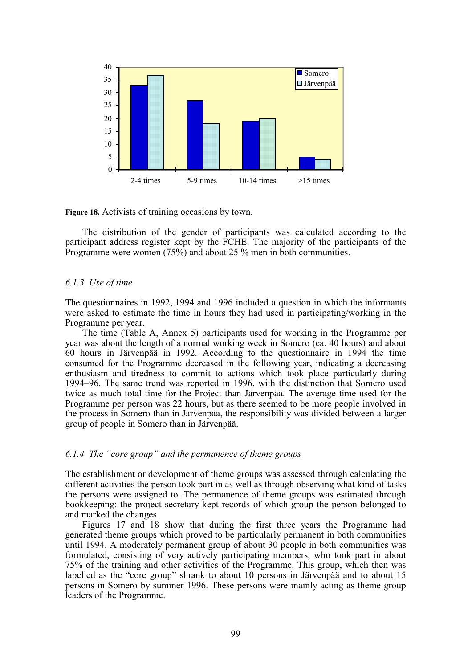

**Figure 18.** Activists of training occasions by town.

The distribution of the gender of participants was calculated according to the participant address register kept by the FCHE. The majority of the participants of the Programme were women (75%) and about 25 % men in both communities.

#### *6.1.3 Use of time*

The questionnaires in 1992, 1994 and 1996 included a question in which the informants were asked to estimate the time in hours they had used in participating/working in the Programme per year.

The time (Table A, Annex 5) participants used for working in the Programme per year was about the length of a normal working week in Somero (ca. 40 hours) and about 60 hours in Järvenpää in 1992. According to the questionnaire in 1994 the time consumed for the Programme decreased in the following year, indicating a decreasing enthusiasm and tiredness to commit to actions which took place particularly during 1994–96. The same trend was reported in 1996, with the distinction that Somero used twice as much total time for the Project than Järvenpää. The average time used for the Programme per person was 22 hours, but as there seemed to be more people involved in the process in Somero than in Järvenpää, the responsibility was divided between a larger group of people in Somero than in Järvenpää.

#### *6.1.4 The "core group" and the permanence of theme groups*

The establishment or development of theme groups was assessed through calculating the different activities the person took part in as well as through observing what kind of tasks the persons were assigned to. The permanence of theme groups was estimated through bookkeeping: the project secretary kept records of which group the person belonged to and marked the changes.

Figures 17 and 18 show that during the first three years the Programme had generated theme groups which proved to be particularly permanent in both communities until 1994. A moderately permanent group of about 30 people in both communities was formulated, consisting of very actively participating members, who took part in about 75% of the training and other activities of the Programme. This group, which then was labelled as the "core group" shrank to about 10 persons in Järvenpää and to about 15 persons in Somero by summer 1996. These persons were mainly acting as theme group leaders of the Programme.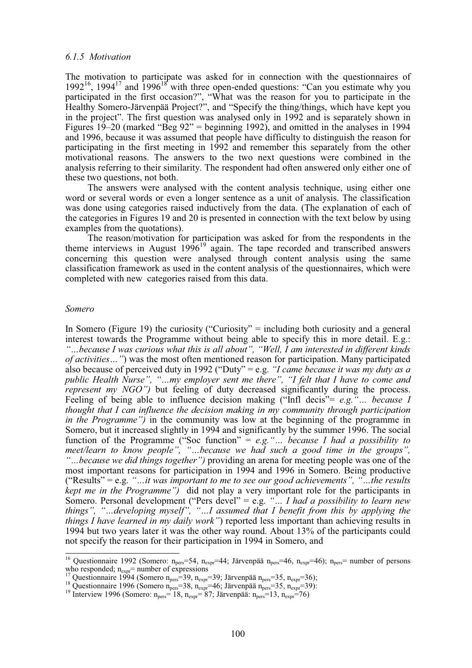## *6.1.5 Motivation*

The motivation to participate was asked for in connection with the questionnaires of  $1992^{16}$ ,  $1994^{17}$  and  $1996^{18}$  with three open-ended questions: "Can you estimate why you participated in the first occasion?", "What was the reason for you to participate in the Healthy Somero-Järvenpää Project?", and "Specify the thing/things, which have kept you in the project". The first question was analysed only in 1992 and is separately shown in Figures 19–20 (marked "Beg 92" = beginning 1992), and omitted in the analyses in 1994 and 1996, because it was assumed that people have difficulty to distinguish the reason for participating in the first meeting in 1992 and remember this separately from the other motivational reasons. The answers to the two next questions were combined in the analysis referring to their similarity. The respondent had often answered only either one of these two questions, not both.

The answers were analysed with the content analysis technique, using either one word or several words or even a longer sentence as a unit of analysis. The classification was done using categories raised inductively from the data. (The explanation of each of the categories in Figures 19 and 20 is presented in connection with the text below by using examples from the quotations).

The reason/motivation for participation was asked for from the respondents in the theme interviews in August  $1996^{19}$  again. The tape recorded and transcribed answers concerning this question were analysed through content analysis using the same classification framework as used in the content analysis of the questionnaires, which were completed with new categories raised from this data.

#### *Somero*

 $\overline{\phantom{a}}$ 

In Somero (Figure 19) the curiosity ("Curiosity" = including both curiosity and a general interest towards the Programme without being able to specify this in more detail. E.g.: *"…because I was curious what this is all about", "Well, I am interested in different kinds of activities…"*) was the most often mentioned reason for participation. Many participated also because of perceived duty in 1992 ("Duty" = e.g. *"I came because it was my duty as a public Health Nurse", "…my employer sent me there", "I felt that I have to come and represent my NGO"*) but feeling of duty decreased significantly during the process. Feeling of being able to influence decision making ("Infl decis"= *e.g."… because I thought that I can influence the decision making in my community through participation in the Programme")* in the community was low at the beginning of the programme in Somero, but it increased slightly in 1994 and significantly by the summer 1996. The social function of the Programme ("Soc function" = *e.g."… because I had a possibility to meet/learn to know people", "…because we had such a good time in the groups", "…because we did things together")* providing an arena for meeting people was one of the most important reasons for participation in 1994 and 1996 in Somero. Being productive ("Results" = e.g. *"…it was important to me to see our good achievements", "…the results kept me in the Programme"*) did not play a very important role for the participants in Somero. Personal development ("Pers devel" = e.g. *"… I had a possibility to learn new things", "…developing myself", "…I assumed that I benefit from this by applying the things I have learned in my daily work"*) reported less important than achieving results in 1994 but two years later it was the other way round. About 13% of the participants could not specify the reason for their participation in 1994 in Somero, and

<sup>&</sup>lt;sup>16</sup> Questionnaire 1992 (Somero: n<sub>pers</sub>=54, n<sub>expr</sub>=44; Järvenpää n<sub>pers</sub>=46, n<sub>expr</sub>=46); n<sub>pers</sub>= number of persons who responded;  $n_{exp}$  = number of expressions<br><sup>17</sup> Questionnaire 1994 (Somero  $n_{pers}$ =39,  $n_{exp}$ =39; Järvenpää  $n_{pers}$ =35,  $n_{exp}$ =36);<br><sup>18</sup> Questionnaire 1996 (Somero  $n_{pers}$ =38,  $n_{exp}$ =46; Järvenpää  $n_{pers}$ =35,  $n_{exp}$ =39):<br><sup></sup>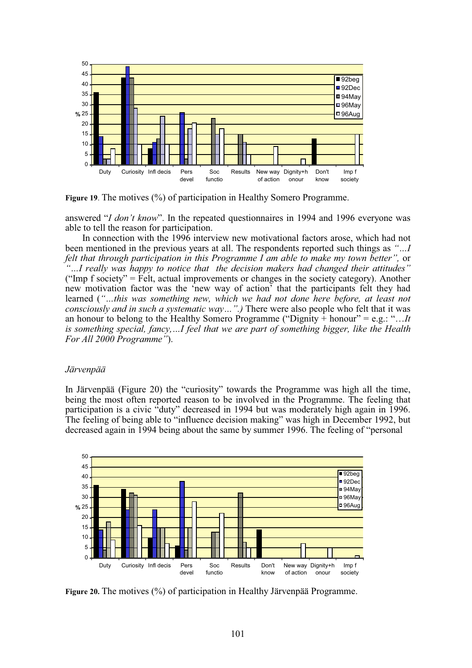

**Figure 19**. The motives (%) of participation in Healthy Somero Programme.

answered "*I don't know*". In the repeated questionnaires in 1994 and 1996 everyone was able to tell the reason for participation.

In connection with the 1996 interview new motivational factors arose, which had not been mentioned in the previous years at all. The respondents reported such things as *"…I felt that through participation in this Programme I am able to make my town better",* or *"…I really was happy to notice that the decision makers had changed their attitudes"* ("Imp f society"  $=$  Felt, actual improvements or changes in the society category). Another new motivation factor was the 'new way of action' that the participants felt they had learned (*"…this was something new, which we had not done here before, at least not consciously and in such a systematic way…".)* There were also people who felt that it was an honour to belong to the Healthy Somero Programme ("Dignity + honour" = e.g.: "…*It is something special, fancy,…I feel that we are part of something bigger, like the Health For All 2000 Programme"*).

## *Järvenpää*

In Järvenpää (Figure 20) the "curiosity" towards the Programme was high all the time, being the most often reported reason to be involved in the Programme. The feeling that participation is a civic "duty" decreased in 1994 but was moderately high again in 1996. The feeling of being able to "influence decision making" was high in December 1992, but decreased again in 1994 being about the same by summer 1996. The feeling of "personal



**Figure 20.** The motives (%) of participation in Healthy Järvenpää Programme.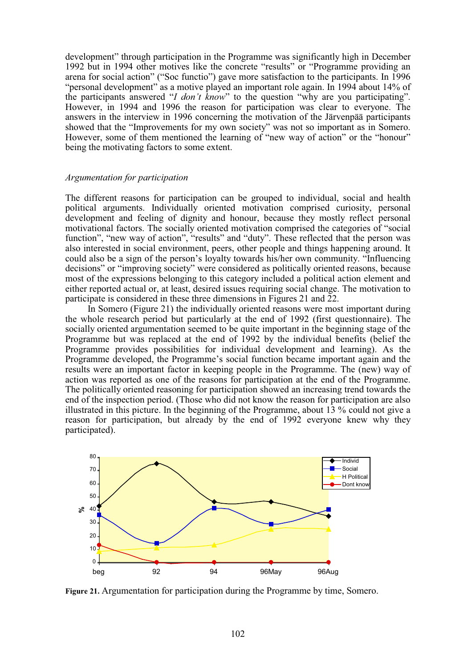development" through participation in the Programme was significantly high in December 1992 but in 1994 other motives like the concrete "results" or "Programme providing an arena for social action" ("Soc functio") gave more satisfaction to the participants. In 1996 "personal development" as a motive played an important role again. In 1994 about 14% of the participants answered "*I don't know*" to the question "why are you participating". However, in 1994 and 1996 the reason for participation was clear to everyone. The answers in the interview in 1996 concerning the motivation of the Järvenpää participants showed that the "Improvements for my own society" was not so important as in Somero. However, some of them mentioned the learning of "new way of action" or the "honour" being the motivating factors to some extent.

## *Argumentation for participation*

The different reasons for participation can be grouped to individual, social and health political arguments. Individually oriented motivation comprised curiosity, personal development and feeling of dignity and honour, because they mostly reflect personal motivational factors. The socially oriented motivation comprised the categories of "social function", "new way of action", "results" and "duty". These reflected that the person was also interested in social environment, peers, other people and things happening around. It could also be a sign of the person's loyalty towards his/her own community. "Influencing decisions" or "improving society" were considered as politically oriented reasons, because most of the expressions belonging to this category included a political action element and either reported actual or, at least, desired issues requiring social change. The motivation to participate is considered in these three dimensions in Figures 21 and 22.

In Somero (Figure 21) the individually oriented reasons were most important during the whole research period but particularly at the end of 1992 (first questionnaire). The socially oriented argumentation seemed to be quite important in the beginning stage of the Programme but was replaced at the end of 1992 by the individual benefits (belief the Programme provides possibilities for individual development and learning). As the Programme developed, the Programme's social function became important again and the results were an important factor in keeping people in the Programme. The (new) way of action was reported as one of the reasons for participation at the end of the Programme. The politically oriented reasoning for participation showed an increasing trend towards the end of the inspection period. (Those who did not know the reason for participation are also illustrated in this picture. In the beginning of the Programme, about 13 % could not give a reason for participation, but already by the end of 1992 everyone knew why they participated).



**Figure 21.** Argumentation for participation during the Programme by time, Somero.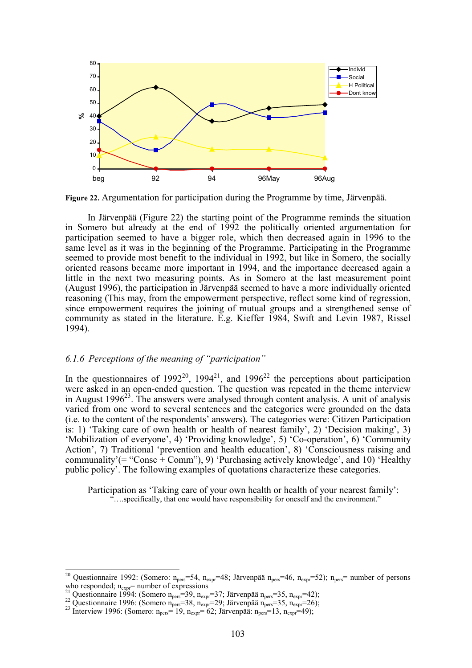

**Figure 22.** Argumentation for participation during the Programme by time, Järvenpää.

In Järvenpää (Figure 22) the starting point of the Programme reminds the situation in Somero but already at the end of 1992 the politically oriented argumentation for participation seemed to have a bigger role, which then decreased again in 1996 to the same level as it was in the beginning of the Programme. Participating in the Programme seemed to provide most benefit to the individual in 1992, but like in Somero, the socially oriented reasons became more important in 1994, and the importance decreased again a little in the next two measuring points. As in Somero at the last measurement point (August 1996), the participation in Järvenpää seemed to have a more individually oriented reasoning (This may, from the empowerment perspective, reflect some kind of regression, since empowerment requires the joining of mutual groups and a strengthened sense of community as stated in the literature. E.g. Kieffer 1984, Swift and Levin 1987, Rissel 1994).

#### *6.1.6 Perceptions of the meaning of "participation"*

In the questionnaires of  $1992^{20}$ ,  $1994^{21}$ , and  $1996^{22}$  the perceptions about participation were asked in an open-ended question. The question was repeated in the theme interview in August 1996<sup>23</sup>. The answers were analysed through content analysis. A unit of analysis varied from one word to several sentences and the categories were grounded on the data (i.e. to the content of the respondents' answers). The categories were: Citizen Participation is: 1) 'Taking care of own health or health of nearest family', 2) 'Decision making', 3) 'Mobilization of everyone', 4) 'Providing knowledge', 5) 'Co-operation', 6) 'Community Action', 7) Traditional 'prevention and health education', 8) 'Consciousness raising and communality'(= "Consc + Comm"), 9) 'Purchasing actively knowledge', and 10) 'Healthy public policy'. The following examples of quotations characterize these categories.

Participation as 'Taking care of your own health or health of your nearest family': "....specifically, that one would have responsibility for oneself and the environment."

<sup>20</sup> <sup>20</sup> Questionnaire 1992: (Somero: n<sub>pers</sub>=54, n<sub>expr</sub>=48; Järvenpää n<sub>pers</sub>=46, n<sub>expr</sub>=52); n<sub>pers</sub>= number of persons who responded; n<sub>expr</sub>= number of expressions <sup>21</sup> Questionnaire 1004. (S)

<sup>&</sup>lt;sup>21</sup> Questionnaire 1994: (Somero n<sub>pers</sub>=39, n<sub>expr</sub>=37; Järvenpää n<sub>pers</sub>=35, n<sub>expr</sub>=42);<br><sup>22</sup> Questionnaire 1996: (Somero n<sub>pers</sub>=38, n<sub>expr</sub>=29; Järvenpää n<sub>pers</sub>=35, n<sub>expr</sub>=26);<br><sup>23</sup> Interview 1996: (Somero: n<sub>pers</sub>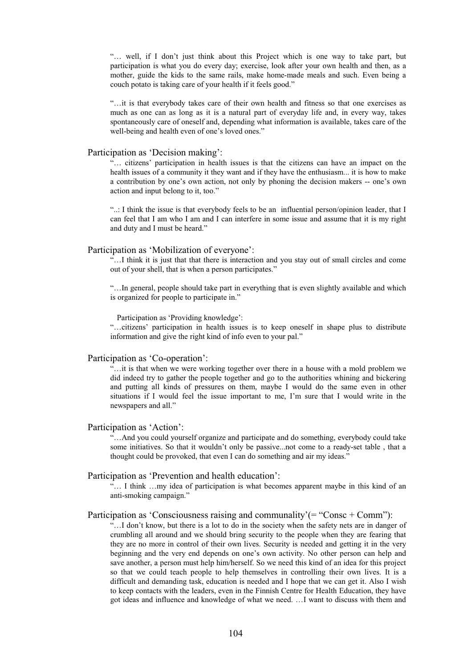"… well, if I don't just think about this Project which is one way to take part, but participation is what you do every day; exercise, look after your own health and then, as a mother, guide the kids to the same rails, make home-made meals and such. Even being a couch potato is taking care of your health if it feels good."

"…it is that everybody takes care of their own health and fitness so that one exercises as much as one can as long as it is a natural part of everyday life and, in every way, takes spontaneously care of oneself and, depending what information is available, takes care of the well-being and health even of one's loved ones."

#### Participation as 'Decision making':

"… citizens' participation in health issues is that the citizens can have an impact on the health issues of a community it they want and if they have the enthusiasm... it is how to make a contribution by one's own action, not only by phoning the decision makers -- one's own action and input belong to it, too."

"..: I think the issue is that everybody feels to be an influential person/opinion leader, that I can feel that I am who I am and I can interfere in some issue and assume that it is my right and duty and I must be heard."

#### Participation as 'Mobilization of everyone':

"…I think it is just that that there is interaction and you stay out of small circles and come out of your shell, that is when a person participates."

"…In general, people should take part in everything that is even slightly available and which is organized for people to participate in."

Participation as 'Providing knowledge':

"…citizens' participation in health issues is to keep oneself in shape plus to distribute information and give the right kind of info even to your pal."

#### Participation as 'Co-operation':

"…it is that when we were working together over there in a house with a mold problem we did indeed try to gather the people together and go to the authorities whining and bickering and putting all kinds of pressures on them, maybe I would do the same even in other situations if I would feel the issue important to me, I'm sure that I would write in the newspapers and all."

#### Participation as 'Action':

"…And you could yourself organize and participate and do something, everybody could take some initiatives. So that it wouldn't only be passive...not come to a ready-set table , that a thought could be provoked, that even I can do something and air my ideas."

#### Participation as 'Prevention and health education':

"… I think …my idea of participation is what becomes apparent maybe in this kind of an anti-smoking campaign."

#### Participation as 'Consciousness raising and communality'( $=$  "Consc  $+$  Comm"):

"…I don't know, but there is a lot to do in the society when the safety nets are in danger of crumbling all around and we should bring security to the people when they are fearing that they are no more in control of their own lives. Security is needed and getting it in the very beginning and the very end depends on one's own activity. No other person can help and save another, a person must help him/herself. So we need this kind of an idea for this project so that we could teach people to help themselves in controlling their own lives. It is a difficult and demanding task, education is needed and I hope that we can get it. Also I wish to keep contacts with the leaders, even in the Finnish Centre for Health Education, they have got ideas and influence and knowledge of what we need. …I want to discuss with them and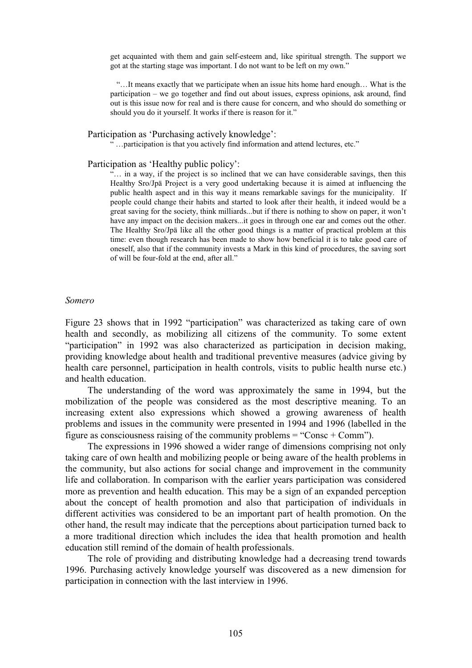get acquainted with them and gain self-esteem and, like spiritual strength. The support we got at the starting stage was important. I do not want to be left on my own."

"…It means exactly that we participate when an issue hits home hard enough… What is the participation – we go together and find out about issues, express opinions, ask around, find out is this issue now for real and is there cause for concern, and who should do something or should you do it yourself. It works if there is reason for it."

## Participation as 'Purchasing actively knowledge':

"...participation is that you actively find information and attend lectures, etc."

## Participation as 'Healthy public policy':

"… in a way, if the project is so inclined that we can have considerable savings, then this Healthy Sro/Jpä Project is a very good undertaking because it is aimed at influencing the public health aspect and in this way it means remarkable savings for the municipality. If people could change their habits and started to look after their health, it indeed would be a great saving for the society, think milliards...but if there is nothing to show on paper, it won't have any impact on the decision makers...it goes in through one ear and comes out the other. The Healthy Sro/Jpä like all the other good things is a matter of practical problem at this time: even though research has been made to show how beneficial it is to take good care of oneself, also that if the community invests a Mark in this kind of procedures, the saving sort of will be four-fold at the end, after all."

#### *Somero*

Figure 23 shows that in 1992 "participation" was characterized as taking care of own health and secondly, as mobilizing all citizens of the community. To some extent "participation" in 1992 was also characterized as participation in decision making, providing knowledge about health and traditional preventive measures (advice giving by health care personnel, participation in health controls, visits to public health nurse etc.) and health education.

The understanding of the word was approximately the same in 1994, but the mobilization of the people was considered as the most descriptive meaning. To an increasing extent also expressions which showed a growing awareness of health problems and issues in the community were presented in 1994 and 1996 (labelled in the figure as consciousness raising of the community problems = "Consc + Comm").

The expressions in 1996 showed a wider range of dimensions comprising not only taking care of own health and mobilizing people or being aware of the health problems in the community, but also actions for social change and improvement in the community life and collaboration. In comparison with the earlier years participation was considered more as prevention and health education. This may be a sign of an expanded perception about the concept of health promotion and also that participation of individuals in different activities was considered to be an important part of health promotion. On the other hand, the result may indicate that the perceptions about participation turned back to a more traditional direction which includes the idea that health promotion and health education still remind of the domain of health professionals.

The role of providing and distributing knowledge had a decreasing trend towards 1996. Purchasing actively knowledge yourself was discovered as a new dimension for participation in connection with the last interview in 1996.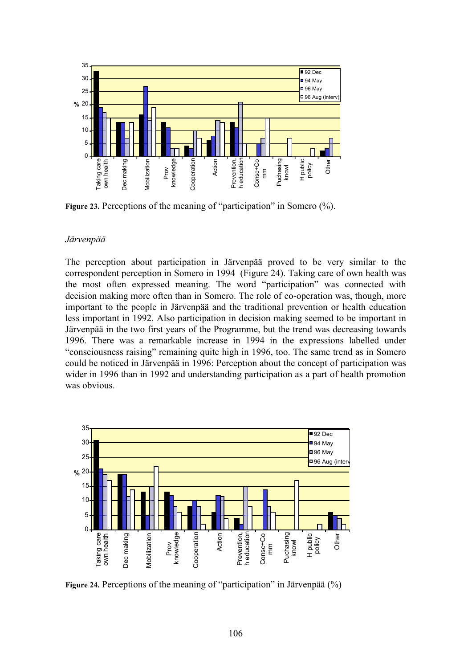

Figure 23. Perceptions of the meaning of "participation" in Somero (%).

# *Järvenpää*

The perception about participation in Järvenpää proved to be very similar to the correspondent perception in Somero in 1994 (Figure 24). Taking care of own health was the most often expressed meaning. The word "participation" was connected with decision making more often than in Somero. The role of co-operation was, though, more important to the people in Järvenpää and the traditional prevention or health education less important in 1992. Also participation in decision making seemed to be important in Järvenpää in the two first years of the Programme, but the trend was decreasing towards 1996. There was a remarkable increase in 1994 in the expressions labelled under "consciousness raising" remaining quite high in 1996, too. The same trend as in Somero could be noticed in Järvenpää in 1996: Perception about the concept of participation was wider in 1996 than in 1992 and understanding participation as a part of health promotion was obvious.



**Figure 24.** Perceptions of the meaning of "participation" in Järvenpää (%)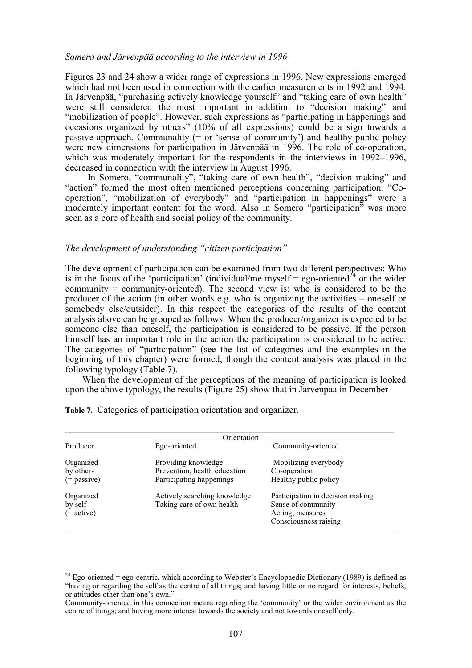#### *Somero and Järvenpää according to the interview in 1996*

Figures 23 and 24 show a wider range of expressions in 1996. New expressions emerged which had not been used in connection with the earlier measurements in 1992 and 1994. In Järvenpää, "purchasing actively knowledge yourself" and "taking care of own health" were still considered the most important in addition to "decision making" and "mobilization of people". However, such expressions as "participating in happenings and occasions organized by others" (10% of all expressions) could be a sign towards a passive approach. Communality  $(=$  or 'sense of community') and healthy public policy were new dimensions for participation in Järvenpää in 1996. The role of co-operation, which was moderately important for the respondents in the interviews in 1992–1996, decreased in connection with the interview in August 1996.

In Somero, "communality", "taking care of own health", "decision making" and "action" formed the most often mentioned perceptions concerning participation. "Cooperation", "mobilization of everybody" and "participation in happenings" were a moderately important content for the word. Also in Somero "participation" was more seen as a core of health and social policy of the community.

*The development of understanding "citizen participation"*

The development of participation can be examined from two different perspectives: Who is in the focus of the 'participation' (individual/me myself = ego-oriented<sup> $24$ </sup> or the wider community = community-oriented). The second view is: who is considered to be the producer of the action (in other words e.g. who is organizing the activities – oneself or somebody else/outsider). In this respect the categories of the results of the content analysis above can be grouped as follows: When the producer/organizer is expected to be someone else than oneself, the participation is considered to be passive. If the person himself has an important role in the action the participation is considered to be active. The categories of "participation" (see the list of categories and the examples in the beginning of this chapter) were formed, though the content analysis was placed in the following typology (Table 7).

When the development of the perceptions of the meaning of participation is looked upon the above typology, the results (Figure 25) show that in Järvenpää in December

|                                    | Orientation                                               |                                                                                                     |
|------------------------------------|-----------------------------------------------------------|-----------------------------------------------------------------------------------------------------|
| Producer                           | Ego-oriented                                              | Community-oriented                                                                                  |
| Organized                          | Providing knowledge                                       | Mobilizing everybody                                                                                |
| by others                          | Prevention, health education                              | Co-operation                                                                                        |
| $(=$ passive)                      | Participating happenings                                  | Healthy public policy                                                                               |
| Organized<br>by self<br>(= active) | Actively searching knowledge<br>Taking care of own health | Participation in decision making<br>Sense of community<br>Acting, measures<br>Consciousness raising |

**Table 7.** Categories of participation orientation and organizer.

 $\overline{\phantom{a}}$ 

<sup>&</sup>lt;sup>24</sup> Ego-oriented = ego-centric, which according to Webster's Encyclopaedic Dictionary (1989) is defined as "having or regarding the self as the centre of all things; and having little or no regard for interests, beliefs, or attitudes other than one's own."

Community-oriented in this connection means regarding the 'community' or the wider environment as the centre of things; and having more interest towards the society and not towards oneself only.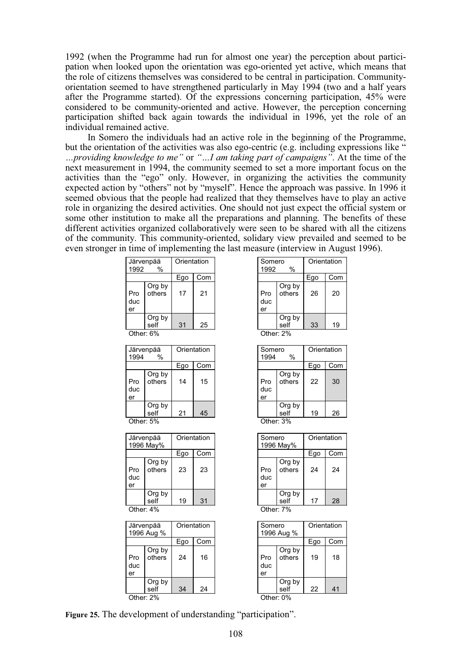1992 (when the Programme had run for almost one year) the perception about participation when looked upon the orientation was ego-oriented yet active, which means that the role of citizens themselves was considered to be central in participation. Communityorientation seemed to have strengthened particularly in May 1994 (two and a half years after the Programme started). Of the expressions concerning participation, 45% were considered to be community-oriented and active. However, the perception concerning participation shifted back again towards the individual in 1996, yet the role of an individual remained active.

In Somero the individuals had an active role in the beginning of the Programme, but the orientation of the activities was also ego-centric (e.g. including expressions like " *…providing knowledge to me"* or *"…I am taking part of campaigns"*. At the time of the next measurement in 1994, the community seemed to set a more important focus on the activities than the "ego" only. However, in organizing the activities the community expected action by "others" not by "myself". Hence the approach was passive. In 1996 it seemed obvious that the people had realized that they themselves have to play an active role in organizing the desired activities. One should not just expect the official system or some other institution to make all the preparations and planning. The benefits of these different activities organized collaboratively were seen to be shared with all the citizens of the community. This community-oriented, solidary view prevailed and seemed to be even stronger in time of implementing the last measure (interview in August 1996).

| 1992             | Järvenpää<br>%   | Orientation |     |  |  |  |  |  |  |  |  |
|------------------|------------------|-------------|-----|--|--|--|--|--|--|--|--|
|                  |                  | Ego         | Com |  |  |  |  |  |  |  |  |
| Pro<br>duc<br>er | Org by<br>others | 17          | 21  |  |  |  |  |  |  |  |  |
|                  | Org by<br>self   | 31          | 25  |  |  |  |  |  |  |  |  |
| Other: 6%        |                  |             |     |  |  |  |  |  |  |  |  |

|                  | Järvenpää        | Orientation |     |
|------------------|------------------|-------------|-----|
| 1994             | %                |             |     |
|                  |                  | Ego         | Com |
| Pro<br>duc<br>er | Org by<br>others | 14          | 15  |
|                  | Org by           |             |     |

self 21 45 Other: 5%

|                  | Järvenpää<br>1996 May% | Orientation |     |  |  |  |  |  |  |  |
|------------------|------------------------|-------------|-----|--|--|--|--|--|--|--|
|                  |                        | Ego         | Com |  |  |  |  |  |  |  |
| Pro<br>duc<br>er | Org by<br>others       | 23          | 23  |  |  |  |  |  |  |  |
|                  | Org by<br>self         | 19          | 31  |  |  |  |  |  |  |  |
| Other: 4%        |                        |             |     |  |  |  |  |  |  |  |

|                  | Järvenpää<br>1996 Aug % | Orientation |     |  |  |  |  |  |  |  |
|------------------|-------------------------|-------------|-----|--|--|--|--|--|--|--|
|                  |                         | Ego         | Com |  |  |  |  |  |  |  |
| Pro<br>duc<br>er | Org by<br>others        | 24          | 16  |  |  |  |  |  |  |  |
|                  | Org by<br>self          | 34          | 24  |  |  |  |  |  |  |  |
| Other: 2%        |                         |             |     |  |  |  |  |  |  |  |

| Somero<br>1992   | %                | Orientation |     |  |  |  |  |  |  |  |
|------------------|------------------|-------------|-----|--|--|--|--|--|--|--|
|                  |                  | Ego         | Com |  |  |  |  |  |  |  |
| Pro<br>duc<br>er | Org by<br>others | 26          | 20  |  |  |  |  |  |  |  |
|                  | Org by<br>self   | 33          | 19  |  |  |  |  |  |  |  |
| Other: 2%        |                  |             |     |  |  |  |  |  |  |  |

| Somero<br>1994   | %                | Orientation |     |  |  |  |  |  |  |  |  |
|------------------|------------------|-------------|-----|--|--|--|--|--|--|--|--|
|                  |                  | Ego         | Com |  |  |  |  |  |  |  |  |
| Pro<br>duc<br>er | Org by<br>others | 22          | 30  |  |  |  |  |  |  |  |  |
|                  | Org by<br>self   | 19          | 26  |  |  |  |  |  |  |  |  |

Other: 3%

| Ego | Com |
|-----|-----|
| 24  | 24  |
| 17  | 28  |
|     |     |

Other: 7%

| Somero           | 1996 Aug %       | Orientation |     |
|------------------|------------------|-------------|-----|
|                  |                  | Ego         | Com |
| Pro<br>duc<br>er | Org by<br>others | 19          | 18  |
|                  | Org by<br>self   | 22          | 41  |
| Other: 0%        |                  |             |     |

**Figure 25.** The development of understanding "participation".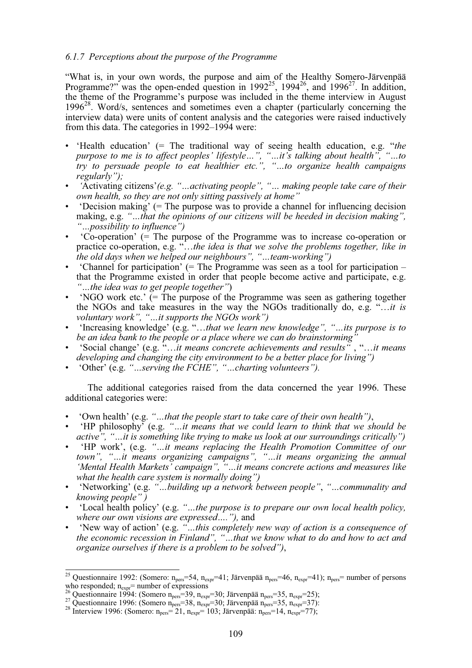# *6.1.7 Perceptions about the purpose of the Programme*

"What is, in your own words, the purpose and aim of the Healthy Somero-Järvenpää Programme?" was the open-ended question in  $1992^{25}$ ,  $1994^{26}$ , and  $1996^{27}$ . In addition, the theme of the Programme's purpose was included in the theme interview in August  $1996^{28}$ . Word/s, sentences and sometimes even a chapter (particularly concerning the interview data) were units of content analysis and the categories were raised inductively from this data. The categories in 1992–1994 were:

- 'Health education' (= The traditional way of seeing health education, e.g. "*the purpose to me is to affect peoples' lifestyle…", "…it's talking about health", "…to try to persuade people to eat healthier etc.", "…to organize health campaigns regularly");*
- • *'*Activating citizens'*(e.g. "…activating people", "… making people take care of their own health, so they are not only sitting passively at home"*
- 'Decision making' (= The purpose was to provide a channel for influencing decision making, e.g. *"…that the opinions of our citizens will be heeded in decision making", "…possibility to influence")*
- 'Co-operation' (= The purpose of the Programme was to increase co-operation or practice co-operation, e.g. "…*the idea is that we solve the problems together, like in the old days when we helped our neighbours", "…team-working")*
- 'Channel for participation' (= The Programme was seen as a tool for participation that the Programme existed in order that people become active and participate, e.g. *"…the idea was to get people together"*)
- 'NGO work etc.'  $\bar{f}$  = The purpose of the Programme was seen as gathering together the NGOs and take measures in the way the NGOs traditionally do, e.g. "…*it is voluntary work", "…it supports the NGOs work")*
- 'Increasing knowledge' (e.g. "…*that we learn new knowledge", "…its purpose is to* be an idea bank to the people or a place where we can do brainstorming
- 'Social change' (e.g. "…*it means concrete achievements and results"* , "…*it means developing and changing the city environment to be a better place for living")*
- 'Other' (e.g. *"…serving the FCHE", "…charting volunteers").*

The additional categories raised from the data concerned the year 1996. These additional categories were:

- 'Own health' (e.g. *"…that the people start to take care of their own health")*,
- 'HP philosophy' (e.g. *"…it means that we could learn to think that we should be active", "…it is something like trying to make us look at our surroundings critically")*
- 'HP work', (e.g. *"…it means replacing the Health Promotion Committee of our town", "…it means organizing campaigns", "…it means organizing the annual 'Mental Health Markets' campaign", "…it means concrete actions and measures like what the health care system is normally doing")*
- 'Networking' (e.g. *"…building up a network between people"*, *"…communality and knowing people" )*
- 'Local health policy' (e.g. *"…the purpose is to prepare our own local health policy, where our own visions are expressed…."),* and
- 'New way of action' (e.g. *"…this completely new way of action is a consequence of the economic recession in Finland", "…that we know what to do and how to act and organize ourselves if there is a problem to be solved")*,

 $\overline{\phantom{a}}$ <sup>25</sup> Questionnaire 1992: (Somero: n<sub>pers</sub>=54, n<sub>expr</sub>=41; Järvenpää n<sub>pers</sub>=46, n<sub>expr</sub>=41); n<sub>pers</sub>= number of persons who responded;  $n_{exp}$  = number of expressions<br>
<sup>26</sup> Questionnaire 1994: (Somero  $n_{pers}$ =39,  $n_{expr}$ =30; Järvenpää  $n_{pers}$ =35,  $n_{expr}$ =25);<br>
<sup>27</sup> Questionnaire 1996: (Somero  $n_{pers}$ =38,  $n_{expr}$ =30; Järvenpää  $n_{pers}$ =35,  $n_{expr}$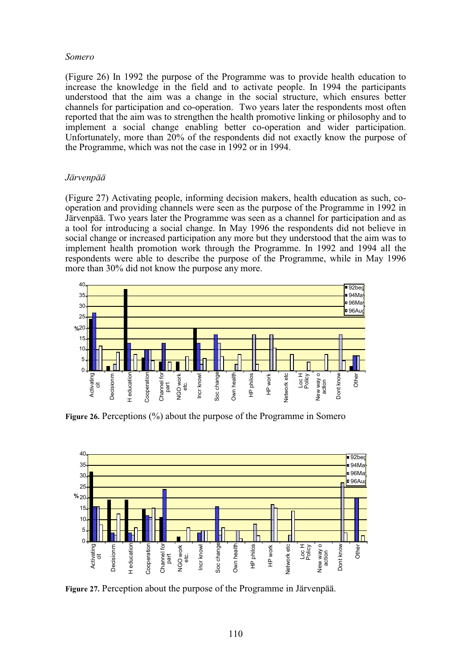## *Somero*

(Figure 26) In 1992 the purpose of the Programme was to provide health education to increase the knowledge in the field and to activate people. In 1994 the participants understood that the aim was a change in the social structure, which ensures better channels for participation and co-operation. Two years later the respondents most often reported that the aim was to strengthen the health promotive linking or philosophy and to implement a social change enabling better co-operation and wider participation. Unfortunately, more than 20% of the respondents did not exactly know the purpose of the Programme, which was not the case in 1992 or in 1994.

# *Järvenpää*

(Figure 27) Activating people, informing decision makers, health education as such, cooperation and providing channels were seen as the purpose of the Programme in 1992 in Järvenpää. Two years later the Programme was seen as a channel for participation and as a tool for introducing a social change. In May 1996 the respondents did not believe in social change or increased participation any more but they understood that the aim was to implement health promotion work through the Programme. In 1992 and 1994 all the respondents were able to describe the purpose of the Programme, while in May 1996 more than 30% did not know the purpose any more.



**Figure 26.** Perceptions (%) about the purpose of the Programme in Somero



**Figure 27.** Perception about the purpose of the Programme in Järvenpää.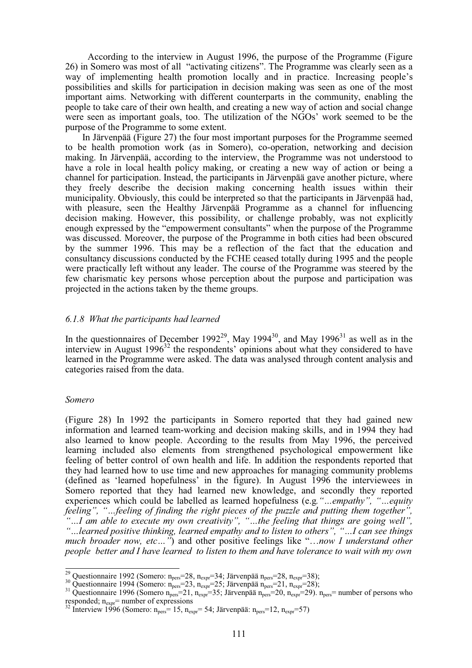According to the interview in August 1996, the purpose of the Programme (Figure 26) in Somero was most of all "activating citizens". The Programme was clearly seen as a way of implementing health promotion locally and in practice. Increasing people's possibilities and skills for participation in decision making was seen as one of the most important aims. Networking with different counterparts in the community, enabling the people to take care of their own health, and creating a new way of action and social change were seen as important goals, too. The utilization of the NGOs' work seemed to be the purpose of the Programme to some extent.

In Järvenpää (Figure 27) the four most important purposes for the Programme seemed to be health promotion work (as in Somero), co-operation, networking and decision making. In Järvenpää, according to the interview, the Programme was not understood to have a role in local health policy making, or creating a new way of action or being a channel for participation. Instead, the participants in Järvenpää gave another picture, where they freely describe the decision making concerning health issues within their municipality. Obviously, this could be interpreted so that the participants in Järvenpää had, with pleasure, seen the Healthy Järvenpää Programme as a channel for influencing decision making. However, this possibility, or challenge probably, was not explicitly enough expressed by the "empowerment consultants" when the purpose of the Programme was discussed. Moreover, the purpose of the Programme in both cities had been obscured by the summer 1996. This may be a reflection of the fact that the education and consultancy discussions conducted by the FCHE ceased totally during 1995 and the people were practically left without any leader. The course of the Programme was steered by the few charismatic key persons whose perception about the purpose and participation was projected in the actions taken by the theme groups.

## *6.1.8 What the participants had learned*

In the questionnaires of December 1992<sup>29</sup>, May 1994<sup>30</sup>, and May 1996<sup>31</sup> as well as in the interview in August  $1996^{32}$  the respondents' opinions about what they considered to have learned in the Programme were asked. The data was analysed through content analysis and categories raised from the data.

#### *Somero*

(Figure 28) In 1992 the participants in Somero reported that they had gained new information and learned team-working and decision making skills, and in 1994 they had also learned to know people. According to the results from May 1996, the perceived learning included also elements from strengthened psychological empowerment like feeling of better control of own health and life. In addition the respondents reported that they had learned how to use time and new approaches for managing community problems (defined as 'learned hopefulness' in the figure). In August 1996 the interviewees in Somero reported that they had learned new knowledge, and secondly they reported experiences which could be labelled as learned hopefulness (e.g*."…empathy", "…equity feeling", "…feeling of finding the right pieces of the puzzle and putting them together", "…I am able to execute my own creativity", "…the feeling that things are going well", "…learned positive thinking, learned empathy and to listen to others", "…I can see things much broader now, etc…"*) and other positive feelings like "…*now I understand other people better and I have learned to listen to them and have tolerance to wait with my own*

<sup>&</sup>lt;sup>29</sup> Questionnaire 1992 (Somero: n<sub>pers</sub>=28, n<sub>expr</sub>=34; Järvenpää n<sub>pers</sub>=28, n<sub>expr</sub>=38);

<sup>&</sup>lt;sup>30</sup> Questionnaire 1994 (Somero: n<sub>pers</sub>=23, n<sub>expr</sub>=25; Järvenpää n<sub>pers</sub>=21, n<sub>expr</sub>=28);<br><sup>31</sup> Questionnaire 1996 (Somero n<sub>pers</sub>=21, n<sub>expr</sub>=35; Järvenpää n<sub>pers</sub>=20, n<sub>expr</sub>=29). n<sub>pers</sub>= number of persons who responded;  $n_{\text{expr}}$  = number of expressions  $\frac{32 \text{ Interview 1996}}{32}$  Interview 1996 (Somero:  $n_{\text{pers}} = 15$ ,  $n_{\text{expr}} = 54$ ; Järvenpää:  $n_{\text{pers}} = 12$ ,  $n_{\text{expr}} = 57$ )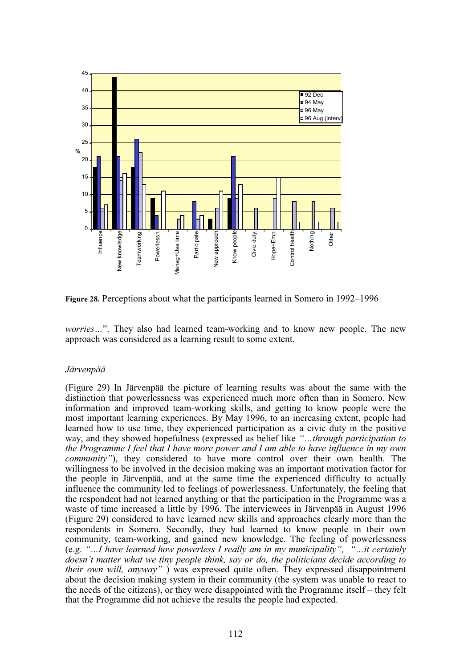

**Figure 28.** Perceptions about what the participants learned in Somero in 1992–1996

*worries...*". They also had learned team-working and to know new people. The new approach was considered as a learning result to some extent.

## *Järvenpää*

(Figure 29) In Järvenpää the picture of learning results was about the same with the distinction that powerlessness was experienced much more often than in Somero. New information and improved team-working skills, and getting to know people were the most important learning experiences. By May 1996, to an increasing extent, people had learned how to use time, they experienced participation as a civic duty in the positive way, and they showed hopefulness (expressed as belief like *"…through participation to the Programme I feel that I have more power and I am able to have influence in my own community"*), they considered to have more control over their own health. The willingness to be involved in the decision making was an important motivation factor for the people in Järvenpää, and at the same time the experienced difficulty to actually influence the community led to feelings of powerlessness. Unfortunately, the feeling that the respondent had not learned anything or that the participation in the Programme was a waste of time increased a little by 1996. The interviewees in Järvenpää in August 1996 (Figure 29) considered to have learned new skills and approaches clearly more than the respondents in Somero. Secondly, they had learned to know people in their own community, team-working, and gained new knowledge. The feeling of powerlessness (e.g. *"…I have learned how powerless I really am in my municipality", "…it certainly doesn't matter what we tiny people think, say or do, the politicians decide according to their own will, anyway"* ) was expressed quite often. They expressed disappointment about the decision making system in their community (the system was unable to react to the needs of the citizens), or they were disappointed with the Programme itself – they felt that the Programme did not achieve the results the people had expected.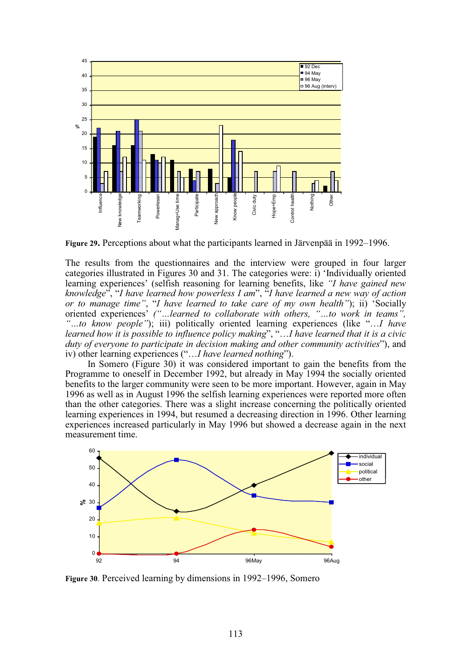

**Figure 29.** Perceptions about what the participants learned in Järvenpää in 1992–1996.

The results from the questionnaires and the interview were grouped in four larger categories illustrated in Figures 30 and 31. The categories were: i) 'Individually oriented learning experiences' (selfish reasoning for learning benefits, like *"I have gained new knowledge*", "*I have learned how powerless I am*", "*I have learned a new way of action or to manage time"*, "*I have learned to take care of my own health"*); ii) 'Socially oriented experiences' *("…learned to collaborate with others, "…to work in teams", "…to know people"*); iii) politically oriented learning experiences (like "…*I have learned how it is possible to influence policy making*", "…*I have learned that it is a civic duty of everyone to participate in decision making and other community activities*"), and iv) other learning experiences ("…*I have learned nothing*").

In Somero (Figure 30) it was considered important to gain the benefits from the Programme to oneself in December 1992, but already in May 1994 the socially oriented benefits to the larger community were seen to be more important. However, again in May 1996 as well as in August 1996 the selfish learning experiences were reported more often than the other categories. There was a slight increase concerning the politically oriented learning experiences in 1994, but resumed a decreasing direction in 1996. Other learning experiences increased particularly in May 1996 but showed a decrease again in the next measurement time.



**Figure 30**. Perceived learning by dimensions in 1992–1996, Somero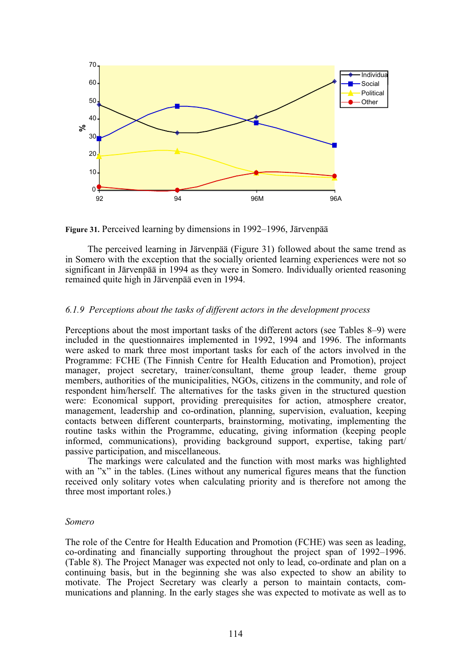

**Figure 31.** Perceived learning by dimensions in 1992–1996, Järvenpää

The perceived learning in Järvenpää (Figure 31) followed about the same trend as in Somero with the exception that the socially oriented learning experiences were not so significant in Järvenpää in 1994 as they were in Somero. Individually oriented reasoning remained quite high in Järvenpää even in 1994.

## *6.1.9 Perceptions about the tasks of different actors in the development process*

Perceptions about the most important tasks of the different actors (see Tables 8–9) were included in the questionnaires implemented in 1992, 1994 and 1996. The informants were asked to mark three most important tasks for each of the actors involved in the Programme: FCHE (The Finnish Centre for Health Education and Promotion), project manager, project secretary, trainer/consultant, theme group leader, theme group members, authorities of the municipalities, NGOs, citizens in the community, and role of respondent him/herself. The alternatives for the tasks given in the structured question were: Economical support, providing prerequisites for action, atmosphere creator, management, leadership and co-ordination, planning, supervision, evaluation, keeping contacts between different counterparts, brainstorming, motivating, implementing the routine tasks within the Programme, educating, giving information (keeping people informed, communications), providing background support, expertise, taking part/ passive participation, and miscellaneous.

The markings were calculated and the function with most marks was highlighted with an "x" in the tables. (Lines without any numerical figures means that the function received only solitary votes when calculating priority and is therefore not among the three most important roles.)

## *Somero*

The role of the Centre for Health Education and Promotion (FCHE) was seen as leading, co-ordinating and financially supporting throughout the project span of 1992–1996. (Table 8). The Project Manager was expected not only to lead, co-ordinate and plan on a continuing basis, but in the beginning she was also expected to show an ability to motivate. The Project Secretary was clearly a person to maintain contacts, communications and planning. In the early stages she was expected to motivate as well as to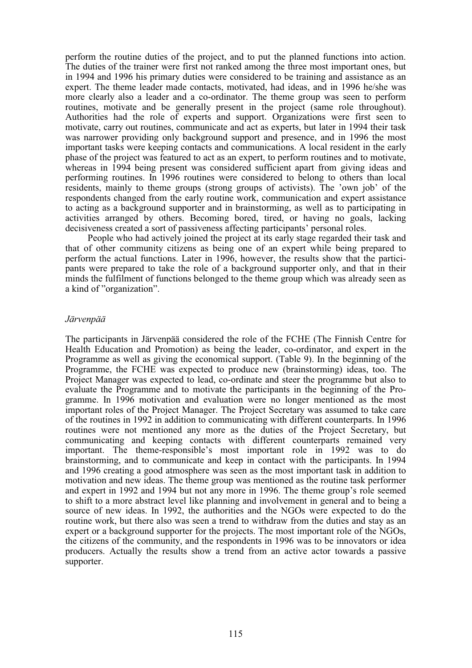perform the routine duties of the project, and to put the planned functions into action. The duties of the trainer were first not ranked among the three most important ones, but in 1994 and 1996 his primary duties were considered to be training and assistance as an expert. The theme leader made contacts, motivated, had ideas, and in 1996 he/she was more clearly also a leader and a co-ordinator. The theme group was seen to perform routines, motivate and be generally present in the project (same role throughout). Authorities had the role of experts and support. Organizations were first seen to motivate, carry out routines, communicate and act as experts, but later in 1994 their task was narrower providing only background support and presence, and in 1996 the most important tasks were keeping contacts and communications. A local resident in the early phase of the project was featured to act as an expert, to perform routines and to motivate, whereas in 1994 being present was considered sufficient apart from giving ideas and performing routines. In 1996 routines were considered to belong to others than local residents, mainly to theme groups (strong groups of activists). The 'own job' of the respondents changed from the early routine work, communication and expert assistance to acting as a background supporter and in brainstorming, as well as to participating in activities arranged by others. Becoming bored, tired, or having no goals, lacking decisiveness created a sort of passiveness affecting participants' personal roles.

People who had actively joined the project at its early stage regarded their task and that of other community citizens as being one of an expert while being prepared to perform the actual functions. Later in 1996, however, the results show that the participants were prepared to take the role of a background supporter only, and that in their minds the fulfilment of functions belonged to the theme group which was already seen as a kind of "organization".

## *Järvenpää*

The participants in Järvenpää considered the role of the FCHE (The Finnish Centre for Health Education and Promotion) as being the leader, co-ordinator, and expert in the Programme as well as giving the economical support. (Table 9). In the beginning of the Programme, the FCHE was expected to produce new (brainstorming) ideas, too. The Project Manager was expected to lead, co-ordinate and steer the programme but also to evaluate the Programme and to motivate the participants in the beginning of the Programme. In 1996 motivation and evaluation were no longer mentioned as the most important roles of the Project Manager. The Project Secretary was assumed to take care of the routines in 1992 in addition to communicating with different counterparts. In 1996 routines were not mentioned any more as the duties of the Project Secretary, but communicating and keeping contacts with different counterparts remained very important. The theme-responsible's most important role in 1992 was to do brainstorming, and to communicate and keep in contact with the participants. In 1994 and 1996 creating a good atmosphere was seen as the most important task in addition to motivation and new ideas. The theme group was mentioned as the routine task performer and expert in 1992 and 1994 but not any more in 1996. The theme group's role seemed to shift to a more abstract level like planning and involvement in general and to being a source of new ideas. In 1992, the authorities and the NGOs were expected to do the routine work, but there also was seen a trend to withdraw from the duties and stay as an expert or a background supporter for the projects. The most important role of the NGOs, the citizens of the community, and the respondents in 1996 was to be innovators or idea producers. Actually the results show a trend from an active actor towards a passive supporter.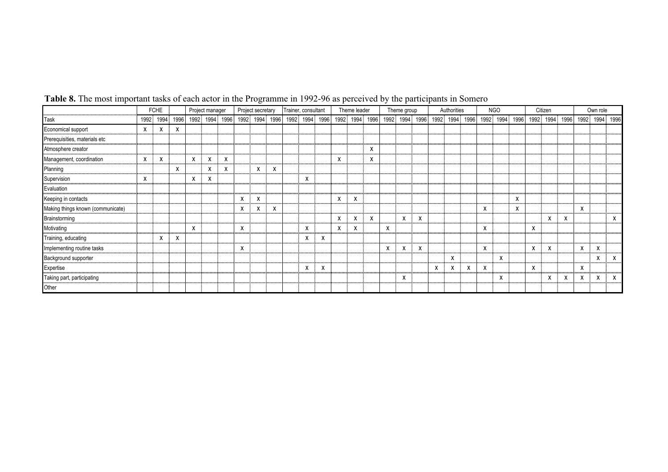|                                   |            | <b>FCHE</b> |                |   | Project secretary<br>Project manager |                |   | Trainer, consultant<br>Theme leader |  |  |                |  |     |                | Theme group |  |                | Authorities |  | <b>NGO</b>     |  | Citizen        | Own role |                |  |                |  |
|-----------------------------------|------------|-------------|----------------|---|--------------------------------------|----------------|---|-------------------------------------|--|--|----------------|--|-----|----------------|-------------|--|----------------|-------------|--|----------------|--|----------------|----------|----------------|--|----------------|--|
| Task                              |            |             | 1992 1994 1996 |   |                                      | 1992 1994 1996 |   | 1992 1994 1996                      |  |  | 1992 1994 1996 |  |     | 1992 1994 1996 |             |  | 1992 1994 1996 |             |  | 1992 1994 1996 |  | 1992 1994 1996 |          | 1992 1994 1996 |  | 1992 1994 1996 |  |
| Economical support                | <b>x</b> : | X           | X              |   |                                      |                |   |                                     |  |  |                |  |     |                |             |  |                |             |  |                |  |                |          |                |  |                |  |
| Prerequisities, materials etc     |            |             |                |   |                                      |                |   |                                     |  |  |                |  |     |                |             |  |                |             |  |                |  |                |          |                |  |                |  |
| Atmosphere creator                |            |             |                |   |                                      |                |   |                                     |  |  |                |  |     |                |             |  |                |             |  |                |  |                |          |                |  |                |  |
| Management, coordination          |            |             |                | X |                                      |                |   |                                     |  |  |                |  | х   |                | x           |  |                |             |  |                |  |                |          |                |  |                |  |
| Planning                          |            |             | х              |   |                                      |                |   |                                     |  |  |                |  |     |                |             |  |                |             |  |                |  |                |          |                |  |                |  |
| Supervision                       |            |             |                | X |                                      |                |   |                                     |  |  |                |  |     |                |             |  |                |             |  |                |  |                |          |                |  |                |  |
| Evaluation                        |            |             |                |   |                                      |                |   |                                     |  |  |                |  |     |                |             |  |                |             |  |                |  |                |          |                |  |                |  |
| Keeping in contacts               |            |             |                |   |                                      |                | х |                                     |  |  |                |  | х   |                |             |  |                |             |  |                |  |                |          |                |  |                |  |
| Making things known (communicate) |            |             |                |   |                                      |                | x |                                     |  |  |                |  |     |                |             |  |                |             |  |                |  |                |          |                |  |                |  |
| <b>Brainstorming</b>              |            |             |                |   |                                      |                |   |                                     |  |  |                |  | X : |                | x           |  |                |             |  |                |  |                |          |                |  |                |  |
| Motivating                        |            |             |                |   |                                      |                |   |                                     |  |  |                |  |     |                |             |  |                |             |  |                |  |                |          |                |  |                |  |
| Training, educating               |            |             |                |   |                                      |                |   |                                     |  |  |                |  |     |                |             |  |                |             |  |                |  |                |          |                |  |                |  |
| Implementing routine tasks        |            |             |                |   |                                      |                |   |                                     |  |  |                |  |     |                |             |  |                |             |  |                |  |                |          |                |  |                |  |
| Background supporter              |            |             |                |   |                                      |                |   |                                     |  |  |                |  |     |                |             |  |                |             |  |                |  |                |          |                |  |                |  |
| Expertise                         |            |             |                |   |                                      |                |   |                                     |  |  |                |  |     |                |             |  |                |             |  |                |  |                |          |                |  |                |  |
| Taking part, participating        |            |             |                |   |                                      |                |   |                                     |  |  |                |  |     |                |             |  |                |             |  |                |  |                |          |                |  |                |  |
| Other                             |            |             |                |   |                                      |                |   |                                     |  |  |                |  |     |                |             |  |                |             |  |                |  |                |          |                |  |                |  |

# **Table 8.** The most important tasks of each actor in the Programme in 1992-96 as perceived by the participants in Somero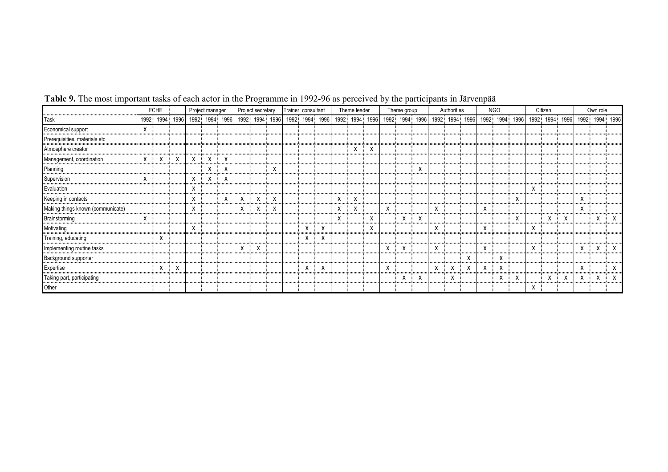|                                                                     |   | <b>FCHE</b>    |   | Project manager |                               |  | Project secretary |  |  | Trainer, consultant |  |   | Theme leader   |  |  | Theme group    |  |  | Authorities    |  | NGO            |  | Citizen        | Own role |                |  |
|---------------------------------------------------------------------|---|----------------|---|-----------------|-------------------------------|--|-------------------|--|--|---------------------|--|---|----------------|--|--|----------------|--|--|----------------|--|----------------|--|----------------|----------|----------------|--|
| <b>Task</b>                                                         |   | 1992 1994 1996 |   |                 | 1992 1994 1996 1992 1994 1996 |  |                   |  |  | 1992 1994 1996      |  |   | 1992 1994 1996 |  |  | 1992 1994 1996 |  |  | 1992 1994 1996 |  | 1992 1994 1996 |  | 1992 1994 1996 |          | 1992 1994 1996 |  |
| Economical support                                                  | x |                |   |                 |                               |  |                   |  |  |                     |  |   |                |  |  |                |  |  |                |  |                |  |                |          |                |  |
| Prerequisities, materials etc                                       |   |                |   |                 |                               |  |                   |  |  |                     |  |   |                |  |  |                |  |  |                |  |                |  |                |          |                |  |
| Atmosphere creator                                                  |   |                |   |                 |                               |  |                   |  |  |                     |  |   |                |  |  |                |  |  |                |  |                |  |                |          |                |  |
| Management, coordination                                            |   |                |   |                 |                               |  |                   |  |  |                     |  |   |                |  |  |                |  |  |                |  |                |  |                |          |                |  |
| Planning                                                            |   |                |   |                 |                               |  |                   |  |  |                     |  |   |                |  |  |                |  |  |                |  |                |  |                |          |                |  |
| Supervision                                                         |   |                |   |                 |                               |  |                   |  |  |                     |  |   |                |  |  |                |  |  |                |  |                |  |                |          |                |  |
| Evaluation                                                          |   |                |   |                 |                               |  |                   |  |  |                     |  |   |                |  |  |                |  |  |                |  |                |  |                |          |                |  |
| Keeping in contacts                                                 |   |                | x |                 |                               |  |                   |  |  |                     |  | х |                |  |  |                |  |  |                |  |                |  |                |          |                |  |
| Making things known (communicate)<br>,,,,,,,,,,,,,,,,,,,,,,,,,,,,,, |   |                |   |                 |                               |  |                   |  |  |                     |  | x |                |  |  |                |  |  |                |  |                |  |                |          |                |  |
| Brainstorming                                                       |   |                |   |                 |                               |  |                   |  |  |                     |  |   |                |  |  |                |  |  |                |  |                |  |                |          |                |  |
| Motivating                                                          |   |                |   |                 |                               |  |                   |  |  |                     |  |   |                |  |  |                |  |  |                |  |                |  |                |          |                |  |
| Training, educating<br>,,,,,,,,,,,,,,,,,,,,,,,,                     |   |                |   |                 |                               |  |                   |  |  |                     |  |   |                |  |  |                |  |  |                |  |                |  |                |          |                |  |
| Implementing routine tasks                                          |   |                |   |                 |                               |  |                   |  |  |                     |  |   |                |  |  |                |  |  |                |  |                |  |                |          |                |  |
| Background supporter                                                |   |                |   |                 |                               |  |                   |  |  |                     |  |   |                |  |  |                |  |  |                |  |                |  |                |          |                |  |
| Expertise                                                           |   |                |   |                 |                               |  |                   |  |  |                     |  |   |                |  |  |                |  |  |                |  |                |  |                |          |                |  |
| Taking part, participating                                          |   |                |   |                 |                               |  |                   |  |  |                     |  |   |                |  |  |                |  |  |                |  |                |  |                |          |                |  |
| Other                                                               |   |                |   |                 |                               |  |                   |  |  |                     |  |   |                |  |  |                |  |  |                |  |                |  |                |          |                |  |

#### **Table 9.** The most important tasks of each actor in the Programme in 1992-96 as perceived by the participants in Järvenpää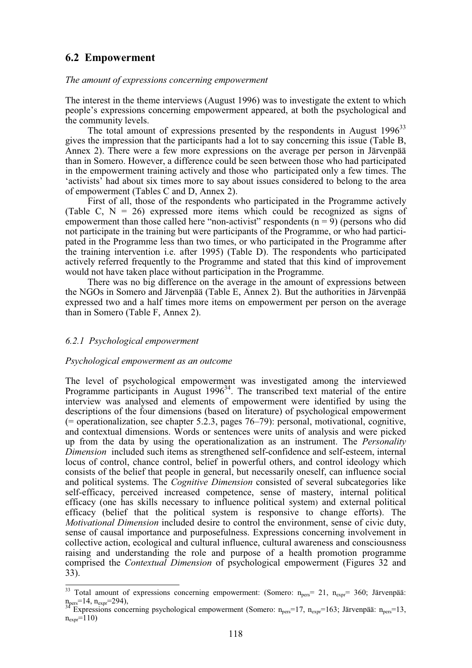# **6.2 Empowerment**

#### *The amount of expressions concerning empowerment*

The interest in the theme interviews (August 1996) was to investigate the extent to which people's expressions concerning empowerment appeared, at both the psychological and the community levels.

The total amount of expressions presented by the respondents in August  $1996^{33}$ gives the impression that the participants had a lot to say concerning this issue (Table B, Annex 2). There were a few more expressions on the average per person in Järvenpää than in Somero. However, a difference could be seen between those who had participated in the empowerment training actively and those who participated only a few times. The 'activists' had about six times more to say about issues considered to belong to the area of empowerment (Tables C and D, Annex 2).

First of all, those of the respondents who participated in the Programme actively (Table C,  $N = 26$ ) expressed more items which could be recognized as signs of empowerment than those called here "non-activist" respondents  $(n = 9)$  (persons who did not participate in the training but were participants of the Programme, or who had participated in the Programme less than two times, or who participated in the Programme after the training intervention i.e. after 1995) (Table D). The respondents who participated actively referred frequently to the Programme and stated that this kind of improvement would not have taken place without participation in the Programme.

There was no big difference on the average in the amount of expressions between the NGOs in Somero and Järvenpää (Table E, Annex 2). But the authorities in Järvenpää expressed two and a half times more items on empowerment per person on the average than in Somero (Table F, Annex 2).

## *6.2.1 Psychological empowerment*

## *Psychological empowerment as an outcome*

The level of psychological empowerment was investigated among the interviewed Programme participants in August  $1996<sup>34</sup>$ . The transcribed text material of the entire interview was analysed and elements of empowerment were identified by using the descriptions of the four dimensions (based on literature) of psychological empowerment (= operationalization, see chapter 5.2.3, pages 76–79): personal, motivational, cognitive, and contextual dimensions. Words or sentences were units of analysis and were picked up from the data by using the operationalization as an instrument. The *Personality Dimension* included such items as strengthened self-confidence and self-esteem, internal locus of control, chance control, belief in powerful others, and control ideology which consists of the belief that people in general, but necessarily oneself, can influence social and political systems. The *Cognitive Dimension* consisted of several subcategories like self-efficacy, perceived increased competence, sense of mastery, internal political efficacy (one has skills necessary to influence political system) and external political efficacy (belief that the political system is responsive to change efforts). The *Motivational Dimension* included desire to control the environment, sense of civic duty, sense of causal importance and purposefulness. Expressions concerning involvement in collective action, ecological and cultural influence, cultural awareness and consciousness raising and understanding the role and purpose of a health promotion programme comprised the *Contextual Dimension* of psychological empowerment (Figures 32 and 33).

 $\overline{\phantom{a}}$ <sup>33</sup> Total amount of expressions concerning empowerment: (Somero:  $n_{pers}$ = 21,  $n_{expr}$ = 360; Järvenpää:  $n_{\text{pers}}=14$ ,  $n_{\text{expr}}=294$ ),<br><sup>34</sup> Expressions concerning psychological empowerment (Somero:  $n_{\text{pers}}=17$ ,  $n_{\text{expr}}=163$ ; Järvenpää:  $n_{\text{pers}}=13$ ,

 $n_{\rm expr}$ =110)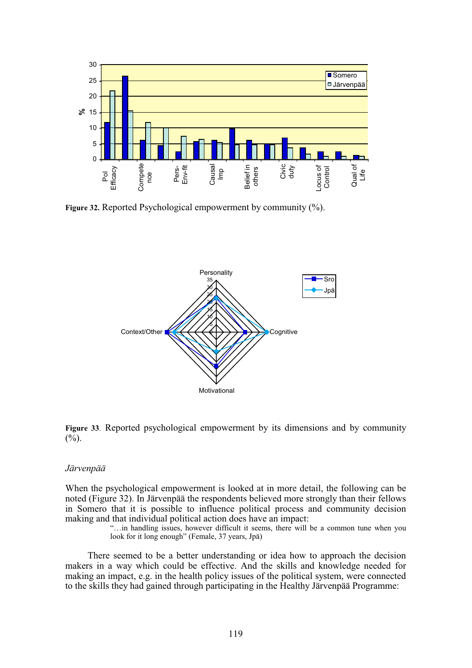

**Figure 32.** Reported Psychological empowerment by community (%).



**Figure 33**. Reported psychological empowerment by its dimensions and by community  $(%).$ 

## *Järvenpää*

When the psychological empowerment is looked at in more detail, the following can be noted (Figure 32). In Järvenpää the respondents believed more strongly than their fellows in Somero that it is possible to influence political process and community decision making and that individual political action does have an impact:

> "…in handling issues, however difficult it seems, there will be a common tune when you look for it long enough" (Female, 37 years, Jpä)

There seemed to be a better understanding or idea how to approach the decision makers in a way which could be effective. And the skills and knowledge needed for making an impact, e.g. in the health policy issues of the political system, were connected to the skills they had gained through participating in the Healthy Järvenpää Programme: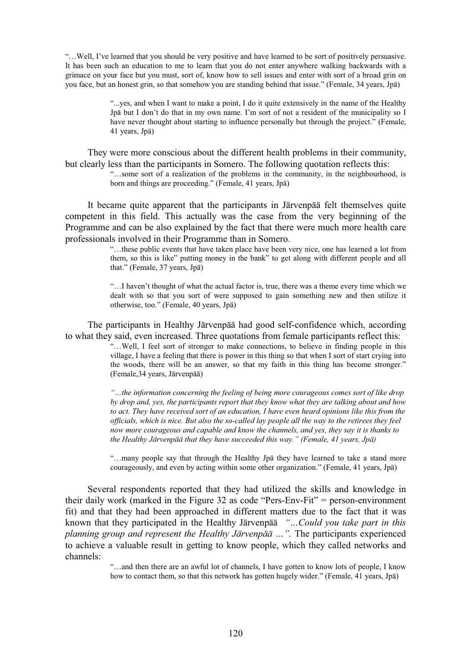"…Well, I've learned that you should be very positive and have learned to be sort of positively persuasive. It has been such an education to me to learn that you do not enter anywhere walking backwards with a grimace on your face but you must, sort of, know how to sell issues and enter with sort of a broad grin on you face, but an honest grin, so that somehow you are standing behind that issue." (Female, 34 years, Jpä)

> "...yes, and when I want to make a point, I do it quite extensively in the name of the Healthy Jpä but I don't do that in my own name. I'm sort of not a resident of the municipality so I have never thought about starting to influence personally but through the project." (Female, 41 years, Jpä)

They were more conscious about the different health problems in their community, but clearly less than the participants in Somero. The following quotation reflects this:

"…some sort of a realization of the problems in the community, in the neighbourhood, is born and things are proceeding." (Female, 41 years, Jpä)

It became quite apparent that the participants in Järvenpää felt themselves quite competent in this field. This actually was the case from the very beginning of the Programme and can be also explained by the fact that there were much more health care professionals involved in their Programme than in Somero.

> "…these public events that have taken place have been very nice, one has learned a lot from them, so this is like" putting money in the bank" to get along with different people and all that." (Female, 37 years, Jpä)

> "…I haven't thought of what the actual factor is, true, there was a theme every time which we dealt with so that you sort of were supposed to gain something new and then utilize it otherwise, too." (Female, 40 years, Jpä)

The participants in Healthy Järvenpää had good self-confidence which, according to what they said, even increased. Three quotations from female participants reflect this:

> "…Well, I feel sort of stronger to make connections, to believe in finding people in this village, I have a feeling that there is power in this thing so that when I sort of start crying into the woods, there will be an answer, so that my faith in this thing has become stronger." (Female,34 years, Järvenpää)

> *"…the information concerning the feeling of being more courageous comes sort of like drop by drop and, yes, the participants report that they know what they are talking about and how to act. They have received sort of an education, I have even heard opinions like this from the officials, which is nice. But also the so-called lay people all the way to the retirees they feel now more courageous and capable and know the channels, and yes, they say it is thanks to the Healthy Järvenpää that they have succeeded this way." (Female, 41 years, Jpä)*

> "…many people say that through the Healthy Jpä they have learned to take a stand more courageously, and even by acting within some other organization." (Female, 41 years, Jpä)

Several respondents reported that they had utilized the skills and knowledge in their daily work (marked in the Figure 32 as code "Pers-Env-Fit" = person-environment fit) and that they had been approached in different matters due to the fact that it was known that they participated in the Healthy Järvenpää *"…Could you take part in this planning group and represent the Healthy Järvenpää …".* The participants experienced to achieve a valuable result in getting to know people, which they called networks and channels:

> "…and then there are an awful lot of channels, I have gotten to know lots of people, I know how to contact them, so that this network has gotten hugely wider." (Female, 41 years, Jpä)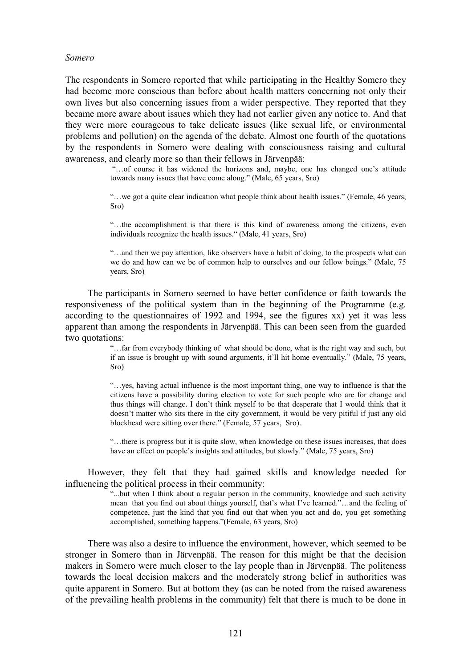#### *Somero*

The respondents in Somero reported that while participating in the Healthy Somero they had become more conscious than before about health matters concerning not only their own lives but also concerning issues from a wider perspective. They reported that they became more aware about issues which they had not earlier given any notice to. And that they were more courageous to take delicate issues (like sexual life, or environmental problems and pollution) on the agenda of the debate. Almost one fourth of the quotations by the respondents in Somero were dealing with consciousness raising and cultural awareness, and clearly more so than their fellows in Järvenpää:

> "…of course it has widened the horizons and, maybe, one has changed one's attitude towards many issues that have come along." (Male, 65 years, Sro)

> "…we got a quite clear indication what people think about health issues." (Female, 46 years, Sro)

> "…the accomplishment is that there is this kind of awareness among the citizens, even individuals recognize the health issues." (Male, 41 years, Sro)

> "…and then we pay attention, like observers have a habit of doing, to the prospects what can we do and how can we be of common help to ourselves and our fellow beings." (Male, 75 years, Sro)

The participants in Somero seemed to have better confidence or faith towards the responsiveness of the political system than in the beginning of the Programme (e.g. according to the questionnaires of 1992 and 1994, see the figures xx) yet it was less apparent than among the respondents in Järvenpää. This can been seen from the guarded two quotations:

> "…far from everybody thinking of what should be done, what is the right way and such, but if an issue is brought up with sound arguments, it'll hit home eventually." (Male, 75 years, Sro)

> "…yes, having actual influence is the most important thing, one way to influence is that the citizens have a possibility during election to vote for such people who are for change and thus things will change. I don't think myself to be that desperate that I would think that it doesn't matter who sits there in the city government, it would be very pitiful if just any old blockhead were sitting over there." (Female, 57 years, Sro).

> "…there is progress but it is quite slow, when knowledge on these issues increases, that does have an effect on people's insights and attitudes, but slowly." (Male, 75 years, Sro)

However, they felt that they had gained skills and knowledge needed for influencing the political process in their community:

> "...but when I think about a regular person in the community, knowledge and such activity mean that you find out about things yourself, that's what I've learned."…and the feeling of competence, just the kind that you find out that when you act and do, you get something accomplished, something happens."(Female, 63 years, Sro)

There was also a desire to influence the environment, however, which seemed to be stronger in Somero than in Järvenpää. The reason for this might be that the decision makers in Somero were much closer to the lay people than in Järvenpää. The politeness towards the local decision makers and the moderately strong belief in authorities was quite apparent in Somero. But at bottom they (as can be noted from the raised awareness of the prevailing health problems in the community) felt that there is much to be done in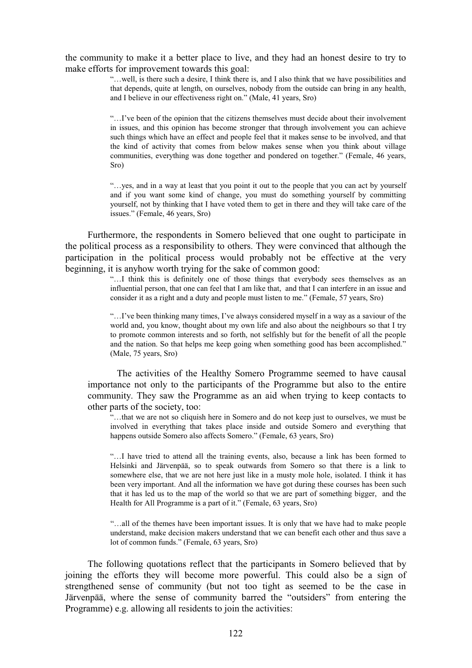## the community to make it a better place to live, and they had an honest desire to try to make efforts for improvement towards this goal:

"…well, is there such a desire, I think there is, and I also think that we have possibilities and that depends, quite at length, on ourselves, nobody from the outside can bring in any health, and I believe in our effectiveness right on." (Male, 41 years, Sro)

"…I've been of the opinion that the citizens themselves must decide about their involvement in issues, and this opinion has become stronger that through involvement you can achieve such things which have an effect and people feel that it makes sense to be involved, and that the kind of activity that comes from below makes sense when you think about village communities, everything was done together and pondered on together." (Female, 46 years, Sro)

"…yes, and in a way at least that you point it out to the people that you can act by yourself and if you want some kind of change, you must do something yourself by committing yourself, not by thinking that I have voted them to get in there and they will take care of the issues." (Female, 46 years, Sro)

Furthermore, the respondents in Somero believed that one ought to participate in the political process as a responsibility to others. They were convinced that although the participation in the political process would probably not be effective at the very beginning, it is anyhow worth trying for the sake of common good:

> "…I think this is definitely one of those things that everybody sees themselves as an influential person, that one can feel that I am like that, and that I can interfere in an issue and consider it as a right and a duty and people must listen to me." (Female, 57 years, Sro)

> "…I've been thinking many times, I've always considered myself in a way as a saviour of the world and, you know, thought about my own life and also about the neighbours so that I try to promote common interests and so forth, not selfishly but for the benefit of all the people and the nation. So that helps me keep going when something good has been accomplished." (Male, 75 years, Sro)

The activities of the Healthy Somero Programme seemed to have causal importance not only to the participants of the Programme but also to the entire community. They saw the Programme as an aid when trying to keep contacts to other parts of the society, too:

"...that we are not so cliquish here in Somero and do not keep just to ourselves, we must be involved in everything that takes place inside and outside Somero and everything that happens outside Somero also affects Somero." (Female, 63 years, Sro)

"…I have tried to attend all the training events, also, because a link has been formed to Helsinki and Järvenpää, so to speak outwards from Somero so that there is a link to somewhere else, that we are not here just like in a musty mole hole, isolated. I think it has been very important. And all the information we have got during these courses has been such that it has led us to the map of the world so that we are part of something bigger, and the Health for All Programme is a part of it." (Female, 63 years, Sro)

"…all of the themes have been important issues. It is only that we have had to make people understand, make decision makers understand that we can benefit each other and thus save a lot of common funds." (Female, 63 years, Sro)

The following quotations reflect that the participants in Somero believed that by joining the efforts they will become more powerful. This could also be a sign of strengthened sense of community (but not too tight as seemed to be the case in Järvenpää, where the sense of community barred the "outsiders" from entering the Programme) e.g. allowing all residents to join the activities: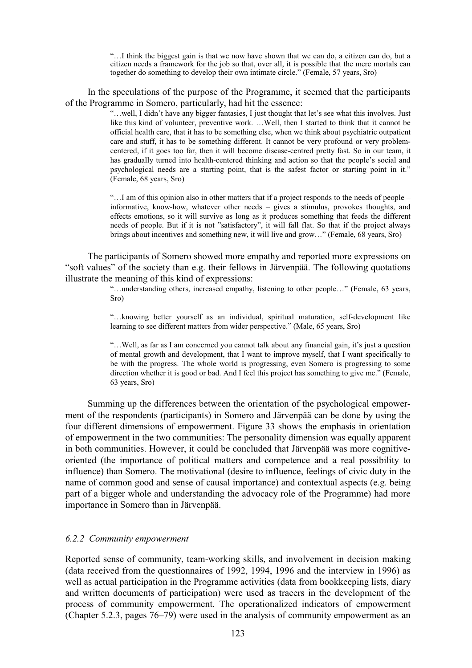"…I think the biggest gain is that we now have shown that we can do, a citizen can do, but a citizen needs a framework for the job so that, over all, it is possible that the mere mortals can together do something to develop their own intimate circle." (Female, 57 years, Sro)

In the speculations of the purpose of the Programme, it seemed that the participants of the Programme in Somero, particularly, had hit the essence:

> "…well, I didn't have any bigger fantasies, I just thought that let's see what this involves. Just like this kind of volunteer, preventive work. …Well, then I started to think that it cannot be official health care, that it has to be something else, when we think about psychiatric outpatient care and stuff, it has to be something different. It cannot be very profound or very problemcentered, if it goes too far, then it will become disease-centred pretty fast. So in our team, it has gradually turned into health-centered thinking and action so that the people's social and psychological needs are a starting point, that is the safest factor or starting point in it." (Female, 68 years, Sro)

> "…I am of this opinion also in other matters that if a project responds to the needs of people – informative, know-how, whatever other needs – gives a stimulus, provokes thoughts, and effects emotions, so it will survive as long as it produces something that feeds the different needs of people. But if it is not "satisfactory", it will fall flat. So that if the project always brings about incentives and something new, it will live and grow…" (Female, 68 years, Sro)

The participants of Somero showed more empathy and reported more expressions on "soft values" of the society than e.g. their fellows in Järvenpää. The following quotations illustrate the meaning of this kind of expressions:

> "…understanding others, increased empathy, listening to other people…" (Female, 63 years, Sro)

> "…knowing better yourself as an individual, spiritual maturation, self-development like learning to see different matters from wider perspective." (Male, 65 years, Sro)

> "…Well, as far as I am concerned you cannot talk about any financial gain, it's just a question of mental growth and development, that I want to improve myself, that I want specifically to be with the progress. The whole world is progressing, even Somero is progressing to some direction whether it is good or bad. And I feel this project has something to give me." (Female, 63 years, Sro)

Summing up the differences between the orientation of the psychological empowerment of the respondents (participants) in Somero and Järvenpää can be done by using the four different dimensions of empowerment. Figure 33 shows the emphasis in orientation of empowerment in the two communities: The personality dimension was equally apparent in both communities. However, it could be concluded that Järvenpää was more cognitiveoriented (the importance of political matters and competence and a real possibility to influence) than Somero. The motivational (desire to influence, feelings of civic duty in the name of common good and sense of causal importance) and contextual aspects (e.g. being part of a bigger whole and understanding the advocacy role of the Programme) had more importance in Somero than in Järvenpää.

## *6.2.2 Community empowerment*

Reported sense of community, team-working skills, and involvement in decision making (data received from the questionnaires of 1992, 1994, 1996 and the interview in 1996) as well as actual participation in the Programme activities (data from bookkeeping lists, diary and written documents of participation) were used as tracers in the development of the process of community empowerment. The operationalized indicators of empowerment (Chapter 5.2.3, pages 76–79) were used in the analysis of community empowerment as an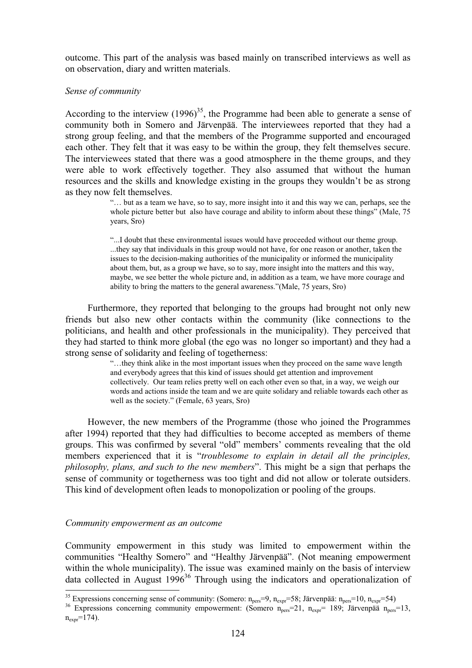outcome. This part of the analysis was based mainly on transcribed interviews as well as on observation, diary and written materials.

## *Sense of community*

According to the interview  $(1996)^{35}$ , the Programme had been able to generate a sense of community both in Somero and Järvenpää. The interviewees reported that they had a strong group feeling, and that the members of the Programme supported and encouraged each other. They felt that it was easy to be within the group, they felt themselves secure. The interviewees stated that there was a good atmosphere in the theme groups, and they were able to work effectively together. They also assumed that without the human resources and the skills and knowledge existing in the groups they wouldn't be as strong as they now felt themselves.

> "… but as a team we have, so to say, more insight into it and this way we can, perhaps, see the whole picture better but also have courage and ability to inform about these things" (Male, 75 years, Sro)

"...I doubt that these environmental issues would have proceeded without our theme group. ...they say that individuals in this group would not have, for one reason or another, taken the issues to the decision-making authorities of the municipality or informed the municipality about them, but, as a group we have, so to say, more insight into the matters and this way, maybe, we see better the whole picture and, in addition as a team, we have more courage and ability to bring the matters to the general awareness."(Male, 75 years, Sro)

Furthermore, they reported that belonging to the groups had brought not only new friends but also new other contacts within the community (like connections to the politicians, and health and other professionals in the municipality). They perceived that they had started to think more global (the ego was no longer so important) and they had a strong sense of solidarity and feeling of togetherness:

> "…they think alike in the most important issues when they proceed on the same wave length and everybody agrees that this kind of issues should get attention and improvement collectively. Our team relies pretty well on each other even so that, in a way, we weigh our words and actions inside the team and we are quite solidary and reliable towards each other as well as the society." (Female, 63 years, Sro)

However, the new members of the Programme (those who joined the Programmes after 1994) reported that they had difficulties to become accepted as members of theme groups. This was confirmed by several "old" members' comments revealing that the old members experienced that it is "*troublesome to explain in detail all the principles, philosophy, plans, and such to the new members*". This might be a sign that perhaps the sense of community or togetherness was too tight and did not allow or tolerate outsiders. This kind of development often leads to monopolization or pooling of the groups.

## *Community empowerment as an outcome*

Community empowerment in this study was limited to empowerment within the communities "Healthy Somero" and "Healthy Järvenpää". (Not meaning empowerment within the whole municipality). The issue was examined mainly on the basis of interview data collected in August  $1996^{36}$  Through using the indicators and operationalization of

<sup>&</sup>lt;sup>35</sup> Expressions concerning sense of community: (Somero:  $n_{pers} = 9$ ,  $n_{expr} = 58$ ; Järvenpää:  $n_{pers} = 10$ ,  $n_{expr} = 54$ )

<sup>&</sup>lt;sup>36</sup> Expressions concerning community empowerment: (Somero n<sub>pers</sub>=21, n<sub>expr</sub>= 189; Järvenpää n<sub>pers</sub>=13,  $n_{\text{expr}} = 174$ .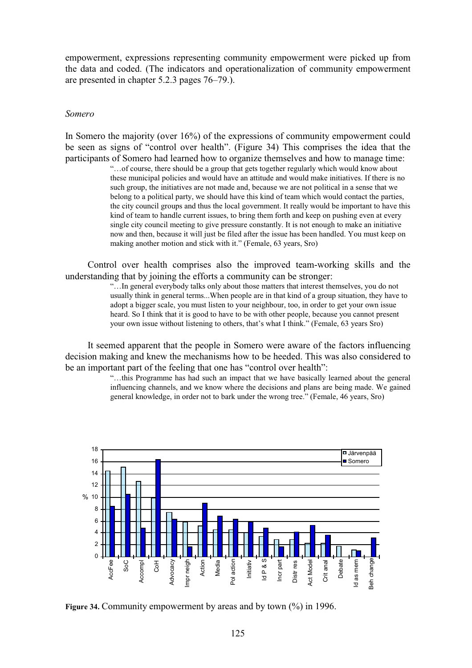empowerment, expressions representing community empowerment were picked up from the data and coded. (The indicators and operationalization of community empowerment are presented in chapter 5.2.3 pages 76–79.).

#### *Somero*

In Somero the majority (over 16%) of the expressions of community empowerment could be seen as signs of "control over health". (Figure 34) This comprises the idea that the participants of Somero had learned how to organize themselves and how to manage time:

"…of course, there should be a group that gets together regularly which would know about these municipal policies and would have an attitude and would make initiatives. If there is no such group, the initiatives are not made and, because we are not political in a sense that we belong to a political party, we should have this kind of team which would contact the parties, the city council groups and thus the local government. It really would be important to have this kind of team to handle current issues, to bring them forth and keep on pushing even at every single city council meeting to give pressure constantly. It is not enough to make an initiative now and then, because it will just be filed after the issue has been handled. You must keep on making another motion and stick with it." (Female, 63 years, Sro)

Control over health comprises also the improved team-working skills and the understanding that by joining the efforts a community can be stronger:

> "…In general everybody talks only about those matters that interest themselves, you do not usually think in general terms...When people are in that kind of a group situation, they have to adopt a bigger scale, you must listen to your neighbour, too, in order to get your own issue heard. So I think that it is good to have to be with other people, because you cannot present your own issue without listening to others, that's what I think." (Female, 63 years Sro)

It seemed apparent that the people in Somero were aware of the factors influencing decision making and knew the mechanisms how to be heeded. This was also considered to be an important part of the feeling that one has "control over health":

> "…this Programme has had such an impact that we have basically learned about the general influencing channels, and we know where the decisions and plans are being made. We gained general knowledge, in order not to bark under the wrong tree." (Female, 46 years, Sro)



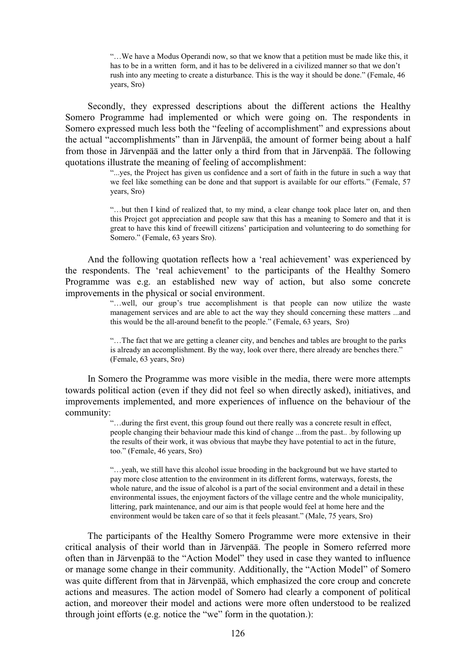"…We have a Modus Operandi now, so that we know that a petition must be made like this, it has to be in a written form, and it has to be delivered in a civilized manner so that we don't rush into any meeting to create a disturbance. This is the way it should be done." (Female, 46 years, Sro)

Secondly, they expressed descriptions about the different actions the Healthy Somero Programme had implemented or which were going on. The respondents in Somero expressed much less both the "feeling of accomplishment" and expressions about the actual "accomplishments" than in Järvenpää, the amount of former being about a half from those in Järvenpää and the latter only a third from that in Järvenpää. The following quotations illustrate the meaning of feeling of accomplishment:

> "...yes, the Project has given us confidence and a sort of faith in the future in such a way that we feel like something can be done and that support is available for our efforts." (Female, 57 years, Sro)

> "…but then I kind of realized that, to my mind, a clear change took place later on, and then this Project got appreciation and people saw that this has a meaning to Somero and that it is great to have this kind of freewill citizens' participation and volunteering to do something for Somero." (Female, 63 years Sro).

And the following quotation reflects how a 'real achievement' was experienced by the respondents. The 'real achievement' to the participants of the Healthy Somero Programme was e.g. an established new way of action, but also some concrete improvements in the physical or social environment.

> "…well, our group's true accomplishment is that people can now utilize the waste management services and are able to act the way they should concerning these matters ...and this would be the all-around benefit to the people." (Female, 63 years, Sro)

"…The fact that we are getting a cleaner city, and benches and tables are brought to the parks is already an accomplishment. By the way, look over there, there already are benches there." (Female, 63 years, Sro)

In Somero the Programme was more visible in the media, there were more attempts towards political action (even if they did not feel so when directly asked), initiatives, and improvements implemented, and more experiences of influence on the behaviour of the community:

"…during the first event, this group found out there really was a concrete result in effect, people changing their behaviour made this kind of change ...from the past.. .by following up the results of their work, it was obvious that maybe they have potential to act in the future, too." (Female, 46 years, Sro)

"…yeah, we still have this alcohol issue brooding in the background but we have started to pay more close attention to the environment in its different forms, waterways, forests, the whole nature, and the issue of alcohol is a part of the social environment and a detail in these environmental issues, the enjoyment factors of the village centre and the whole municipality, littering, park maintenance, and our aim is that people would feel at home here and the environment would be taken care of so that it feels pleasant." (Male, 75 years, Sro)

The participants of the Healthy Somero Programme were more extensive in their critical analysis of their world than in Järvenpää. The people in Somero referred more often than in Järvenpää to the "Action Model" they used in case they wanted to influence or manage some change in their community. Additionally, the "Action Model" of Somero was quite different from that in Järvenpää, which emphasized the core croup and concrete actions and measures. The action model of Somero had clearly a component of political action, and moreover their model and actions were more often understood to be realized through joint efforts (e.g. notice the "we" form in the quotation.):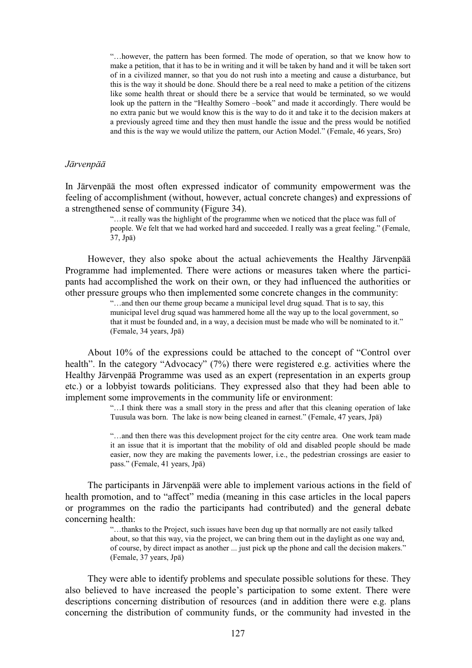"…however, the pattern has been formed. The mode of operation, so that we know how to make a petition, that it has to be in writing and it will be taken by hand and it will be taken sort of in a civilized manner, so that you do not rush into a meeting and cause a disturbance, but this is the way it should be done. Should there be a real need to make a petition of the citizens like some health threat or should there be a service that would be terminated, so we would look up the pattern in the "Healthy Somero –book" and made it accordingly. There would be no extra panic but we would know this is the way to do it and take it to the decision makers at a previously agreed time and they then must handle the issue and the press would be notified and this is the way we would utilize the pattern, our Action Model." (Female, 46 years, Sro)

#### *Järvenpää*

In Järvenpää the most often expressed indicator of community empowerment was the feeling of accomplishment (without, however, actual concrete changes) and expressions of a strengthened sense of community (Figure 34).

> "…it really was the highlight of the programme when we noticed that the place was full of people. We felt that we had worked hard and succeeded. I really was a great feeling." (Female, 37, Jpä)

However, they also spoke about the actual achievements the Healthy Järvenpää Programme had implemented. There were actions or measures taken where the participants had accomplished the work on their own, or they had influenced the authorities or other pressure groups who then implemented some concrete changes in the community:

> "…and then our theme group became a municipal level drug squad. That is to say, this municipal level drug squad was hammered home all the way up to the local government, so that it must be founded and, in a way, a decision must be made who will be nominated to it." (Female, 34 years, Jpä)

About 10% of the expressions could be attached to the concept of "Control over health". In the category "Advocacy" (7%) there were registered e.g. activities where the Healthy Järvenpää Programme was used as an expert (representation in an experts group etc.) or a lobbyist towards politicians. They expressed also that they had been able to implement some improvements in the community life or environment:

> "…I think there was a small story in the press and after that this cleaning operation of lake Tuusula was born. The lake is now being cleaned in earnest." (Female, 47 years, Jpä)

> "…and then there was this development project for the city centre area. One work team made it an issue that it is important that the mobility of old and disabled people should be made easier, now they are making the pavements lower, i.e., the pedestrian crossings are easier to pass." (Female, 41 years, Jpä)

The participants in Järvenpää were able to implement various actions in the field of health promotion, and to "affect" media (meaning in this case articles in the local papers or programmes on the radio the participants had contributed) and the general debate concerning health:

> "…thanks to the Project, such issues have been dug up that normally are not easily talked about, so that this way, via the project, we can bring them out in the daylight as one way and, of course, by direct impact as another ... just pick up the phone and call the decision makers." (Female, 37 years, Jpä)

They were able to identify problems and speculate possible solutions for these. They also believed to have increased the people's participation to some extent. There were descriptions concerning distribution of resources (and in addition there were e.g. plans concerning the distribution of community funds, or the community had invested in the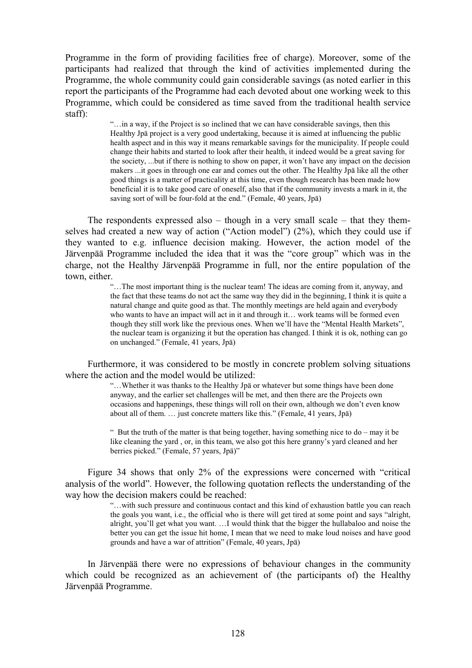Programme in the form of providing facilities free of charge). Moreover, some of the participants had realized that through the kind of activities implemented during the Programme, the whole community could gain considerable savings (as noted earlier in this report the participants of the Programme had each devoted about one working week to this Programme, which could be considered as time saved from the traditional health service staff):

> "…in a way, if the Project is so inclined that we can have considerable savings, then this Healthy Jpä project is a very good undertaking, because it is aimed at influencing the public health aspect and in this way it means remarkable savings for the municipality. If people could change their habits and started to look after their health, it indeed would be a great saving for the society, ...but if there is nothing to show on paper, it won't have any impact on the decision makers ...it goes in through one ear and comes out the other. The Healthy Jpä like all the other good things is a matter of practicality at this time, even though research has been made how beneficial it is to take good care of oneself, also that if the community invests a mark in it, the saving sort of will be four-fold at the end." (Female, 40 years, Jpä)

The respondents expressed also – though in a very small scale – that they themselves had created a new way of action ("Action model") (2%), which they could use if they wanted to e.g. influence decision making. However, the action model of the Järvenpää Programme included the idea that it was the "core group" which was in the charge, not the Healthy Järvenpää Programme in full, nor the entire population of the town, either.

> "…The most important thing is the nuclear team! The ideas are coming from it, anyway, and the fact that these teams do not act the same way they did in the beginning, I think it is quite a natural change and quite good as that. The monthly meetings are held again and everybody who wants to have an impact will act in it and through it... work teams will be formed even though they still work like the previous ones. When we'll have the "Mental Health Markets", the nuclear team is organizing it but the operation has changed. I think it is ok, nothing can go on unchanged." (Female, 41 years, Jpä)

Furthermore, it was considered to be mostly in concrete problem solving situations where the action and the model would be utilized:

> "…Whether it was thanks to the Healthy Jpä or whatever but some things have been done anyway, and the earlier set challenges will be met, and then there are the Projects own occasions and happenings, these things will roll on their own, although we don't even know about all of them. … just concrete matters like this." (Female, 41 years, Jpä)

> " But the truth of the matter is that being together, having something nice to  $do - may$  it be like cleaning the yard , or, in this team, we also got this here granny's yard cleaned and her berries picked." (Female, 57 years, Jpä)"

Figure 34 shows that only 2% of the expressions were concerned with "critical analysis of the world". However, the following quotation reflects the understanding of the way how the decision makers could be reached:

> "…with such pressure and continuous contact and this kind of exhaustion battle you can reach the goals you want, i.e., the official who is there will get tired at some point and says "alright, alright, you'll get what you want. …I would think that the bigger the hullabaloo and noise the better you can get the issue hit home, I mean that we need to make loud noises and have good grounds and have a war of attrition" (Female, 40 years, Jpä)

In Järvenpää there were no expressions of behaviour changes in the community which could be recognized as an achievement of (the participants of) the Healthy Järvenpää Programme.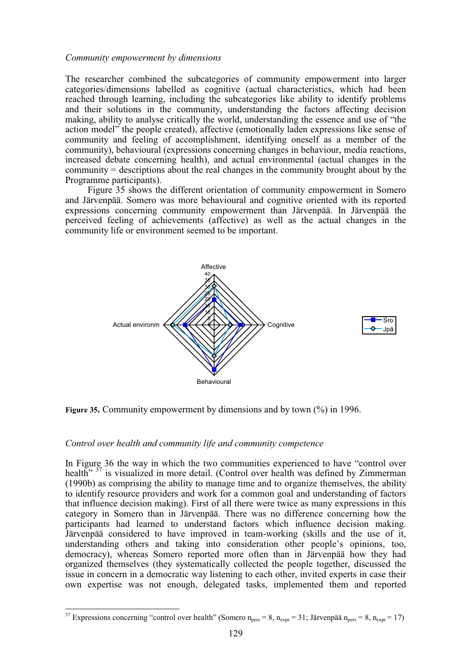## *Community empowerment by dimensions*

The researcher combined the subcategories of community empowerment into larger categories/dimensions labelled as cognitive (actual characteristics, which had been reached through learning, including the subcategories like ability to identify problems and their solutions in the community, understanding the factors affecting decision making, ability to analyse critically the world, understanding the essence and use of "the action model" the people created), affective (emotionally laden expressions like sense of community and feeling of accomplishment, identifying oneself as a member of the community), behavioural (expressions concerning changes in behaviour, media reactions, increased debate concerning health), and actual environmental (actual changes in the community = descriptions about the real changes in the community brought about by the Programme participants).

Figure 35 shows the different orientation of community empowerment in Somero and Järvenpää. Somero was more behavioural and cognitive oriented with its reported expressions concerning community empowerment than Järvenpää. In Järvenpää the perceived feeling of achievements (affective) as well as the actual changes in the community life or environment seemed to be important.



**Figure 35.** Community empowerment by dimensions and by town (%) in 1996.

## *Control over health and community life and community competence*

 $\overline{a}$ 

In Figure 36 the way in which the two communities experienced to have "control over health<sup>" 37</sup> is visualized in more detail. (Control over health was defined by Zimmerman (1990b) as comprising the ability to manage time and to organize themselves, the ability to identify resource providers and work for a common goal and understanding of factors that influence decision making). First of all there were twice as many expressions in this category in Somero than in Järvenpää. There was no difference concerning how the participants had learned to understand factors which influence decision making. Järvenpää considered to have improved in team-working (skills and the use of it, understanding others and taking into consideration other people's opinions, too, democracy), whereas Somero reported more often than in Järvenpää how they had organized themselves (they systematically collected the people together, discussed the issue in concern in a democratic way listening to each other, invited experts in case their own expertise was not enough, delegated tasks, implemented them and reported

<sup>&</sup>lt;sup>37</sup> Expressions concerning "control over health" (Somero  $n_{pers} = 8$ ,  $n_{expr} = 31$ ; Järvenpää  $n_{pers} = 8$ ,  $n_{expr} = 17$ )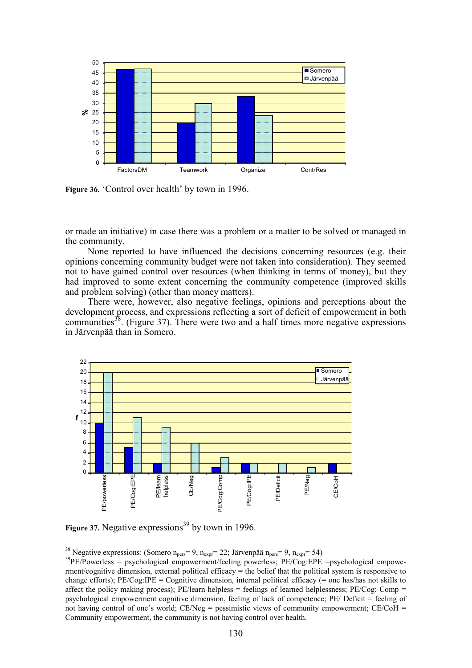

**Figure 36.** 'Control over health' by town in 1996.

or made an initiative) in case there was a problem or a matter to be solved or managed in the community.

None reported to have influenced the decisions concerning resources (e.g. their opinions concerning community budget were not taken into consideration). They seemed not to have gained control over resources (when thinking in terms of money), but they had improved to some extent concerning the community competence (improved skills and problem solving) (other than money matters).

There were, however, also negative feelings, opinions and perceptions about the development process, and expressions reflecting a sort of deficit of empowerment in both communities<sup>38</sup>. (Figure 37). There were two and a half times more negative expressions in Järvenpää than in Somero.



**Figure 37.** Negative expressions<sup>39</sup> by town in 1996.

<sup>38</sup> Negative expressions: (Somero  $n_{pers} = 9$ ,  $n_{expr} = 22$ ; Järvenpää  $n_{pers} = 9$ ,  $n_{expr} = 54$ )

 $39$ PE/Powerless = psychological empowerment/feeling powerless; PE/Cog:EPE =psychological empowerment/cognitive dimension, external political efficacy = the belief that the political system is responsive to change efforts); PE/Cog:IPE = Cognitive dimension, internal political efficacy (= one has/has not skills to affect the policy making process); PE/learn helpless = feelings of learned helplessness; PE/Cog: Comp = psychological empowerment cognitive dimension, feeling of lack of competence; PE/ Deficit = feeling of not having control of one's world;  $CE/Neg =$  pessimistic views of community empowerment;  $CE/COH =$ Community empowerment, the community is not having control over health.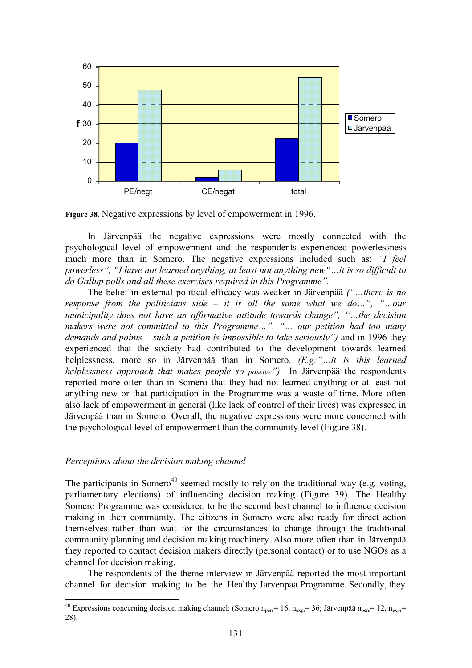

**Figure 38.** Negative expressions by level of empowerment in 1996.

In Järvenpää the negative expressions were mostly connected with the psychological level of empowerment and the respondents experienced powerlessness much more than in Somero. The negative expressions included such as: *"I feel powerless", "I have not learned anything, at least not anything new"…it is so difficult to do Gallup polls and all these exercises required in this Programme".*

The belief in external political efficacy was weaker in Järvenpää *("…there is no response from the politicians side – it is all the same what we do…", "…our municipality does not have an affirmative attitude towards change", "…the decision makers were not committed to this Programme…", "… our petition had too many demands and points – such a petition is impossible to take seriously")* and in 1996 they experienced that the society had contributed to the development towards learned helplessness, more so in Järvenpää than in Somero. *(E.g:"…it is this learned helplessness approach that makes people so passive")* In Järvenpää the respondents reported more often than in Somero that they had not learned anything or at least not anything new or that participation in the Programme was a waste of time. More often also lack of empowerment in general (like lack of control of their lives) was expressed in Järvenpää than in Somero. Overall, the negative expressions were more concerned with the psychological level of empowerment than the community level (Figure 38).

## *Perceptions about the decision making channel*

 $\overline{a}$ 

The participants in Somero<sup>40</sup> seemed mostly to rely on the traditional way (e.g. voting, parliamentary elections) of influencing decision making (Figure 39). The Healthy Somero Programme was considered to be the second best channel to influence decision making in their community. The citizens in Somero were also ready for direct action themselves rather than wait for the circumstances to change through the traditional community planning and decision making machinery. Also more often than in Järvenpää they reported to contact decision makers directly (personal contact) or to use NGOs as a channel for decision making.

The respondents of the theme interview in Järvenpää reported the most important channel for decision making to be the Healthy Järvenpää Programme. Secondly, they

<sup>&</sup>lt;sup>40</sup> Expressions concerning decision making channel: (Somero n<sub>pers</sub>= 16, n<sub>expr</sub>= 36; Järvenpää n<sub>pers</sub>= 12, n<sub>expr</sub>= 28).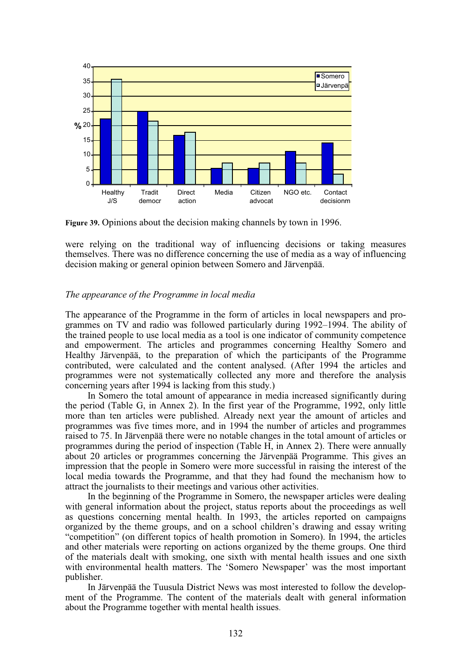

**Figure 39.** Opinions about the decision making channels by town in 1996.

were relying on the traditional way of influencing decisions or taking measures themselves. There was no difference concerning the use of media as a way of influencing decision making or general opinion between Somero and Järvenpää.

## *The appearance of the Programme in local media*

The appearance of the Programme in the form of articles in local newspapers and programmes on TV and radio was followed particularly during 1992–1994. The ability of the trained people to use local media as a tool is one indicator of community competence and empowerment. The articles and programmes concerning Healthy Somero and Healthy Järvenpää, to the preparation of which the participants of the Programme contributed, were calculated and the content analysed. (After 1994 the articles and programmes were not systematically collected any more and therefore the analysis concerning years after 1994 is lacking from this study.)

In Somero the total amount of appearance in media increased significantly during the period (Table G, in Annex 2). In the first year of the Programme, 1992, only little more than ten articles were published. Already next year the amount of articles and programmes was five times more, and in 1994 the number of articles and programmes raised to 75. In Järvenpää there were no notable changes in the total amount of articles or programmes during the period of inspection (Table H, in Annex 2). There were annually about 20 articles or programmes concerning the Järvenpää Programme. This gives an impression that the people in Somero were more successful in raising the interest of the local media towards the Programme, and that they had found the mechanism how to attract the journalists to their meetings and various other activities.

In the beginning of the Programme in Somero, the newspaper articles were dealing with general information about the project, status reports about the proceedings as well as questions concerning mental health. In 1993, the articles reported on campaigns organized by the theme groups, and on a school children's drawing and essay writing "competition" (on different topics of health promotion in Somero). In 1994, the articles and other materials were reporting on actions organized by the theme groups. One third of the materials dealt with smoking, one sixth with mental health issues and one sixth with environmental health matters. The 'Somero Newspaper' was the most important publisher.

In Järvenpää the Tuusula District News was most interested to follow the development of the Programme. The content of the materials dealt with general information about the Programme together with mental health issues.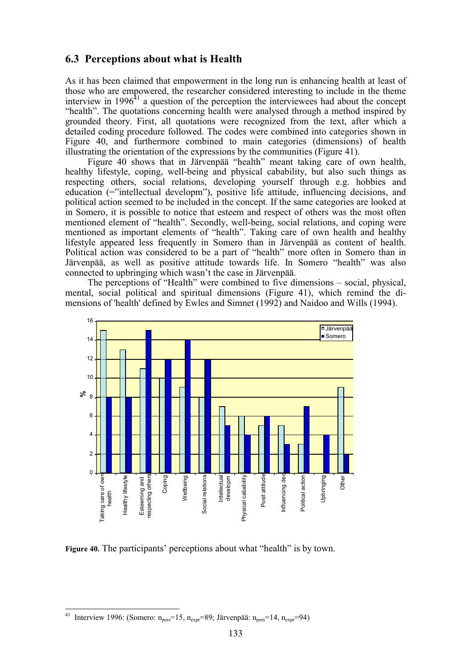# **6.3 Perceptions about what is Health**

As it has been claimed that empowerment in the long run is enhancing health at least of those who are empowered, the researcher considered interesting to include in the theme interview in  $1996<sup>41</sup>$  a question of the perception the interviewees had about the concept "health". The quotations concerning health were analysed through a method inspired by grounded theory. First, all quotations were recognized from the text, after which a detailed coding procedure followed. The codes were combined into categories shown in Figure 40, and furthermore combined to main categories (dimensions) of health illustrating the orientation of the expressions by the communities (Figure 41).

Figure 40 shows that in Järvenpää "health" meant taking care of own health, healthy lifestyle, coping, well-being and physical cabability, but also such things as respecting others, social relations, developing yourself through e.g. hobbies and education (="intellectual developm"), positive life attitude, influencing decisions, and political action seemed to be included in the concept. If the same categories are looked at in Somero, it is possible to notice that esteem and respect of others was the most often mentioned element of "health". Secondly, well-being, social relations, and coping were mentioned as important elements of "health". Taking care of own health and healthy lifestyle appeared less frequently in Somero than in Järvenpää as content of health. Political action was considered to be a part of "health" more often in Somero than in Järvenpää, as well as positive attitude towards life. In Somero "health" was also connected to upbringing which wasn't the case in Järvenpää.

The perceptions of "Health" were combined to five dimensions – social, physical, mental, social political and spiritual dimensions (Figure 41), which remind the dimensions of 'health' defined by Ewles and Simnet (1992) and Naidoo and Wills (1994).



**Figure 40.** The participants' perceptions about what "health" is by town.

 $\overline{a}$ 

<sup>&</sup>lt;sup>41</sup> Interview 1996: (Somero:  $n_{pers} = 15$ ,  $n_{expr} = 89$ ; Järvenpää:  $n_{pers} = 14$ ,  $n_{expr} = 94$ )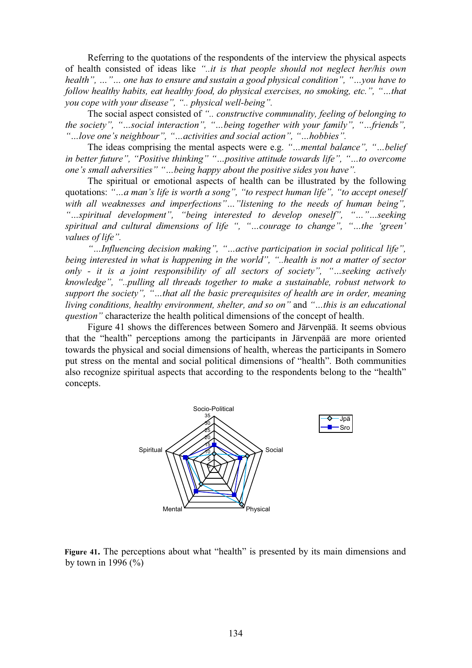Referring to the quotations of the respondents of the interview the physical aspects of health consisted of ideas like *"..it is that people should not neglect her/his own health", …"… one has to ensure and sustain a good physical condition", "…you have to follow healthy habits, eat healthy food, do physical exercises, no smoking, etc.", "…that you cope with your disease", ".. physical well-being".*

The social aspect consisted of *".. constructive communality, feeling of belonging to the society", "…social interaction", "…being together with your family", "…friends", "…love one's neighbour", "…activities and social action", "…hobbies".*

The ideas comprising the mental aspects were e.g. *"…mental balance", "…belief in better future", "Positive thinking" "…positive attitude towards life", "…to overcome one's small adversities" "…being happy about the positive sides you have".*

The spiritual or emotional aspects of health can be illustrated by the following quotations: *"…a man's life is worth a song", "to respect human life", "to accept oneself with all weaknesses and imperfections"…"listening to the needs of human being", "…spiritual development", "being interested to develop oneself", "…"…seeking spiritual and cultural dimensions of life ", "…courage to change", "…the 'green' values of life".*

*"…Influencing decision making", "…active participation in social political life", being interested in what is happening in the world", "..health is not a matter of sector only - it is a joint responsibility of all sectors of society", "…seeking actively knowledge", "..pulling all threads together to make a sustainable, robust network to support the society", "…that all the basic prerequisites of health are in order, meaning living conditions, healthy environment, shelter, and so on"* and *"…this is an educational question"* characterize the health political dimensions of the concept of health.

Figure 41 shows the differences between Somero and Järvenpää. It seems obvious that the "health" perceptions among the participants in Järvenpää are more oriented towards the physical and social dimensions of health, whereas the participants in Somero put stress on the mental and social political dimensions of "health". Both communities also recognize spiritual aspects that according to the respondents belong to the "health" concepts.



Figure 41. The perceptions about what "health" is presented by its main dimensions and by town in 1996  $(\frac{9}{6})$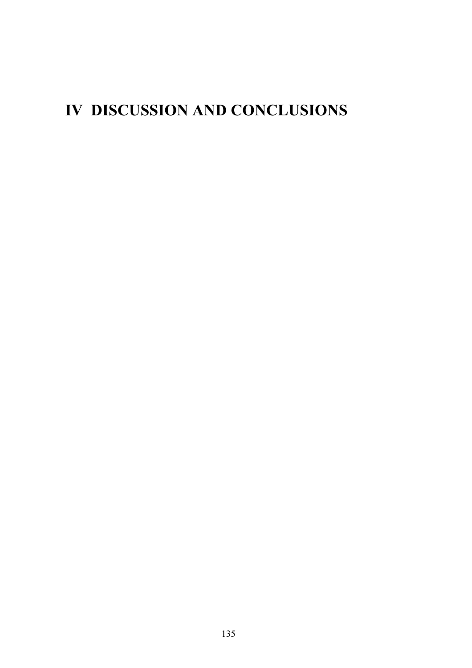# **IV DISCUSSION AND CONCLUSIONS**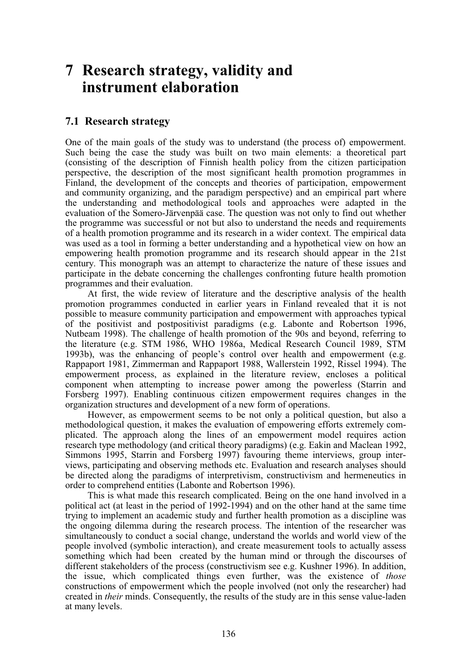# **7 Research strategy, validity and instrument elaboration**

## **7.1 Research strategy**

One of the main goals of the study was to understand (the process of) empowerment. Such being the case the study was built on two main elements: a theoretical part (consisting of the description of Finnish health policy from the citizen participation perspective, the description of the most significant health promotion programmes in Finland, the development of the concepts and theories of participation, empowerment and community organizing, and the paradigm perspective) and an empirical part where the understanding and methodological tools and approaches were adapted in the evaluation of the Somero-Järvenpää case. The question was not only to find out whether the programme was successful or not but also to understand the needs and requirements of a health promotion programme and its research in a wider context. The empirical data was used as a tool in forming a better understanding and a hypothetical view on how an empowering health promotion programme and its research should appear in the 21st century. This monograph was an attempt to characterize the nature of these issues and participate in the debate concerning the challenges confronting future health promotion programmes and their evaluation.

At first, the wide review of literature and the descriptive analysis of the health promotion programmes conducted in earlier years in Finland revealed that it is not possible to measure community participation and empowerment with approaches typical of the positivist and postpositivist paradigms (e.g. Labonte and Robertson 1996, Nutbeam 1998). The challenge of health promotion of the 90s and beyond, referring to the literature (e.g. STM 1986, WHO 1986a, Medical Research Council 1989, STM 1993b), was the enhancing of people's control over health and empowerment (e.g. Rappaport 1981, Zimmerman and Rappaport 1988, Wallerstein 1992, Rissel 1994). The empowerment process, as explained in the literature review, encloses a political component when attempting to increase power among the powerless (Starrin and Forsberg 1997). Enabling continuous citizen empowerment requires changes in the organization structures and development of a new form of operations.

However, as empowerment seems to be not only a political question, but also a methodological question, it makes the evaluation of empowering efforts extremely complicated. The approach along the lines of an empowerment model requires action research type methodology (and critical theory paradigms) (e.g. Eakin and Maclean 1992, Simmons 1995, Starrin and Forsberg 1997) favouring theme interviews, group interviews, participating and observing methods etc. Evaluation and research analyses should be directed along the paradigms of interpretivism, constructivism and hermeneutics in order to comprehend entities (Labonte and Robertson 1996).

This is what made this research complicated. Being on the one hand involved in a political act (at least in the period of 1992-1994) and on the other hand at the same time trying to implement an academic study and further health promotion as a discipline was the ongoing dilemma during the research process. The intention of the researcher was simultaneously to conduct a social change, understand the worlds and world view of the people involved (symbolic interaction), and create measurement tools to actually assess something which had been created by the human mind or through the discourses of different stakeholders of the process (constructivism see e.g. Kushner 1996). In addition, the issue, which complicated things even further, was the existence of *those* constructions of empowerment which the people involved (not only the researcher) had created in *their* minds. Consequently, the results of the study are in this sense value-laden at many levels.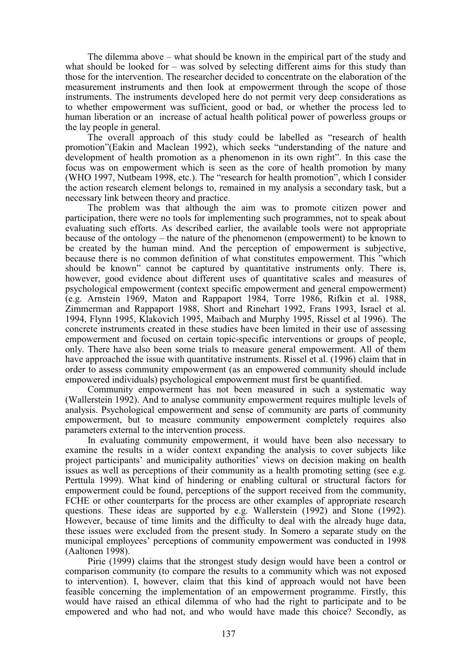The dilemma above – what should be known in the empirical part of the study and what should be looked for – was solved by selecting different aims for this study than those for the intervention. The researcher decided to concentrate on the elaboration of the measurement instruments and then look at empowerment through the scope of those instruments. The instruments developed here do not permit very deep considerations as to whether empowerment was sufficient, good or bad, or whether the process led to human liberation or an increase of actual health political power of powerless groups or the lay people in general.

The overall approach of this study could be labelled as "research of health promotion"(Eakin and Maclean 1992), which seeks "understanding of the nature and development of health promotion as a phenomenon in its own right". In this case the focus was on empowerment which is seen as the core of health promotion by many (WHO 1997, Nutbeam 1998, etc.). The "research for health promotion", which I consider the action research element belongs to, remained in my analysis a secondary task, but a necessary link between theory and practice.

The problem was that although the aim was to promote citizen power and participation, there were no tools for implementing such programmes, not to speak about evaluating such efforts. As described earlier, the available tools were not appropriate because of the ontology – the nature of the phenomenon (empowerment) to be known to be created by the human mind. And the perception of empowerment is subjective, because there is no common definition of what constitutes empowerment. This "which should be known" cannot be captured by quantitative instruments only. There is, however, good evidence about different uses of quantitative scales and measures of psychological empowerment (context specific empowerment and general empowerment) (e.g. Arnstein 1969, Maton and Rappaport 1984, Torre 1986, Rifkin et al. 1988, Zimmerman and Rappaport 1988, Short and Rinehart 1992, Frans 1993, Israel et al. 1994, Flynn 1995, Klakovich 1995, Maibach and Murphy 1995, Rissel et al 1996). The concrete instruments created in these studies have been limited in their use of assessing empowerment and focused on certain topic-specific interventions or groups of people, only. There have also been some trials to measure general empowerment. All of them have approached the issue with quantitative instruments. Rissel et al. (1996) claim that in order to assess community empowerment (as an empowered community should include empowered individuals) psychological empowerment must first be quantified.

Community empowerment has not been measured in such a systematic way (Wallerstein 1992). And to analyse community empowerment requires multiple levels of analysis. Psychological empowerment and sense of community are parts of community empowerment, but to measure community empowerment completely requires also parameters external to the intervention process.

In evaluating community empowerment, it would have been also necessary to examine the results in a wider context expanding the analysis to cover subjects like project participants' and municipality authorities' views on decision making on health issues as well as perceptions of their community as a health promoting setting (see e.g. Perttula 1999). What kind of hindering or enabling cultural or structural factors for empowerment could be found, perceptions of the support received from the community, FCHE or other counterparts for the process are other examples of appropriate research questions. These ideas are supported by e.g. Wallerstein (1992) and Stone (1992). However, because of time limits and the difficulty to deal with the already huge data, these issues were excluded from the present study. In Somero a separate study on the municipal employees' perceptions of community empowerment was conducted in 1998 (Aaltonen 1998).

Pirie (1999) claims that the strongest study design would have been a control or comparison community (to compare the results to a community which was not exposed to intervention). I, however, claim that this kind of approach would not have been feasible concerning the implementation of an empowerment programme. Firstly, this would have raised an ethical dilemma of who had the right to participate and to be empowered and who had not, and who would have made this choice? Secondly, as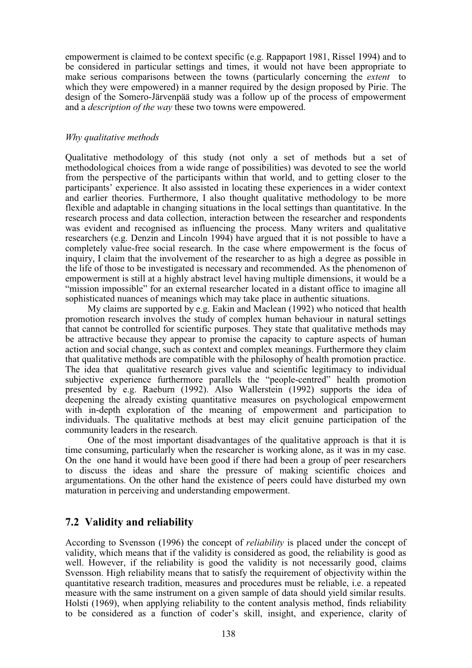empowerment is claimed to be context specific (e.g. Rappaport 1981, Rissel 1994) and to be considered in particular settings and times, it would not have been appropriate to make serious comparisons between the towns (particularly concerning the *extent* to which they were empowered) in a manner required by the design proposed by Pirie. The design of the Somero-Järvenpää study was a follow up of the process of empowerment and a *description of the way* these two towns were empowered.

## *Why qualitative methods*

Qualitative methodology of this study (not only a set of methods but a set of methodological choices from a wide range of possibilities) was devoted to see the world from the perspective of the participants within that world, and to getting closer to the participants' experience. It also assisted in locating these experiences in a wider context and earlier theories. Furthermore, I also thought qualitative methodology to be more flexible and adaptable in changing situations in the local settings than quantitative. In the research process and data collection, interaction between the researcher and respondents was evident and recognised as influencing the process. Many writers and qualitative researchers (e.g. Denzin and Lincoln 1994) have argued that it is not possible to have a completely value-free social research. In the case where empowerment is the focus of inquiry, I claim that the involvement of the researcher to as high a degree as possible in the life of those to be investigated is necessary and recommended. As the phenomenon of empowerment is still at a highly abstract level having multiple dimensions, it would be a "mission impossible" for an external researcher located in a distant office to imagine all sophisticated nuances of meanings which may take place in authentic situations.

My claims are supported by e.g. Eakin and Maclean (1992) who noticed that health promotion research involves the study of complex human behaviour in natural settings that cannot be controlled for scientific purposes. They state that qualitative methods may be attractive because they appear to promise the capacity to capture aspects of human action and social change, such as context and complex meanings. Furthermore they claim that qualitative methods are compatible with the philosophy of health promotion practice. The idea that qualitative research gives value and scientific legitimacy to individual subjective experience furthermore parallels the "people-centred" health promotion presented by e.g. Raeburn (1992). Also Wallerstein (1992) supports the idea of deepening the already existing quantitative measures on psychological empowerment with in-depth exploration of the meaning of empowerment and participation to individuals. The qualitative methods at best may elicit genuine participation of the community leaders in the research.

One of the most important disadvantages of the qualitative approach is that it is time consuming, particularly when the researcher is working alone, as it was in my case. On the one hand it would have been good if there had been a group of peer researchers to discuss the ideas and share the pressure of making scientific choices and argumentations. On the other hand the existence of peers could have disturbed my own maturation in perceiving and understanding empowerment.

## **7.2 Validity and reliability**

According to Svensson (1996) the concept of *reliability* is placed under the concept of validity, which means that if the validity is considered as good, the reliability is good as well. However, if the reliability is good the validity is not necessarily good, claims Svensson. High reliability means that to satisfy the requirement of objectivity within the quantitative research tradition, measures and procedures must be reliable, i.e. a repeated measure with the same instrument on a given sample of data should yield similar results. Holsti (1969), when applying reliability to the content analysis method, finds reliability to be considered as a function of coder's skill, insight, and experience, clarity of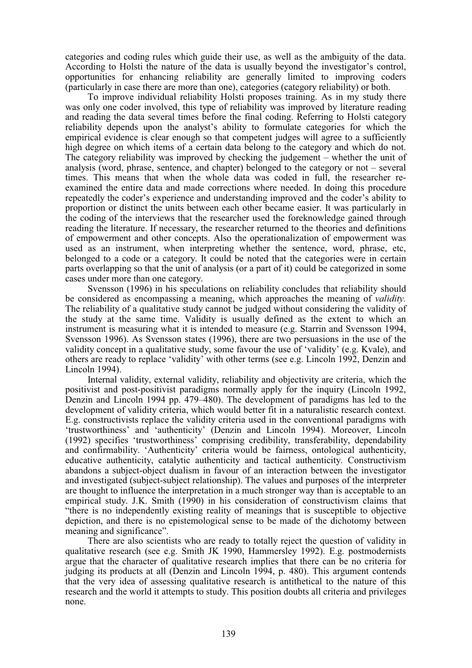categories and coding rules which guide their use, as well as the ambiguity of the data. According to Holsti the nature of the data is usually beyond the investigator's control, opportunities for enhancing reliability are generally limited to improving coders (particularly in case there are more than one), categories (category reliability) or both.

To improve individual reliability Holsti proposes training. As in my study there was only one coder involved, this type of reliability was improved by literature reading and reading the data several times before the final coding. Referring to Holsti category reliability depends upon the analyst's ability to formulate categories for which the empirical evidence is clear enough so that competent judges will agree to a sufficiently high degree on which items of a certain data belong to the category and which do not. The category reliability was improved by checking the judgement – whether the unit of analysis (word, phrase, sentence, and chapter) belonged to the category or not – several times. This means that when the whole data was coded in full, the researcher reexamined the entire data and made corrections where needed. In doing this procedure repeatedly the coder's experience and understanding improved and the coder's ability to proportion or distinct the units between each other became easier. It was particularly in the coding of the interviews that the researcher used the foreknowledge gained through reading the literature. If necessary, the researcher returned to the theories and definitions of empowerment and other concepts. Also the operationalization of empowerment was used as an instrument, when interpreting whether the sentence, word, phrase, etc, belonged to a code or a category. It could be noted that the categories were in certain parts overlapping so that the unit of analysis (or a part of it) could be categorized in some cases under more than one category.

Svensson (1996) in his speculations on reliability concludes that reliability should be considered as encompassing a meaning, which approaches the meaning of *validity.* The reliability of a qualitative study cannot be judged without considering the validity of the study at the same time. Validity is usually defined as the extent to which an instrument is measuring what it is intended to measure (e.g. Starrin and Svensson 1994, Svensson 1996). As Svensson states (1996), there are two persuasions in the use of the validity concept in a qualitative study, some favour the use of 'validity' (e.g. Kvale), and others are ready to replace 'validity' with other terms (see e.g. Lincoln 1992, Denzin and Lincoln 1994).

Internal validity, external validity, reliability and objectivity are criteria, which the positivist and post-positivist paradigms normally apply for the inquiry (Lincoln 1992, Denzin and Lincoln 1994 pp. 479–480). The development of paradigms has led to the development of validity criteria, which would better fit in a naturalistic research context. E.g. constructivists replace the validity criteria used in the conventional paradigms with 'trustworthiness' and 'authenticity' (Denzin and Lincoln 1994). Moreover, Lincoln (1992) specifies 'trustworthiness' comprising credibility, transferability, dependability and confirmability. 'Authenticity' criteria would be fairness, ontological authenticity, educative authenticity, catalytic authenticity and tactical authenticity. Constructivism abandons a subject-object dualism in favour of an interaction between the investigator and investigated (subject-subject relationship). The values and purposes of the interpreter are thought to influence the interpretation in a much stronger way than is acceptable to an empirical study. J.K. Smith (1990) in his consideration of constructivism claims that "there is no independently existing reality of meanings that is susceptible to objective depiction, and there is no epistemological sense to be made of the dichotomy between meaning and significance".

There are also scientists who are ready to totally reject the question of validity in qualitative research (see e.g. Smith JK 1990, Hammersley 1992). E.g. postmodernists argue that the character of qualitative research implies that there can be no criteria for judging its products at all (Denzin and Lincoln 1994, p. 480). This argument contends that the very idea of assessing qualitative research is antithetical to the nature of this research and the world it attempts to study. This position doubts all criteria and privileges none.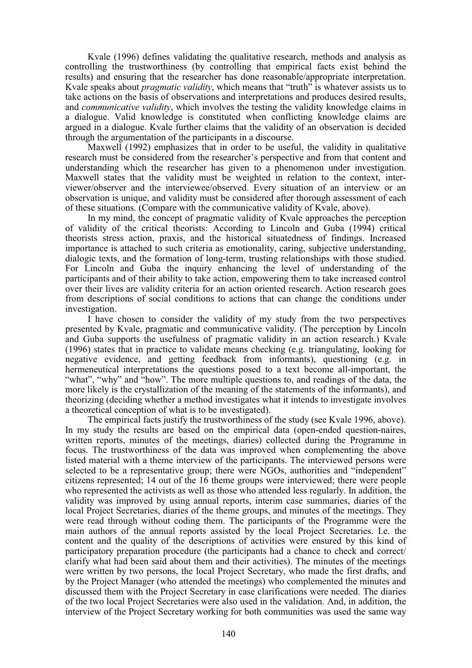Kvale (1996) defines validating the qualitative research, methods and analysis as controlling the trustworthiness (by controlling that empirical facts exist behind the results) and ensuring that the researcher has done reasonable/appropriate interpretation. Kvale speaks about *pragmatic validity*, which means that "truth" is whatever assists us to take actions on the basis of observations and interpretations and produces desired results, and *communicative validity*, which involves the testing the validity knowledge claims in a dialogue. Valid knowledge is constituted when conflicting knowledge claims are argued in a dialogue. Kvale further claims that the validity of an observation is decided through the argumentation of the participants in a discourse.

Maxwell (1992) emphasizes that in order to be useful, the validity in qualitative research must be considered from the researcher's perspective and from that content and understanding which the researcher has given to a phenomenon under investigation. Maxwell states that the validity must be weighted in relation to the context, interviewer/observer and the interviewee/observed. Every situation of an interview or an observation is unique, and validity must be considered after thorough assessment of each of these situations. (Compare with the communicative validity of Kvale, above).

In my mind, the concept of pragmatic validity of Kvale approaches the perception of validity of the critical theorists: According to Lincoln and Guba (1994) critical theorists stress action, praxis, and the historical situatedness of findings. Increased importance is attached to such criteria as emotionality, caring, subjective understanding, dialogic texts, and the formation of long-term, trusting relationships with those studied. For Lincoln and Guba the inquiry enhancing the level of understanding of the participants and of their ability to take action, empowering them to take increased control over their lives are validity criteria for an action oriented research. Action research goes from descriptions of social conditions to actions that can change the conditions under investigation.

I have chosen to consider the validity of my study from the two perspectives presented by Kvale, pragmatic and communicative validity. (The perception by Lincoln and Guba supports the usefulness of pragmatic validity in an action research.) Kvale (1996) states that in practice to validate means checking (e.g. triangulating, looking for negative evidence, and getting feedback from informants), questioning (e.g. in hermeneutical interpretations the questions posed to a text become all-important, the "what", "why" and "how". The more multiple questions to, and readings of the data, the more likely is the crystallization of the meaning of the statements of the informants), and theorizing (deciding whether a method investigates what it intends to investigate involves a theoretical conception of what is to be investigated).

The empirical facts justify the trustworthiness of the study (see Kvale 1996, above). In my study the results are based on the empirical data (open-ended question-naires, written reports, minutes of the meetings, diaries) collected during the Programme in focus. The trustworthiness of the data was improved when complementing the above listed material with a theme interview of the participants. The interviewed persons were selected to be a representative group; there were NGOs, authorities and "independent" citizens represented; 14 out of the 16 theme groups were interviewed; there were people who represented the activists as well as those who attended less regularly. In addition, the validity was improved by using annual reports, interim case summaries, diaries of the local Project Secretaries, diaries of the theme groups, and minutes of the meetings. They were read through without coding them. The participants of the Programme were the main authors of the annual reports assisted by the local Project Secretaries. I.e. the content and the quality of the descriptions of activities were ensured by this kind of participatory preparation procedure (the participants had a chance to check and correct/ clarify what had been said about them and their activities). The minutes of the meetings were written by two persons, the local Project Secretary, who made the first drafts, and by the Project Manager (who attended the meetings) who complemented the minutes and discussed them with the Project Secretary in case clarifications were needed. The diaries of the two local Project Secretaries were also used in the validation. And, in addition, the interview of the Project Secretary working for both communities was used the same way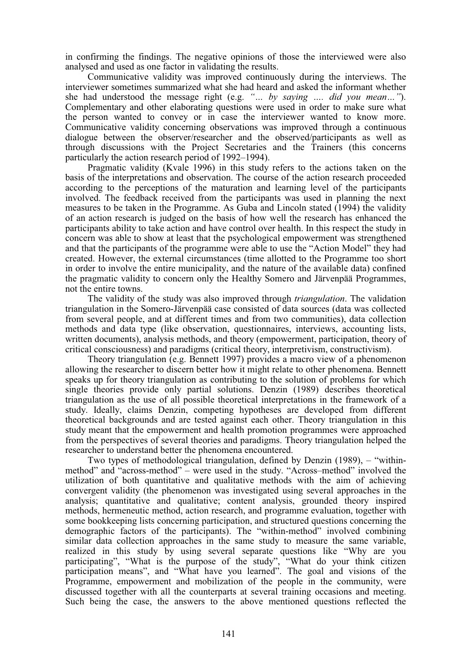in confirming the findings. The negative opinions of those the interviewed were also analysed and used as one factor in validating the results.

Communicative validity was improved continuously during the interviews. The interviewer sometimes summarized what she had heard and asked the informant whether she had understood the message right (e.g. *"… by saying …. did you mean…"*). Complementary and other elaborating questions were used in order to make sure what the person wanted to convey or in case the interviewer wanted to know more. Communicative validity concerning observations was improved through a continuous dialogue between the observer/researcher and the observed/participants as well as through discussions with the Project Secretaries and the Trainers (this concerns particularly the action research period of 1992–1994).

Pragmatic validity (Kvale 1996) in this study refers to the actions taken on the basis of the interpretations and observation. The course of the action research proceeded according to the perceptions of the maturation and learning level of the participants involved. The feedback received from the participants was used in planning the next measures to be taken in the Programme. As Guba and Lincoln stated (1994) the validity of an action research is judged on the basis of how well the research has enhanced the participants ability to take action and have control over health. In this respect the study in concern was able to show at least that the psychological empowerment was strengthened and that the participants of the programme were able to use the "Action Model" they had created. However, the external circumstances (time allotted to the Programme too short in order to involve the entire municipality, and the nature of the available data) confined the pragmatic validity to concern only the Healthy Somero and Järvenpää Programmes, not the entire towns.

The validity of the study was also improved through *triangulation*. The validation triangulation in the Somero-Järvenpää case consisted of data sources (data was collected from several people, and at different times and from two communities), data collection methods and data type (like observation, questionnaires, interviews, accounting lists, written documents), analysis methods, and theory (empowerment, participation, theory of critical consciousness) and paradigms (critical theory, interpretivism, constructivism).

Theory triangulation (e.g. Bennett 1997) provides a macro view of a phenomenon allowing the researcher to discern better how it might relate to other phenomena. Bennett speaks up for theory triangulation as contributing to the solution of problems for which single theories provide only partial solutions. Denzin (1989) describes theoretical triangulation as the use of all possible theoretical interpretations in the framework of a study. Ideally, claims Denzin, competing hypotheses are developed from different theoretical backgrounds and are tested against each other. Theory triangulation in this study meant that the empowerment and health promotion programmes were approached from the perspectives of several theories and paradigms. Theory triangulation helped the researcher to understand better the phenomena encountered.

Two types of methodological triangulation, defined by Denzin (1989), – "withinmethod" and "across-method" – were used in the study. "Across–method" involved the utilization of both quantitative and qualitative methods with the aim of achieving convergent validity (the phenomenon was investigated using several approaches in the analysis; quantitative and qualitative; content analysis, grounded theory inspired methods, hermeneutic method, action research, and programme evaluation, together with some bookkeeping lists concerning participation, and structured questions concerning the demographic factors of the participants). The "within-method" involved combining similar data collection approaches in the same study to measure the same variable, realized in this study by using several separate questions like "Why are you participating", "What is the purpose of the study", "What do your think citizen participation means", and "What have you learned". The goal and visions of the Programme, empowerment and mobilization of the people in the community, were discussed together with all the counterparts at several training occasions and meeting. Such being the case, the answers to the above mentioned questions reflected the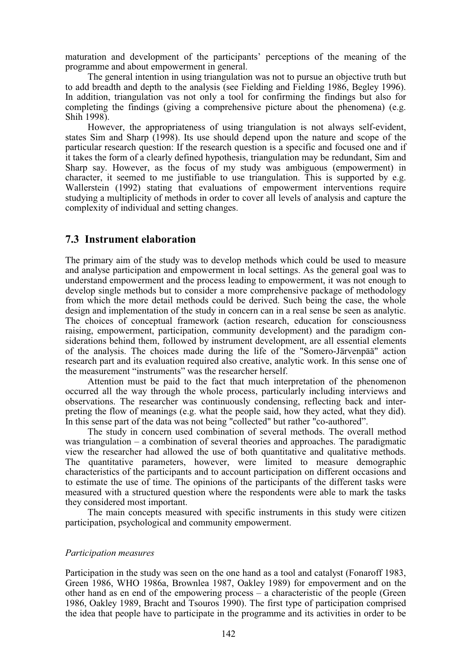maturation and development of the participants' perceptions of the meaning of the programme and about empowerment in general.

The general intention in using triangulation was not to pursue an objective truth but to add breadth and depth to the analysis (see Fielding and Fielding 1986, Begley 1996). In addition, triangulation vas not only a tool for confirming the findings but also for completing the findings (giving a comprehensive picture about the phenomena) (e.g. Shih 1998).

However, the appropriateness of using triangulation is not always self-evident, states Sim and Sharp (1998). Its use should depend upon the nature and scope of the particular research question: If the research question is a specific and focused one and if it takes the form of a clearly defined hypothesis, triangulation may be redundant, Sim and Sharp say. However, as the focus of my study was ambiguous (empowerment) in character, it seemed to me justifiable to use triangulation. This is supported by e.g. Wallerstein (1992) stating that evaluations of empowerment interventions require studying a multiplicity of methods in order to cover all levels of analysis and capture the complexity of individual and setting changes.

## **7.3 Instrument elaboration**

The primary aim of the study was to develop methods which could be used to measure and analyse participation and empowerment in local settings. As the general goal was to understand empowerment and the process leading to empowerment, it was not enough to develop single methods but to consider a more comprehensive package of methodology from which the more detail methods could be derived. Such being the case, the whole design and implementation of the study in concern can in a real sense be seen as analytic. The choices of conceptual framework (action research, education for consciousness raising, empowerment, participation, community development) and the paradigm considerations behind them, followed by instrument development, are all essential elements of the analysis. The choices made during the life of the "Somero-Järvenpää" action research part and its evaluation required also creative, analytic work. In this sense one of the measurement "instruments" was the researcher herself.

Attention must be paid to the fact that much interpretation of the phenomenon occurred all the way through the whole process, particularly including interviews and observations. The researcher was continuously condensing, reflecting back and interpreting the flow of meanings (e.g. what the people said, how they acted, what they did). In this sense part of the data was not being "collected" but rather "co-authored".

The study in concern used combination of several methods. The overall method was triangulation – a combination of several theories and approaches. The paradigmatic view the researcher had allowed the use of both quantitative and qualitative methods. The quantitative parameters, however, were limited to measure demographic characteristics of the participants and to account participation on different occasions and to estimate the use of time. The opinions of the participants of the different tasks were measured with a structured question where the respondents were able to mark the tasks they considered most important.

The main concepts measured with specific instruments in this study were citizen participation, psychological and community empowerment.

### *Participation measures*

Participation in the study was seen on the one hand as a tool and catalyst (Fonaroff 1983, Green 1986, WHO 1986a, Brownlea 1987, Oakley 1989) for empoverment and on the other hand as en end of the empowering process – a characteristic of the people (Green 1986, Oakley 1989, Bracht and Tsouros 1990). The first type of participation comprised the idea that people have to participate in the programme and its activities in order to be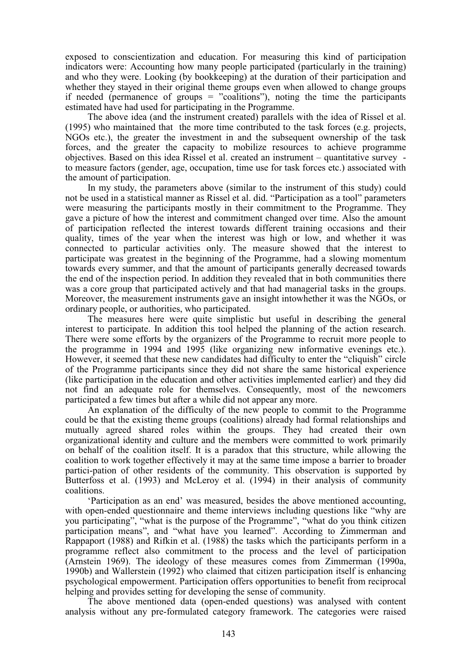exposed to conscientization and education. For measuring this kind of participation indicators were: Accounting how many people participated (particularly in the training) and who they were. Looking (by bookkeeping) at the duration of their participation and whether they stayed in their original theme groups even when allowed to change groups if needed (permanence of groups  $=$  "coalitions"), noting the time the participants estimated have had used for participating in the Programme.

The above idea (and the instrument created) parallels with the idea of Rissel et al. (1995) who maintained that the more time contributed to the task forces (e.g. projects, NGOs etc.), the greater the investment in and the subsequent ownership of the task forces, and the greater the capacity to mobilize resources to achieve programme objectives. Based on this idea Rissel et al. created an instrument – quantitative survey to measure factors (gender, age, occupation, time use for task forces etc.) associated with the amount of participation.

In my study, the parameters above (similar to the instrument of this study) could not be used in a statistical manner as Rissel et al. did. "Participation as a tool" parameters were measuring the participants mostly in their commitment to the Programme. They gave a picture of how the interest and commitment changed over time. Also the amount of participation reflected the interest towards different training occasions and their quality, times of the year when the interest was high or low, and whether it was connected to particular activities only. The measure showed that the interest to participate was greatest in the beginning of the Programme, had a slowing momentum towards every summer, and that the amount of participants generally decreased towards the end of the inspection period. In addition they revealed that in both communities there was a core group that participated actively and that had managerial tasks in the groups. Moreover, the measurement instruments gave an insight intowhether it was the NGOs, or ordinary people, or authorities, who participated.

The measures here were quite simplistic but useful in describing the general interest to participate. In addition this tool helped the planning of the action research. There were some efforts by the organizers of the Programme to recruit more people to the programme in 1994 and 1995 (like organizing new informative evenings etc.). However, it seemed that these new candidates had difficulty to enter the "cliquish" circle of the Programme participants since they did not share the same historical experience (like participation in the education and other activities implemented earlier) and they did not find an adequate role for themselves. Consequently, most of the newcomers participated a few times but after a while did not appear any more.

An explanation of the difficulty of the new people to commit to the Programme could be that the existing theme groups (coalitions) already had formal relationships and mutually agreed shared roles within the groups. They had created their own organizational identity and culture and the members were committed to work primarily on behalf of the coalition itself. It is a paradox that this structure, while allowing the coalition to work together effectively it may at the same time impose a barrier to broader partici-pation of other residents of the community. This observation is supported by Butterfoss et al. (1993) and McLeroy et al. (1994) in their analysis of community coalitions.

'Participation as an end' was measured, besides the above mentioned accounting, with open-ended questionnaire and theme interviews including questions like "why are you participating", "what is the purpose of the Programme", "what do you think citizen participation means", and "what have you learned". According to Zimmerman and Rappaport (1988) and Rifkin et al. (1988) the tasks which the participants perform in a programme reflect also commitment to the process and the level of participation (Arnstein 1969). The ideology of these measures comes from Zimmerman (1990a, 1990b) and Wallerstein (1992) who claimed that citizen participation itself is enhancing psychological empowerment. Participation offers opportunities to benefit from reciprocal helping and provides setting for developing the sense of community.

The above mentioned data (open-ended questions) was analysed with content analysis without any pre-formulated category framework. The categories were raised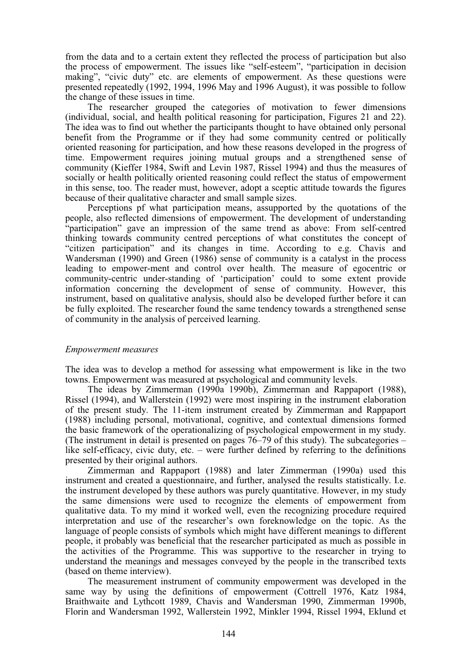from the data and to a certain extent they reflected the process of participation but also the process of empowerment. The issues like "self-esteem", "participation in decision making", "civic duty" etc. are elements of empowerment. As these questions were presented repeatedly (1992, 1994, 1996 May and 1996 August), it was possible to follow the change of these issues in time.

The researcher grouped the categories of motivation to fewer dimensions (individual, social, and health political reasoning for participation, Figures 21 and 22). The idea was to find out whether the participants thought to have obtained only personal benefit from the Programme or if they had some community centred or politically oriented reasoning for participation, and how these reasons developed in the progress of time. Empowerment requires joining mutual groups and a strengthened sense of community (Kieffer 1984, Swift and Levin 1987, Rissel 1994) and thus the measures of socially or health politically oriented reasoning could reflect the status of empowerment in this sense, too. The reader must, however, adopt a sceptic attitude towards the figures because of their qualitative character and small sample sizes.

Perceptions pf what participation means, assupported by the quotations of the people, also reflected dimensions of empowerment. The development of understanding "participation" gave an impression of the same trend as above: From self-centred thinking towards community centred perceptions of what constitutes the concept of "citizen participation" and its changes in time. According to e.g. Chavis and Wandersman (1990) and Green (1986) sense of community is a catalyst in the process leading to empower-ment and control over health. The measure of egocentric or community-centric under-standing of 'participation' could to some extent provide information concerning the development of sense of community. However, this instrument, based on qualitative analysis, should also be developed further before it can be fully exploited. The researcher found the same tendency towards a strengthened sense of community in the analysis of perceived learning.

### *Empowerment measures*

The idea was to develop a method for assessing what empowerment is like in the two towns. Empowerment was measured at psychological and community levels.

The ideas by Zimmerman (1990a 1990b), Zimmerman and Rappaport (1988), Rissel (1994), and Wallerstein (1992) were most inspiring in the instrument elaboration of the present study. The 11-item instrument created by Zimmerman and Rappaport (1988) including personal, motivational, cognitive, and contextual dimensions formed the basic framework of the operationalizing of psychological empowerment in my study. (The instrument in detail is presented on pages 76–79 of this study). The subcategories – like self-efficacy, civic duty, etc. – were further defined by referring to the definitions presented by their original authors.

Zimmerman and Rappaport (1988) and later Zimmerman (1990a) used this instrument and created a questionnaire, and further, analysed the results statistically. I.e. the instrument developed by these authors was purely quantitative. However, in my study the same dimensions were used to recognize the elements of empowerment from qualitative data. To my mind it worked well, even the recognizing procedure required interpretation and use of the researcher's own foreknowledge on the topic. As the language of people consists of symbols which might have different meanings to different people, it probably was beneficial that the researcher participated as much as possible in the activities of the Programme. This was supportive to the researcher in trying to understand the meanings and messages conveyed by the people in the transcribed texts (based on theme interview).

The measurement instrument of community empowerment was developed in the same way by using the definitions of empowerment (Cottrell 1976, Katz 1984, Braithwaite and Lythcott 1989, Chavis and Wandersman 1990, Zimmerman 1990b, Florin and Wandersman 1992, Wallerstein 1992, Minkler 1994, Rissel 1994, Eklund et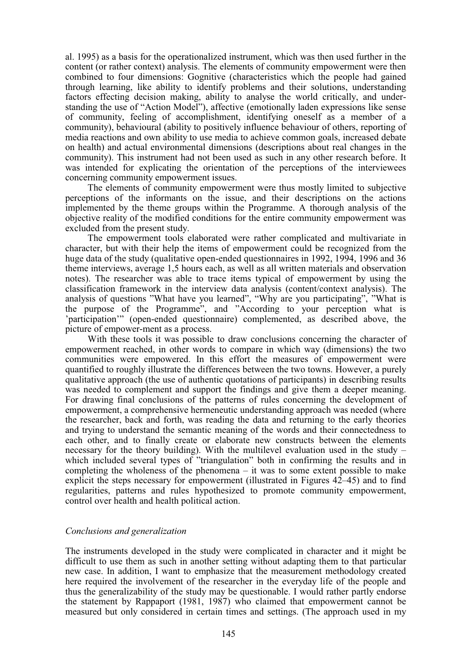al. 1995) as a basis for the operationalized instrument, which was then used further in the content (or rather context) analysis. The elements of community empowerment were then combined to four dimensions: Gognitive (characteristics which the people had gained through learning, like ability to identify problems and their solutions, understanding factors effecting decision making, ability to analyse the world critically, and understanding the use of "Action Model"), affective (emotionally laden expressions like sense of community, feeling of accomplishment, identifying oneself as a member of a community), behavioural (ability to positively influence behaviour of others, reporting of media reactions and own ability to use media to achieve common goals, increased debate on health) and actual environmental dimensions (descriptions about real changes in the community). This instrument had not been used as such in any other research before. It was intended for explicating the orientation of the perceptions of the interviewees concerning community empowerment issues.

The elements of community empowerment were thus mostly limited to subjective perceptions of the informants on the issue, and their descriptions on the actions implemented by the theme groups within the Programme. A thorough analysis of the objective reality of the modified conditions for the entire community empowerment was excluded from the present study.

The empowerment tools elaborated were rather complicated and multivariate in character, but with their help the items of empowerment could be recognized from the huge data of the study (qualitative open-ended questionnaires in 1992, 1994, 1996 and 36 theme interviews, average 1,5 hours each, as well as all written materials and observation notes). The researcher was able to trace items typical of empowerment by using the classification framework in the interview data analysis (content/context analysis). The analysis of questions "What have you learned", "Why are you participating", "What is the purpose of the Programme", and "According to your perception what is 'participation'" (open-ended questionnaire) complemented, as described above, the picture of empower-ment as a process.

With these tools it was possible to draw conclusions concerning the character of empowerment reached, in other words to compare in which way (dimensions) the two communities were empowered. In this effort the measures of empowerment were quantified to roughly illustrate the differences between the two towns. However, a purely qualitative approach (the use of authentic quotations of participants) in describing results was needed to complement and support the findings and give them a deeper meaning. For drawing final conclusions of the patterns of rules concerning the development of empowerment, a comprehensive hermeneutic understanding approach was needed (where the researcher, back and forth, was reading the data and returning to the early theories and trying to understand the semantic meaning of the words and their connectedness to each other, and to finally create or elaborate new constructs between the elements necessary for the theory building). With the multilevel evaluation used in the study – which included several types of "triangulation" both in confirming the results and in completing the wholeness of the phenomena  $-$  it was to some extent possible to make explicit the steps necessary for empowerment (illustrated in Figures 42–45) and to find regularities, patterns and rules hypothesized to promote community empowerment, control over health and health political action.

### *Conclusions and generalization*

The instruments developed in the study were complicated in character and it might be difficult to use them as such in another setting without adapting them to that particular new case. In addition, I want to emphasize that the measurement methodology created here required the involvement of the researcher in the everyday life of the people and thus the generalizability of the study may be questionable. I would rather partly endorse the statement by Rappaport (1981, 1987) who claimed that empowerment cannot be measured but only considered in certain times and settings. (The approach used in my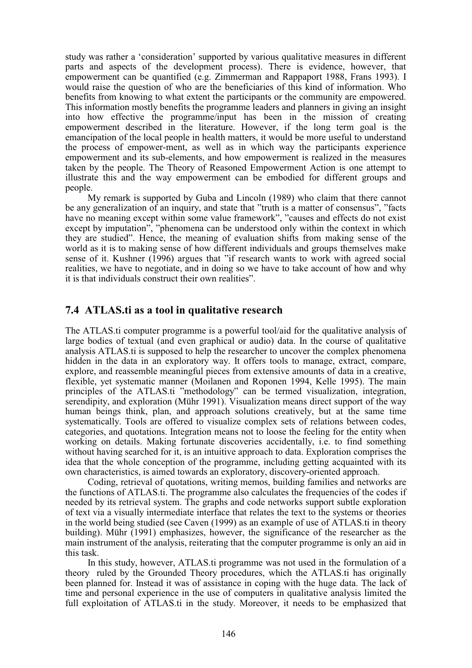study was rather a 'consideration' supported by various qualitative measures in different parts and aspects of the development process). There is evidence, however, that empowerment can be quantified (e.g. Zimmerman and Rappaport 1988, Frans 1993). I would raise the question of who are the beneficiaries of this kind of information. Who benefits from knowing to what extent the participants or the community are empowered. This information mostly benefits the programme leaders and planners in giving an insight into how effective the programme/input has been in the mission of creating empowerment described in the literature. However, if the long term goal is the emancipation of the local people in health matters, it would be more useful to understand the process of empower-ment, as well as in which way the participants experience empowerment and its sub-elements, and how empowerment is realized in the measures taken by the people. The Theory of Reasoned Empowerment Action is one attempt to illustrate this and the way empowerment can be embodied for different groups and people.

My remark is supported by Guba and Lincoln (1989) who claim that there cannot be any generalization of an inquiry, and state that "truth is a matter of consensus", "facts have no meaning except within some value framework", "causes and effects do not exist except by imputation", "phenomena can be understood only within the context in which they are studied". Hence, the meaning of evaluation shifts from making sense of the world as it is to making sense of how different individuals and groups themselves make sense of it. Kushner (1996) argues that "if research wants to work with agreed social realities, we have to negotiate, and in doing so we have to take account of how and why it is that individuals construct their own realities".

## **7.4 ATLAS.ti as a tool in qualitative research**

The ATLAS.ti computer programme is a powerful tool/aid for the qualitative analysis of large bodies of textual (and even graphical or audio) data. In the course of qualitative analysis ATLAS.ti is supposed to help the researcher to uncover the complex phenomena hidden in the data in an exploratory way. It offers tools to manage, extract, compare, explore, and reassemble meaningful pieces from extensive amounts of data in a creative, flexible, yet systematic manner (Moilanen and Roponen 1994, Kelle 1995). The main principles of the ATLAS.ti "methodology" can be termed visualization, integration, serendipity, and exploration (Mühr 1991). Visualization means direct support of the way human beings think, plan, and approach solutions creatively, but at the same time systematically. Tools are offered to visualize complex sets of relations between codes, categories, and quotations. Integration means not to loose the feeling for the entity when working on details. Making fortunate discoveries accidentally, i.e. to find something without having searched for it, is an intuitive approach to data. Exploration comprises the idea that the whole conception of the programme, including getting acquainted with its own characteristics, is aimed towards an exploratory, discovery-oriented approach.

Coding, retrieval of quotations, writing memos, building families and networks are the functions of ATLAS.ti. The programme also calculates the frequencies of the codes if needed by its retrieval system. The graphs and code networks support subtle exploration of text via a visually intermediate interface that relates the text to the systems or theories in the world being studied (see Caven (1999) as an example of use of ATLAS.ti in theory building). Mühr (1991) emphasizes, however, the significance of the researcher as the main instrument of the analysis, reiterating that the computer programme is only an aid in this task.

In this study, however, ATLAS.ti programme was not used in the formulation of a theory ruled by the Grounded Theory procedures, which the ATLAS.ti has originally been planned for. Instead it was of assistance in coping with the huge data. The lack of time and personal experience in the use of computers in qualitative analysis limited the full exploitation of ATLAS.ti in the study. Moreover, it needs to be emphasized that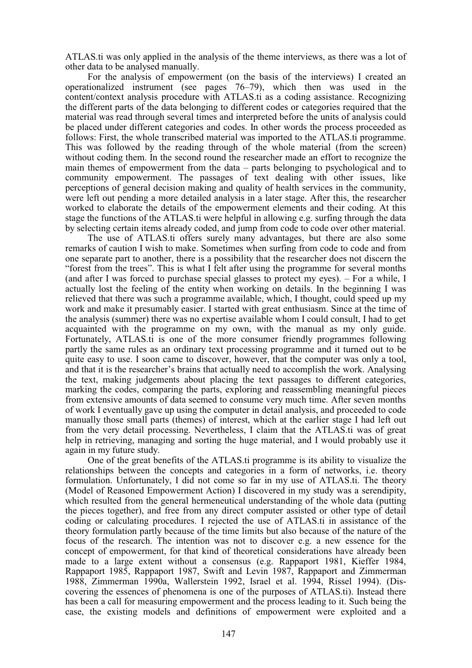ATLAS.ti was only applied in the analysis of the theme interviews, as there was a lot of other data to be analysed manually.

For the analysis of empowerment (on the basis of the interviews) I created an operationalized instrument (see pages 76–79), which then was used in the content/context analysis procedure with ATLAS.ti as a coding assistance. Recognizing the different parts of the data belonging to different codes or categories required that the material was read through several times and interpreted before the units of analysis could be placed under different categories and codes. In other words the process proceeded as follows: First, the whole transcribed material was imported to the ATLAS.ti programme. This was followed by the reading through of the whole material (from the screen) without coding them. In the second round the researcher made an effort to recognize the main themes of empowerment from the data – parts belonging to psychological and to community empowerment. The passages of text dealing with other issues, like perceptions of general decision making and quality of health services in the community, were left out pending a more detailed analysis in a later stage. After this, the researcher worked to elaborate the details of the empowerment elements and their coding. At this stage the functions of the ATLAS.ti were helpful in allowing e.g. surfing through the data by selecting certain items already coded, and jump from code to code over other material.

The use of ATLAS.ti offers surely many advantages, but there are also some remarks of caution I wish to make. Sometimes when surfing from code to code and from one separate part to another, there is a possibility that the researcher does not discern the "forest from the trees". This is what I felt after using the programme for several months (and after I was forced to purchase special glasses to protect my eyes). – For a while, I actually lost the feeling of the entity when working on details. In the beginning I was relieved that there was such a programme available, which, I thought, could speed up my work and make it presumably easier. I started with great enthusiasm. Since at the time of the analysis (summer) there was no expertise available whom I could consult, I had to get acquainted with the programme on my own, with the manual as my only guide. Fortunately, ATLAS.ti is one of the more consumer friendly programmes following partly the same rules as an ordinary text processing programme and it turned out to be quite easy to use. I soon came to discover, however, that the computer was only a tool, and that it is the researcher's brains that actually need to accomplish the work. Analysing the text, making judgements about placing the text passages to different categories, marking the codes, comparing the parts, exploring and reassembling meaningful pieces from extensive amounts of data seemed to consume very much time. After seven months of work I eventually gave up using the computer in detail analysis, and proceeded to code manually those small parts (themes) of interest, which at the earlier stage I had left out from the very detail processing. Nevertheless, I claim that the ATLAS.ti was of great help in retrieving, managing and sorting the huge material, and I would probably use it again in my future study.

One of the great benefits of the ATLAS.ti programme is its ability to visualize the relationships between the concepts and categories in a form of networks, i.e. theory formulation. Unfortunately, I did not come so far in my use of ATLAS.ti. The theory (Model of Reasoned Empowerment Action) I discovered in my study was a serendipity, which resulted from the general hermeneutical understanding of the whole data (putting the pieces together), and free from any direct computer assisted or other type of detail coding or calculating procedures. I rejected the use of ATLAS.ti in assistance of the theory formulation partly because of the time limits but also because of the nature of the focus of the research. The intention was not to discover e.g. a new essence for the concept of empowerment, for that kind of theoretical considerations have already been made to a large extent without a consensus (e.g. Rappaport 1981, Kieffer 1984, Rappaport 1985, Rappaport 1987, Swift and Levin 1987, Rappaport and Zimmerman 1988, Zimmerman 1990a, Wallerstein 1992, Israel et al. 1994, Rissel 1994). (Discovering the essences of phenomena is one of the purposes of ATLAS.ti). Instead there has been a call for measuring empowerment and the process leading to it. Such being the case, the existing models and definitions of empowerment were exploited and a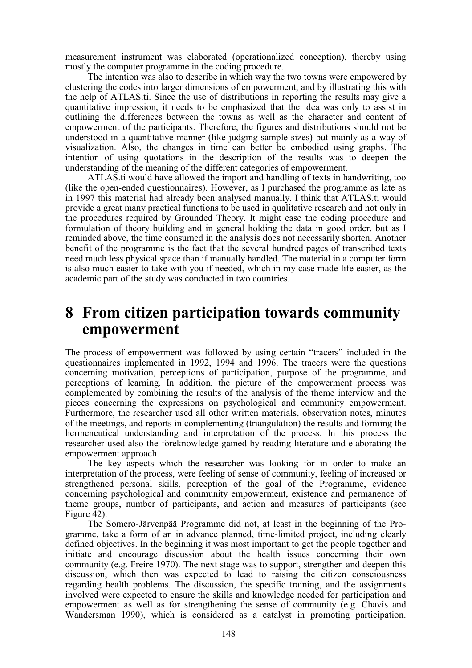measurement instrument was elaborated (operationalized conception), thereby using mostly the computer programme in the coding procedure.

The intention was also to describe in which way the two towns were empowered by clustering the codes into larger dimensions of empowerment, and by illustrating this with the help of ATLAS.ti. Since the use of distributions in reporting the results may give a quantitative impression, it needs to be emphasized that the idea was only to assist in outlining the differences between the towns as well as the character and content of empowerment of the participants. Therefore, the figures and distributions should not be understood in a quantitative manner (like judging sample sizes) but mainly as a way of visualization. Also, the changes in time can better be embodied using graphs. The intention of using quotations in the description of the results was to deepen the understanding of the meaning of the different categories of empowerment.

ATLAS.ti would have allowed the import and handling of texts in handwriting, too (like the open-ended questionnaires). However, as I purchased the programme as late as in 1997 this material had already been analysed manually. I think that ATLAS.ti would provide a great many practical functions to be used in qualitative research and not only in the procedures required by Grounded Theory. It might ease the coding procedure and formulation of theory building and in general holding the data in good order, but as I reminded above, the time consumed in the analysis does not necessarily shorten. Another benefit of the programme is the fact that the several hundred pages of transcribed texts need much less physical space than if manually handled. The material in a computer form is also much easier to take with you if needed, which in my case made life easier, as the academic part of the study was conducted in two countries.

## **8 From citizen participation towards community empowerment**

The process of empowerment was followed by using certain "tracers" included in the questionnaires implemented in 1992, 1994 and 1996. The tracers were the questions concerning motivation, perceptions of participation, purpose of the programme, and perceptions of learning. In addition, the picture of the empowerment process was complemented by combining the results of the analysis of the theme interview and the pieces concerning the expressions on psychological and community empowerment. Furthermore, the researcher used all other written materials, observation notes, minutes of the meetings, and reports in complementing (triangulation) the results and forming the hermeneutical understanding and interpretation of the process. In this process the researcher used also the foreknowledge gained by reading literature and elaborating the empowerment approach.

The key aspects which the researcher was looking for in order to make an interpretation of the process, were feeling of sense of community, feeling of increased or strengthened personal skills, perception of the goal of the Programme, evidence concerning psychological and community empowerment, existence and permanence of theme groups, number of participants, and action and measures of participants (see Figure 42).

The Somero-Järvenpää Programme did not, at least in the beginning of the Programme, take a form of an in advance planned, time-limited project, including clearly defined objectives. In the beginning it was most important to get the people together and initiate and encourage discussion about the health issues concerning their own community (e.g. Freire 1970). The next stage was to support, strengthen and deepen this discussion, which then was expected to lead to raising the citizen consciousness regarding health problems. The discussion, the specific training, and the assignments involved were expected to ensure the skills and knowledge needed for participation and empowerment as well as for strengthening the sense of community (e.g. Chavis and Wandersman 1990), which is considered as a catalyst in promoting participation.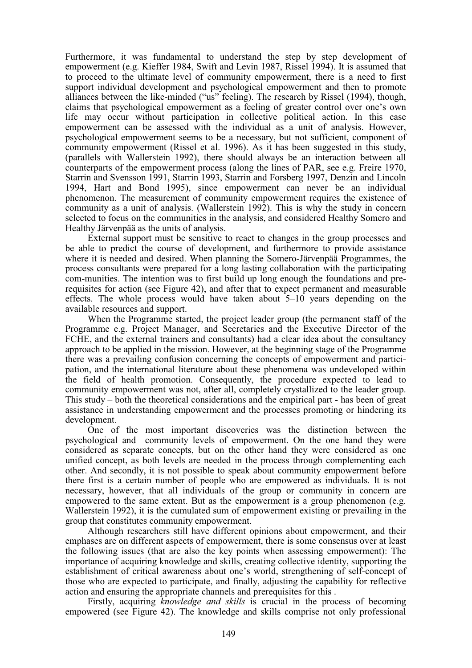Furthermore, it was fundamental to understand the step by step development of empowerment (e.g. Kieffer 1984, Swift and Levin 1987, Rissel 1994). It is assumed that to proceed to the ultimate level of community empowerment, there is a need to first support individual development and psychological empowerment and then to promote alliances between the like-minded ("us" feeling). The research by Rissel (1994), though, claims that psychological empowerment as a feeling of greater control over one's own life may occur without participation in collective political action. In this case empowerment can be assessed with the individual as a unit of analysis. However, psychological empowerment seems to be a necessary, but not sufficient, component of community empowerment (Rissel et al. 1996). As it has been suggested in this study, (parallels with Wallerstein 1992), there should always be an interaction between all counterparts of the empowerment process (along the lines of PAR, see e.g. Freire 1970, Starrin and Svensson 1991, Starrin 1993, Starrin and Forsberg 1997, Denzin and Lincoln 1994, Hart and Bond 1995), since empowerment can never be an individual phenomenon. The measurement of community empowerment requires the existence of community as a unit of analysis. (Wallerstein 1992). This is why the study in concern selected to focus on the communities in the analysis, and considered Healthy Somero and Healthy Järvenpää as the units of analysis.

External support must be sensitive to react to changes in the group processes and be able to predict the course of development, and furthermore to provide assistance where it is needed and desired. When planning the Somero-Järvenpää Programmes, the process consultants were prepared for a long lasting collaboration with the participating com-munities. The intention was to first build up long enough the foundations and prerequisites for action (see Figure 42), and after that to expect permanent and measurable effects. The whole process would have taken about 5–10 years depending on the available resources and support.

When the Programme started, the project leader group (the permanent staff of the Programme e.g. Project Manager, and Secretaries and the Executive Director of the FCHE, and the external trainers and consultants) had a clear idea about the consultancy approach to be applied in the mission. However, at the beginning stage of the Programme there was a prevailing confusion concerning the concepts of empowerment and participation, and the international literature about these phenomena was undeveloped within the field of health promotion. Consequently, the procedure expected to lead to community empowerment was not, after all, completely crystallized to the leader group. This study – both the theoretical considerations and the empirical part - has been of great assistance in understanding empowerment and the processes promoting or hindering its development.

One of the most important discoveries was the distinction between the psychological and community levels of empowerment. On the one hand they were considered as separate concepts, but on the other hand they were considered as one unified concept, as both levels are needed in the process through complementing each other. And secondly, it is not possible to speak about community empowerment before there first is a certain number of people who are empowered as individuals. It is not necessary, however, that all individuals of the group or community in concern are empowered to the same extent. But as the empowerment is a group phenomenon (e.g. Wallerstein 1992), it is the cumulated sum of empowerment existing or prevailing in the group that constitutes community empowerment.

Although researchers still have different opinions about empowerment, and their emphases are on different aspects of empowerment, there is some consensus over at least the following issues (that are also the key points when assessing empowerment): The importance of acquiring knowledge and skills, creating collective identity, supporting the establishment of critical awareness about one's world, strengthening of self-concept of those who are expected to participate, and finally, adjusting the capability for reflective action and ensuring the appropriate channels and prerequisites for this .

Firstly, acquiring *knowledge and skills* is crucial in the process of becoming empowered (see Figure 42). The knowledge and skills comprise not only professional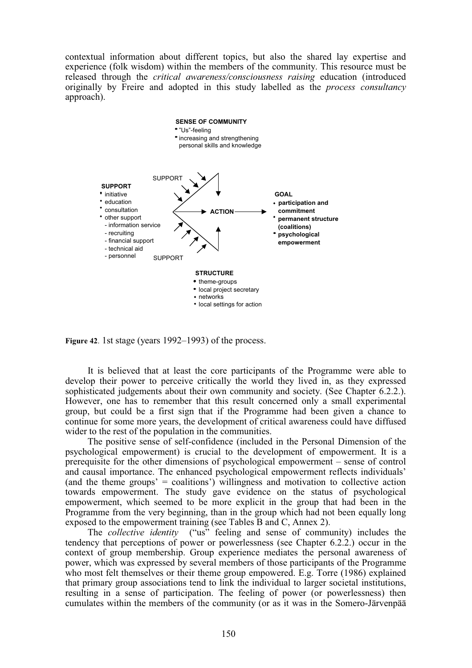contextual information about different topics, but also the shared lay expertise and experience (folk wisdom) within the members of the community. This resource must be released through the *critical awareness/consciousness raising* education (introduced originally by Freire and adopted in this study labelled as the *process consultancy* approach).



**Figure 42**. 1st stage (years 1992–1993) of the process.

It is believed that at least the core participants of the Programme were able to develop their power to perceive critically the world they lived in, as they expressed sophisticated judgements about their own community and society. (See Chapter 6.2.2.). However, one has to remember that this result concerned only a small experimental group, but could be a first sign that if the Programme had been given a chance to continue for some more years, the development of critical awareness could have diffused wider to the rest of the population in the communities.

The positive sense of self-confidence (included in the Personal Dimension of the psychological empowerment) is crucial to the development of empowerment. It is a prerequisite for the other dimensions of psychological empowerment – sense of control and causal importance. The enhanced psychological empowerment reflects individuals' (and the theme groups' = coalitions') willingness and motivation to collective action towards empowerment. The study gave evidence on the status of psychological empowerment, which seemed to be more explicit in the group that had been in the Programme from the very beginning, than in the group which had not been equally long exposed to the empowerment training (see Tables B and C, Annex 2).

The *collective identity* ("us" feeling and sense of community) includes the tendency that perceptions of power or powerlessness (see Chapter 6.2.2.) occur in the context of group membership. Group experience mediates the personal awareness of power, which was expressed by several members of those participants of the Programme who most felt themselves or their theme group empowered. E.g. Torre (1986) explained that primary group associations tend to link the individual to larger societal institutions, resulting in a sense of participation. The feeling of power (or powerlessness) then cumulates within the members of the community (or as it was in the Somero-Järvenpää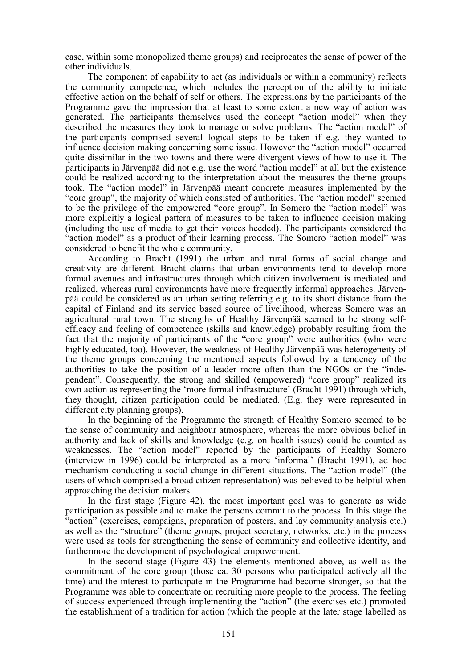case, within some monopolized theme groups) and reciprocates the sense of power of the other individuals.

The component of capability to act (as individuals or within a community) reflects the community competence, which includes the perception of the ability to initiate effective action on the behalf of self or others. The expressions by the participants of the Programme gave the impression that at least to some extent a new way of action was generated. The participants themselves used the concept "action model" when they described the measures they took to manage or solve problems. The "action model" of the participants comprised several logical steps to be taken if e.g. they wanted to influence decision making concerning some issue. However the "action model" occurred quite dissimilar in the two towns and there were divergent views of how to use it. The participants in Järvenpää did not e.g. use the word "action model" at all but the existence could be realized according to the interpretation about the measures the theme groups took. The "action model" in Järvenpää meant concrete measures implemented by the "core group", the majority of which consisted of authorities. The "action model" seemed to be the privilege of the empowered "core group". In Somero the "action model" was more explicitly a logical pattern of measures to be taken to influence decision making (including the use of media to get their voices heeded). The participants considered the "action model" as a product of their learning process. The Somero "action model" was considered to benefit the whole community.

According to Bracht (1991) the urban and rural forms of social change and creativity are different. Bracht claims that urban environments tend to develop more formal avenues and infrastructures through which citizen involvement is mediated and realized, whereas rural environments have more frequently informal approaches. Järvenpää could be considered as an urban setting referring e.g. to its short distance from the capital of Finland and its service based source of livelihood, whereas Somero was an agricultural rural town. The strengths of Healthy Järvenpää seemed to be strong selfefficacy and feeling of competence (skills and knowledge) probably resulting from the fact that the majority of participants of the "core group" were authorities (who were highly educated, too). However, the weakness of Healthy Järvenpää was heterogeneity of the theme groups concerning the mentioned aspects followed by a tendency of the authorities to take the position of a leader more often than the NGOs or the "independent". Consequently, the strong and skilled (empowered) "core group" realized its own action as representing the 'more formal infrastructure' (Bracht 1991) through which, they thought, citizen participation could be mediated. (E.g. they were represented in different city planning groups).

In the beginning of the Programme the strength of Healthy Somero seemed to be the sense of community and neighbour atmosphere, whereas the more obvious belief in authority and lack of skills and knowledge (e.g. on health issues) could be counted as weaknesses. The "action model" reported by the participants of Healthy Somero (interview in 1996) could be interpreted as a more 'informal' (Bracht 1991), ad hoc mechanism conducting a social change in different situations. The "action model" (the users of which comprised a broad citizen representation) was believed to be helpful when approaching the decision makers.

In the first stage (Figure 42). the most important goal was to generate as wide participation as possible and to make the persons commit to the process. In this stage the "action" (exercises, campaigns, preparation of posters, and lay community analysis etc.) as well as the "structure" (theme groups, project secretary, networks, etc.) in the process were used as tools for strengthening the sense of community and collective identity, and furthermore the development of psychological empowerment.

In the second stage (Figure 43) the elements mentioned above, as well as the commitment of the core group (those ca. 30 persons who participated actively all the time) and the interest to participate in the Programme had become stronger, so that the Programme was able to concentrate on recruiting more people to the process. The feeling of success experienced through implementing the "action" (the exercises etc.) promoted the establishment of a tradition for action (which the people at the later stage labelled as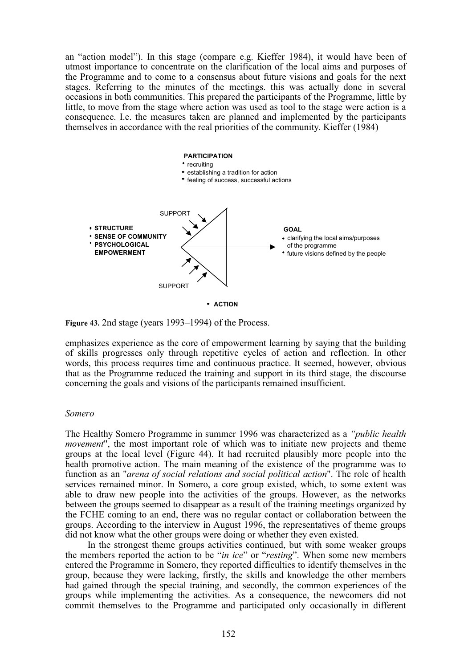an "action model"). In this stage (compare e.g. Kieffer 1984), it would have been of utmost importance to concentrate on the clarification of the local aims and purposes of the Programme and to come to a consensus about future visions and goals for the next stages. Referring to the minutes of the meetings. this was actually done in several occasions in both communities. This prepared the participants of the Programme, little by little, to move from the stage where action was used as tool to the stage were action is a consequence. I.e. the measures taken are planned and implemented by the participants themselves in accordance with the real priorities of the community. Kieffer (1984)



**ACTION**

**Figure 43.** 2nd stage (years 1993–1994) of the Process.

emphasizes experience as the core of empowerment learning by saying that the building of skills progresses only through repetitive cycles of action and reflection. In other words, this process requires time and continuous practice. It seemed, however, obvious that as the Programme reduced the training and support in its third stage, the discourse concerning the goals and visions of the participants remained insufficient.

#### *Somero*

The Healthy Somero Programme in summer 1996 was characterized as a *"public health movement*", the most important role of which was to initiate new projects and theme groups at the local level (Figure 44). It had recruited plausibly more people into the health promotive action. The main meaning of the existence of the programme was to function as an "*arena of social relations and social political action*". The role of health services remained minor. In Somero, a core group existed, which, to some extent was able to draw new people into the activities of the groups. However, as the networks between the groups seemed to disappear as a result of the training meetings organized by the FCHE coming to an end, there was no regular contact or collaboration between the groups. According to the interview in August 1996, the representatives of theme groups did not know what the other groups were doing or whether they even existed.

In the strongest theme groups activities continued, but with some weaker groups the members reported the action to be "*in ice*" or "*resting*". When some new members entered the Programme in Somero, they reported difficulties to identify themselves in the group, because they were lacking, firstly, the skills and knowledge the other members had gained through the special training, and secondly, the common experiences of the groups while implementing the activities. As a consequence, the newcomers did not commit themselves to the Programme and participated only occasionally in different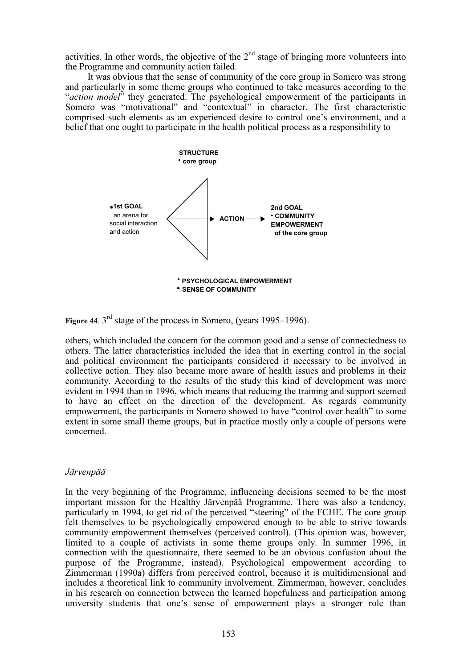activities. In other words, the objective of the  $2<sup>nd</sup>$  stage of bringing more volunteers into the Programme and community action failed.

It was obvious that the sense of community of the core group in Somero was strong and particularly in some theme groups who continued to take measures according to the "*action model*" they generated. The psychological empowerment of the participants in Somero was "motivational" and "contextual" in character. The first characteristic comprised such elements as an experienced desire to control one's environment, and a belief that one ought to participate in the health political process as a responsibility to



**Figure 44.** 3<sup>rd</sup> stage of the process in Somero, (years 1995–1996).

others, which included the concern for the common good and a sense of connectedness to others. The latter characteristics included the idea that in exerting control in the social and political environment the participants considered it necessary to be involved in collective action. They also became more aware of health issues and problems in their community. According to the results of the study this kind of development was more evident in 1994 than in 1996, which means that reducing the training and support seemed to have an effect on the direction of the development. As regards community empowerment, the participants in Somero showed to have "control over health" to some extent in some small theme groups, but in practice mostly only a couple of persons were concerned.

### *Järvenpää*

In the very beginning of the Programme, influencing decisions seemed to be the most important mission for the Healthy Järvenpää Programme. There was also a tendency, particularly in 1994, to get rid of the perceived "steering" of the FCHE. The core group felt themselves to be psychologically empowered enough to be able to strive towards community empowerment themselves (perceived control). (This opinion was, however, limited to a couple of activists in some theme groups only. In summer 1996, in connection with the questionnaire, there seemed to be an obvious confusion about the purpose of the Programme, instead). Psychological empowerment according to Zimmerman (1990a) differs from perceived control, because it is multidimensional and includes a theoretical link to community involvement. Zimmerman, however, concludes in his research on connection between the learned hopefulness and participation among university students that one's sense of empowerment plays a stronger role than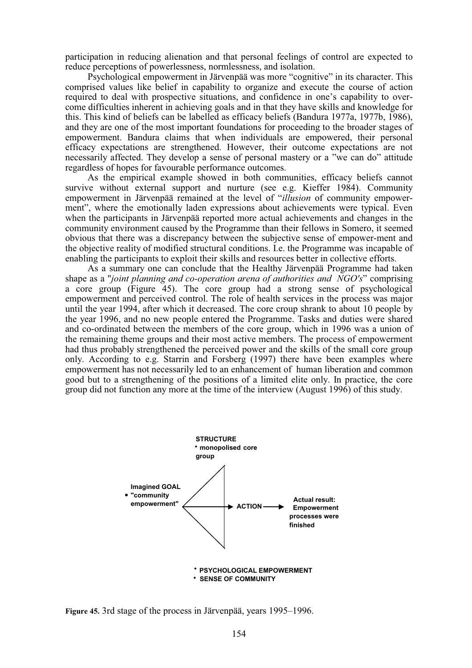participation in reducing alienation and that personal feelings of control are expected to reduce perceptions of powerlessness, normlessness, and isolation.

Psychological empowerment in Järvenpää was more "cognitive" in its character. This comprised values like belief in capability to organize and execute the course of action required to deal with prospective situations, and confidence in one's capability to overcome difficulties inherent in achieving goals and in that they have skills and knowledge for this. This kind of beliefs can be labelled as efficacy beliefs (Bandura 1977a, 1977b, 1986), and they are one of the most important foundations for proceeding to the broader stages of empowerment. Bandura claims that when individuals are empowered, their personal efficacy expectations are strengthened. However, their outcome expectations are not necessarily affected. They develop a sense of personal mastery or a "we can do" attitude regardless of hopes for favourable performance outcomes.

As the empirical example showed in both communities, efficacy beliefs cannot survive without external support and nurture (see e.g. Kieffer 1984). Community empowerment in Järvenpää remained at the level of "*illusion* of community empowerment", where the emotionally laden expressions about achievements were typical. Even when the participants in Järvenpää reported more actual achievements and changes in the community environment caused by the Programme than their fellows in Somero, it seemed obvious that there was a discrepancy between the subjective sense of empower-ment and the objective reality of modified structural conditions. I.e. the Programme was incapable of enabling the participants to exploit their skills and resources better in collective efforts.

As a summary one can conclude that the Healthy Järvenpää Programme had taken shape as a "*joint planning and co-operation arena of authorities and NGO's*" comprising a core group (Figure 45). The core group had a strong sense of psychological empowerment and perceived control. The role of health services in the process was major until the year 1994, after which it decreased. The core croup shrank to about 10 people by the year 1996, and no new people entered the Programme. Tasks and duties were shared and co-ordinated between the members of the core group, which in 1996 was a union of the remaining theme groups and their most active members. The process of empowerment had thus probably strengthened the perceived power and the skills of the small core group only. According to e.g. Starrin and Forsberg (1997) there have been examples where empowerment has not necessarily led to an enhancement of human liberation and common good but to a strengthening of the positions of a limited elite only. In practice, the core group did not function any more at the time of the interview (August 1996) of this study.



**Figure 45.** 3rd stage of the process in Järvenpää, years 1995–1996.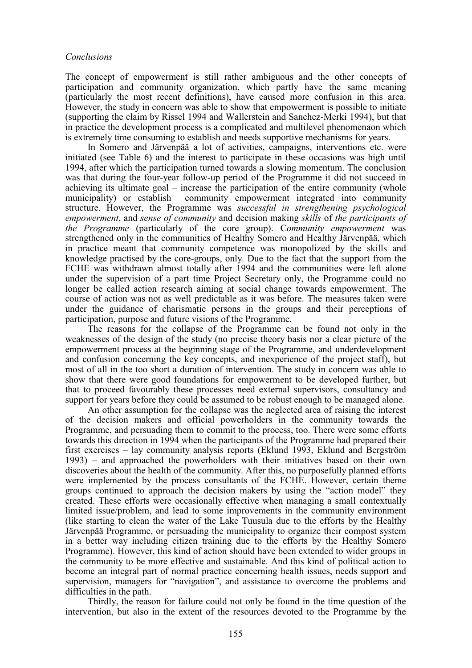#### *Conclusions*

The concept of empowerment is still rather ambiguous and the other concepts of participation and community organization, which partly have the same meaning (particularly the most recent definitions), have caused more confusion in this area. However, the study in concern was able to show that empowerment is possible to initiate (supporting the claim by Rissel 1994 and Wallerstein and Sanchez-Merki 1994), but that in practice the development process is a complicated and multilevel phenomenaon which is extremely time consuming to establish and needs supportive mechanisms for years.

In Somero and Järvenpää a lot of activities, campaigns, interventions etc. were initiated (see Table 6) and the interest to participate in these occasions was high until 1994, after which the participation turned towards a slowing momentum. The conclusion was that during the four-year follow-up period of the Programme it did not succeed in achieving its ultimate goal – increase the participation of the entire community (whole municipality) or establish community empowerment integrated into community structure. However, the Programme was *successful in strengthening psychological empowerment*, and *sense of community* and decision making *skills* of *the participants of the Programme* (particularly of the core group). C*ommunity empowerment* was strengthened only in the communities of Healthy Somero and Healthy Järvenpää, which in practice meant that community competence was monopolized by the skills and knowledge practised by the core-groups, only. Due to the fact that the support from the FCHE was withdrawn almost totally after 1994 and the communities were left alone under the supervision of a part time Project Secretary only, the Programme could no longer be called action research aiming at social change towards empowerment. The course of action was not as well predictable as it was before. The measures taken were under the guidance of charismatic persons in the groups and their perceptions of participation, purpose and future visions of the Programme.

The reasons for the collapse of the Programme can be found not only in the weaknesses of the design of the study (no precise theory basis nor a clear picture of the empowerment process at the beginning stage of the Programme, and underdevelopment and confusion concerning the key concepts, and inexperience of the project staff), but most of all in the too short a duration of intervention. The study in concern was able to show that there were good foundations for empowerment to be developed further, but that to proceed favourably these processes need external supervisors, consultancy and support for years before they could be assumed to be robust enough to be managed alone.

An other assumption for the collapse was the neglected area of raising the interest of the decision makers and official powerholders in the community towards the Programme, and persuading them to commit to the process, too. There were some efforts towards this direction in 1994 when the participants of the Programme had prepared their first exercises – lay community analysis reports (Eklund 1993, Eklund and Bergström 1993) – and approached the powerholders with their initiatives based on their own discoveries about the health of the community. After this, no purposefully planned efforts were implemented by the process consultants of the FCHE. However, certain theme groups continued to approach the decision makers by using the "action model" they created. These efforts were occasionally effective when managing a small contextually limited issue/problem, and lead to some improvements in the community environment (like starting to clean the water of the Lake Tuusula due to the efforts by the Healthy Järvenpää Programme, or persuading the municipality to organize their compost system in a better way including citizen training due to the efforts by the Healthy Somero Programme). However, this kind of action should have been extended to wider groups in the community to be more effective and sustainable. And this kind of political action to become an integral part of normal practice concerning health issues, needs support and supervision, managers for "navigation", and assistance to overcome the problems and difficulties in the path.

Thirdly, the reason for failure could not only be found in the time question of the intervention, but also in the extent of the resources devoted to the Programme by the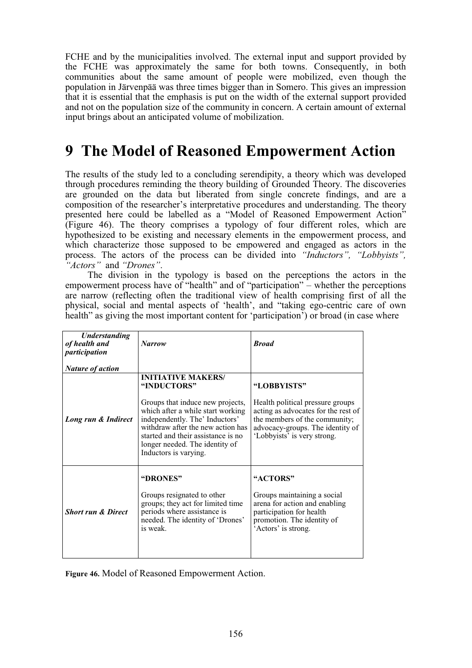FCHE and by the municipalities involved. The external input and support provided by the FCHE was approximately the same for both towns. Consequently, in both communities about the same amount of people were mobilized, even though the population in Järvenpää was three times bigger than in Somero. This gives an impression that it is essential that the emphasis is put on the width of the external support provided and not on the population size of the community in concern. A certain amount of external input brings about an anticipated volume of mobilization.

# **9 The Model of Reasoned Empowerment Action**

The results of the study led to a concluding serendipity, a theory which was developed through procedures reminding the theory building of Grounded Theory. The discoveries are grounded on the data but liberated from single concrete findings, and are a composition of the researcher's interpretative procedures and understanding. The theory presented here could be labelled as a "Model of Reasoned Empowerment Action" (Figure 46). The theory comprises a typology of four different roles, which are hypothesized to be existing and necessary elements in the empowerment process, and which characterize those supposed to be empowered and engaged as actors in the process. The actors of the process can be divided into *"Inductors", "Lobbyists", "Actors"* and *"Drones"*.

The division in the typology is based on the perceptions the actors in the empowerment process have of "health" and of "participation" – whether the perceptions are narrow (reflecting often the traditional view of health comprising first of all the physical, social and mental aspects of 'health', and "taking ego-centric care of own health" as giving the most important content for 'participation') or broad (in case where

| <b>Understanding</b><br>of health and<br>participation | <b>Narrow</b>                                                                                                                                                                                                                                                                             | <b>Broad</b>                                                                                                                                                                               |
|--------------------------------------------------------|-------------------------------------------------------------------------------------------------------------------------------------------------------------------------------------------------------------------------------------------------------------------------------------------|--------------------------------------------------------------------------------------------------------------------------------------------------------------------------------------------|
| <b>Nature of action</b>                                |                                                                                                                                                                                                                                                                                           |                                                                                                                                                                                            |
| Long run & Indirect                                    | <b>INITIATIVE MAKERS/</b><br>"INDUCTORS"<br>Groups that induce new projects,<br>which after a while start working<br>independently. The' Inductors'<br>withdraw after the new action has<br>started and their assistance is no<br>longer needed. The identity of<br>Inductors is varying. | "LOBBYISTS"<br>Health political pressure groups<br>acting as advocates for the rest of<br>the members of the community;<br>advocacy-groups. The identity of<br>'Lobbyists' is very strong. |
| <b>Short run &amp; Direct</b>                          | "DRONES"<br>Groups resignated to other<br>groups; they act for limited time<br>periods where assistance is<br>needed. The identity of 'Drones'<br>is weak.                                                                                                                                | "ACTORS"<br>Groups maintaining a social<br>arena for action and enabling<br>participation for health<br>promotion. The identity of<br>'Actors' is strong.                                  |

**Figure 46.** Model of Reasoned Empowerment Action.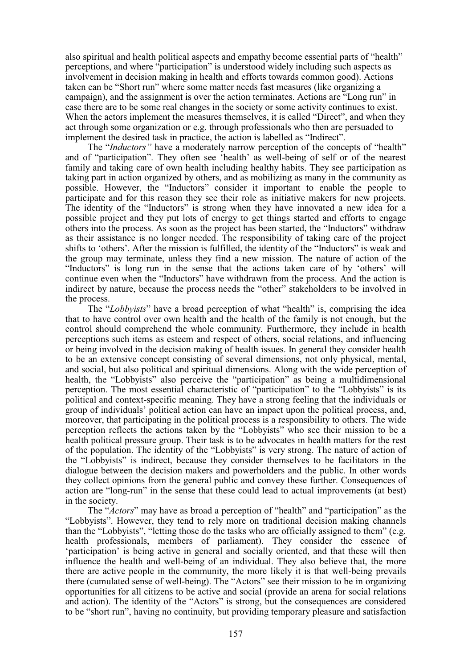also spiritual and health political aspects and empathy become essential parts of "health" perceptions, and where "participation" is understood widely including such aspects as involvement in decision making in health and efforts towards common good). Actions taken can be "Short run" where some matter needs fast measures (like organizing a campaign), and the assignment is over the action terminates. Actions are "Long run" in case there are to be some real changes in the society or some activity continues to exist. When the actors implement the measures themselves, it is called "Direct", and when they act through some organization or e.g. through professionals who then are persuaded to implement the desired task in practice, the action is labelled as "Indirect".

The "*Inductors"* have a moderately narrow perception of the concepts of "health" and of "participation". They often see 'health' as well-being of self or of the nearest family and taking care of own health including healthy habits. They see participation as taking part in action organized by others, and as mobilizing as many in the community as possible. However, the "Inductors" consider it important to enable the people to participate and for this reason they see their role as initiative makers for new projects. The identity of the "Inductors" is strong when they have innovated a new idea for a possible project and they put lots of energy to get things started and efforts to engage others into the process. As soon as the project has been started, the "Inductors" withdraw as their assistance is no longer needed. The responsibility of taking care of the project shifts to 'others'. After the mission is fulfilled, the identity of the "Inductors" is weak and the group may terminate, unless they find a new mission. The nature of action of the "Inductors" is long run in the sense that the actions taken care of by 'others' will continue even when the "Inductors" have withdrawn from the process. And the action is indirect by nature, because the process needs the "other" stakeholders to be involved in the process.

The "*Lobbyists*" have a broad perception of what "health" is, comprising the idea that to have control over own health and the health of the family is not enough, but the control should comprehend the whole community. Furthermore, they include in health perceptions such items as esteem and respect of others, social relations, and influencing or being involved in the decision making of health issues. In general they consider health to be an extensive concept consisting of several dimensions, not only physical, mental, and social, but also political and spiritual dimensions. Along with the wide perception of health, the "Lobbyists" also perceive the "participation" as being a multidimensional perception. The most essential characteristic of "participation" to the "Lobbyists" is its political and context-specific meaning. They have a strong feeling that the individuals or group of individuals' political action can have an impact upon the political process, and, moreover, that participating in the political process is a responsibility to others. The wide perception reflects the actions taken by the "Lobbyists" who see their mission to be a health political pressure group. Their task is to be advocates in health matters for the rest of the population. The identity of the "Lobbyists" is very strong. The nature of action of the "Lobbyists" is indirect, because they consider themselves to be facilitators in the dialogue between the decision makers and powerholders and the public. In other words they collect opinions from the general public and convey these further. Consequences of action are "long-run" in the sense that these could lead to actual improvements (at best) in the society.

The "*Actors*" may have as broad a perception of "health" and "participation" as the "Lobbyists". However, they tend to rely more on traditional decision making channels than the "Lobbyists", "letting those do the tasks who are officially assigned to them" (e.g. health professionals, members of parliament). They consider the essence of 'participation' is being active in general and socially oriented, and that these will then influence the health and well-being of an individual. They also believe that, the more there are active people in the community, the more likely it is that well-being prevails there (cumulated sense of well-being). The "Actors" see their mission to be in organizing opportunities for all citizens to be active and social (provide an arena for social relations and action). The identity of the "Actors" is strong, but the consequences are considered to be "short run", having no continuity, but providing temporary pleasure and satisfaction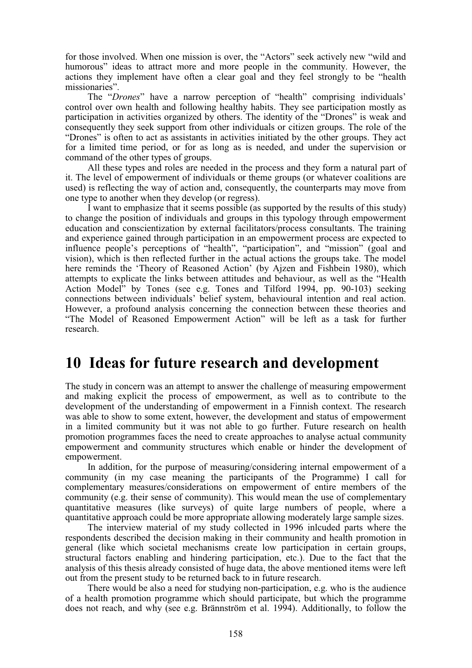for those involved. When one mission is over, the "Actors" seek actively new "wild and humorous" ideas to attract more and more people in the community. However, the actions they implement have often a clear goal and they feel strongly to be "health missionaries".

The "*Drones*" have a narrow perception of "health" comprising individuals' control over own health and following healthy habits. They see participation mostly as participation in activities organized by others. The identity of the "Drones" is weak and consequently they seek support from other individuals or citizen groups. The role of the "Drones" is often to act as assistants in activities initiated by the other groups. They act for a limited time period, or for as long as is needed, and under the supervision or command of the other types of groups.

All these types and roles are needed in the process and they form a natural part of it. The level of empowerment of individuals or theme groups (or whatever coalitions are used) is reflecting the way of action and, consequently, the counterparts may move from one type to another when they develop (or regress).

I want to emphasize that it seems possible (as supported by the results of this study) to change the position of individuals and groups in this typology through empowerment education and conscientization by external facilitators/process consultants. The training and experience gained through participation in an empowerment process are expected to influence people's perceptions of "health", "participation", and "mission" (goal and vision), which is then reflected further in the actual actions the groups take. The model here reminds the 'Theory of Reasoned Action' (by Ajzen and Fishbein 1980), which attempts to explicate the links between attitudes and behaviour, as well as the "Health Action Model" by Tones (see e.g. Tones and Tilford 1994, pp. 90-103) seeking connections between individuals' belief system, behavioural intention and real action. However, a profound analysis concerning the connection between these theories and "The Model of Reasoned Empowerment Action" will be left as a task for further research.

# **10 Ideas for future research and development**

The study in concern was an attempt to answer the challenge of measuring empowerment and making explicit the process of empowerment, as well as to contribute to the development of the understanding of empowerment in a Finnish context. The research was able to show to some extent, however, the development and status of empowerment in a limited community but it was not able to go further. Future research on health promotion programmes faces the need to create approaches to analyse actual community empowerment and community structures which enable or hinder the development of empowerment.

In addition, for the purpose of measuring/considering internal empowerment of a community (in my case meaning the participants of the Programme) I call for complementary measures/considerations on empowerment of entire members of the community (e.g. their sense of community). This would mean the use of complementary quantitative measures (like surveys) of quite large numbers of people, where a quantitative approach could be more appropriate allowing moderately large sample sizes.

The interview material of my study collected in 1996 inlcuded parts where the respondents described the decision making in their community and health promotion in general (like which societal mechanisms create low participation in certain groups, structural factors enabling and hindering participation, etc.). Due to the fact that the analysis of this thesis already consisted of huge data, the above mentioned items were left out from the present study to be returned back to in future research.

There would be also a need for studying non-participation, e.g. who is the audience of a health promotion programme which should participate, but which the programme does not reach, and why (see e.g. Brännström et al. 1994). Additionally, to follow the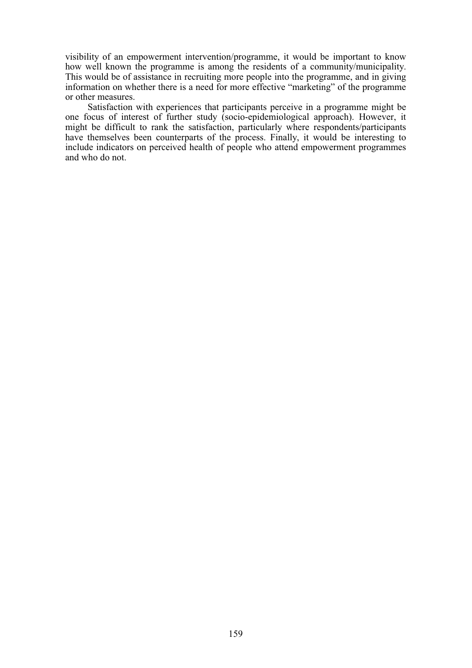visibility of an empowerment intervention/programme, it would be important to know how well known the programme is among the residents of a community/municipality. This would be of assistance in recruiting more people into the programme, and in giving information on whether there is a need for more effective "marketing" of the programme or other measures.

Satisfaction with experiences that participants perceive in a programme might be one focus of interest of further study (socio-epidemiological approach). However, it might be difficult to rank the satisfaction, particularly where respondents/participants have themselves been counterparts of the process. Finally, it would be interesting to include indicators on perceived health of people who attend empowerment programmes and who do not.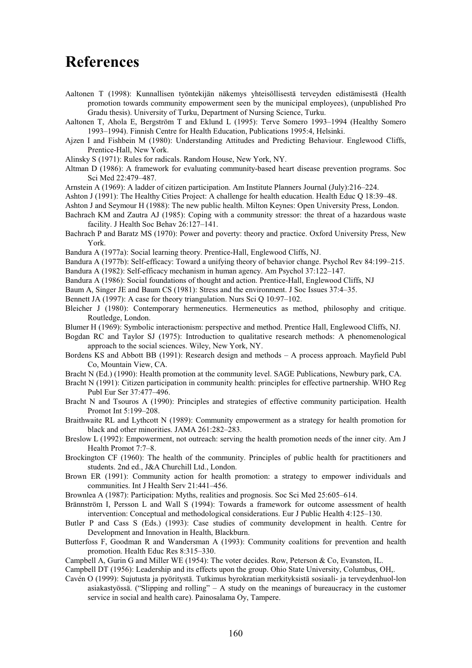## **References**

- Aaltonen T (1998): Kunnallisen työntekijän näkemys yhteisöllisestä terveyden edistämisestä (Health promotion towards community empowerment seen by the municipal employees), (unpublished Pro Gradu thesis). University of Turku, Department of Nursing Science, Turku.
- Aaltonen T, Ahola E, Bergström T and Eklund L (1995): Terve Somero 1993–1994 (Healthy Somero 1993–1994). Finnish Centre for Health Education, Publications 1995:4, Helsinki.
- Ajzen I and Fishbein M (1980): Understanding Attitudes and Predicting Behaviour. Englewood Cliffs, Prentice-Hall, New York.
- Alinsky S (1971): Rules for radicals. Random House, New York, NY.
- Altman D (1986): A framework for evaluating community-based heart disease prevention programs. Soc Sci Med 22:479–487.
- Arnstein A (1969): A ladder of citizen participation. Am Institute Planners Journal (July):216–224.
- Ashton J (1991): The Healthy Cities Project: A challenge for health education. Health Educ Q 18:39–48.
- Ashton J and Seymour H (1988): The new public health. Milton Keynes: Open University Press, London.
- Bachrach KM and Zautra AJ (1985): Coping with a community stressor: the threat of a hazardous waste facility. J Health Soc Behav 26:127–141.
- Bachrach P and Baratz MS (1970): Power and poverty: theory and practice. Oxford University Press, New York.
- Bandura A (1977a): Social learning theory. Prentice-Hall, Englewood Cliffs, NJ.
- Bandura A (1977b): Self-efficacy: Toward a unifying theory of behavior change. Psychol Rev 84:199–215.
- Bandura A (1982): Self-efficacy mechanism in human agency. Am Psychol 37:122–147.
- Bandura A (1986): Social foundations of thought and action. Prentice-Hall, Englewood Cliffs, NJ
- Baum A, Singer JE and Baum CS (1981): Stress and the environment. J Soc Issues 37:4–35.
- Bennett JA (1997): A case for theory triangulation. Nurs Sci Q 10:97–102.
- Bleicher J (1980): Contemporary hermeneutics. Hermeneutics as method, philosophy and critique. Routledge, London.
- Blumer H (1969): Symbolic interactionism: perspective and method. Prentice Hall, Englewood Cliffs, NJ.
- Bogdan RC and Taylor SJ (1975): Introduction to qualitative research methods: A phenomenological approach to the social sciences. Wiley, New York, NY.
- Bordens KS and Abbott BB (1991): Research design and methods A process approach. Mayfield Publ Co, Mountain View, CA.
- Bracht N (Ed.) (1990): Health promotion at the community level. SAGE Publications, Newbury park, CA.
- Bracht N (1991): Citizen participation in community health: principles for effective partnership. WHO Reg Publ Eur Ser 37:477–496.
- Bracht N and Tsouros A (1990): Principles and strategies of effective community participation. Health Promot Int 5:199–208.
- Braithwaite RL and Lythcott N (1989): Community empowerment as a strategy for health promotion for black and other minorities. JAMA 261:282–283.
- Breslow L (1992): Empowerment, not outreach: serving the health promotion needs of the inner city. Am J Health Promot 7:7–8.
- Brockington CF (1960): The health of the community. Principles of public health for practitioners and students. 2nd ed., J&A Churchill Ltd., London.
- Brown ER (1991): Community action for health promotion: a strategy to empower individuals and communities. Int J Health Serv 21:441–456.
- Brownlea A (1987): Participation: Myths, realities and prognosis. Soc Sci Med 25:605–614.
- Brännström I, Persson L and Wall S (1994): Towards a framework for outcome assessment of health intervention: Conceptual and methodological considerations. Eur J Public Health 4:125–130.
- Butler P and Cass S (Eds.) (1993): Case studies of community development in health. Centre for Development and Innovation in Health, Blackburn.
- Butterfoss F, Goodman R and Wandersman A (1993): Community coalitions for prevention and health promotion. Health Educ Res 8:315–330.
- Campbell A, Gurin G and Miller WE (1954): The voter decides. Row, Peterson & Co, Evanston, IL.
- Campbell DT (1956): Leadership and its effects upon the group. Ohio State University, Columbus, OH,.
- Cavén O (1999): Sujutusta ja pyöritystä. Tutkimus byrokratian merkityksistä sosiaali- ja terveydenhuol-lon asiakastyössä. ("Slipping and rolling" – A study on the meanings of bureaucracy in the customer service in social and health care). Painosalama Oy, Tampere.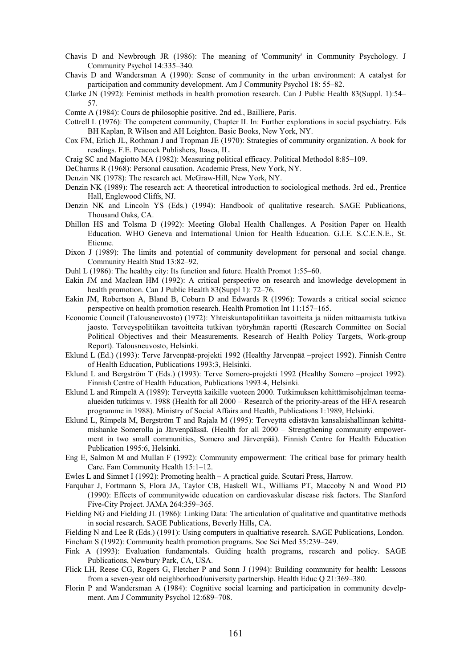- Chavis D and Newbrough JR (1986): The meaning of 'Community' in Community Psychology. J Community Psychol 14:335–340.
- Chavis D and Wandersman A (1990): Sense of community in the urban environment: A catalyst for participation and community development. Am J Community Psychol 18: 55–82.
- Clarke JN (1992): Feminist methods in health promotion research. Can J Public Health 83(Suppl. 1):54– 57.
- Comte A (1984): Cours de philosophie positive. 2nd ed., Bailliere, Paris.
- Cottrell L (1976): The competent community, Chapter II. In: Further explorations in social psychiatry. Eds BH Kaplan, R Wilson and AH Leighton. Basic Books, New York, NY.
- Cox FM, Erlich JL, Rothman J and Tropman JE (1970): Strategies of community organization. A book for readings. F.E. Peacock Publishers, Itasca, IL.
- Craig SC and Magiotto MA (1982): Measuring political efficacy. Political Methodol 8:85–109.
- DeCharms R (1968): Personal causation. Academic Press, New York, NY.
- Denzin NK (1978): The research act. McGraw-Hill, New York, NY.
- Denzin NK (1989): The research act: A theoretical introduction to sociological methods. 3rd ed., Prentice Hall, Englewood Cliffs, NJ.
- Denzin NK and Lincoln YS (Eds.) (1994): Handbook of qualitative research. SAGE Publications, Thousand Oaks, CA.
- Dhillon HS and Tolsma D (1992): Meeting Global Health Challenges. A Position Paper on Health Education. WHO Geneva and International Union for Health Education. G.I.E. S.C.E.N.E., St. Etienne.
- Dixon J (1989): The limits and potential of community development for personal and social change. Community Health Stud 13:82–92.
- Duhl L (1986): The healthy city: Its function and future. Health Promot 1:55–60.
- Eakin JM and Maclean HM (1992): A critical perspective on research and knowledge development in health promotion. Can J Public Health 83(Suppl 1): 72–76.
- Eakin JM, Robertson A, Bland B, Coburn D and Edwards R (1996): Towards a critical social science perspective on health promotion research. Health Promotion Int 11:157–165.
- Economic Council (Talousneuvosto) (1972): Yhteiskuntapolitiikan tavoitteita ja niiden mittaamista tutkiva jaosto. Terveyspolitiikan tavoitteita tutkivan työryhmän raportti (Research Committee on Social Political Objectives and their Measurements. Research of Health Policy Targets, Work-group Report). Talousneuvosto, Helsinki.
- Eklund L (Ed.) (1993): Terve Järvenpää-projekti 1992 (Healthy Järvenpää –project 1992). Finnish Centre of Health Education, Publications 1993:3, Helsinki.
- Eklund L and Bergström T (Eds.) (1993): Terve Somero-projekti 1992 (Healthy Somero –project 1992). Finnish Centre of Health Education, Publications 1993:4, Helsinki.
- Eklund L and Rimpelä A (1989): Terveyttä kaikille vuoteen 2000. Tutkimuksen kehittämisohjelman teemaalueiden tutkimus v. 1988 (Health for all 2000 – Research of the priority-areas of the HFA research programme in 1988). Ministry of Social Affairs and Health, Publications 1:1989, Helsinki.
- Eklund L, Rimpelä M, Bergström T and Rajala M (1995): Terveyttä edistävän kansalaishallinnan kehittämishanke Somerolla ja Järvenpäässä. (Health for all 2000 – Strengthening community empowerment in two small communities, Somero and Järvenpää). Finnish Centre for Health Education Publication 1995:6, Helsinki.
- Eng E, Salmon M and Mullan F (1992): Community empowerment: The critical base for primary health Care. Fam Community Health 15:1–12.
- Ewles L and Simnet I (1992): Promoting health A practical guide. Scutari Press, Harrow.
- Farquhar J, Fortmann S, Flora JA, Taylor CB, Haskell WL, Williams PT, Maccoby N and Wood PD (1990): Effects of communitywide education on cardiovaskular disease risk factors. The Stanford Five-City Project. JAMA 264:359–365.
- Fielding NG and Fielding JL (1986): Linking Data: The articulation of qualitative and quantitative methods in social research. SAGE Publications, Beverly Hills, CA.

Fielding N and Lee R (Eds.) (1991): Using computers in qualtiative research. SAGE Publications, London. Fincham S (1992): Community health promotion programs. Soc Sci Med 35:239–249.

- Fink A (1993): Evaluation fundamentals. Guiding health programs, research and policy. SAGE Publications, Newbury Park, CA, USA.
- Flick LH, Reese CG, Rogers G, Fletcher P and Sonn J (1994): Building community for health: Lessons from a seven-year old neighborhood/university partnership. Health Educ Q 21:369–380.
- Florin P and Wandersman A (1984): Cognitive social learning and participation in community develpment. Am J Community Psychol 12:689–708.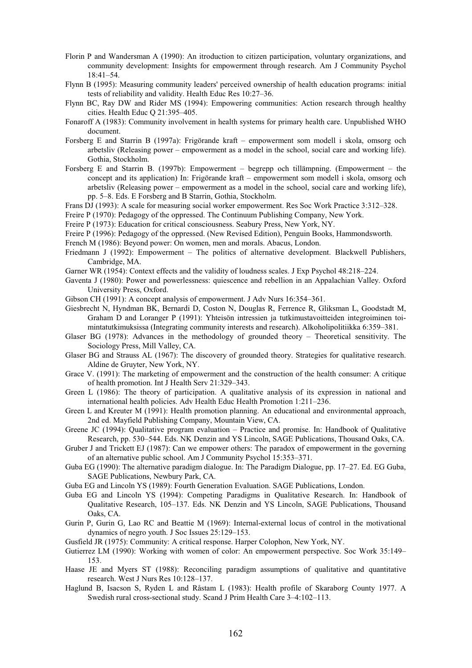- Florin P and Wandersman A (1990): An itroduction to citizen participation, voluntary organizations, and community development: Insights for empowerment through research. Am J Community Psychol 18:41–54.
- Flynn B (1995): Measuring community leaders' perceived ownership of health education programs: initial tests of reliability and validity. Health Educ Res 10:27–36.
- Flynn BC, Ray DW and Rider MS (1994): Empowering communities: Action research through healthy cities. Health Educ Q 21:395–405.
- Fonaroff A (1983): Community involvement in health systems for primary health care. Unpublished WHO document.
- Forsberg E and Starrin B (1997a): Frigörande kraft empowerment som modell i skola, omsorg och arbetsliv (Releasing power – empowerment as a model in the school, social care and working life). Gothia, Stockholm.
- Forsberg E and Starrin B. (1997b): Empowerment begrepp och tillämpning. (Empowerment the concept and its application) In: Frigörande kraft – empowerment som modell i skola, omsorg och arbetsliv (Releasing power – empowerment as a model in the school, social care and working life), pp. 5–8. Eds. E Forsberg and B Starrin, Gothia, Stockholm.
- Frans DJ (1993): A scale for measuring social worker empowerment. Res Soc Work Practice 3:312–328.

Freire P (1970): Pedagogy of the oppressed. The Continuum Publishing Company, New York.

- Freire P (1973): Education for critical consciousness. Seabury Press, New York, NY.
- Freire P (1996): Pedagogy of the oppressed. (New Revised Edition), Penguin Books, Hammondsworth.
- French M (1986): Beyond power: On women, men and morals. Abacus, London.
- Friedmann J (1992): Empowerment The politics of alternative development. Blackwell Publishers, Cambridge, MA.
- Garner WR (1954): Context effects and the validity of loudness scales. J Exp Psychol 48:218–224.
- Gaventa J (1980): Power and powerlessness: quiescence and rebellion in an Appalachian Valley. Oxford University Press, Oxford.
- Gibson CH (1991): A concept analysis of empowerment. J Adv Nurs 16:354–361.
- Giesbrecht N, Hyndman BK, Bernardi D, Coston N, Douglas R, Ferrence R, Gliksman L, Goodstadt M, Graham D and Loranger P (1991): Yhteisön intressien ja tutkimustavoitteiden integroiminen toimintatutkimuksissa (Integrating community interests and research). Alkoholipolitiikka 6:359–381.
- Glaser BG (1978): Advances in the methodology of grounded theory Theoretical sensitivity. The Sociology Press, Mill Valley, CA.
- Glaser BG and Strauss AL (1967): The discovery of grounded theory. Strategies for qualitative research. Aldine de Gruyter, New York, NY.
- Grace V. (1991): The marketing of empowerment and the construction of the health consumer: A critique of health promotion. Int J Health Serv 21:329–343.
- Green L (1986): The theory of participation. A qualitative analysis of its expression in national and international health policies. Adv Health Educ Health Promotion 1:211–236.
- Green L and Kreuter M (1991): Health promotion planning. An educational and environmental approach, 2nd ed. Mayfield Publishing Company, Mountain View, CA.
- Greene JC (1994): Qualitative program evaluation Practice and promise. In: Handbook of Qualitative Research, pp. 530–544. Eds. NK Denzin and YS Lincoln, SAGE Publications, Thousand Oaks, CA.
- Gruber J and Trickett EJ (1987): Can we empower others: The paradox of empowerment in the governing of an alternative public school. Am J Community Psychol 15:353–371.
- Guba EG (1990): The alternative paradigm dialogue. In: The Paradigm Dialogue, pp. 17–27. Ed. EG Guba, SAGE Publications, Newbury Park, CA.
- Guba EG and Lincoln YS (1989): Fourth Generation Evaluation. SAGE Publications, London.
- Guba EG and Lincoln YS (1994): Competing Paradigms in Qualitative Research. In: Handbook of Qualitative Research, 105–137. Eds. NK Denzin and YS Lincoln, SAGE Publications, Thousand Oaks, CA.
- Gurin P, Gurin G, Lao RC and Beattie M (1969): Internal-external locus of control in the motivational dynamics of negro youth. J Soc Issues 25:129–153.
- Gusfield JR (1975): Community: A critical response. Harper Colophon, New York, NY.
- Gutierrez LM (1990): Working with women of color: An empowerment perspective. Soc Work 35:149– 153.
- Haase JE and Myers ST (1988): Reconciling paradigm assumptions of qualitative and quantitative research. West J Nurs Res 10:128–137.
- Haglund B, Isacson S, Ryden L and Råstam L (1983): Health profile of Skaraborg County 1977. A Swedish rural cross-sectional study. Scand J Prim Health Care 3–4:102–113.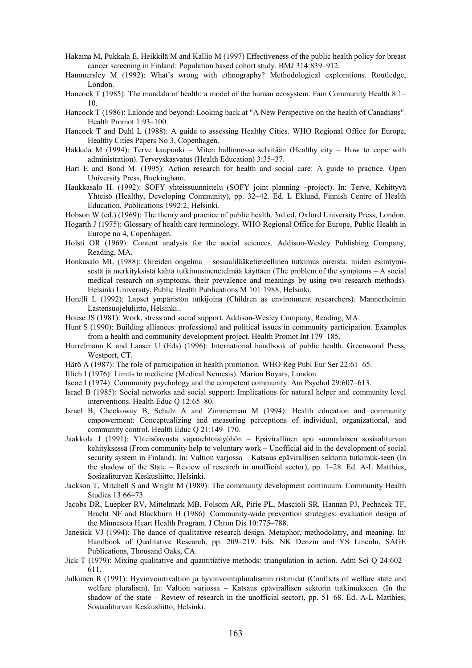- Hakama M, Pukkala E, Heikkilä M and Kallio M (1997) Effectiveness of the public health policy for breast cancer screening in Finland: Population based cohort study. BMJ 314:839–912.
- Hammersley M (1992): What's wrong with ethnography? Methodological explorations. Routledge, London.
- Hancock T (1985): The mandala of health: a model of the human ecosystem. Fam Community Health 8:1– 10.
- Hancock T (1986): Lalonde and beyond: Looking back at "A New Perspective on the health of Canadians". Health Promot 1:93–100.
- Hancock T and Duhl L (1988): A guide to assessing Healthy Cities. WHO Regional Office for Europe, Healthy Cities Papers No 3, Copenhagen.
- Hakkala M (1994): Terve kaupunki Miten hallinnossa selvitään (Healthy city How to cope with administration). Terveyskasvatus (Health Education) 3:35–37.
- Hart E and Bond M. (1995): Action research for health and social care: A guide to practice. Open University Press, Buckingham.
- Haukkasalo H. (1992): SOFY yhteissuunnittelu (SOFY joint planning –project). In: Terve, Kehittyvä Yhteisö (Healthy, Developing Community), pp. 32–42. Ed. L Eklund, Finnish Centre of Health Education, Publications 1992:2, Helsinki.
- Hobson W (ed.) (1969): The theory and practice of public health. 3rd ed, Oxford University Press, London.
- Hogarth J (1975): Glossary of health care terminology. WHO Regional Office for Europe, Public Health in Europe no 4, Copenhagen.
- Holsti OR (1969): Content analysis for the aocial sciences. Addison-Wesley Publishing Company, Reading, MA.
- Honkasalo ML (1988): Oireiden ongelma sosiaalilääketieteellinen tutkimus oireista, niiden esiintymisestä ja merkityksistä kahta tutkimusmenetelmää käyttäen (The problem of the symptoms – A social medical research on symptoms, their prevalence and meanings by using two research methods). Helsinki University, Public Health Publications M 101:1988, Helsinki.
- Horelli L (1992): Lapset ympäristön tutkijoina (Children as environment researchers). Mannerheimin Lastensuojeluliitto, Helsinki..
- House JS (1981): Work, stress and social support. Addison-Wesley Company, Reading, MA.
- Hunt S (1990): Building alliances: professional and political issues in community participation. Examples from a health and community development project. Health Promot Int 179–185.
- Hurrelmann K and Laaser U (Eds) (1996): International handbook of public health. Greenwood Press, Westport, CT.
- Härö A (1987): The role of participation in health promotion. WHO Reg Publ Eur Ser 22:61–65.
- Illich I (1976): Limits to medicine (Medical Nemesis). Marion Boyars, London.
- Iscoe I (1974): Community psychology and the competent community. Am Psychol 29:607–613.
- Israel B (1985): Social networks and social support: Implications for natural helper and community level interventions. Health Educ Q 12:65–80.
- Israel B, Checkoway B, Schulz A and Zimmerman M (1994): Health education and community empowerment: Conceptualizing and measuring perceptions of individual, organizational, and community control. Health Educ Q 21:149–170.
- Jaakkola J (1991): Yhteisöavusta vapaaehtoistyöhön Epävirallinen apu suomalaisen sosiaaliturvan kehityksessä (From community help to voluntary work – Unofficial aid in the development of social security system in Finland). In: Valtion varjossa – Katsaus epävirallisen sektorin tutkimuk-seen (In the shadow of the State – Review of research in unofficial sector), pp. 1–28. Ed. A-L Matthies, Sosiaaliturvan Keskusliitto, Helsinki.
- Jackson T, Mitchell S and Wright M (1989): The community development continuum. Community Health Studies 13:66–73.
- Jacobs DR, Luepker RV, Mittelmark MB, Folsom AR, Pirie PL, Mascioli SR, Hannan PJ, Pechacek TF, Bracht NF and Blackburn H (1986): Community-wide prevention strategies: evaluation design of the Minnesota Heart Health Program. J Chron Dis 10:775–788.
- Janesick VJ (1994): The dance of qualitative research design. Metaphor, methodolatry, and meaning. In: Handbook of Qualitative Research, pp. 209–219. Eds. NK Denzin and YS Lincoln, SAGE Publications, Thousand Oaks, CA.
- Jick T (1979): Mixing qualitative and quantitiative methods: triangulation in action. Adm Sci Q 24:602– 611.
- Julkunen R (1991): Hyvinvointivaltion ja hyvinvointipluralismin ristiriidat (Conflicts of welfare state and welfare pluralism). In: Valtion varjossa – Katsaus epävirallisen sektorin tutkimukseen. (In the shadow of the state – Review of research in the unofficial sector), pp. 51–68. Ed. A-L Matthies, Sosiaaliturvan Keskusliitto, Helsinki.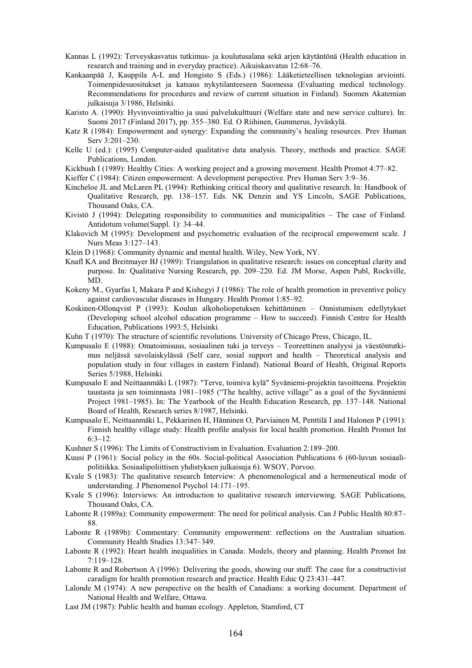- Kannas L (1992): Terveyskasvatus tutkimus- ja koulutusalana sekä arjen käytäntönä (Health education in research and training and in everyday practice). Aikuiskasvatus 12:68–76.
- Kankaanpää J, Kauppila A-L and Hongisto S (Eds.) (1986): Lääketieteellisen teknologian arviointi. Toimenpidesuositukset ja katsaus nykytilanteeseen Suomessa (Evaluating medical technology. Recommendations for procedures and review of current situation in Finland). Suomen Akatemian julkaisuja 3/1986, Helsinki.
- Karisto A. (1990): Hyvinvointivaltio ja uusi palvelukulttuuri (Welfare state and new service culture). In: Suomi 2017 (Finland 2017), pp. 355–380. Ed. O Riihinen, Gummerus, Jyväskylä.
- Katz R (1984): Empowerment and synergy: Expanding the community's healing resources. Prev Human Serv 3:201–230.
- Kelle U (ed.): (1995) Computer-aided qualitative data analysis. Theory, methods and practice. SAGE Publications, London.
- Kickbush I (1989): Healthy Cities: A working project and a growing movement. Health Promot 4:77–82.

Kieffer C (1984): Citizen empowerment: A development perspective. Prev Human Serv 3:9–36.

- Kincheloe JL and McLaren PL (1994): Rethinking critical theory and qualitative research. In: Handbook of Qualitative Research, pp. 138–157. Eds. NK Denzin and YS Lincoln, SAGE Publications, Thousand Oaks, CA.
- Kivistö J (1994): Delegating responsibility to communities and municipalities The case of Finland. Antidotum volume(Suppl. 1): 34–44.
- Klakovich M (1995): Development and psychometric evaluation of the reciprocal empowement scale. J Nurs Meas 3:127–143.
- Klein D (1968): Community dynamic and mental health. Wiley, New York, NY.
- Knafl KA and Breitmayer BJ (1989): Triangulation in qualitative research: issues on conceptual clarity and purpose. In: Qualitative Nursing Research, pp. 209–220. Ed. JM Morse, Aspen Publ, Rockville, MD.
- Kokeny M., Gyarfas I, Makara P and Kishegyi J (1986): The role of health promotion in preventive policy against cardiovascular diseases in Hungary. Health Promot 1:85–92.
- Koskinen-Ollonqvist P (1993): Koulun alkoholiopetuksen kehittäminen Onnistumisen edellytykset (Developing school alcohol education programme – How to succeed). Finnish Centre for Health Education, Publications 1993:5, Helsinki.
- Kuhn T (1970): The structure of scientific revolutions. University of Chicago Press, Chicago, IL.
- Kumpusalo E (1988): Omatoimisuus, sosiaalinen tuki ja terveys Teoreettinen analyysi ja väestöntutkimus neljässä savolaiskylässä (Self care, sosial support and health – Theoretical analysis and population study in four villages in eastern Finland). National Board of Health, Original Reports Series 5/1988, Helsinki.
- Kumpusalo E and Neittaanmäki L (1987): "Terve, toimiva kylä" Syväniemi-projektin tavoitteena. Projektin taustasta ja sen toiminnasta 1981–1985 ("The healthy, active village" as a goal of the Syvänniemi Project 1981–1985). In: The Yearbook of the Health Education Research, pp. 137–148. National Board of Health, Research series 8/1987, Helsinki.
- Kumpusalo E, Neittaanmäki L, Pekkarinen H, Hänninen O, Parviainen M, Penttilä I and Halonen P (1991): Finnish healthy village study: Health profile analysis for local health promotion. Health Promot Int 6:3–12.
- Kushner S (1996): The Limits of Constructivism in Evaluation. Evaluation 2:189–200.
- Kuusi P (1961): Social policy in the 60s. Social-political Association Publications 6 (60-luvun sosiaalipolitiikka. Sosiaalipoliittisen yhdistyksen julkaisuja 6). WSOY, Porvoo.
- Kvale S (1983): The qualitative research Interview: A phenomenological and a hermeneutical mode of understanding. J Phenomenol Psychol 14:171–195.
- Kvale S (1996): Interviews: An introduction to qualitative research interviewing. SAGE Publications, Thousand Oaks, CA.
- Labonte R (1989a): Community empowerment: The need for political analysis. Can J Public Health 80:87– 88.
- Labonte R (1989b): Commentary: Community empowerment: reflections on the Australian situation. Community Health Studies 13:347–349.
- Labonte R (1992): Heart health inequalities in Canada: Models, theory and planning. Health Promot Int 7:119–128.
- Labonte R and Robertson A (1996): Delivering the goods, showing our stuff: The case for a constructivist caradigm for health promotion research and practice. Health Educ Q 23:431–447.
- Lalonde M (1974): A new perspective on the health of Canadians: a working document. Department of National Health and Welfare, Ottawa.
- Last JM (1987): Public health and human ecology. Appleton, Stamford, CT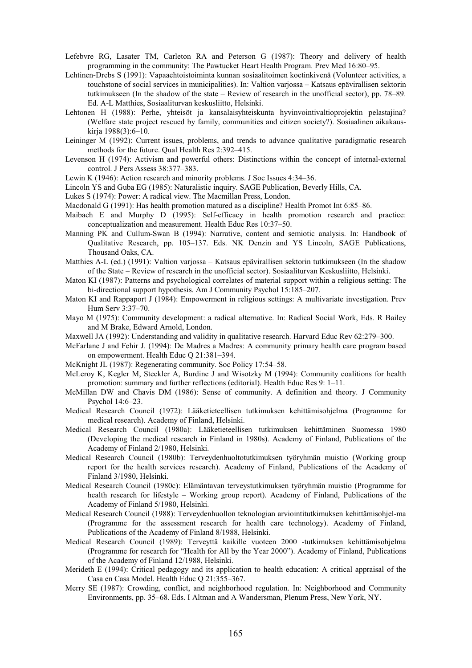- Lefebvre RG, Lasater TM, Carleton RA and Peterson G (1987): Theory and delivery of health programming in the community: The Pawtucket Heart Health Program. Prev Med 16:80–95.
- Lehtinen-Drebs S (1991): Vapaaehtoistoiminta kunnan sosiaalitoimen koetinkivenä (Volunteer activities, a touchstone of social services in municipalities). In: Valtion varjossa – Katsaus epävirallisen sektorin tutkimukseen (In the shadow of the state – Review of research in the unofficial sector), pp. 78–89. Ed. A-L Matthies, Sosiaaliturvan keskusliitto, Helsinki.
- Lehtonen H (1988): Perhe, yhteisöt ja kansalaisyhteiskunta hyvinvointivaltioprojektin pelastajina? (Welfare state project rescued by family, communities and citizen society?). Sosiaalinen aikakauskirja 1988(3):6–10.
- Leininger M (1992): Current issues, problems, and trends to advance qualitative paradigmatic research methods for the future. Qual Health Res 2:392–415.
- Levenson H (1974): Activism and powerful others: Distinctions within the concept of internal-external control. J Pers Assess 38:377–383.
- Lewin K (1946): Action research and minority problems. J Soc Issues 4:34–36.
- Lincoln YS and Guba EG (1985): Naturalistic inquiry. SAGE Publication, Beverly Hills, CA.
- Lukes S (1974): Power: A radical view. The Macmillan Press, London.
- Macdonald G (1991): Has health promotion matured as a discipline? Health Promot Int 6:85–86.
- Maibach E and Murphy D (1995): Self-efficacy in health promotion research and practice: conceptualization and measurement. Health Educ Res 10:37–50.
- Manning PK and Cullum-Swan B (1994): Narrative, content and semiotic analysis. In: Handbook of Qualitative Research, pp. 105–137. Eds. NK Denzin and YS Lincoln, SAGE Publications, Thousand Oaks, CA.
- Matthies A-L (ed.) (1991): Valtion varjossa Katsaus epävirallisen sektorin tutkimukseen (In the shadow of the State – Review of research in the unofficial sector). Sosiaaliturvan Keskusliitto, Helsinki.
- Maton KI (1987): Patterns and psychological correlates of material support within a religious setting: The bi-directional support hypothesis. Am J Community Psychol 15:185–207.
- Maton KI and Rappaport J (1984): Empowerment in religious settings: A multivariate investigation. Prev Hum Serv 3:37–70.
- Mayo M (1975): Community development: a radical alternative. In: Radical Social Work, Eds. R Bailey and M Brake, Edward Arnold, London.
- Maxwell JA (1992): Understanding and validity in qualitative research. Harvard Educ Rev 62:279–300.
- McFarlane J and Fehir J. (1994): De Madres a Madres: A community primary health care program based on empowerment. Health Educ Q 21:381–394.
- McKnight JL (1987): Regenerating community. Soc Policy 17:54–58.
- McLeroy K, Kegler M, Steckler A, Burdine J and Wisotzky M (1994): Community coalitions for health promotion: summary and further reflections (editorial). Health Educ Res 9: 1–11.
- McMillan DW and Chavis DM (1986): Sense of community. A definition and theory. J Community Psychol 14:6–23.
- Medical Research Council (1972): Lääketieteellisen tutkimuksen kehittämisohjelma (Programme for medical research). Academy of Finland, Helsinki.
- Medical Research Council (1980a): Lääketieteellisen tutkimuksen kehittäminen Suomessa 1980 (Developing the medical research in Finland in 1980s). Academy of Finland, Publications of the Academy of Finland 2/1980, Helsinki.
- Medical Research Council (1980b): Terveydenhuoltotutkimuksen työryhmän muistio (Working group report for the health services research). Academy of Finland, Publications of the Academy of Finland 3/1980, Helsinki.
- Medical Research Council (1980c): Elämäntavan terveystutkimuksen työryhmän muistio (Programme for health research for lifestyle – Working group report). Academy of Finland, Publications of the Academy of Finland 5/1980, Helsinki.
- Medical Research Council (1988): Terveydenhuollon teknologian arviointitutkimuksen kehittämisohjel-ma (Programme for the assessment research for health care technology). Academy of Finland, Publications of the Academy of Finland 8/1988, Helsinki.
- Medical Research Council (1989): Terveyttä kaikille vuoteen 2000 -tutkimuksen kehittämisohjelma (Programme for research for "Health for All by the Year 2000"). Academy of Finland, Publications of the Academy of Finland 12/1988, Helsinki.
- Merideth E (1994): Critical pedagogy and its application to health education: A critical appraisal of the Casa en Casa Model. Health Educ Q 21:355–367.
- Merry SE (1987): Crowding, conflict, and neighborhood regulation. In: Neighborhood and Community Environments, pp. 35–68. Eds. I Altman and A Wandersman, Plenum Press, New York, NY.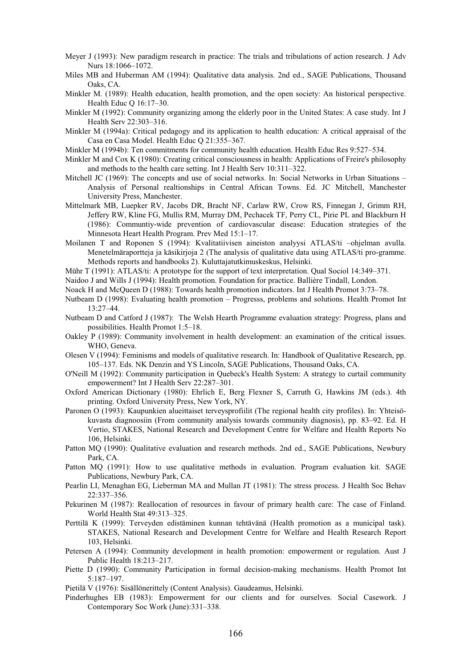- Meyer J (1993): New paradigm research in practice: The trials and tribulations of action research. J Adv Nurs 18:1066–1072.
- Miles MB and Huberman AM (1994): Qualitative data analysis. 2nd ed., SAGE Publications, Thousand Oaks, CA.
- Minkler M. (1989): Health education, health promotion, and the open society: An historical perspective. Health Educ Q 16:17–30.
- Minkler M (1992): Community organizing among the elderly poor in the United States: A case study. Int J Health Serv 22:303–316.
- Minkler M (1994a): Critical pedagogy and its application to health education: A critical appraisal of the Casa en Casa Model. Health Educ Q 21:355–367.
- Minkler M (1994b): Ten commitments for community health education. Health Educ Res 9:527–534.
- Minkler M and Cox K (1980): Creating critical consciousness in health: Applications of Freire's philosophy and methods to the health care setting. Int J Health Serv 10:311–322.
- Mitchell JC (1969): The concepts and use of social networks. In: Social Networks in Urban Situations Analysis of Personal realtionships in Central African Towns. Ed. JC Mitchell, Manchester University Press, Manchester.
- Mittelmark MB, Luepker RV, Jacobs DR, Bracht NF, Carlaw RW, Crow RS, Finnegan J, Grimm RH, Jeffery RW, Kline FG, Mullis RM, Murray DM, Pechacek TF, Perry CL, Pirie PL and Blackburn H (1986): Communtiy-wide prevention of cardiovascular disease: Education strategies of the Minnesota Heart Health Program. Prev Med 15:1–17.
- Moilanen T and Roponen S (1994): Kvalitatiivisen aineiston analyysi ATLAS/ti –ohjelman avulla. Menetelmäraportteja ja käsikirjoja 2 (The analysis of qualitative data using ATLAS/ti pro-gramme. Methods reports and handbooks 2). Kuluttajatutkimuskeskus, Helsinki.
- Mühr T (1991): ATLAS/ti: A prototype for the support of text interpretation. Qual Sociol 14:349–371.
- Naidoo J and Wills J (1994): Health promotion. Foundation for practice. Ballière Tindall, London.
- Noack H and McQueen D (1988): Towards health promotion indicators. Int J Health Promot 3:73–78.
- Nutbeam D (1998): Evaluating health promotion Progresss, problems and solutions. Health Promot Int 13:27–44.
- Nutbeam D and Catford J (1987): The Welsh Hearth Programme evaluation strategy: Progress, plans and possibilities. Health Promot 1:5–18.
- Oakley P (1989): Community involvement in health development: an examination of the critical issues. WHO, Geneva.
- Olesen V (1994): Feminisms and models of qualitative research. In: Handbook of Qualitative Research, pp. 105–137. Eds. NK Denzin and YS Lincoln, SAGE Publications, Thousand Oaks, CA.
- O'Neill M (1992): Community participation in Quebeck's Health System: A strategy to curtail community empowerment? Int J Health Serv 22:287–301.
- Oxford American Dictionary (1980): Ehrlich E, Berg Flexner S, Carruth G, Hawkins JM (eds.). 4th printing. Oxford University Press, New York, NY.
- Paronen O (1993): Kaupunkien alueittaiset terveysprofiilit (The regional health city profiles). In: Yhteisökuvasta diagnoosiin (From community analysis towards community diagnosis), pp. 83–92. Ed. H Vertio, STAKES, National Research and Development Centre for Welfare and Health Reports No 106, Helsinki.
- Patton MQ (1990): Qualitative evaluation and research methods. 2nd ed., SAGE Publications, Newbury Park, CA.
- Patton MQ (1991): How to use qualitative methods in evaluation. Program evaluation kit. SAGE Publications, Newbury Park, CA.
- Pearlin LI, Menaghan EG, Lieberman MA and Mullan JT (1981): The stress process. J Health Soc Behav 22:337–356.
- Pekurinen M (1987): Reallocation of resources in favour of primary health care: The case of Finland. World Health Stat 49:313–325.
- Perttilä K (1999): Terveyden edistäminen kunnan tehtävänä (Health promotion as a municipal task). STAKES, National Research and Development Centre for Welfare and Health Research Report 103, Helsinki.
- Petersen A (1994): Community development in health promotion: empowerment or regulation. Aust J Public Health 18:213–217.
- Piette D (1990): Community Participation in formal decision-making mechanisms. Health Promot Int 5:187–197.
- Pietilä V (1976): Sisällönerittely (Content Analysis). Gaudeamus, Helsinki.
- Pinderhughes EB (1983): Empowerment for our clients and for ourselves. Social Casework. J Contemporary Soc Work (June):331–338.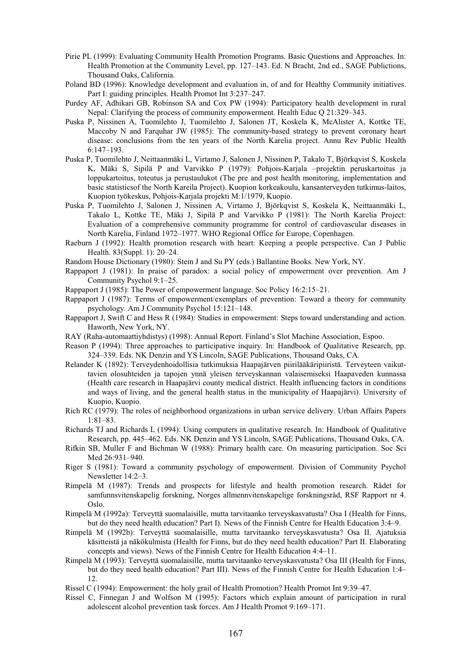- Pirie PL (1999): Evaluating Community Health Promotion Programs. Basic Questions and Approaches. In: Health Promotion at the Community Level, pp. 127–143. Ed. N Bracht, 2nd ed., SAGE Publictions, Thousand Oaks, California.
- Poland BD (1996): Knowledge development and evaluation in, of and for Healthy Community initiatives. Part I: guiding principles. Health Promot Int 3:237–247.
- Purdey AF, Adhikari GB, Robinson SA and Cox PW (1994): Participatory health development in rural Nepal: Clarifying the process of community empowerment. Health Educ Q 21:329–343.
- Puska P, Nissinen A, Tuomilehto J, Tuomilehto J, Salonen JT, Koskela K, McAlister A, Kottke TE, Maccoby N and Farquhar JW (1985): The community-based strategy to prevent coronary heart disease: conclusions from the ten years of the North Karelia project. Annu Rev Public Health 6:147–193.
- Puska P, Tuomilehto J, Neittaanmäki L, Virtamo J, Salonen J, Nissinen P, Takalo T, Björkqvist S, Koskela K, Mäki S, Sipilä P and Varvikko P (1979): Pohjois-Karjala –projektin peruskartoitus ja loppukartoitus, toteutus ja perustaulukot (The pre and post health monitoring, implementation and basic statisticsof the North Kareila Project). Kuopion korkeakoulu, kansanterveyden tutkimus-laitos, Kuopion työkeskus, Pohjois-Karjala projekti M:1/1979, Kuopio.
- Puska P, Tuomilehto J, Salonen J, Nissinen A, Virtamo J, Björkqvist S, Koskela K, Neittaanmäki L, Takalo L, Kottke TE, Mäki J, Sipilä P and Varvikko P (1981): The North Karelia Project: Evaluation of a comprehensive community programme for control of cardiovascular diseases in North Karelia, Finland 1972–1977. WHO Regional Office for Europe, Copenhagen.
- Raeburn J (1992): Health promotion research with heart: Keeping a people perspective. Can J Public Health. 83(Suppl. 1): 20–24.
- Random House Dictionary (1980): Stein J and Su PY (eds.) Ballantine Books. New York, NY.
- Rappaport J (1981): In praise of paradox: a social policy of empowerment over prevention. Am J Community Psychol 9:1–25.
- Rappaport J (1985): The Power of empowerment language. Soc Policy 16:2:15–21.
- Rappaport J (1987): Terms of empowerment/exemplars of prevention: Toward a theory for community psychology. Am J Community Psychol 15:121–148.
- Rappaport J, Swift C and Hess R (1984): Studies in empowerment: Steps toward understanding and action. Haworth, New York, NY.
- RAY (Raha-automaattiyhdistys) (1998): Annual Report. Finland's Slot Machine Association, Espoo.
- Reason P (1994): Three approaches to participative inquiry. In: Handbook of Qualitative Research, pp. 324–339. Eds. NK Denzin and YS Lincoln, SAGE Publications, Thousand Oaks, CA.
- Relander K (1892): Terveydenhoidollisia tutkimuksia Haapajärven piirilääkäripiiristä. Terveyteen vaikuttavien olosuhteiden ja tapojen ynnä yleisen terveyskannan valaisemiseksi Haapaveden kunnassa (Health care research in Haapajärvi county medical district. Health influencing factors in conditions and ways of living, and the general health status in the municipality of Haapajärvi). University of Kuopio, Kuopio.
- Rich RC (1979): The roles of neighborhood organizations in urban service delivery. Urban Affairs Papers 1:81–83.
- Richards TJ and Richards L (1994): Using computers in qualitative research. In: Handbook of Qualitative Research, pp. 445–462. Eds. NK Denzin and YS Lincoln, SAGE Publications, Thousand Oaks, CA.
- Rifkin SB, Muller F and Bichman W (1988): Primary health care. On measuring participation. Soc Sci Med 26:931–940.
- Riger S (1981): Toward a community psychology of empowerment. Division of Community Psychol Newsletter 14:2–3.
- Rimpelä M (1987): Trends and prospects for lifestyle and health promotion research. Rådet for samfunnsvitenskapelig forskning, Norges allmennvitenskapelige forskningsråd, RSF Rapport nr 4. Oslo.
- Rimpelä M (1992a): Terveyttä suomalaisille, mutta tarvitaanko terveyskasvatusta? Osa I (Health for Finns, but do they need health education? Part I). News of the Finnish Centre for Health Education 3:4–9.
- Rimpelä M (1992b): Terveyttä suomalaisille, mutta tarvitaanko terveyskasvatusta? Osa II. Ajatuksia käsitteistä ja näkökulmista (Health for Finns, but do they need health education? Part II. Elaborating concepts and views). News of the Finnish Centre for Health Education 4:4–11.
- Rimpelä M (1993): Terveyttä suomalaisille, mutta tarvitaanko terveyskasvatusta? Osa III (Health for Finns, but do they need health education? Part III). News of the Finnish Centre for Health Education 1:4– 12.
- Rissel C (1994): Empowerment: the holy grail of Health Promotion? Health Promot Int 9:39–47.
- Rissel C, Finnegan J and Wolfson M (1995): Factors which explain amount of participation in rural adolescent alcohol prevention task forces. Am J Health Promot 9:169–171.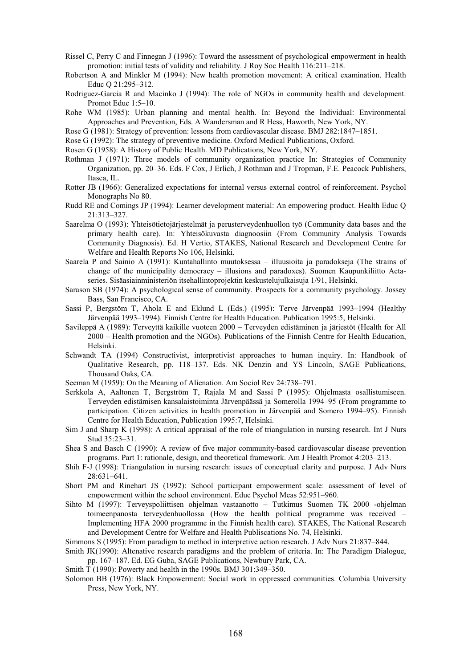- Rissel C, Perry C and Finnegan J (1996): Toward the assessment of psychological empowerment in health promotion: initial tests of validity and reliability. J Roy Soc Health 116:211–218.
- Robertson A and Minkler M (1994): New health promotion movement: A critical examination. Health Educ Q 21:295–312.
- Rodriguez-Garcia R and Macinko J (1994): The role of NGOs in community health and development. Promot Educ 1:5–10.
- Rohe WM (1985): Urban planning and mental health. In: Beyond the Individual: Environmental Approaches and Prevention, Eds. A Wandersman and R Hess, Haworth, New York, NY.
- Rose G (1981): Strategy of prevention: lessons from cardiovascular disease. BMJ 282:1847–1851.
- Rose G (1992): The strategy of preventive medicine. Oxford Medical Publications, Oxford.
- Rosen G (1958): A History of Public Health. MD Publications, New York, NY.
- Rothman J (1971): Three models of community organization practice In: Strategies of Community Organization, pp. 20–36. Eds. F Cox, J Erlich, J Rothman and J Tropman, F.E. Peacock Publishers, Itasca, IL.
- Rotter JB (1966): Generalized expectations for internal versus external control of reinforcement. Psychol Monographs No 80.
- Rudd RE and Comings JP (1994): Learner development material: An empowering product. Health Educ Q 21:313–327.
- Saarelma O (1993): Yhteisötietojärjestelmät ja perusterveydenhuollon työ (Community data bases and the primary health care). In: Yhteisökuvasta diagnoosiin (From Community Analysis Towards Community Diagnosis). Ed. H Vertio, STAKES, National Research and Development Centre for Welfare and Health Reports No 106, Helsinki.
- Saarela P and Sainio A (1991): Kuntahallinto muutoksessa illuusioita ja paradokseja (The strains of change of the municipality democracy – illusions and paradoxes). Suomen Kaupunkiliitto Actaseries. Sisäasiainministeriön itsehallintoprojektin keskustelujulkaisuja 1/91, Helsinki.
- Sarason SB (1974): A psychological sense of community. Prospects for a community psychology. Jossey Bass, San Francisco, CA.
- Sassi P, Bergstöm T, Ahola E and Eklund L (Eds.) (1995): Terve Järvenpää 1993–1994 (Healthy Järvenpää 1993–1994). Finnish Centre for Health Education. Publication 1995:5, Helsinki.
- Savileppä A (1989): Terveyttä kaikille vuoteen 2000 Terveyden edistäminen ja järjestöt (Health for All 2000 – Health promotion and the NGOs). Publications of the Finnish Centre for Health Education, Helsinki.
- Schwandt TA (1994) Constructivist, interpretivist approaches to human inquiry. In: Handbook of Qualitative Research, pp. 118–137. Eds. NK Denzin and YS Lincoln, SAGE Publications, Thousand Oaks, CA.
- Seeman M (1959): On the Meaning of Alienation. Am Sociol Rev 24:738–791.
- Serkkola A, Aaltonen T, Bergström T, Rajala M and Sassi P (1995): Ohjelmasta osallistumiseen. Terveyden edistämisen kansalaistoiminta Järvenpäässä ja Somerolla 1994–95 (From programme to participation. Citizen activities in health promotion in Järvenpää and Somero 1994–95). Finnish Centre for Health Education, Publication 1995:7, Helsinki.
- Sim J and Sharp K (1998): A critical appraisal of the role of triangulation in nursing research. Int J Nurs Stud 35:23–31.
- Shea S and Basch C (1990): A review of five major community-based cardiovascular disease prevention programs. Part 1: rationale, design, and theoretical framework. Am J Health Promot 4:203–213.
- Shih F-J (1998): Triangulation in nursing research: issues of conceptual clarity and purpose. J Adv Nurs 28:631–641.
- Short PM and Rinehart JS (1992): School participant empowerment scale: assessment of level of empowerment within the school environment. Educ Psychol Meas 52:951–960.
- Sihto M (1997): Terveyspoliittisen ohjelman vastaanotto Tutkimus Suomen TK 2000 -ohjelman toimeenpanosta terveydenhuollossa (How the health political programme was received – Implementing HFA 2000 programme in the Finnish health care). STAKES, The National Research and Development Centre for Welfare and Health Publiscations No. 74, Helsinki.
- Simmons S (1995): From paradigm to method in interpretive action research. J Adv Nurs 21:837–844.
- Smith JK(1990): Altenative research paradigms and the problem of criteria. In: The Paradigm Dialogue, pp. 167–187. Ed. EG Guba, SAGE Publications, Newbury Park, CA.
- Smith T (1990): Powerty and health in the 1990s. BMJ 301:349–350.
- Solomon BB (1976): Black Empowerment: Social work in oppressed communities. Columbia University Press, New York, NY.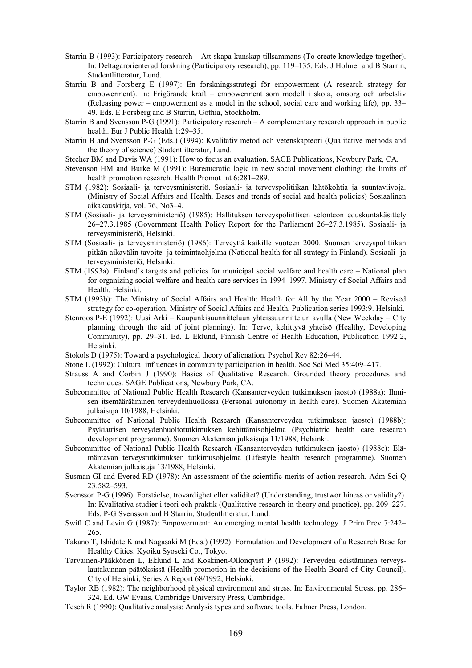- Starrin B (1993): Participatory research Att skapa kunskap tillsammans (To create knowledge together). In: Deltagarorienterad forskning (Participatory research), pp. 119–135. Eds. J Holmer and B Starrin, Studentlitteratur, Lund.
- Starrin B and Forsberg E (1997): En forskningsstrategi för empowerment (A research strategy for empowerment). In: Frigörande kraft – empowerment som modell i skola, omsorg och arbetsliv (Releasing power – empowerment as a model in the school, social care and working life), pp. 33– 49. Eds. E Forsberg and B Starrin, Gothia, Stockholm.
- Starrin B and Svensson P-G (1991): Participatory research A complementary research approach in public health. Eur J Public Health 1:29–35.
- Starrin B and Svensson P-G (Eds.) (1994): Kvalitativ metod och vetenskapteori (Qualitative methods and the theory of science) Studentlitteratur, Lund.
- Stecher BM and Davis WA (1991): How to focus an evaluation. SAGE Publications, Newbury Park, CA.
- Stevenson HM and Burke M (1991): Bureaucratic logic in new social movement clothing: the limits of health promotion research. Health Promot Int 6:281–289.
- STM (1982): Sosiaali- ja terveysministeriö. Sosiaali- ja terveyspolitiikan lähtökohtia ja suuntaviivoja. (Ministry of Social Affairs and Health. Bases and trends of social and health policies) Sosiaalinen aikakauskirja, vol. 76, No3–4.
- STM (Sosiaali- ja terveysministeriö) (1985): Hallituksen terveyspoliittisen selonteon eduskuntakäsittely 26–27.3.1985 (Government Health Policy Report for the Parliament 26–27.3.1985). Sosiaali- ja terveysministeriö, Helsinki.
- STM (Sosiaali- ja terveysministeriö) (1986): Terveyttä kaikille vuoteen 2000. Suomen terveyspolitiikan pitkän aikavälin tavoite- ja toimintaohjelma (National health for all strategy in Finland). Sosiaali- ja terveysministeriö, Helsinki.
- STM (1993a): Finland's targets and policies for municipal social welfare and health care National plan for organizing social welfare and health care services in 1994–1997. Ministry of Social Affairs and Health, Helsinki.
- STM (1993b): The Ministry of Social Affairs and Health: Health for All by the Year 2000 Revised strategy for co-operation. Ministry of Social Affairs and Health, Publication series 1993:9. Helsinki.
- Stenroos P-E (1992): Uusi Arki Kaupunkisuunnitteluun yhteissuunnittelun avulla (New Weekday City planning through the aid of joint planning). In: Terve, kehittyvä yhteisö (Healthy, Developing Community), pp. 29–31. Ed. L Eklund, Finnish Centre of Health Education, Publication 1992:2, Helsinki.
- Stokols D (1975): Toward a psychological theory of alienation. Psychol Rev 82:26–44.
- Stone L (1992): Cultural influences in community participation in health. Soc Sci Med 35:409–417.
- Strauss A and Corbin J (1990): Basics of Qualitative Research. Grounded theory procedures and techniques. SAGE Publications, Newbury Park, CA.
- Subcommittee of National Public Health Research (Kansanterveyden tutkimuksen jaosto) (1988a): Ihmisen itsemäärääminen terveydenhuollossa (Personal autonomy in health care). Suomen Akatemian julkaisuja 10/1988, Helsinki.
- Subcommittee of National Public Health Research (Kansanterveyden tutkimuksen jaosto) (1988b): Psykiatrisen terveydenhuoltotutkimuksen kehittämisohjelma (Psychiatric health care research development programme). Suomen Akatemian julkaisuja 11/1988, Helsinki.
- Subcommittee of National Public Health Research (Kansanterveyden tutkimuksen jaosto) (1988c): Elämäntavan terveystutkimuksen tutkimusohjelma (Lifestyle health research programme). Suomen Akatemian julkaisuja 13/1988, Helsinki.
- Susman GI and Evered RD (1978): An assessment of the scientific merits of action research. Adm Sci Q 23:582–593.
- Svensson P-G (1996): Förståelse, trovärdighet eller validitet? (Understanding, trustworthiness or validity?). In: Kvalitativa studier i teori och praktik (Qualitative research in theory and practice), pp. 209–227. Eds. P-G Svensson and B Starrin, Studentlitteratur, Lund.
- Swift C and Levin G (1987): Empowerment: An emerging mental health technology. J Prim Prev 7:242– 265.
- Takano T, Ishidate K and Nagasaki M (Eds.) (1992): Formulation and Development of a Research Base for Healthy Cities. Kyoiku Syoseki Co., Tokyo.
- Tarvainen-Pääkkönen L, Eklund L and Koskinen-Ollonqvist P (1992): Terveyden edistäminen terveyslautakunnan päätöksissä (Health promotion in the decisions of the Health Board of City Council). City of Helsinki, Series A Report 68/1992, Helsinki.
- Taylor RB (1982): The neighborhood physical environment and stress. In: Environmental Stress, pp. 286– 324. Ed. GW Evans, Cambridge University Press, Cambridge.
- Tesch R (1990): Qualitative analysis: Analysis types and software tools. Falmer Press, London.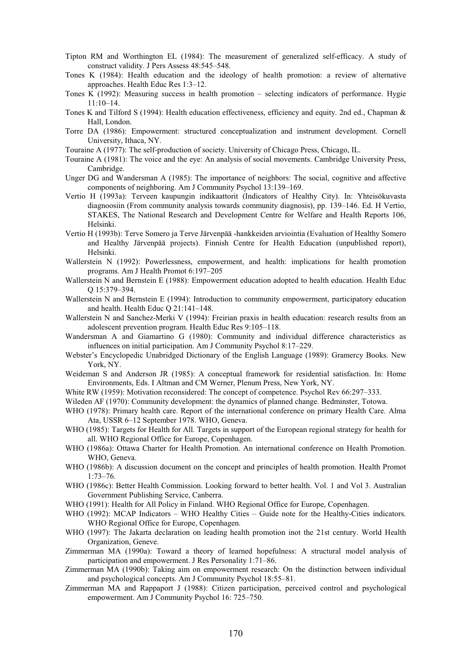- Tipton RM and Worthington EL (1984): The measurement of generalized self-efficacy. A study of construct validity. J Pers Assess 48:545–548.
- Tones K (1984): Health education and the ideology of health promotion: a review of alternative approaches. Health Educ Res 1:3–12.
- Tones K (1992): Measuring success in health promotion selecting indicators of performance. Hygie  $11:10-14$
- Tones K and Tilford S (1994): Health education effectiveness, efficiency and equity. 2nd ed., Chapman & Hall, London.
- Torre DA (1986): Empowerment: structured conceptualization and instrument development. Cornell University, Ithaca, NY.
- Touraine A (1977): The self-production of society. University of Chicago Press, Chicago, IL.
- Touraine A (1981): The voice and the eye: An analysis of social movements. Cambridge University Press, Cambridge.
- Unger DG and Wandersman A (1985): The importance of neighbors: The social, cognitive and affective components of neighboring. Am J Community Psychol 13:139–169.
- Vertio H (1993a): Terveen kaupungin indikaattorit (Indicators of Healthy City). In: Yhteisökuvasta diagnoosiin (From community analysis towards community diagnosis), pp. 139–146. Ed. H Vertio, STAKES, The National Research and Development Centre for Welfare and Health Reports 106, Helsinki.
- Vertio H (1993b): Terve Somero ja Terve Järvenpää -hankkeiden arviointia (Evaluation of Healthy Somero and Healthy Järvenpää projects). Finnish Centre for Health Education (unpublished report), Helsinki.
- Wallerstein N (1992): Powerlessness, empowerment, and health: implications for health promotion programs. Am J Health Promot 6:197–205
- Wallerstein N and Bernstein E (1988): Empowerment education adopted to health education. Health Educ Q 15:379–394.
- Wallerstein N and Bernstein E (1994): Introduction to community empowerment, participatory education and health. Health Educ Q 21:141–148.
- Wallerstein N and Sanchez-Merki V (1994): Freirian praxis in health education: research results from an adolescent prevention program. Health Educ Res 9:105–118.
- Wandersman A and Giamartino G (1980): Community and individual difference characteristics as influences on initial participation. Am J Community Psychol 8:17–229.
- Webster's Encyclopedic Unabridged Dictionary of the English Language (1989): Gramercy Books. New York, NY.
- Weideman S and Anderson JR (1985): A conceptual framework for residential satisfaction. In: Home Environments, Eds. I Altman and CM Werner, Plenum Press, New York, NY.
- White RW (1959): Motivation reconsidered: The concept of competence. Psychol Rev 66:297–333.
- Wileden AF (1970): Community development: the dynamics of planned change. Bedminster, Totowa.
- WHO (1978): Primary health care. Report of the international conference on primary Health Care. Alma Ata, USSR 6–12 September 1978. WHO, Geneva.
- WHO (1985): Targets for Health for All. Targets in support of the European regional strategy for health for all. WHO Regional Office for Europe, Copenhagen.
- WHO (1986a): Ottawa Charter for Health Promotion. An international conference on Health Promotion. WHO, Geneva.
- WHO (1986b): A discussion document on the concept and principles of health promotion. Health Promot 1:73–76.
- WHO (1986c): Better Health Commission. Looking forward to better health. Vol. 1 and Vol 3. Australian Government Publishing Service, Canberra.
- WHO (1991): Health for All Policy in Finland. WHO Regional Office for Europe, Copenhagen.
- WHO (1992): MCAP Indicators WHO Healthy Cities Guide note for the Healthy-Cities indicators. WHO Regional Office for Europe, Copenhagen.
- WHO (1997): The Jakarta declaration on leading health promotion inot the 21st century. World Health Organization, Geneve.
- Zimmerman MA (1990a): Toward a theory of learned hopefulness: A structural model analysis of participation and empowerment. J Res Personality 1:71–86.
- Zimmerman MA (1990b): Taking aim on empowerment research: On the distinction between individual and psychological concepts. Am J Community Psychol 18:55–81.
- Zimmerman MA and Rappaport J (1988): Citizen participation, perceived control and psychological empowerment. Am J Community Psychol 16: 725–750.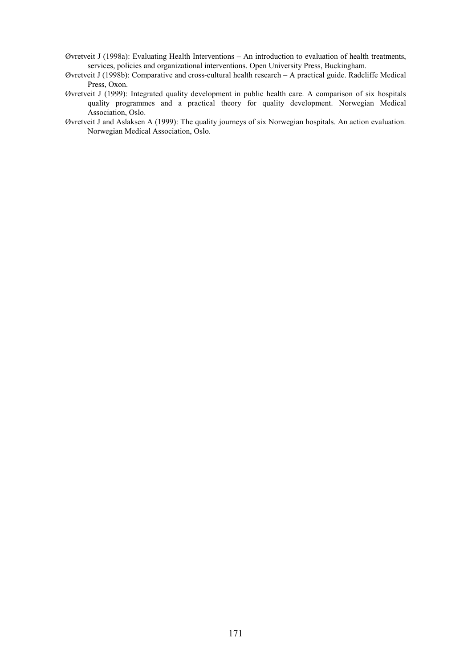- Øvretveit J (1998a): Evaluating Health Interventions An introduction to evaluation of health treatments, services, policies and organizational interventions. Open University Press, Buckingham.
- Øvretveit J (1998b): Comparative and cross-cultural health research A practical guide. Radcliffe Medical Press, Oxon.
- Øvretveit J (1999): Integrated quality development in public health care. A comparison of six hospitals quality programmes and a practical theory for quality development. Norwegian Medical Association, Oslo.
- Øvretveit J and Aslaksen A (1999): The quality journeys of six Norwegian hospitals. An action evaluation. Norwegian Medical Association, Oslo.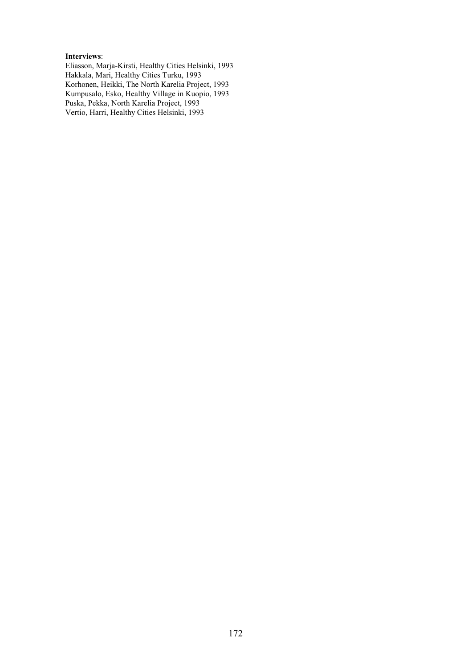## **Interviews**:

Eliasson, Marja-Kirsti, Healthy Cities Helsinki, 1993 Hakkala, Mari, Healthy Cities Turku, 1993 Korhonen, Heikki, The North Karelia Project, 1993 Kumpusalo, Esko, Healthy Village in Kuopio, 1993 Puska, Pekka, North Karelia Project, 1993 Vertio, Harri, Healthy Cities Helsinki, 1993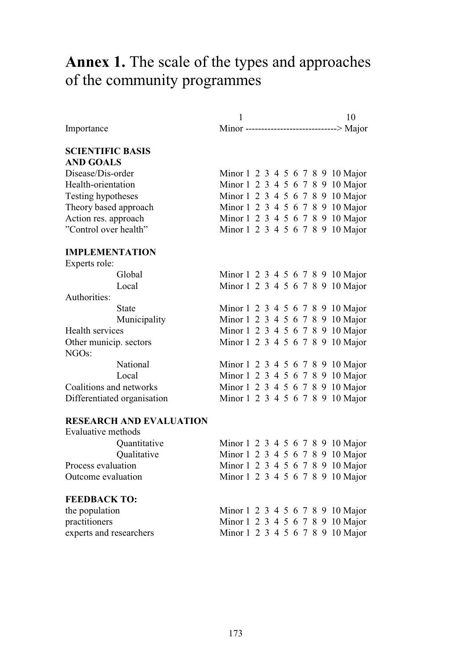## **Annex 1.** The scale of the types and approaches of the community programmes

|                                | 1 |  |  |  |  | 10                                         |
|--------------------------------|---|--|--|--|--|--------------------------------------------|
| Importance                     |   |  |  |  |  | Minor -----------------------------> Major |
| <b>SCIENTIFIC BASIS</b>        |   |  |  |  |  |                                            |
| <b>AND GOALS</b>               |   |  |  |  |  |                                            |
| Disease/Dis-order              |   |  |  |  |  | Minor 1 2 3 4 5 6 7 8 9 10 Major           |
| Health-orientation             |   |  |  |  |  | Minor 1 2 3 4 5 6 7 8 9 10 Major           |
| Testing hypotheses             |   |  |  |  |  | Minor 1 2 3 4 5 6 7 8 9 10 Major           |
| Theory based approach          |   |  |  |  |  | Minor 1 2 3 4 5 6 7 8 9 10 Major           |
| Action res. approach           |   |  |  |  |  | Minor 1 2 3 4 5 6 7 8 9 10 Major           |
| "Control over health"          |   |  |  |  |  | Minor 1 2 3 4 5 6 7 8 9 10 Major           |
| <b>IMPLEMENTATION</b>          |   |  |  |  |  |                                            |
| Experts role:                  |   |  |  |  |  |                                            |
| Global                         |   |  |  |  |  | Minor 1 2 3 4 5 6 7 8 9 10 Major           |
| Local                          |   |  |  |  |  | Minor 1 2 3 4 5 6 7 8 9 10 Major           |
| Authorities:                   |   |  |  |  |  |                                            |
| <b>State</b>                   |   |  |  |  |  | Minor 1 2 3 4 5 6 7 8 9 10 Major           |
| Municipality                   |   |  |  |  |  | Minor 1 2 3 4 5 6 7 8 9 10 Major           |
| Health services                |   |  |  |  |  | Minor 1 2 3 4 5 6 7 8 9 10 Major           |
| Other municip. sectors         |   |  |  |  |  | Minor 1 2 3 4 5 6 7 8 9 10 Major           |
| NGO <sub>s</sub> :             |   |  |  |  |  |                                            |
| National                       |   |  |  |  |  | Minor 1 2 3 4 5 6 7 8 9 10 Major           |
| Local                          |   |  |  |  |  | Minor 1 2 3 4 5 6 7 8 9 10 Major           |
| Coalitions and networks        |   |  |  |  |  | Minor 1 2 3 4 5 6 7 8 9 10 Major           |
| Differentiated organisation    |   |  |  |  |  | Minor 1 2 3 4 5 6 7 8 9 10 Major           |
| <b>RESEARCH AND EVALUATION</b> |   |  |  |  |  |                                            |
| Evaluative methods             |   |  |  |  |  |                                            |
| Quantitative                   |   |  |  |  |  | Minor 1 2 3 4 5 6 7 8 9 10 Major           |
| Qualitative                    |   |  |  |  |  | Minor 1 2 3 4 5 6 7 8 9 10 Major           |
| Process evaluation             |   |  |  |  |  | Minor 1 2 3 4 5 6 7 8 9 10 Major           |
| Outcome evaluation             |   |  |  |  |  | Minor 1 2 3 4 5 6 7 8 9 10 Major           |
| <b>FEEDBACK TO:</b>            |   |  |  |  |  |                                            |
| the population                 |   |  |  |  |  | Minor 1 2 3 4 5 6 7 8 9 10 Major           |
| practitioners                  |   |  |  |  |  | Minor 1 2 3 4 5 6 7 8 9 10 Major           |

experts and researchers Minor 1 2 3 4 5 6 7 8 9 10 Major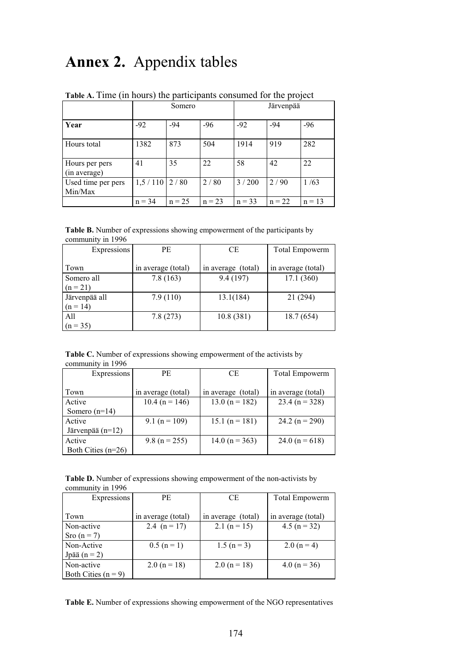## **Annex 2.** Appendix tables

|                                |          | Somero   |          | Järvenpää |          |          |
|--------------------------------|----------|----------|----------|-----------|----------|----------|
| Year                           | $-92$    | $-94$    | $-96$    | $-92$     | $-94$    | $-96$    |
| Hours total                    | 1382     | 873      | 504      | 1914      | 919      | 282      |
| Hours per pers<br>(in average) | 41       | 35       | 22       | 58        | 42       | 22       |
| Used time per pers<br>Min/Max  | 1,5/110  | 2/80     | 2/80     | 3/200     | 2/90     | 1/63     |
|                                | $n = 34$ | $n = 25$ | $n = 23$ | $n = 33$  | $n = 22$ | $n = 13$ |

**Table A.** Time (in hours) the participants consumed for the project

**Table B.** Number of expressions showing empowerment of the participants by community in 1996

| Expressions   | <b>PE</b>          | <b>CE</b>          | <b>Total Empowerm</b> |
|---------------|--------------------|--------------------|-----------------------|
| Town          | in average (total) | in average (total) | in average (total)    |
| Somero all    | 7.8(163)           | 9.4(197)           | 17.1(360)             |
| $(n = 21)$    |                    |                    |                       |
| Järvenpää all | 7.9(110)           | 13.1(184)          | 21 (294)              |
| $(n = 14)$    |                    |                    |                       |
| A11           | 7.8(273)           | 10.8(381)          | 18.7(654)             |
| $(n = 35)$    |                    |                    |                       |

**Table C.** Number of expressions showing empowerment of the activists by community in 1996

| Expressions          | PE.                | СE                 | Total Empowerm     |
|----------------------|--------------------|--------------------|--------------------|
|                      |                    |                    |                    |
| Town                 | in average (total) | in average (total) | in average (total) |
| Active               | $10.4$ (n = 146)   | 13.0 ( $n = 182$ ) | 23.4 ( $n = 328$ ) |
| Somero $(n=14)$      |                    |                    |                    |
| Active               | 9.1 ( $n = 109$ )  | 15.1 ( $n = 181$ ) | 24.2 ( $n = 290$ ) |
| Järvenpää $(n=12)$   |                    |                    |                    |
| Active               | 9.8 ( $n = 255$ )  | 14.0 ( $n = 363$ ) | 24.0 ( $n = 618$ ) |
| Both Cities $(n=26)$ |                    |                    |                    |

**Table D.** Number of expressions showing empowerment of the non-activists by community in 1996

| Expressions           | <b>PE</b>          | <b>CE</b>          | Total Empowerm     |
|-----------------------|--------------------|--------------------|--------------------|
|                       |                    |                    |                    |
| Town                  | in average (total) | in average (total) | in average (total) |
| Non-active            | 2.4 $(n = 17)$     | 2.1 ( $n = 15$ )   | $4.5 (n = 32)$     |
| Sro $(n=7)$           |                    |                    |                    |
| Non-Active            | $0.5(n=1)$         | $1.5 (n=3)$        | 2.0 $(n = 4)$      |
| Jpää $(n = 2)$        |                    |                    |                    |
| Non-active            | 2.0 ( $n = 18$ )   | 2.0 ( $n = 18$ )   | $4.0 (n = 36)$     |
| Both Cities $(n = 9)$ |                    |                    |                    |

**Table E.** Number of expressions showing empowerment of the NGO representatives